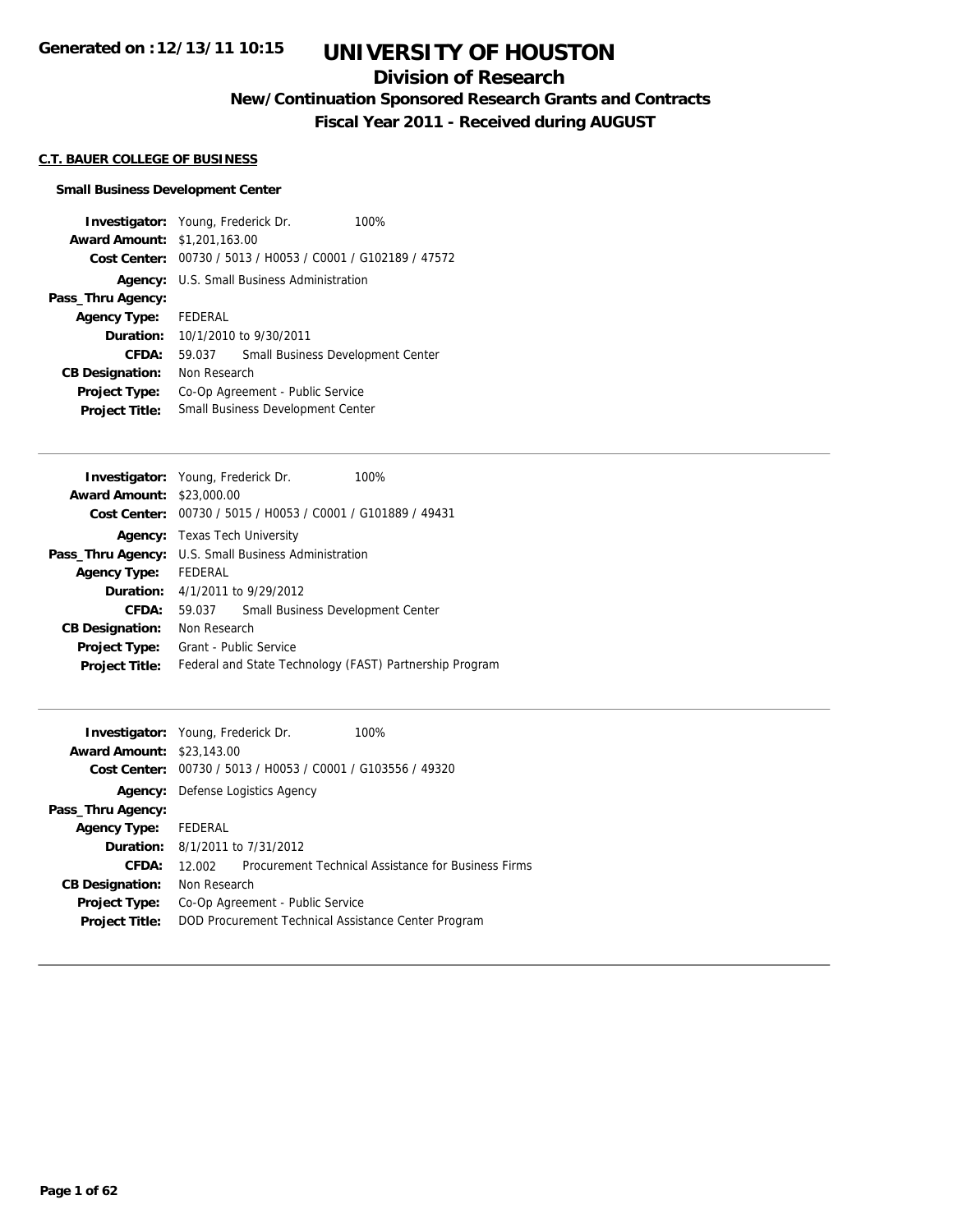## **Division of Research**

**New/Continuation Sponsored Research Grants and Contracts**

**Fiscal Year 2011 - Received during AUGUST**

### **C.T. BAUER COLLEGE OF BUSINESS**

#### **Small Business Development Center**

**Investigator:** Young, Frederick Dr. 100% **Award Amount:** \$1,201,163.00 **Cost Center:** 00730 / 5013 / H0053 / C0001 / G102189 / 47572 **Agency:** U.S. Small Business Administration **Pass\_Thru Agency: Agency Type:** FEDERAL **Duration:** 10/1/2010 to 9/30/2011 **CFDA:** 59.037 Small Business Development Center **CB Designation:** Non Research **Project Type:** Co-Op Agreement - Public Service **Project Title:** Small Business Development Center

|                                  | <b>Investigator:</b> Young, Frederick Dr.<br>100%           |
|----------------------------------|-------------------------------------------------------------|
| <b>Award Amount: \$23,000.00</b> |                                                             |
|                                  | Cost Center: 00730 / 5015 / H0053 / C0001 / G101889 / 49431 |
|                                  | <b>Agency:</b> Texas Tech University                        |
|                                  | <b>Pass_Thru Agency:</b> U.S. Small Business Administration |
| <b>Agency Type:</b>              | FEDERAL                                                     |
|                                  | <b>Duration:</b> 4/1/2011 to 9/29/2012                      |
| CFDA:                            | Small Business Development Center<br>59.037                 |
| <b>CB Designation:</b>           | Non Research                                                |
| <b>Project Type:</b>             | Grant - Public Service                                      |
| <b>Project Title:</b>            | Federal and State Technology (FAST) Partnership Program     |

|         | 100%                                                                                                                                                                                                                                                                                                             |
|---------|------------------------------------------------------------------------------------------------------------------------------------------------------------------------------------------------------------------------------------------------------------------------------------------------------------------|
|         |                                                                                                                                                                                                                                                                                                                  |
|         |                                                                                                                                                                                                                                                                                                                  |
|         |                                                                                                                                                                                                                                                                                                                  |
|         |                                                                                                                                                                                                                                                                                                                  |
| FEDERAL |                                                                                                                                                                                                                                                                                                                  |
|         |                                                                                                                                                                                                                                                                                                                  |
| 12.002  | Procurement Technical Assistance for Business Firms                                                                                                                                                                                                                                                              |
|         |                                                                                                                                                                                                                                                                                                                  |
|         |                                                                                                                                                                                                                                                                                                                  |
|         |                                                                                                                                                                                                                                                                                                                  |
|         | <b>Investigator:</b> Young, Frederick Dr.<br><b>Award Amount: \$23,143.00</b><br>00730 / 5013 / H0053 / C0001 / G103556 / 49320<br>Defense Logistics Agency<br><b>Duration:</b> 8/1/2011 to 7/31/2012<br>Non Research<br>Co-Op Agreement - Public Service<br>DOD Procurement Technical Assistance Center Program |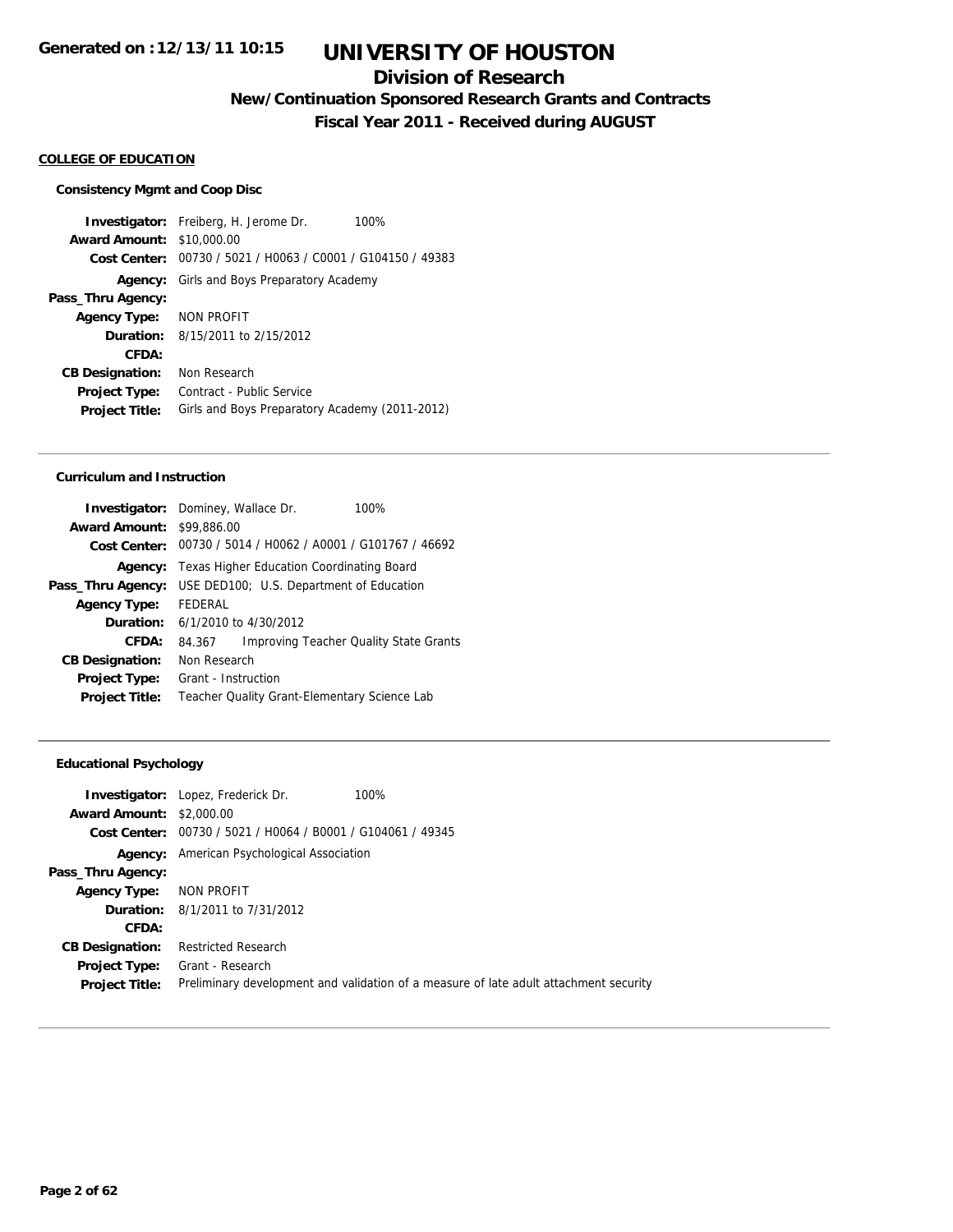## **Division of Research**

**New/Continuation Sponsored Research Grants and Contracts**

**Fiscal Year 2011 - Received during AUGUST**

### **COLLEGE OF EDUCATION**

#### **Consistency Mgmt and Coop Disc**

**Investigator:** Freiberg, H. Jerome Dr. 100% **Award Amount:** \$10,000.00 **Cost Center:** 00730 / 5021 / H0063 / C0001 / G104150 / 49383 **Agency:** Girls and Boys Preparatory Academy **Pass\_Thru Agency: Agency Type:** NON PROFIT **Duration:** 8/15/2011 to 2/15/2012 **CFDA: CB Designation:** Non Research **Project Type:** Contract - Public Service **Project Title:** Girls and Boys Preparatory Academy (2011-2012)

#### **Curriculum and Instruction**

|                        | Investigator: Dominey, Wallace Dr.           | 100%                                           |
|------------------------|----------------------------------------------|------------------------------------------------|
| <b>Award Amount:</b>   | \$99,886.00                                  |                                                |
| Cost Center:           |                                              | 00730 / 5014 / H0062 / A0001 / G101767 / 46692 |
| Agency:                | Texas Higher Education Coordinating Board    |                                                |
| Pass_Thru Agency:      | USE DED100; U.S. Department of Education     |                                                |
| <b>Agency Type:</b>    | FFDFRAI                                      |                                                |
| Duration:              | 6/1/2010 to 4/30/2012                        |                                                |
| CFDA:                  | 84.367                                       | <b>Improving Teacher Quality State Grants</b>  |
| <b>CB Designation:</b> | Non Research                                 |                                                |
| Project Type:          | Grant - Instruction                          |                                                |
| <b>Project Title:</b>  | Teacher Quality Grant-Elementary Science Lab |                                                |
|                        |                                              |                                                |

#### **Educational Psychology**

| <b>Award Amount: \$2,000.00</b>               | <b>Investigator:</b> Lopez, Frederick Dr.<br>100%                                                         |
|-----------------------------------------------|-----------------------------------------------------------------------------------------------------------|
|                                               | Cost Center: 00730 / 5021 / H0064 / B0001 / G104061 / 49345                                               |
|                                               | <b>Agency:</b> American Psychological Association                                                         |
| Pass_Thru Agency:                             |                                                                                                           |
| Agency Type: NON PROFIT                       |                                                                                                           |
|                                               | <b>Duration:</b> 8/1/2011 to 7/31/2012                                                                    |
| <b>CFDA:</b>                                  |                                                                                                           |
| <b>CB Designation:</b>                        | <b>Restricted Research</b>                                                                                |
| <b>Project Type:</b><br><b>Project Title:</b> | Grant - Research<br>Preliminary development and validation of a measure of late adult attachment security |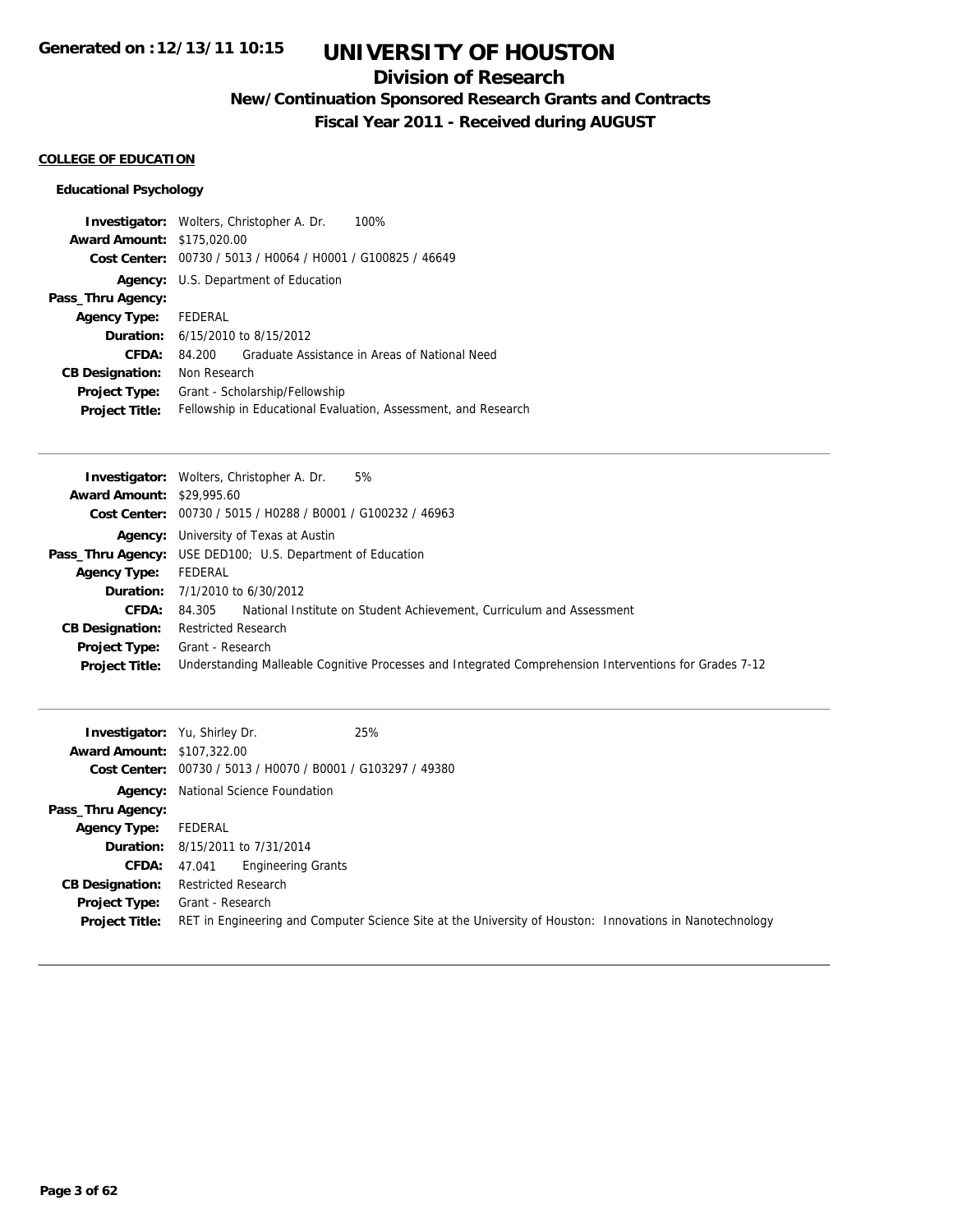## **Division of Research**

**New/Continuation Sponsored Research Grants and Contracts**

**Fiscal Year 2011 - Received during AUGUST**

### **COLLEGE OF EDUCATION**

### **Educational Psychology**

|                                   | <b>Investigator:</b> Wolters, Christopher A. Dr.<br>100%       |
|-----------------------------------|----------------------------------------------------------------|
| <b>Award Amount: \$175,020.00</b> |                                                                |
| Cost Center:                      | 00730 / 5013 / H0064 / H0001 / G100825 / 46649                 |
|                                   | Agency: U.S. Department of Education                           |
| Pass_Thru Agency:                 |                                                                |
| <b>Agency Type:</b>               | FEDERAL                                                        |
|                                   | <b>Duration:</b> 6/15/2010 to 8/15/2012                        |
| CFDA:                             | Graduate Assistance in Areas of National Need<br>84.200        |
| <b>CB Designation:</b>            | Non Research                                                   |
| <b>Project Type:</b>              | Grant - Scholarship/Fellowship                                 |
| <b>Project Title:</b>             | Fellowship in Educational Evaluation, Assessment, and Research |

| <b>Award Amount: \$29,995.60</b><br>Cost Center: 00730 / 5015 / H0288 / B0001 / G100232 / 46963<br><b>Agency:</b> University of Texas at Austin<br><b>Pass_Thru Agency:</b> USE DED100; U.S. Department of Education<br>FEDERAL<br><b>Agency Type:</b><br><b>Duration:</b> $7/1/2010$ to $6/30/2012$<br>National Institute on Student Achievement, Curriculum and Assessment<br><b>CFDA:</b><br>84.305<br><b>Restricted Research</b><br><b>CB Designation:</b><br>Grant - Research<br><b>Project Type:</b><br>Understanding Malleable Cognitive Processes and Integrated Comprehension Interventions for Grades 7-12<br><b>Project Title:</b> | <b>Investigator:</b> Wolters, Christopher A. Dr.<br>5% |
|-----------------------------------------------------------------------------------------------------------------------------------------------------------------------------------------------------------------------------------------------------------------------------------------------------------------------------------------------------------------------------------------------------------------------------------------------------------------------------------------------------------------------------------------------------------------------------------------------------------------------------------------------|--------------------------------------------------------|
|                                                                                                                                                                                                                                                                                                                                                                                                                                                                                                                                                                                                                                               |                                                        |
|                                                                                                                                                                                                                                                                                                                                                                                                                                                                                                                                                                                                                                               |                                                        |
|                                                                                                                                                                                                                                                                                                                                                                                                                                                                                                                                                                                                                                               |                                                        |
|                                                                                                                                                                                                                                                                                                                                                                                                                                                                                                                                                                                                                                               |                                                        |
|                                                                                                                                                                                                                                                                                                                                                                                                                                                                                                                                                                                                                                               |                                                        |
|                                                                                                                                                                                                                                                                                                                                                                                                                                                                                                                                                                                                                                               |                                                        |
|                                                                                                                                                                                                                                                                                                                                                                                                                                                                                                                                                                                                                                               |                                                        |
|                                                                                                                                                                                                                                                                                                                                                                                                                                                                                                                                                                                                                                               |                                                        |
|                                                                                                                                                                                                                                                                                                                                                                                                                                                                                                                                                                                                                                               |                                                        |
|                                                                                                                                                                                                                                                                                                                                                                                                                                                                                                                                                                                                                                               |                                                        |

| <b>Investigator:</b> Yu, Shirley Dr.<br><b>Award Amount: \$107,322.00</b> | 25%<br>Cost Center: 00730 / 5013 / H0070 / B0001 / G103297 / 49380                                                           |
|---------------------------------------------------------------------------|------------------------------------------------------------------------------------------------------------------------------|
|                                                                           | <b>Agency:</b> National Science Foundation                                                                                   |
| Pass_Thru Agency:                                                         |                                                                                                                              |
| <b>Agency Type:</b>                                                       | FEDERAL                                                                                                                      |
|                                                                           | <b>Duration:</b> 8/15/2011 to 7/31/2014                                                                                      |
| <b>CFDA:</b>                                                              | <b>Engineering Grants</b><br>47.041                                                                                          |
| <b>CB Designation:</b>                                                    | <b>Restricted Research</b>                                                                                                   |
| <b>Project Type:</b><br><b>Project Title:</b>                             | Grant - Research<br>RET in Engineering and Computer Science Site at the University of Houston: Innovations in Nanotechnology |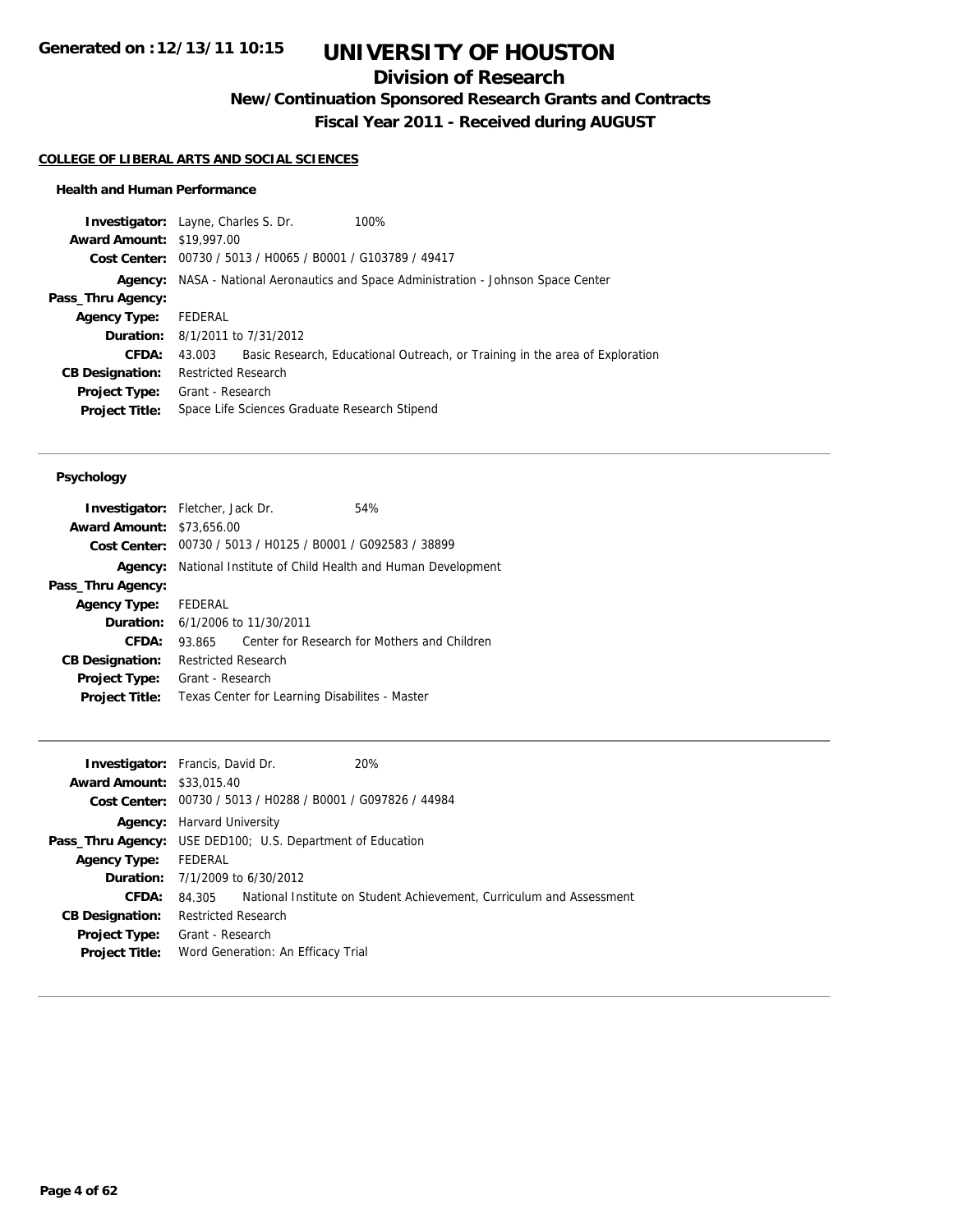## **Division of Research**

**New/Continuation Sponsored Research Grants and Contracts**

**Fiscal Year 2011 - Received during AUGUST**

#### **COLLEGE OF LIBERAL ARTS AND SOCIAL SCIENCES**

#### **Health and Human Performance**

| <b>Investigator:</b> Layne, Charles S. Dr. |                            |                                                | 100%                                                                                       |
|--------------------------------------------|----------------------------|------------------------------------------------|--------------------------------------------------------------------------------------------|
| <b>Award Amount: \$19,997.00</b>           |                            |                                                |                                                                                            |
| Cost Center:                               |                            | 00730 / 5013 / H0065 / B0001 / G103789 / 49417 |                                                                                            |
|                                            |                            |                                                | <b>Agency:</b> NASA - National Aeronautics and Space Administration - Johnson Space Center |
| Pass_Thru Agency:                          |                            |                                                |                                                                                            |
| <b>Agency Type:</b>                        | FEDERAL                    |                                                |                                                                                            |
| <b>Duration:</b> 8/1/2011 to 7/31/2012     |                            |                                                |                                                                                            |
| CFDA:                                      | 43.003                     |                                                | Basic Research, Educational Outreach, or Training in the area of Exploration               |
| <b>CB Designation:</b>                     | <b>Restricted Research</b> |                                                |                                                                                            |
| <b>Project Type:</b>                       | Grant - Research           |                                                |                                                                                            |
| <b>Project Title:</b>                      |                            | Space Life Sciences Graduate Research Stipend  |                                                                                            |
|                                            |                            |                                                |                                                                                            |

| <b>Investigator:</b> Fletcher, Jack Dr. |                            |                                             | 54%                                                         |  |
|-----------------------------------------|----------------------------|---------------------------------------------|-------------------------------------------------------------|--|
| <b>Award Amount:</b>                    | \$73,656.00                |                                             |                                                             |  |
|                                         |                            |                                             | Cost Center: 00730 / 5013 / H0125 / B0001 / G092583 / 38899 |  |
| Agency:                                 |                            |                                             | National Institute of Child Health and Human Development    |  |
| Pass_Thru Agency:                       |                            |                                             |                                                             |  |
| Agency Type: FEDERAL                    |                            |                                             |                                                             |  |
|                                         |                            | <b>Duration:</b> $6/1/2006$ to $11/30/2011$ |                                                             |  |
| CFDA:                                   | 93.865                     |                                             | Center for Research for Mothers and Children                |  |
| <b>CB Designation:</b>                  | <b>Restricted Research</b> |                                             |                                                             |  |
| <b>Project Type:</b>                    | Grant - Research           |                                             |                                                             |  |
| <b>Project Title:</b>                   |                            |                                             | Texas Center for Learning Disabilites - Master              |  |
|                                         |                            |                                             |                                                             |  |

| <b>Investigator:</b> Francis, David Dr.<br>20%              |                                                                      |
|-------------------------------------------------------------|----------------------------------------------------------------------|
| <b>Award Amount: \$33,015.40</b>                            |                                                                      |
| Cost Center: 00730 / 5013 / H0288 / B0001 / G097826 / 44984 |                                                                      |
| <b>Agency:</b> Harvard University                           |                                                                      |
| Pass_Thru Agency: USE DED100; U.S. Department of Education  |                                                                      |
| FEDERAL                                                     |                                                                      |
| <b>Duration:</b> $7/1/2009$ to $6/30/2012$                  |                                                                      |
| 84.305                                                      |                                                                      |
| <b>Restricted Research</b>                                  |                                                                      |
| Grant - Research                                            |                                                                      |
| Word Generation: An Efficacy Trial                          |                                                                      |
|                                                             | National Institute on Student Achievement, Curriculum and Assessment |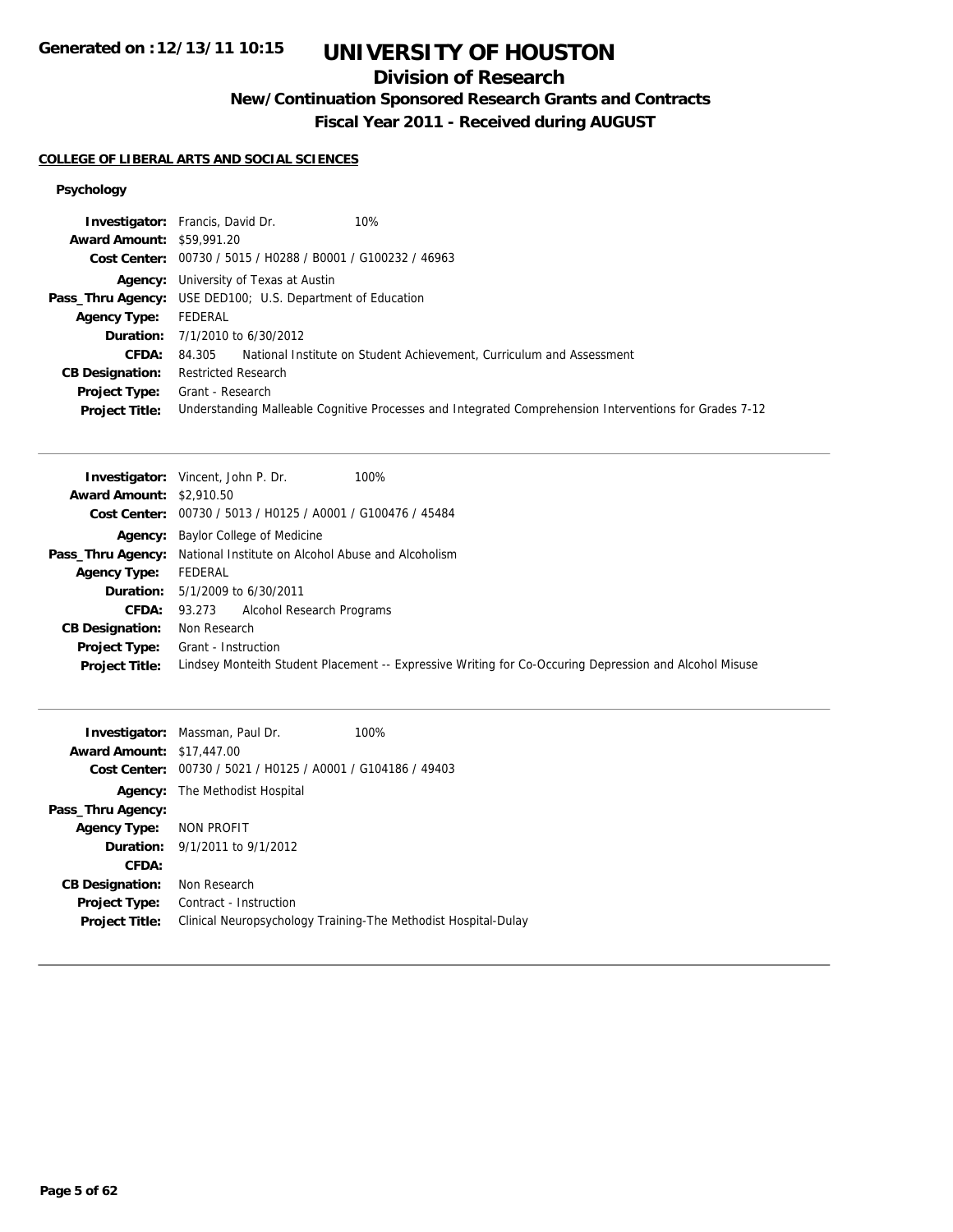## **Division of Research**

**New/Continuation Sponsored Research Grants and Contracts**

**Fiscal Year 2011 - Received during AUGUST**

#### **COLLEGE OF LIBERAL ARTS AND SOCIAL SCIENCES**

|                                  | <b>Investigator:</b> Francis, David Dr.<br>10%                                                         |
|----------------------------------|--------------------------------------------------------------------------------------------------------|
| <b>Award Amount: \$59,991.20</b> |                                                                                                        |
|                                  | Cost Center: 00730 / 5015 / H0288 / B0001 / G100232 / 46963                                            |
|                                  | <b>Agency:</b> University of Texas at Austin                                                           |
|                                  | <b>Pass_Thru Agency:</b> USE DED100; U.S. Department of Education                                      |
| <b>Agency Type:</b>              | FEDERAL                                                                                                |
|                                  | <b>Duration:</b> 7/1/2010 to 6/30/2012                                                                 |
| <b>CFDA:</b>                     | 84.305 National Institute on Student Achievement, Curriculum and Assessment                            |
| <b>CB Designation:</b>           | <b>Restricted Research</b>                                                                             |
| <b>Project Type:</b>             | Grant - Research                                                                                       |
| <b>Project Title:</b>            | Understanding Malleable Cognitive Processes and Integrated Comprehension Interventions for Grades 7-12 |

|                                 | 100%<br><b>Investigator:</b> Vincent, John P. Dr.                                                      |
|---------------------------------|--------------------------------------------------------------------------------------------------------|
| <b>Award Amount: \$2,910.50</b> |                                                                                                        |
|                                 | Cost Center: 00730 / 5013 / H0125 / A0001 / G100476 / 45484                                            |
|                                 | <b>Agency:</b> Baylor College of Medicine                                                              |
|                                 | <b>Pass_Thru Agency:</b> National Institute on Alcohol Abuse and Alcoholism                            |
| <b>Agency Type:</b>             | FEDERAL                                                                                                |
|                                 | <b>Duration:</b> 5/1/2009 to 6/30/2011                                                                 |
|                                 | <b>CFDA:</b> 93.273 Alcohol Research Programs                                                          |
| <b>CB Designation:</b>          | Non Research                                                                                           |
|                                 | <b>Project Type:</b> Grant - Instruction                                                               |
| <b>Project Title:</b>           | Lindsey Monteith Student Placement -- Expressive Writing for Co-Occuring Depression and Alcohol Misuse |

| <b>Award Amount:</b>   | <b>Investigator:</b> Massman, Paul Dr.<br>\$17,447.00 | 100%                                                           |
|------------------------|-------------------------------------------------------|----------------------------------------------------------------|
| Cost Center:           | 00730 / 5021 / H0125 / A0001 / G104186 / 49403        |                                                                |
|                        | <b>Agency:</b> The Methodist Hospital                 |                                                                |
| Pass_Thru Agency:      |                                                       |                                                                |
| <b>Agency Type:</b>    | NON PROFIT                                            |                                                                |
|                        | <b>Duration:</b> $9/1/2011$ to $9/1/2012$             |                                                                |
| CFDA:                  |                                                       |                                                                |
| <b>CB Designation:</b> | Non Research                                          |                                                                |
| <b>Project Type:</b>   | Contract - Instruction                                |                                                                |
| <b>Project Title:</b>  |                                                       | Clinical Neuropsychology Training-The Methodist Hospital-Dulay |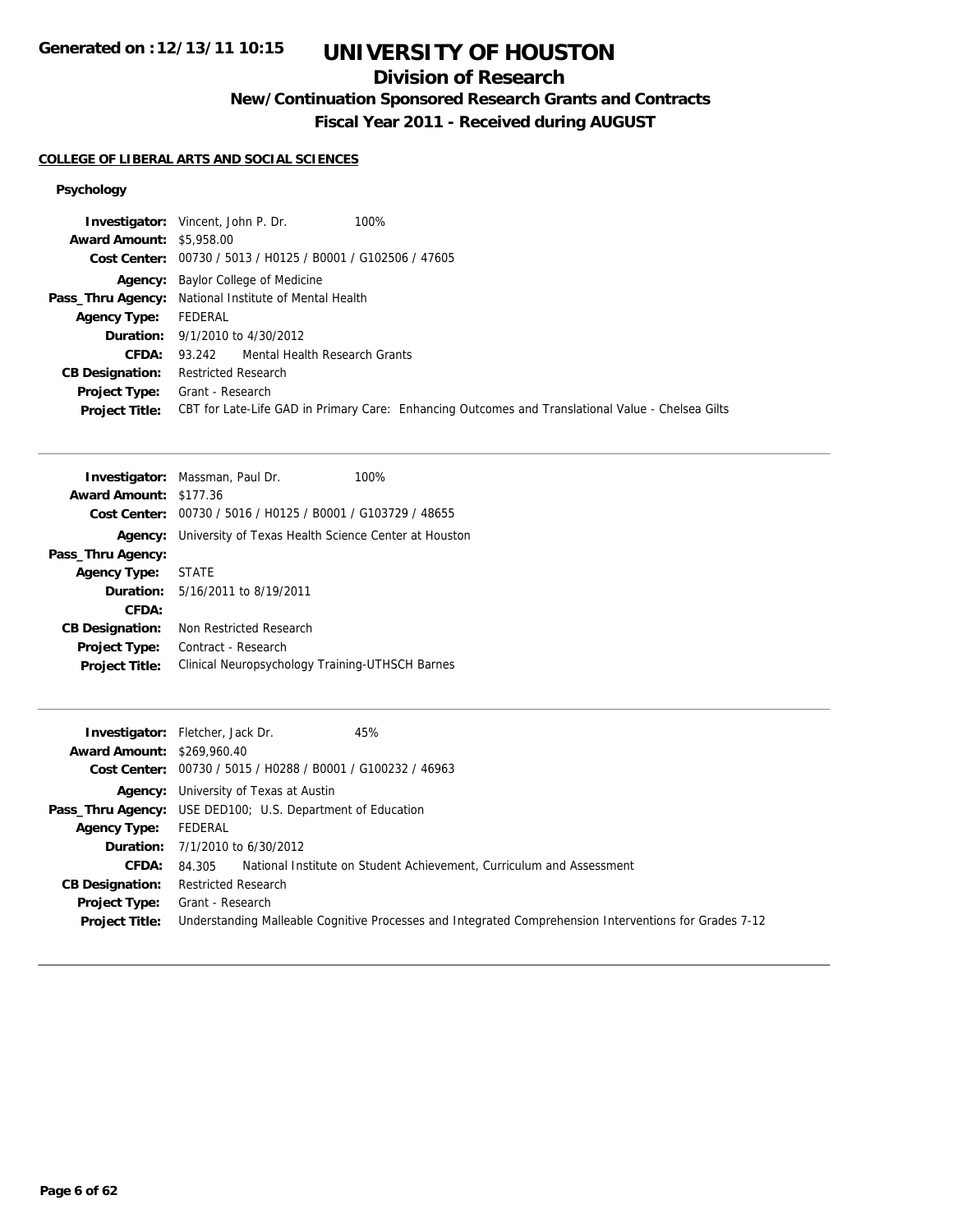## **Division of Research**

**New/Continuation Sponsored Research Grants and Contracts**

**Fiscal Year 2011 - Received during AUGUST**

### **COLLEGE OF LIBERAL ARTS AND SOCIAL SCIENCES**

|                                       | <b>Investigator:</b> Vincent, John P. Dr.<br>100%                                                 |
|---------------------------------------|---------------------------------------------------------------------------------------------------|
| <b>Award Amount: \$5,958.00</b>       |                                                                                                   |
|                                       | Cost Center: 00730 / 5013 / H0125 / B0001 / G102506 / 47605                                       |
|                                       | <b>Agency:</b> Baylor College of Medicine                                                         |
|                                       | <b>Pass_Thru Agency:</b> National Institute of Mental Health                                      |
| <b>Agency Type:</b>                   | FEDERAL                                                                                           |
|                                       | <b>Duration:</b> 9/1/2010 to 4/30/2012                                                            |
| CFDA:                                 | 93.242 Mental Health Research Grants                                                              |
| <b>CB Designation:</b>                | <b>Restricted Research</b>                                                                        |
| <b>Project Type:</b> Grant - Research |                                                                                                   |
| <b>Project Title:</b>                 | CBT for Late-Life GAD in Primary Care: Enhancing Outcomes and Translational Value - Chelsea Gilts |

| <b>Investigator:</b> Massman, Paul Dr.                      | 100% |
|-------------------------------------------------------------|------|
| <b>Award Amount: \$177.36</b>                               |      |
| Cost Center: 00730 / 5016 / H0125 / B0001 / G103729 / 48655 |      |
| University of Texas Health Science Center at Houston        |      |
|                                                             |      |
| <b>STATE</b>                                                |      |
| <b>Duration:</b> 5/16/2011 to 8/19/2011                     |      |
|                                                             |      |
| Non Restricted Research                                     |      |
| Contract - Research                                         |      |
| Clinical Neuropsychology Training-UTHSCH Barnes             |      |
|                                                             |      |

|                                   | 45%<br><b>Investigator:</b> Fletcher, Jack Dr.                                                         |
|-----------------------------------|--------------------------------------------------------------------------------------------------------|
| <b>Award Amount: \$269,960.40</b> |                                                                                                        |
|                                   | Cost Center: 00730 / 5015 / H0288 / B0001 / G100232 / 46963                                            |
|                                   | <b>Agency:</b> University of Texas at Austin                                                           |
|                                   | <b>Pass_Thru Agency:</b> USE DED100; U.S. Department of Education                                      |
| <b>Agency Type:</b>               | FEDERAL                                                                                                |
|                                   | <b>Duration:</b> $7/1/2010$ to $6/30/2012$                                                             |
| <b>CFDA:</b>                      | National Institute on Student Achievement, Curriculum and Assessment<br>84.305                         |
| <b>CB Designation:</b>            | <b>Restricted Research</b>                                                                             |
| <b>Project Type:</b>              | Grant - Research                                                                                       |
| <b>Project Title:</b>             | Understanding Malleable Cognitive Processes and Integrated Comprehension Interventions for Grades 7-12 |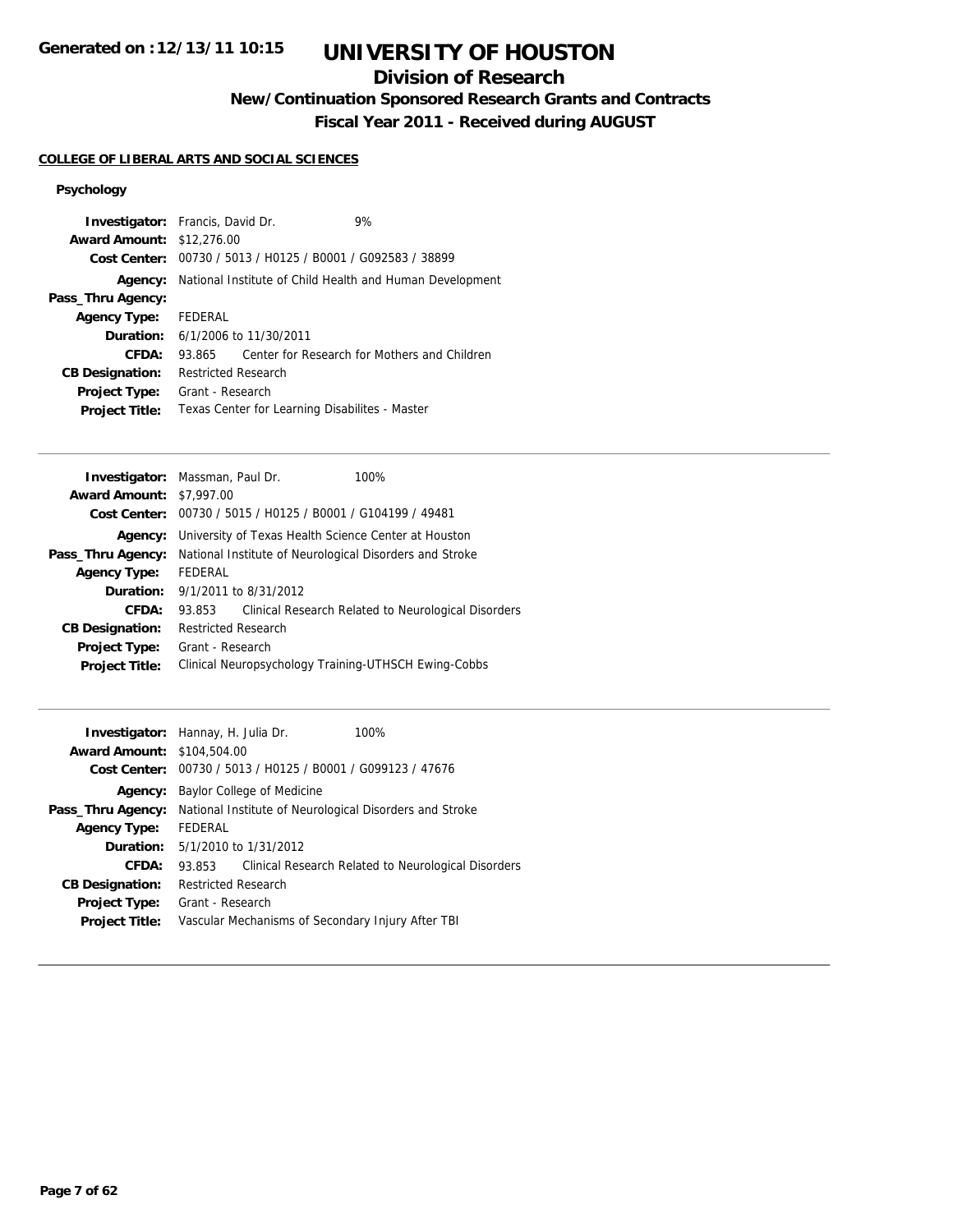## **Division of Research**

**New/Continuation Sponsored Research Grants and Contracts**

**Fiscal Year 2011 - Received during AUGUST**

### **COLLEGE OF LIBERAL ARTS AND SOCIAL SCIENCES**

|                                  | <b>Investigator:</b> Francis, David Dr.     | 9%                                                          |
|----------------------------------|---------------------------------------------|-------------------------------------------------------------|
| <b>Award Amount: \$12,276.00</b> |                                             |                                                             |
|                                  |                                             | Cost Center: 00730 / 5013 / H0125 / B0001 / G092583 / 38899 |
| Agency:                          |                                             | National Institute of Child Health and Human Development    |
| Pass_Thru Agency:                |                                             |                                                             |
| <b>Agency Type:</b>              | FEDERAL                                     |                                                             |
|                                  | <b>Duration:</b> $6/1/2006$ to $11/30/2011$ |                                                             |
| CFDA:                            | 93.865                                      | Center for Research for Mothers and Children                |
| <b>CB Designation:</b>           | <b>Restricted Research</b>                  |                                                             |
| <b>Project Type:</b>             | Grant - Research                            |                                                             |
| <b>Project Title:</b>            |                                             | Texas Center for Learning Disabilites - Master              |
|                                  |                                             |                                                             |

|                                 | <b>Investigator:</b> Massman, Paul Dr.                      | 100%                                                    |
|---------------------------------|-------------------------------------------------------------|---------------------------------------------------------|
| <b>Award Amount: \$7,997.00</b> |                                                             |                                                         |
|                                 | Cost Center: 00730 / 5015 / H0125 / B0001 / G104199 / 49481 |                                                         |
| Agency:                         |                                                             | University of Texas Health Science Center at Houston    |
| Pass_Thru Agency:               |                                                             | National Institute of Neurological Disorders and Stroke |
| <b>Agency Type:</b>             | FEDERAL                                                     |                                                         |
|                                 | <b>Duration:</b> $9/1/2011$ to $8/31/2012$                  |                                                         |
| CFDA:                           | 93.853                                                      | Clinical Research Related to Neurological Disorders     |
| <b>CB Designation:</b>          | <b>Restricted Research</b>                                  |                                                         |
| Project Type:                   | Grant - Research                                            |                                                         |
| <b>Project Title:</b>           |                                                             | Clinical Neuropsychology Training-UTHSCH Ewing-Cobbs    |
|                                 |                                                             |                                                         |

| <b>Investigator:</b> Hannay, H. Julia Dr.<br><b>Award Amount: \$104,504.00</b> |                     | Cost Center: 00730 / 5013 / H0125 / B0001 / G099123 / 47676 | 100%                                                    |
|--------------------------------------------------------------------------------|---------------------|-------------------------------------------------------------|---------------------------------------------------------|
| Agency:                                                                        |                     | Baylor College of Medicine                                  |                                                         |
| Pass_Thru Agency:                                                              |                     |                                                             | National Institute of Neurological Disorders and Stroke |
| <b>Agency Type:</b>                                                            | <b>FEDERAL</b>      |                                                             |                                                         |
| <b>Duration:</b>                                                               |                     | 5/1/2010 to 1/31/2012                                       |                                                         |
| CFDA:                                                                          | 93.853              |                                                             | Clinical Research Related to Neurological Disorders     |
| <b>CB Designation:</b>                                                         | Restricted Research |                                                             |                                                         |
| <b>Project Type:</b>                                                           | Grant - Research    |                                                             |                                                         |
| <b>Project Title:</b>                                                          |                     |                                                             | Vascular Mechanisms of Secondary Injury After TBI       |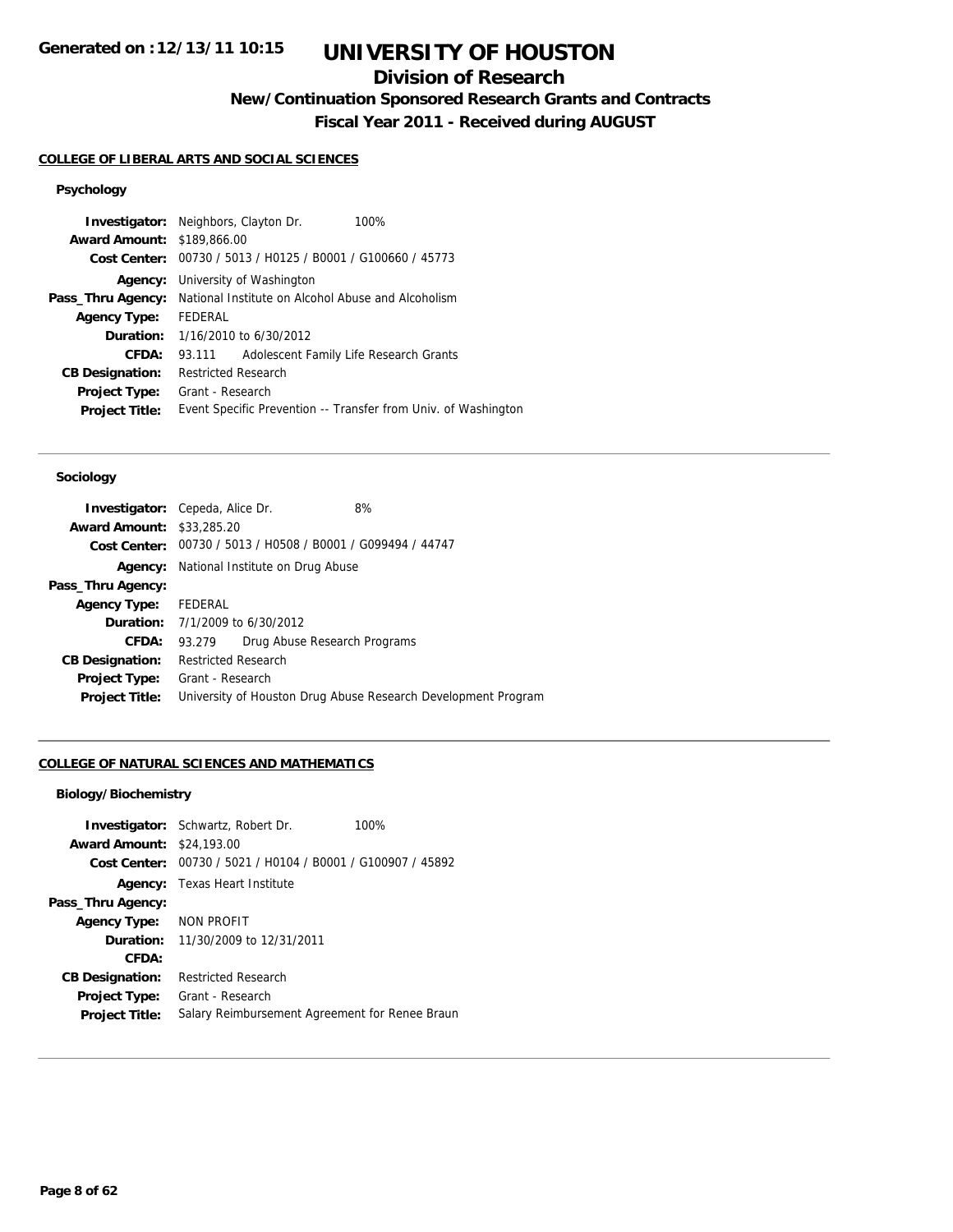## **Division of Research**

**New/Continuation Sponsored Research Grants and Contracts**

**Fiscal Year 2011 - Received during AUGUST**

## **COLLEGE OF LIBERAL ARTS AND SOCIAL SCIENCES**

## **Psychology**

| <b>Award Amount: \$189,866.00</b> | <b>Investigator:</b> Neighbors, Clayton Dr.<br>100%            |
|-----------------------------------|----------------------------------------------------------------|
|                                   | Cost Center: 00730 / 5013 / H0125 / B0001 / G100660 / 45773    |
| Agency:                           | University of Washington                                       |
| Pass_Thru Agency:                 | National Institute on Alcohol Abuse and Alcoholism             |
| <b>Agency Type:</b>               | FEDERAL                                                        |
| Duration:                         | 1/16/2010 to 6/30/2012                                         |
| CFDA:                             | Adolescent Family Life Research Grants<br>93.111               |
| <b>CB Designation:</b>            | Restricted Research                                            |
| <b>Project Type:</b>              | Grant - Research                                               |
| <b>Project Title:</b>             | Event Specific Prevention -- Transfer from Univ. of Washington |

#### **Sociology**

| <b>Investigator:</b> Cepeda, Alice Dr. |                            |                                                 | 8%                                                            |  |
|----------------------------------------|----------------------------|-------------------------------------------------|---------------------------------------------------------------|--|
| <b>Award Amount: \$33,285.20</b>       |                            |                                                 |                                                               |  |
|                                        |                            |                                                 | Cost Center: 00730 / 5013 / H0508 / B0001 / G099494 / 44747   |  |
|                                        |                            | <b>Agency:</b> National Institute on Drug Abuse |                                                               |  |
| Pass_Thru Agency:                      |                            |                                                 |                                                               |  |
| Agency Type: FEDERAL                   |                            |                                                 |                                                               |  |
|                                        |                            | <b>Duration:</b> 7/1/2009 to 6/30/2012          |                                                               |  |
|                                        | CFDA: 93.279               |                                                 | Drug Abuse Research Programs                                  |  |
| <b>CB Designation:</b>                 | <b>Restricted Research</b> |                                                 |                                                               |  |
| Project Type:                          | Grant - Research           |                                                 |                                                               |  |
| <b>Project Title:</b>                  |                            |                                                 | University of Houston Drug Abuse Research Development Program |  |

#### **COLLEGE OF NATURAL SCIENCES AND MATHEMATICS**

### **Biology/Biochemistry**

| <b>Award Amount: \$24,193.00</b> | <b>Investigator:</b> Schwartz, Robert Dr.<br>Cost Center: 00730 / 5021 / H0104 / B0001 / G100907 / 45892 | 100% |
|----------------------------------|----------------------------------------------------------------------------------------------------------|------|
|                                  | <b>Agency:</b> Texas Heart Institute                                                                     |      |
| Pass_Thru Agency:                |                                                                                                          |      |
| <b>Agency Type:</b>              | NON PROFIT                                                                                               |      |
| <b>Duration:</b>                 | 11/30/2009 to 12/31/2011                                                                                 |      |
| CFDA:                            |                                                                                                          |      |
| <b>CB Designation:</b>           | <b>Restricted Research</b>                                                                               |      |
| <b>Project Type:</b>             | Grant - Research                                                                                         |      |
| <b>Project Title:</b>            | Salary Reimbursement Agreement for Renee Braun                                                           |      |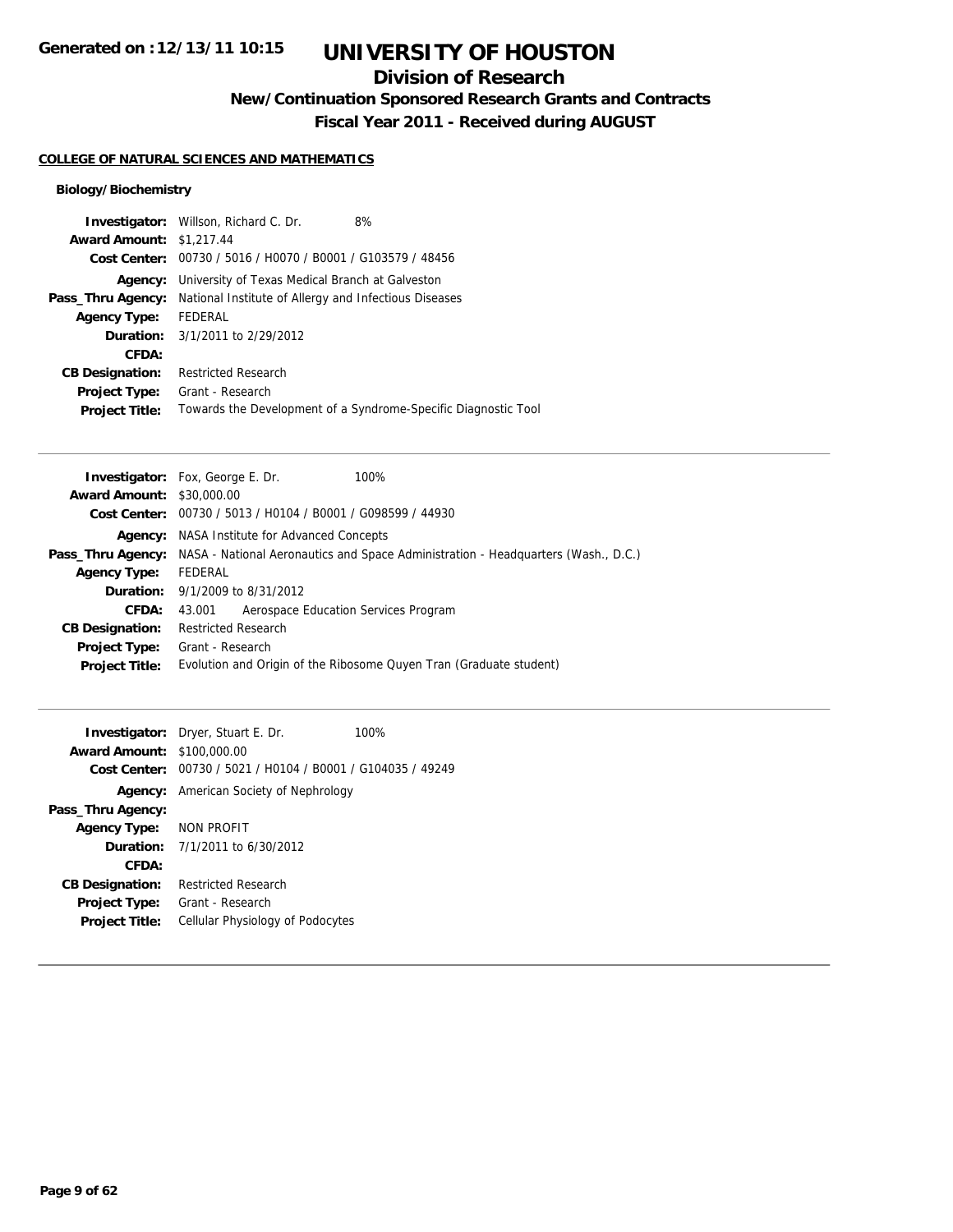## **Division of Research**

**New/Continuation Sponsored Research Grants and Contracts**

**Fiscal Year 2011 - Received during AUGUST**

### **COLLEGE OF NATURAL SCIENCES AND MATHEMATICS**

### **Biology/Biochemistry**

|                                 | <b>Investigator:</b> Willson, Richard C. Dr.                | 8%                                                             |
|---------------------------------|-------------------------------------------------------------|----------------------------------------------------------------|
| <b>Award Amount: \$1,217.44</b> |                                                             |                                                                |
|                                 | Cost Center: 00730 / 5016 / H0070 / B0001 / G103579 / 48456 |                                                                |
| Agency:                         | University of Texas Medical Branch at Galveston             |                                                                |
| Pass_Thru Agency:               | National Institute of Allergy and Infectious Diseases       |                                                                |
| <b>Agency Type:</b>             | FEDERAL                                                     |                                                                |
|                                 | <b>Duration:</b> 3/1/2011 to 2/29/2012                      |                                                                |
| CFDA:                           |                                                             |                                                                |
| <b>CB Designation:</b>          | <b>Restricted Research</b>                                  |                                                                |
| <b>Project Type:</b>            | Grant - Research                                            |                                                                |
| <b>Project Title:</b>           |                                                             | Towards the Development of a Syndrome-Specific Diagnostic Tool |

| <b>Investigator:</b> Fox, George E. Dr.<br>100%                                                        |
|--------------------------------------------------------------------------------------------------------|
| <b>Award Amount:</b><br>\$30,000.00                                                                    |
| Cost Center: $00730 / 5013 / 40104 / 80001 / 6098599 / 44930$                                          |
| NASA Institute for Advanced Concepts<br>Agency:                                                        |
| NASA - National Aeronautics and Space Administration - Headquarters (Wash., D.C.)<br>Pass_Thru Agency: |
| FEDERAL                                                                                                |
| <b>Duration:</b> $9/1/2009$ to $8/31/2012$                                                             |
| Aerospace Education Services Program<br>43.001                                                         |
| <b>Restricted Research</b>                                                                             |
| Grant - Research                                                                                       |
| Evolution and Origin of the Ribosome Quyen Tran (Graduate student)                                     |
|                                                                                                        |

| <b>Award Amount: \$100,000.00</b> | <b>Investigator:</b> Dryer, Stuart E. Dr.                   | 100% |
|-----------------------------------|-------------------------------------------------------------|------|
|                                   | Cost Center: 00730 / 5021 / H0104 / B0001 / G104035 / 49249 |      |
|                                   | <b>Agency:</b> American Society of Nephrology               |      |
| Pass_Thru Agency:                 |                                                             |      |
| Agency Type:                      | NON PROFIT                                                  |      |
|                                   | <b>Duration:</b> $7/1/2011$ to $6/30/2012$                  |      |
| CFDA:                             |                                                             |      |
| <b>CB Designation:</b>            | <b>Restricted Research</b>                                  |      |
| <b>Project Type:</b>              | Grant - Research                                            |      |
| <b>Project Title:</b>             | Cellular Physiology of Podocytes                            |      |
|                                   |                                                             |      |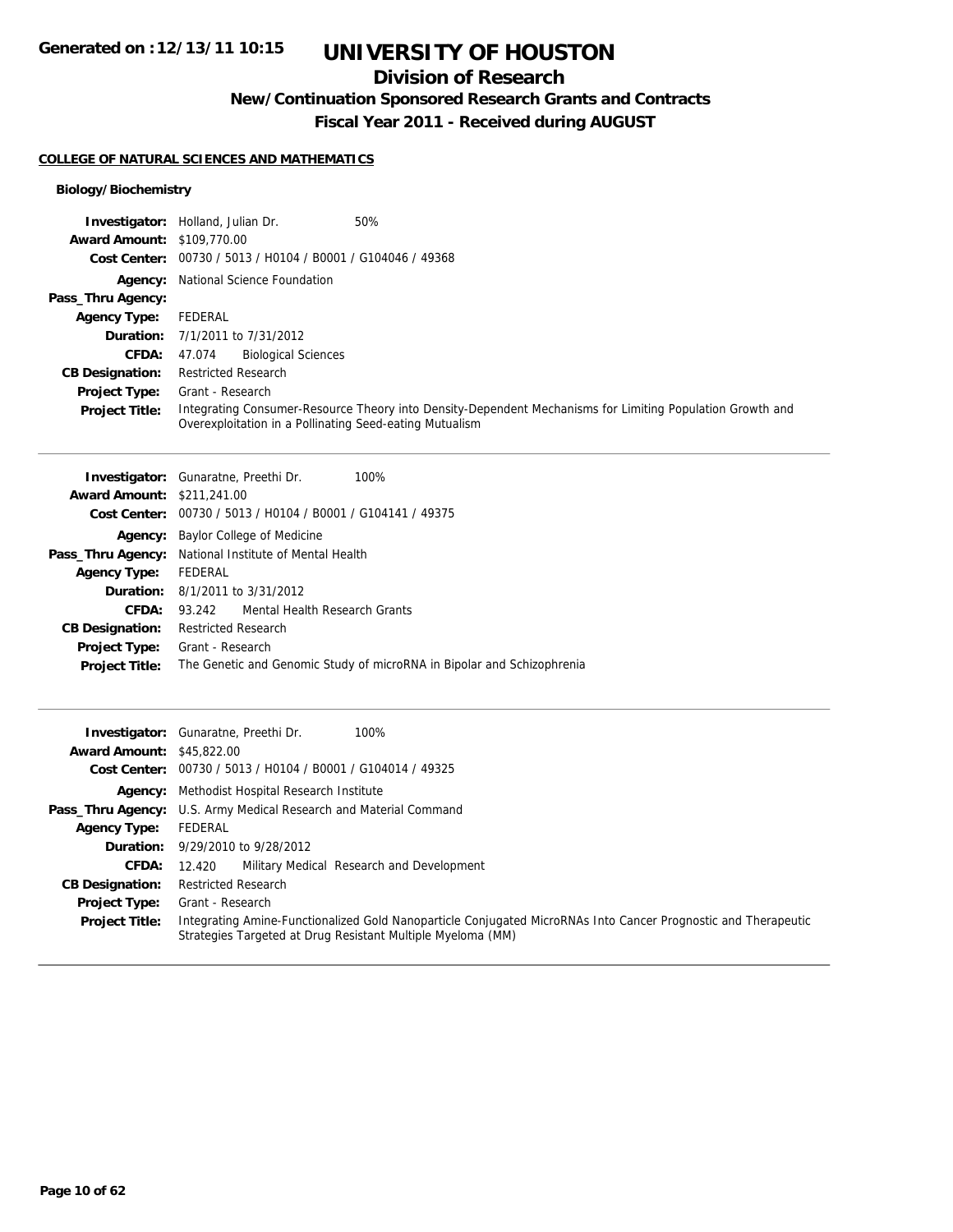## **Division of Research**

**New/Continuation Sponsored Research Grants and Contracts**

**Fiscal Year 2011 - Received during AUGUST**

### **COLLEGE OF NATURAL SCIENCES AND MATHEMATICS**

### **Biology/Biochemistry**

|                                   | 50%<br><b>Investigator:</b> Holland, Julian Dr.                                                                                                                      |
|-----------------------------------|----------------------------------------------------------------------------------------------------------------------------------------------------------------------|
| <b>Award Amount: \$109,770.00</b> |                                                                                                                                                                      |
|                                   | Cost Center: 00730 / 5013 / H0104 / B0001 / G104046 / 49368                                                                                                          |
|                                   | <b>Agency:</b> National Science Foundation                                                                                                                           |
| Pass_Thru Agency:                 |                                                                                                                                                                      |
| <b>Agency Type:</b>               | FEDERAL                                                                                                                                                              |
|                                   | <b>Duration:</b> 7/1/2011 to 7/31/2012                                                                                                                               |
| <b>CFDA:</b>                      | <b>Biological Sciences</b><br>47.074                                                                                                                                 |
| <b>CB Designation:</b>            | <b>Restricted Research</b>                                                                                                                                           |
| <b>Project Type:</b>              | Grant - Research                                                                                                                                                     |
| <b>Project Title:</b>             | Integrating Consumer-Resource Theory into Density-Dependent Mechanisms for Limiting Population Growth and<br>Overexploitation in a Pollinating Seed-eating Mutualism |

|                                   | <b>Investigator:</b> Gunaratne, Preethi Dr.<br>100%                    |  |  |
|-----------------------------------|------------------------------------------------------------------------|--|--|
| <b>Award Amount: \$211,241.00</b> |                                                                        |  |  |
|                                   | Cost Center: 00730 / 5013 / H0104 / B0001 / G104141 / 49375            |  |  |
| Agency:                           | <b>Baylor College of Medicine</b>                                      |  |  |
|                                   | <b>Pass_Thru Agency:</b> National Institute of Mental Health           |  |  |
| <b>Agency Type:</b>               | FEDERAL                                                                |  |  |
|                                   | <b>Duration:</b> 8/1/2011 to 3/31/2012                                 |  |  |
| CFDA:                             | 93.242 Mental Health Research Grants                                   |  |  |
| <b>CB Designation:</b>            | <b>Restricted Research</b>                                             |  |  |
| <b>Project Type:</b>              | Grant - Research                                                       |  |  |
| <b>Project Title:</b>             | The Genetic and Genomic Study of microRNA in Bipolar and Schizophrenia |  |  |
|                                   |                                                                        |  |  |

|                                  | 100%<br><b>Investigator:</b> Gunaratne, Preethi Dr.                                                                                                                           |
|----------------------------------|-------------------------------------------------------------------------------------------------------------------------------------------------------------------------------|
| <b>Award Amount: \$45,822.00</b> |                                                                                                                                                                               |
|                                  | Cost Center: 00730 / 5013 / H0104 / B0001 / G104014 / 49325                                                                                                                   |
|                                  | <b>Agency:</b> Methodist Hospital Research Institute                                                                                                                          |
|                                  | Pass_Thru Agency: U.S. Army Medical Research and Material Command                                                                                                             |
| <b>Agency Type:</b>              | FEDERAL                                                                                                                                                                       |
|                                  | <b>Duration:</b> 9/29/2010 to 9/28/2012                                                                                                                                       |
| <b>CFDA:</b>                     | Military Medical Research and Development<br>12.420                                                                                                                           |
| <b>CB Designation:</b>           | <b>Restricted Research</b>                                                                                                                                                    |
| <b>Project Type:</b>             | Grant - Research                                                                                                                                                              |
| <b>Project Title:</b>            | Integrating Amine-Functionalized Gold Nanoparticle Conjugated MicroRNAs Into Cancer Prognostic and Therapeutic<br>Strategies Targeted at Drug Resistant Multiple Myeloma (MM) |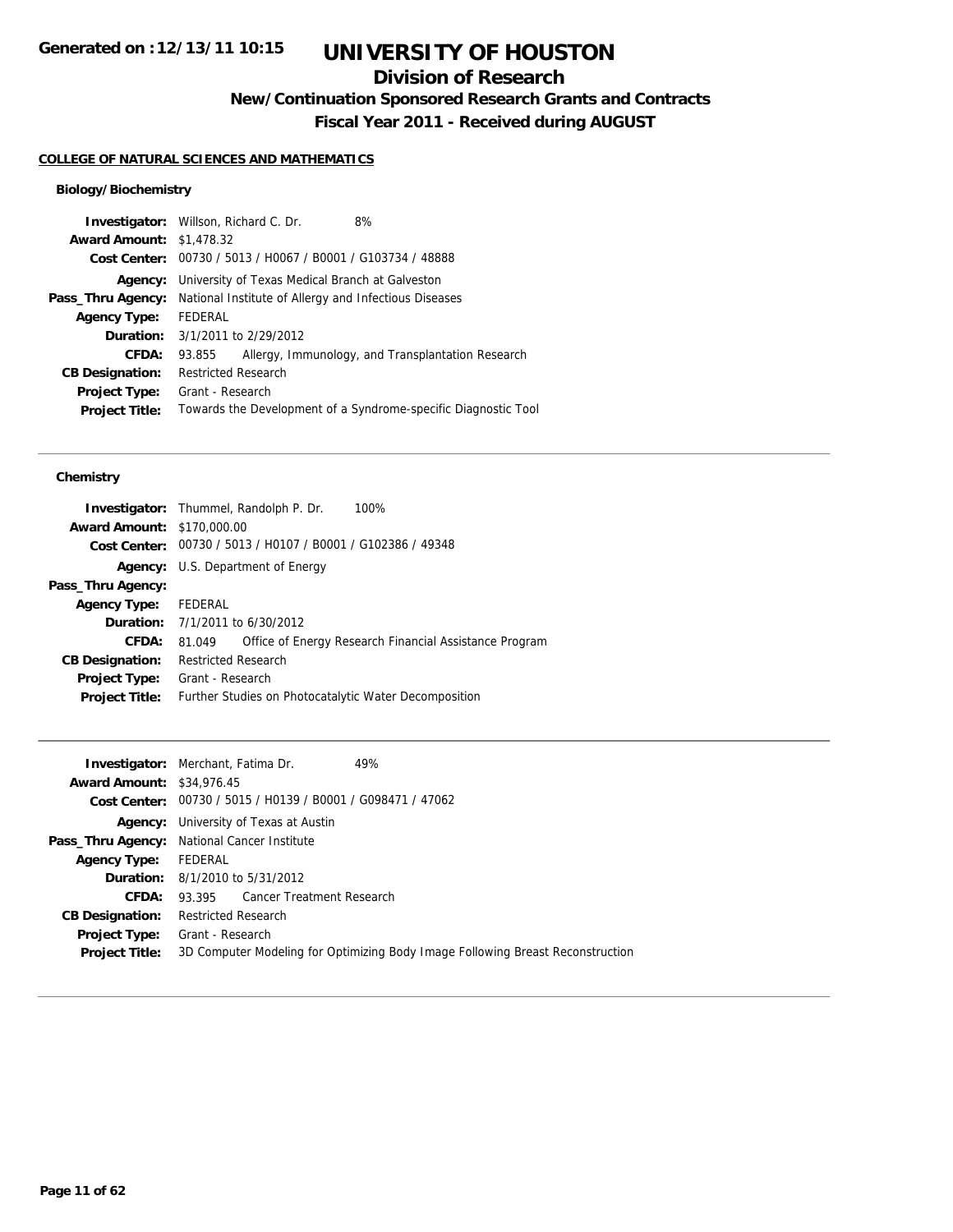## **Division of Research**

**New/Continuation Sponsored Research Grants and Contracts**

**Fiscal Year 2011 - Received during AUGUST**

### **COLLEGE OF NATURAL SCIENCES AND MATHEMATICS**

### **Biology/Biochemistry**

|                                 | <b>Investigator:</b> Willson, Richard C. Dr.                | 8%                                                             |  |
|---------------------------------|-------------------------------------------------------------|----------------------------------------------------------------|--|
| <b>Award Amount: \$1,478.32</b> |                                                             |                                                                |  |
|                                 | Cost Center: 00730 / 5013 / H0067 / B0001 / G103734 / 48888 |                                                                |  |
| Agency:                         | University of Texas Medical Branch at Galveston             |                                                                |  |
| Pass_Thru Agency:               | National Institute of Allergy and Infectious Diseases       |                                                                |  |
| <b>Agency Type:</b>             | FEDERAL                                                     |                                                                |  |
|                                 | <b>Duration:</b> 3/1/2011 to 2/29/2012                      |                                                                |  |
| CFDA:                           | 93.855                                                      | Allergy, Immunology, and Transplantation Research              |  |
| <b>CB Designation:</b>          | <b>Restricted Research</b>                                  |                                                                |  |
| Project Type:                   | Grant - Research                                            |                                                                |  |
| <b>Project Title:</b>           |                                                             | Towards the Development of a Syndrome-specific Diagnostic Tool |  |
|                                 |                                                             |                                                                |  |

#### **Chemistry**

|                                   | 100%<br><b>Investigator:</b> Thummel, Randolph P. Dr.            |
|-----------------------------------|------------------------------------------------------------------|
| <b>Award Amount: \$170,000.00</b> |                                                                  |
|                                   | Cost Center: 00730 / 5013 / H0107 / B0001 / G102386 / 49348      |
| Agency:                           | U.S. Department of Energy                                        |
| Pass_Thru Agency:                 |                                                                  |
| <b>Agency Type:</b>               | FEDERAL                                                          |
|                                   | <b>Duration:</b> 7/1/2011 to 6/30/2012                           |
| <b>CFDA:</b>                      | Office of Energy Research Financial Assistance Program<br>81.049 |
| <b>CB Designation:</b>            | <b>Restricted Research</b>                                       |
| <b>Project Type:</b>              | Grant - Research                                                 |
| <b>Project Title:</b>             | Further Studies on Photocatalytic Water Decomposition            |
|                                   |                                                                  |

|                                  | <b>Investigator:</b> Merchant, Fatima Dr.<br>49%                               |
|----------------------------------|--------------------------------------------------------------------------------|
| <b>Award Amount: \$34,976.45</b> |                                                                                |
|                                  | Cost Center: 00730 / 5015 / H0139 / B0001 / G098471 / 47062                    |
|                                  | <b>Agency:</b> University of Texas at Austin                                   |
|                                  | Pass_Thru Agency: National Cancer Institute                                    |
| <b>Agency Type:</b>              | FEDERAL                                                                        |
|                                  | <b>Duration:</b> 8/1/2010 to 5/31/2012                                         |
| CFDA:                            | 93.395 Cancer Treatment Research                                               |
| <b>CB Designation:</b>           | <b>Restricted Research</b>                                                     |
| Project Type:                    | Grant - Research                                                               |
| <b>Project Title:</b>            | 3D Computer Modeling for Optimizing Body Image Following Breast Reconstruction |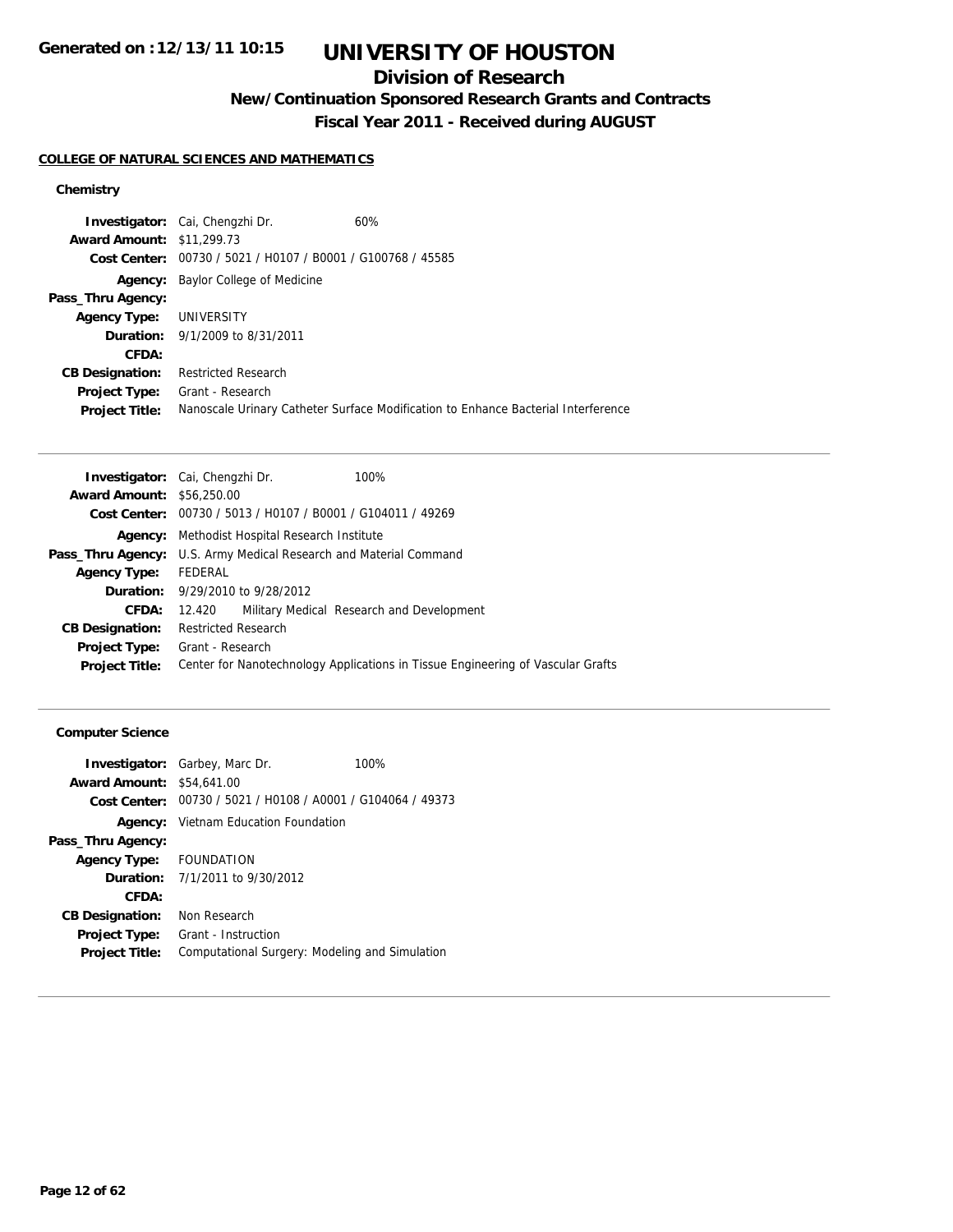## **Division of Research**

**New/Continuation Sponsored Research Grants and Contracts**

**Fiscal Year 2011 - Received during AUGUST**

### **COLLEGE OF NATURAL SCIENCES AND MATHEMATICS**

### **Chemistry**

| <b>Investigator:</b> Cai, Chengzhi Dr.                      | 60%                                                                               |
|-------------------------------------------------------------|-----------------------------------------------------------------------------------|
| <b>Award Amount: \$11,299.73</b>                            |                                                                                   |
| Cost Center: 00730 / 5021 / H0107 / B0001 / G100768 / 45585 |                                                                                   |
| Baylor College of Medicine<br>Agency:                       |                                                                                   |
|                                                             |                                                                                   |
| UNIVERSITY                                                  |                                                                                   |
| <b>Duration:</b> 9/1/2009 to 8/31/2011                      |                                                                                   |
|                                                             |                                                                                   |
| <b>Restricted Research</b>                                  |                                                                                   |
| Grant - Research                                            |                                                                                   |
|                                                             | Nanoscale Urinary Catheter Surface Modification to Enhance Bacterial Interference |
|                                                             |                                                                                   |

|                                  | <b>Investigator:</b> Cai, Chengzhi Dr.<br>100%                                  |  |  |
|----------------------------------|---------------------------------------------------------------------------------|--|--|
| <b>Award Amount: \$56,250.00</b> |                                                                                 |  |  |
|                                  | Cost Center: 00730 / 5013 / H0107 / B0001 / G104011 / 49269                     |  |  |
|                                  | <b>Agency:</b> Methodist Hospital Research Institute                            |  |  |
|                                  | Pass_Thru Agency: U.S. Army Medical Research and Material Command               |  |  |
| <b>Agency Type:</b>              | FEDERAL                                                                         |  |  |
|                                  | <b>Duration:</b> 9/29/2010 to 9/28/2012                                         |  |  |
| CFDA:                            | Military Medical Research and Development<br>12.420                             |  |  |
| <b>CB Designation:</b>           | <b>Restricted Research</b>                                                      |  |  |
| <b>Project Type:</b>             | Grant - Research                                                                |  |  |
| <b>Project Title:</b>            | Center for Nanotechnology Applications in Tissue Engineering of Vascular Grafts |  |  |
|                                  |                                                                                 |  |  |

### **Computer Science**

| <b>Award Amount: \$54,641,00</b> | <b>Investigator:</b> Garbey, Marc Dr.                       | 100% |
|----------------------------------|-------------------------------------------------------------|------|
|                                  | Cost Center: 00730 / 5021 / H0108 / A0001 / G104064 / 49373 |      |
|                                  | <b>Agency:</b> Vietnam Education Foundation                 |      |
| Pass_Thru Agency:                |                                                             |      |
| Agency Type: FOUNDATION          |                                                             |      |
|                                  | <b>Duration:</b> $7/1/2011$ to $9/30/2012$                  |      |
| CFDA:                            |                                                             |      |
| <b>CB Designation:</b>           | Non Research                                                |      |
| <b>Project Type:</b>             | Grant - Instruction                                         |      |
| <b>Project Title:</b>            | Computational Surgery: Modeling and Simulation              |      |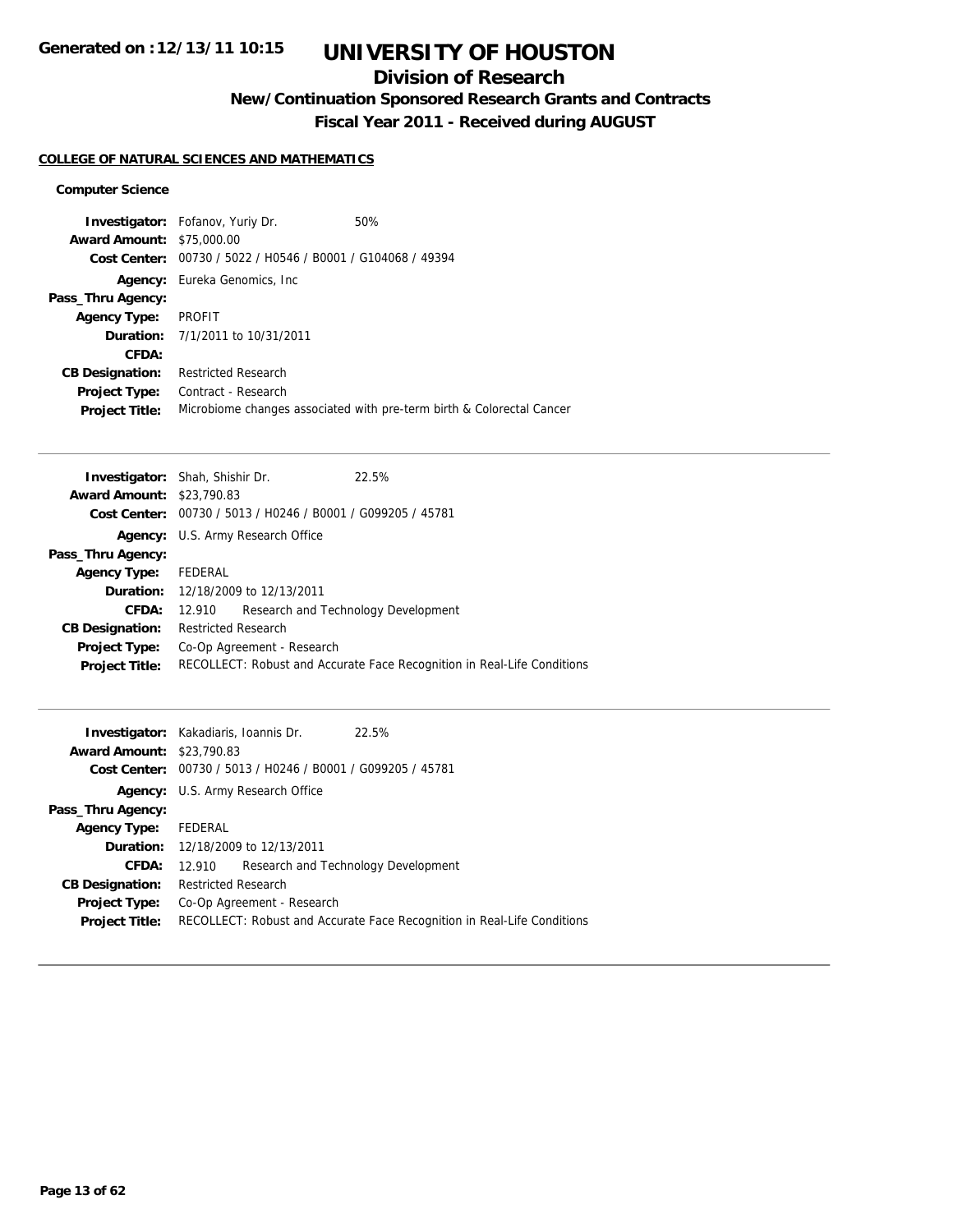## **Division of Research**

**New/Continuation Sponsored Research Grants and Contracts**

**Fiscal Year 2011 - Received during AUGUST**

### **COLLEGE OF NATURAL SCIENCES AND MATHEMATICS**

#### **Computer Science**

|                                  | <b>Investigator:</b> Fofanov, Yuriy Dr.                     | 50%                                                                   |
|----------------------------------|-------------------------------------------------------------|-----------------------------------------------------------------------|
| <b>Award Amount: \$75,000.00</b> |                                                             |                                                                       |
|                                  | Cost Center: 00730 / 5022 / H0546 / B0001 / G104068 / 49394 |                                                                       |
|                                  | <b>Agency:</b> Eureka Genomics, Inc.                        |                                                                       |
| Pass_Thru Agency:                |                                                             |                                                                       |
| <b>Agency Type:</b>              | PROFIT                                                      |                                                                       |
|                                  | <b>Duration:</b> 7/1/2011 to 10/31/2011                     |                                                                       |
| CFDA:                            |                                                             |                                                                       |
| <b>CB Designation:</b>           | <b>Restricted Research</b>                                  |                                                                       |
| Project Type:                    | Contract - Research                                         |                                                                       |
| <b>Project Title:</b>            |                                                             | Microbiome changes associated with pre-term birth & Colorectal Cancer |

| <b>Investigator:</b> Shah, Shishir Dr. |                            |                                                             | 22.5%                                                                   |
|----------------------------------------|----------------------------|-------------------------------------------------------------|-------------------------------------------------------------------------|
| <b>Award Amount: \$23,790.83</b>       |                            |                                                             |                                                                         |
|                                        |                            | Cost Center: 00730 / 5013 / H0246 / B0001 / G099205 / 45781 |                                                                         |
|                                        |                            | <b>Agency:</b> U.S. Army Research Office                    |                                                                         |
| Pass_Thru Agency:                      |                            |                                                             |                                                                         |
| <b>Agency Type:</b>                    | FEDERAL                    |                                                             |                                                                         |
|                                        |                            | <b>Duration:</b> 12/18/2009 to 12/13/2011                   |                                                                         |
| CFDA:                                  | 12.910                     |                                                             | Research and Technology Development                                     |
| <b>CB Designation:</b>                 | <b>Restricted Research</b> |                                                             |                                                                         |
| <b>Project Type:</b>                   | Co-Op Agreement - Research |                                                             |                                                                         |
| <b>Project Title:</b>                  |                            |                                                             | RECOLLECT: Robust and Accurate Face Recognition in Real-Life Conditions |
|                                        |                            |                                                             |                                                                         |

| <b>Investigator:</b> Kakadiaris, Ioannis Dr.<br><b>Award Amount: \$23,790.83</b> |                                                                         |  | 22.5%                               |
|----------------------------------------------------------------------------------|-------------------------------------------------------------------------|--|-------------------------------------|
|                                                                                  | Cost Center: 00730 / 5013 / H0246 / B0001 / G099205 / 45781             |  |                                     |
|                                                                                  | <b>Agency:</b> U.S. Army Research Office                                |  |                                     |
| Pass_Thru Agency:                                                                |                                                                         |  |                                     |
| <b>Agency Type:</b>                                                              | FEDERAL                                                                 |  |                                     |
|                                                                                  | <b>Duration:</b> 12/18/2009 to 12/13/2011                               |  |                                     |
| CFDA:                                                                            | 12.910                                                                  |  | Research and Technology Development |
| <b>CB Designation:</b>                                                           | <b>Restricted Research</b>                                              |  |                                     |
| Project Type:                                                                    | Co-Op Agreement - Research                                              |  |                                     |
| <b>Project Title:</b>                                                            | RECOLLECT: Robust and Accurate Face Recognition in Real-Life Conditions |  |                                     |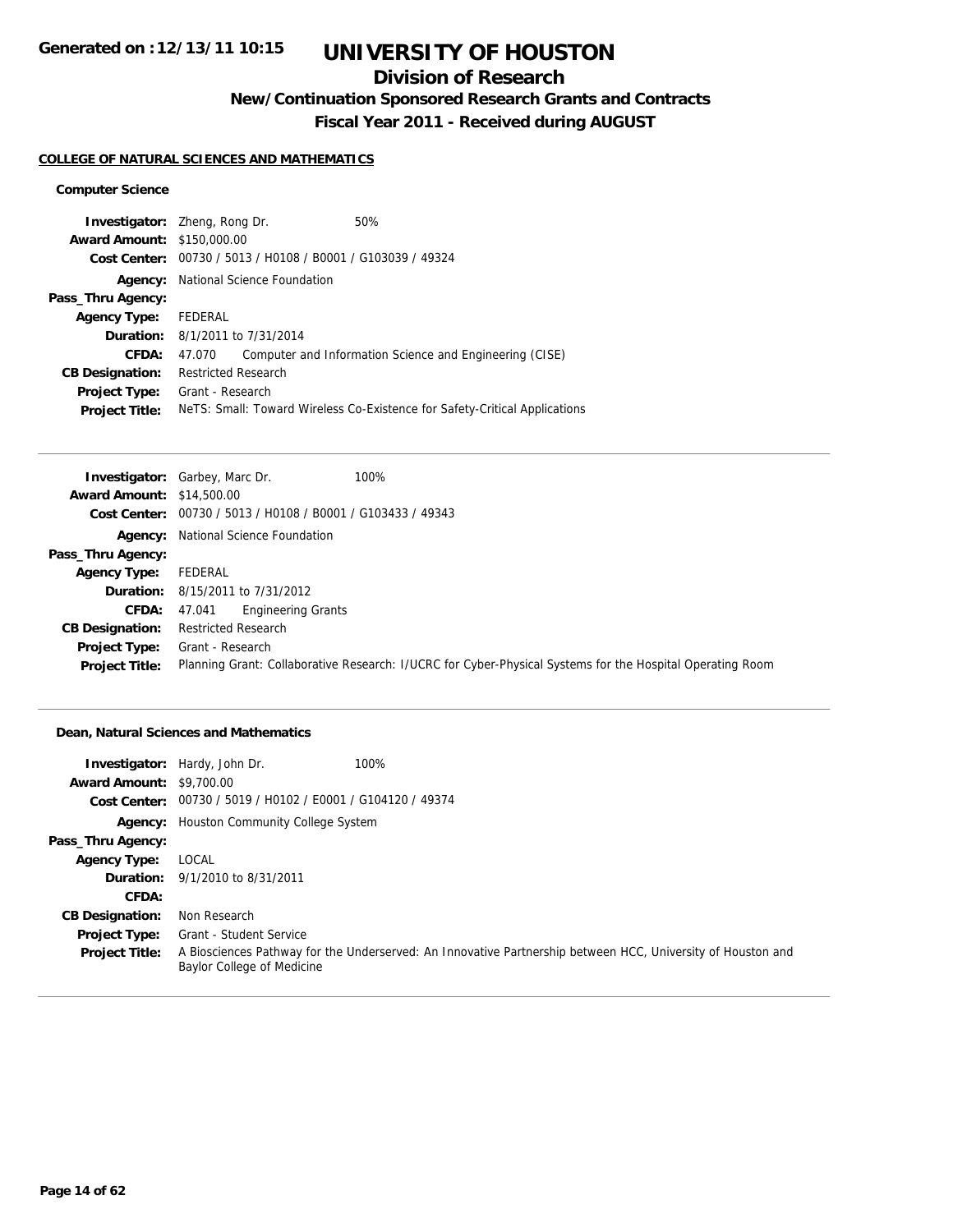## **Division of Research**

**New/Continuation Sponsored Research Grants and Contracts**

**Fiscal Year 2011 - Received during AUGUST**

#### **COLLEGE OF NATURAL SCIENCES AND MATHEMATICS**

### **Computer Science**

| <b>Investigator:</b> Zheng, Rong Dr. |                                                             |  | 50%                                                                        |
|--------------------------------------|-------------------------------------------------------------|--|----------------------------------------------------------------------------|
| <b>Award Amount: \$150,000.00</b>    |                                                             |  |                                                                            |
|                                      | Cost Center: 00730 / 5013 / H0108 / B0001 / G103039 / 49324 |  |                                                                            |
| Agency:                              | National Science Foundation                                 |  |                                                                            |
| Pass_Thru Agency:                    |                                                             |  |                                                                            |
| <b>Agency Type:</b>                  | FEDERAL                                                     |  |                                                                            |
|                                      | <b>Duration:</b> 8/1/2011 to 7/31/2014                      |  |                                                                            |
| CFDA:                                | 47.070                                                      |  | Computer and Information Science and Engineering (CISE)                    |
| <b>CB Designation:</b>               | <b>Restricted Research</b>                                  |  |                                                                            |
| <b>Project Type:</b>                 | Grant - Research                                            |  |                                                                            |
| <b>Project Title:</b>                |                                                             |  | Nets: Small: Toward Wireless Co-Existence for Safety-Critical Applications |
|                                      |                                                             |  |                                                                            |

|                                  | 100%<br><b>Investigator:</b> Garbey, Marc Dr.                                                             |
|----------------------------------|-----------------------------------------------------------------------------------------------------------|
| <b>Award Amount: \$14,500.00</b> |                                                                                                           |
|                                  | Cost Center: 00730 / 5013 / H0108 / B0001 / G103433 / 49343                                               |
|                                  | <b>Agency:</b> National Science Foundation                                                                |
| Pass_Thru Agency:                |                                                                                                           |
| <b>Agency Type:</b>              | FEDERAL                                                                                                   |
|                                  | <b>Duration:</b> 8/15/2011 to 7/31/2012                                                                   |
| <b>CFDA:</b>                     | <b>Engineering Grants</b><br>47.041                                                                       |
| <b>CB Designation:</b>           | <b>Restricted Research</b>                                                                                |
| Project Type:                    | Grant - Research                                                                                          |
| <b>Project Title:</b>            | Planning Grant: Collaborative Research: I/UCRC for Cyber-Physical Systems for the Hospital Operating Room |

### **Dean, Natural Sciences and Mathematics**

|                                 | 100%<br><b>Investigator:</b> Hardy, John Dr.                                                                                              |
|---------------------------------|-------------------------------------------------------------------------------------------------------------------------------------------|
| <b>Award Amount: \$9,700.00</b> |                                                                                                                                           |
|                                 | Cost Center: 00730 / 5019 / H0102 / E0001 / G104120 / 49374                                                                               |
|                                 | <b>Agency:</b> Houston Community College System                                                                                           |
| Pass_Thru Agency:               |                                                                                                                                           |
| <b>Agency Type:</b>             | LOCAL                                                                                                                                     |
|                                 | <b>Duration:</b> 9/1/2010 to 8/31/2011                                                                                                    |
| CFDA:                           |                                                                                                                                           |
| <b>CB Designation:</b>          | Non Research                                                                                                                              |
| <b>Project Type:</b>            | Grant - Student Service                                                                                                                   |
| <b>Project Title:</b>           | A Biosciences Pathway for the Underserved: An Innovative Partnership between HCC, University of Houston and<br>Baylor College of Medicine |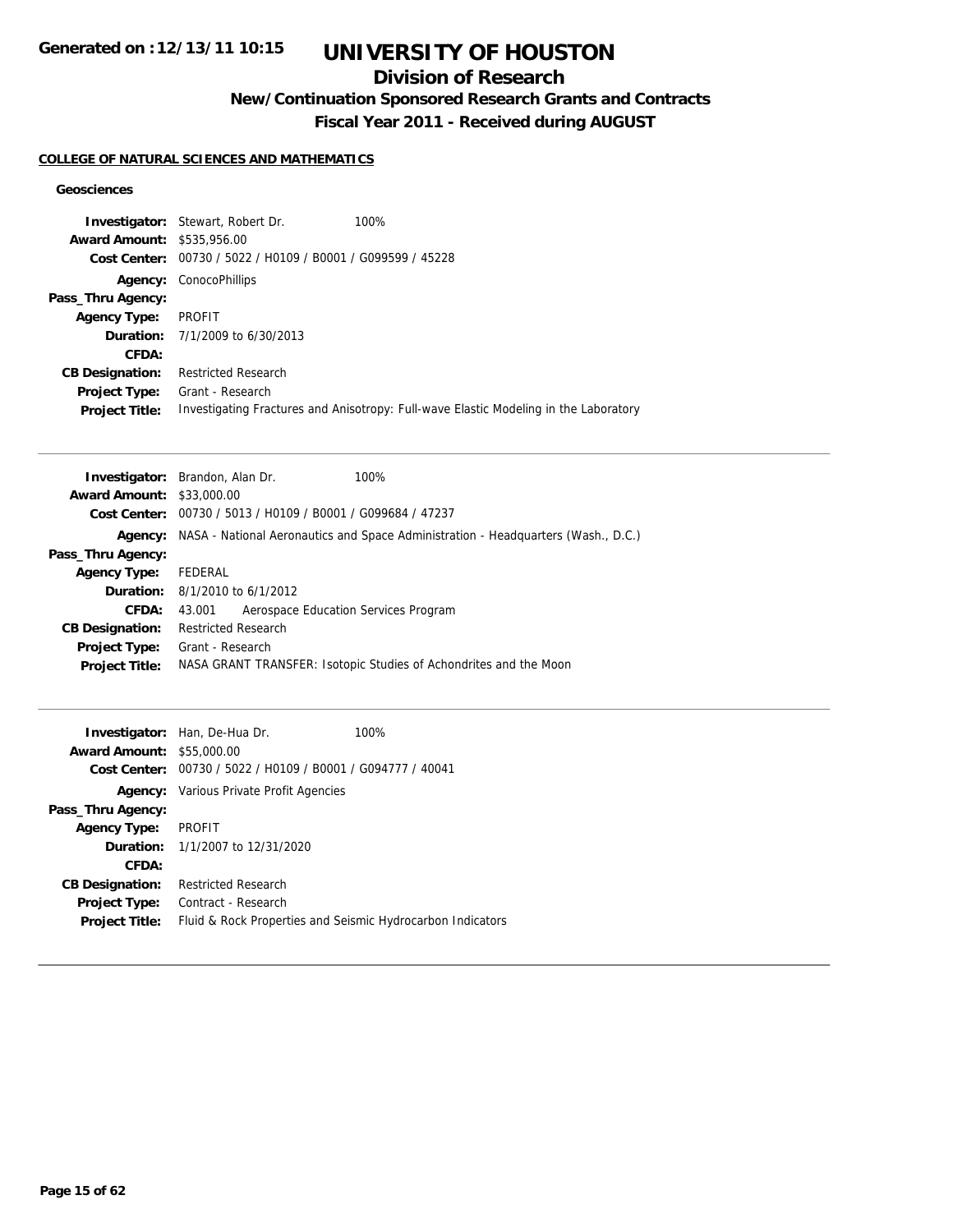## **Division of Research**

**New/Continuation Sponsored Research Grants and Contracts**

**Fiscal Year 2011 - Received during AUGUST**

### **COLLEGE OF NATURAL SCIENCES AND MATHEMATICS**

### **Geosciences**

|                                   | <b>Investigator:</b> Stewart, Robert Dr.                    | 100%                                                                                 |
|-----------------------------------|-------------------------------------------------------------|--------------------------------------------------------------------------------------|
| <b>Award Amount: \$535,956.00</b> |                                                             |                                                                                      |
|                                   | Cost Center: 00730 / 5022 / H0109 / B0001 / G099599 / 45228 |                                                                                      |
|                                   | <b>Agency: ConocoPhillips</b>                               |                                                                                      |
| Pass_Thru Agency:                 |                                                             |                                                                                      |
| <b>Agency Type:</b>               | PROFIT                                                      |                                                                                      |
|                                   | <b>Duration:</b> $7/1/2009$ to $6/30/2013$                  |                                                                                      |
| CFDA:                             |                                                             |                                                                                      |
| <b>CB Designation:</b>            | <b>Restricted Research</b>                                  |                                                                                      |
| <b>Project Type:</b>              | Grant - Research                                            |                                                                                      |
| <b>Project Title:</b>             |                                                             | Investigating Fractures and Anisotropy: Full-wave Elastic Modeling in the Laboratory |

|                                  | <b>Investigator:</b> Brandon, Alan Dr.                                            | 100%                                                              |  |
|----------------------------------|-----------------------------------------------------------------------------------|-------------------------------------------------------------------|--|
| <b>Award Amount: \$33,000.00</b> |                                                                                   |                                                                   |  |
|                                  | Cost Center: 00730 / 5013 / H0109 / B0001 / G099684 / 47237                       |                                                                   |  |
| Agency:                          | NASA - National Aeronautics and Space Administration - Headquarters (Wash., D.C.) |                                                                   |  |
| Pass_Thru Agency:                |                                                                                   |                                                                   |  |
| <b>Agency Type:</b>              | FEDERAL                                                                           |                                                                   |  |
|                                  | <b>Duration:</b> $8/1/2010$ to $6/1/2012$                                         |                                                                   |  |
| CFDA:                            | Aerospace Education Services Program<br>43.001                                    |                                                                   |  |
| <b>CB Designation:</b>           | <b>Restricted Research</b>                                                        |                                                                   |  |
| Project Type:                    | Grant - Research                                                                  |                                                                   |  |
| <b>Project Title:</b>            |                                                                                   | NASA GRANT TRANSFER: Isotopic Studies of Achondrites and the Moon |  |
|                                  |                                                                                   |                                                                   |  |

| <b>Award Amount:</b>   | <b>Investigator:</b> Han, De-Hua Dr.<br>\$55,000.00<br>Cost Center: 00730 / 5022 / H0109 / B0001 / G094777 / 40041 | 100% |
|------------------------|--------------------------------------------------------------------------------------------------------------------|------|
|                        | <b>Agency:</b> Various Private Profit Agencies                                                                     |      |
| Pass_Thru Agency:      |                                                                                                                    |      |
| <b>Agency Type:</b>    | <b>PROFIT</b>                                                                                                      |      |
|                        | <b>Duration:</b> 1/1/2007 to 12/31/2020                                                                            |      |
| CFDA:                  |                                                                                                                    |      |
| <b>CB Designation:</b> | <b>Restricted Research</b>                                                                                         |      |
| <b>Project Type:</b>   | Contract - Research                                                                                                |      |
| <b>Project Title:</b>  | Fluid & Rock Properties and Seismic Hydrocarbon Indicators                                                         |      |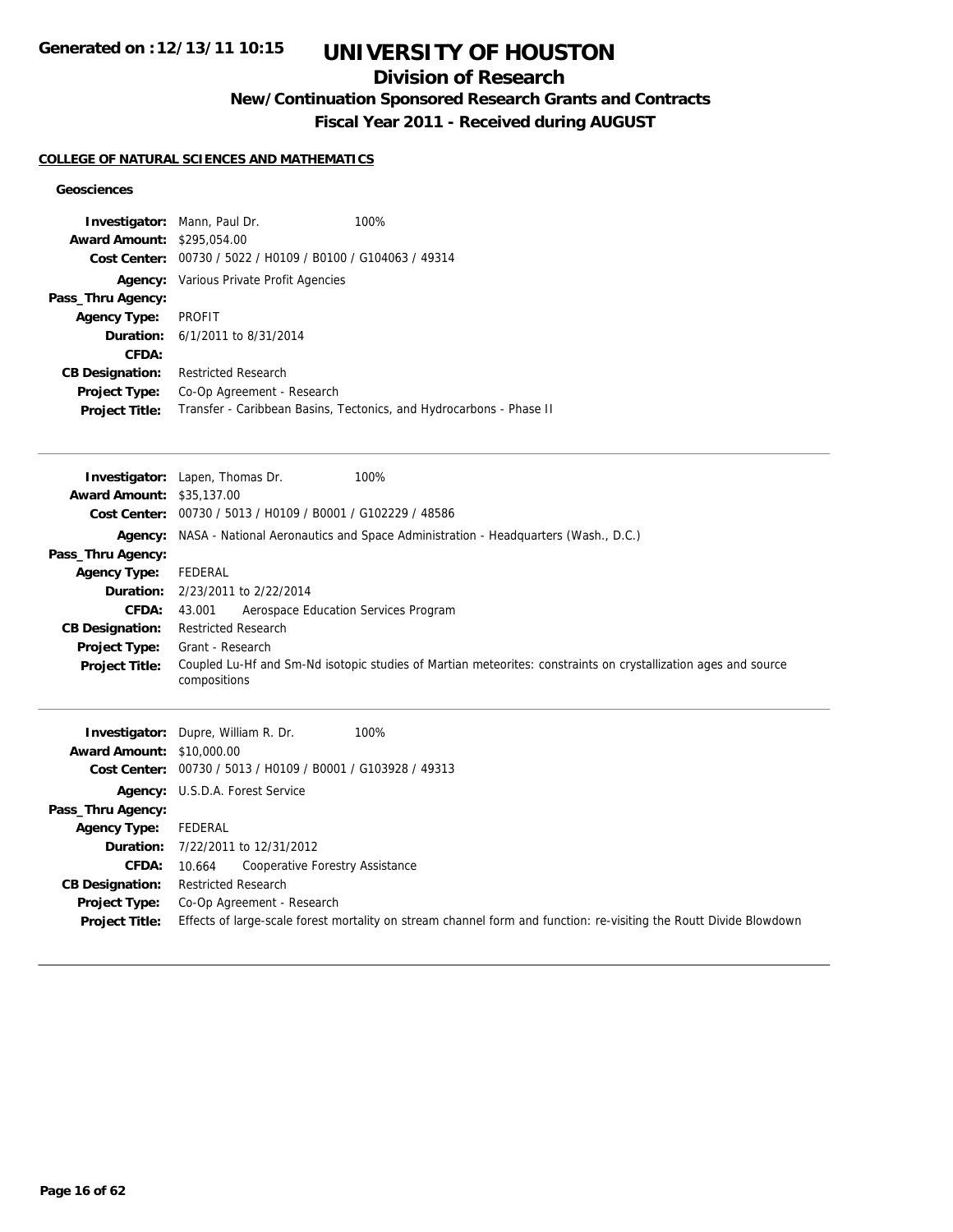## **Division of Research**

**New/Continuation Sponsored Research Grants and Contracts**

**Fiscal Year 2011 - Received during AUGUST**

### **COLLEGE OF NATURAL SCIENCES AND MATHEMATICS**

#### **Geosciences**

|                                  | Investigator: Mann, Paul Dr.<br>100%                                                                                           |
|----------------------------------|--------------------------------------------------------------------------------------------------------------------------------|
| <b>Award Amount:</b>             | \$295,054.00                                                                                                                   |
|                                  | Cost Center: 00730 / 5022 / H0109 / B0100 / G104063 / 49314                                                                    |
|                                  | Agency: Various Private Profit Agencies                                                                                        |
| Pass_Thru Agency:                |                                                                                                                                |
| <b>Agency Type:</b>              | <b>PROFIT</b>                                                                                                                  |
| Duration:                        | 6/1/2011 to 8/31/2014                                                                                                          |
| <b>CFDA:</b>                     |                                                                                                                                |
| <b>CB Designation:</b>           | <b>Restricted Research</b>                                                                                                     |
| Project Type:                    | Co-Op Agreement - Research                                                                                                     |
| <b>Project Title:</b>            | Transfer - Caribbean Basins, Tectonics, and Hydrocarbons - Phase II                                                            |
|                                  |                                                                                                                                |
|                                  |                                                                                                                                |
| <b>Award Amount: \$35,137.00</b> | 100%<br>Investigator: Lapen, Thomas Dr.                                                                                        |
|                                  | Cost Center: 00730 / 5013 / H0109 / B0001 / G102229 / 48586                                                                    |
|                                  |                                                                                                                                |
|                                  | Agency: NASA - National Aeronautics and Space Administration - Headquarters (Wash., D.C.)                                      |
| Pass_Thru Agency:                |                                                                                                                                |
| <b>Agency Type:</b>              | <b>FEDERAL</b>                                                                                                                 |
| Duration:                        | 2/23/2011 to 2/22/2014                                                                                                         |
| <b>CFDA:</b>                     | Aerospace Education Services Program<br>43.001                                                                                 |
| <b>CB Designation:</b>           | <b>Restricted Research</b>                                                                                                     |
| <b>Project Type:</b>             | Grant - Research                                                                                                               |
| Project Title:                   | Coupled Lu-Hf and Sm-Nd isotopic studies of Martian meteorites: constraints on crystallization ages and source<br>compositions |
|                                  |                                                                                                                                |
|                                  | 100%<br>Investigator: Dupre, William R. Dr.                                                                                    |
| <b>Award Amount: \$10,000.00</b> |                                                                                                                                |
|                                  | Cost Center: 00730 / 5013 / H0109 / B0001 / G103928 / 49313                                                                    |
|                                  | Agency: U.S.D.A. Forest Service                                                                                                |
| Pass_Thru Agency:                |                                                                                                                                |
| <b>Agency Type:</b>              | FEDERAL                                                                                                                        |
| Duration:                        | 7/22/2011 to 12/31/2012                                                                                                        |
| <b>CFDA:</b>                     | 10.664<br>Cooperative Forestry Assistance                                                                                      |
| <b>CB Designation:</b>           | <b>Restricted Research</b>                                                                                                     |
| <b>Project Type:</b>             | Co-Op Agreement - Research                                                                                                     |
| <b>Project Title:</b>            | Effects of large-scale forest mortality on stream channel form and function: re-visiting the Routt Divide Blowdown             |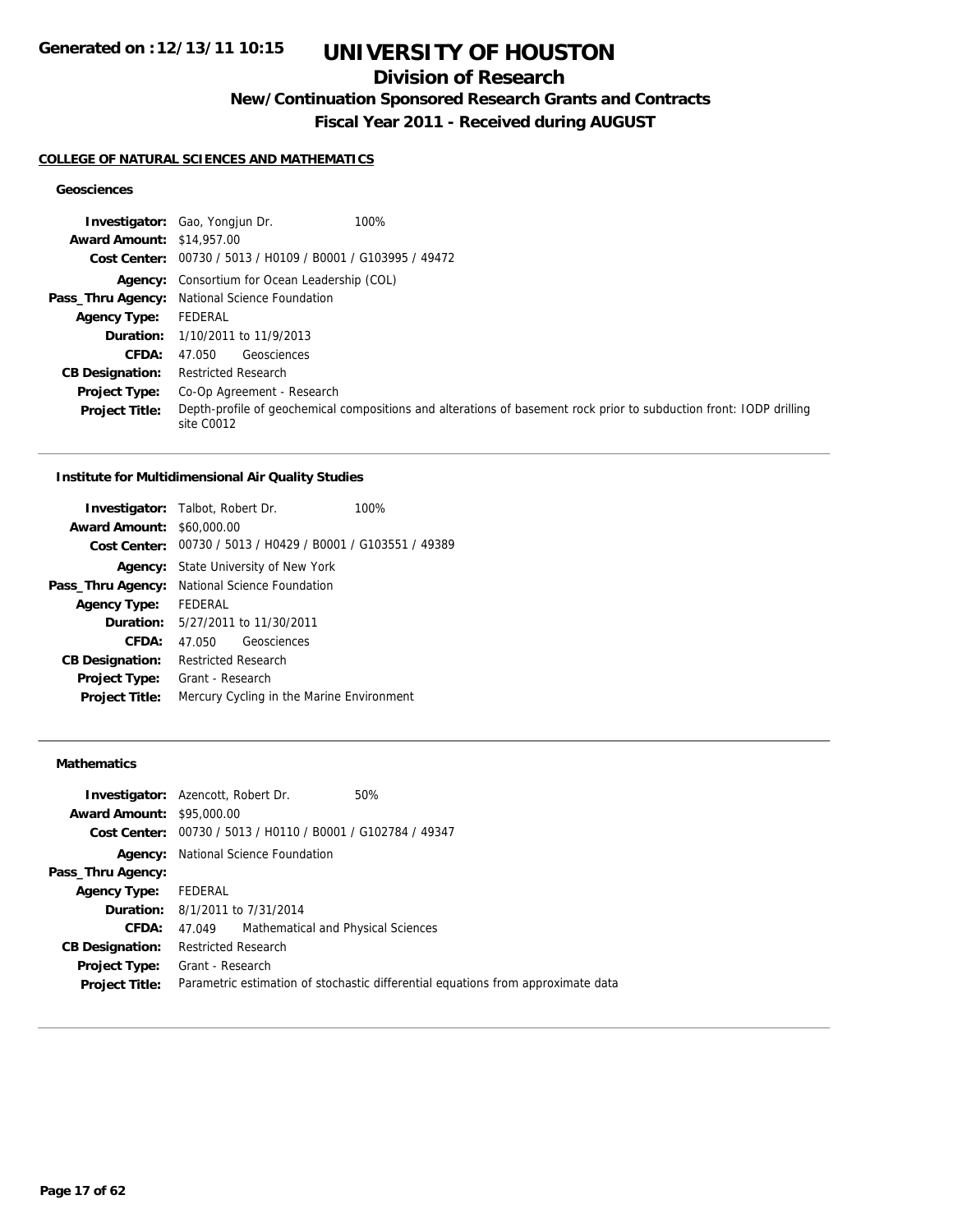## **Division of Research**

**New/Continuation Sponsored Research Grants and Contracts**

**Fiscal Year 2011 - Received during AUGUST**

#### **COLLEGE OF NATURAL SCIENCES AND MATHEMATICS**

### **Geosciences**

|                                  | <b>Investigator:</b> Gao, Yongjun Dr.<br>100%                                                                                     |
|----------------------------------|-----------------------------------------------------------------------------------------------------------------------------------|
| <b>Award Amount: \$14,957.00</b> |                                                                                                                                   |
|                                  | Cost Center: 00730 / 5013 / H0109 / B0001 / G103995 / 49472                                                                       |
|                                  | <b>Agency:</b> Consortium for Ocean Leadership (COL)                                                                              |
|                                  | Pass_Thru Agency: National Science Foundation                                                                                     |
| <b>Agency Type:</b>              | FEDERAL                                                                                                                           |
|                                  | <b>Duration:</b> 1/10/2011 to 11/9/2013                                                                                           |
| <b>CFDA:</b>                     | Geosciences<br>47.050                                                                                                             |
| <b>CB Designation:</b>           | <b>Restricted Research</b>                                                                                                        |
| <b>Project Type:</b>             | Co-Op Agreement - Research                                                                                                        |
| <b>Project Title:</b>            | Depth-profile of geochemical compositions and alterations of basement rock prior to subduction front: IODP drilling<br>site C0012 |

#### **Institute for Multidimensional Air Quality Studies**

|                                  | <b>Investigator:</b> Talbot, Robert Dr.                     | 100% |
|----------------------------------|-------------------------------------------------------------|------|
| <b>Award Amount: \$60,000.00</b> |                                                             |      |
|                                  | Cost Center: 00730 / 5013 / H0429 / B0001 / G103551 / 49389 |      |
|                                  | <b>Agency:</b> State University of New York                 |      |
| Pass_Thru Agency:                | National Science Foundation                                 |      |
| <b>Agency Type:</b>              | <b>FFDFRAL</b>                                              |      |
|                                  | <b>Duration:</b> 5/27/2011 to 11/30/2011                    |      |
| <b>CFDA:</b>                     | 47.050 Geosciences                                          |      |
| <b>CB Designation:</b>           | <b>Restricted Research</b>                                  |      |
| <b>Project Type:</b>             | Grant - Research                                            |      |
| <b>Project Title:</b>            | Mercury Cycling in the Marine Environment                   |      |
|                                  |                                                             |      |

### **Mathematics**

| <b>Investigator:</b> Azencott, Robert Dr. |                                                             |                                    | 50%                                                                              |
|-------------------------------------------|-------------------------------------------------------------|------------------------------------|----------------------------------------------------------------------------------|
| <b>Award Amount: \$95,000.00</b>          |                                                             |                                    |                                                                                  |
|                                           | Cost Center: 00730 / 5013 / H0110 / B0001 / G102784 / 49347 |                                    |                                                                                  |
|                                           | <b>Agency:</b> National Science Foundation                  |                                    |                                                                                  |
| Pass_Thru Agency:                         |                                                             |                                    |                                                                                  |
| <b>Agency Type:</b> FEDERAL               |                                                             |                                    |                                                                                  |
|                                           | <b>Duration:</b> 8/1/2011 to 7/31/2014                      |                                    |                                                                                  |
| <b>CFDA:</b>                              | 47.049                                                      | Mathematical and Physical Sciences |                                                                                  |
| <b>CB Designation:</b>                    | Restricted Research                                         |                                    |                                                                                  |
| Project Type:                             | Grant - Research                                            |                                    |                                                                                  |
| <b>Project Title:</b>                     |                                                             |                                    | Parametric estimation of stochastic differential equations from approximate data |
|                                           |                                                             |                                    |                                                                                  |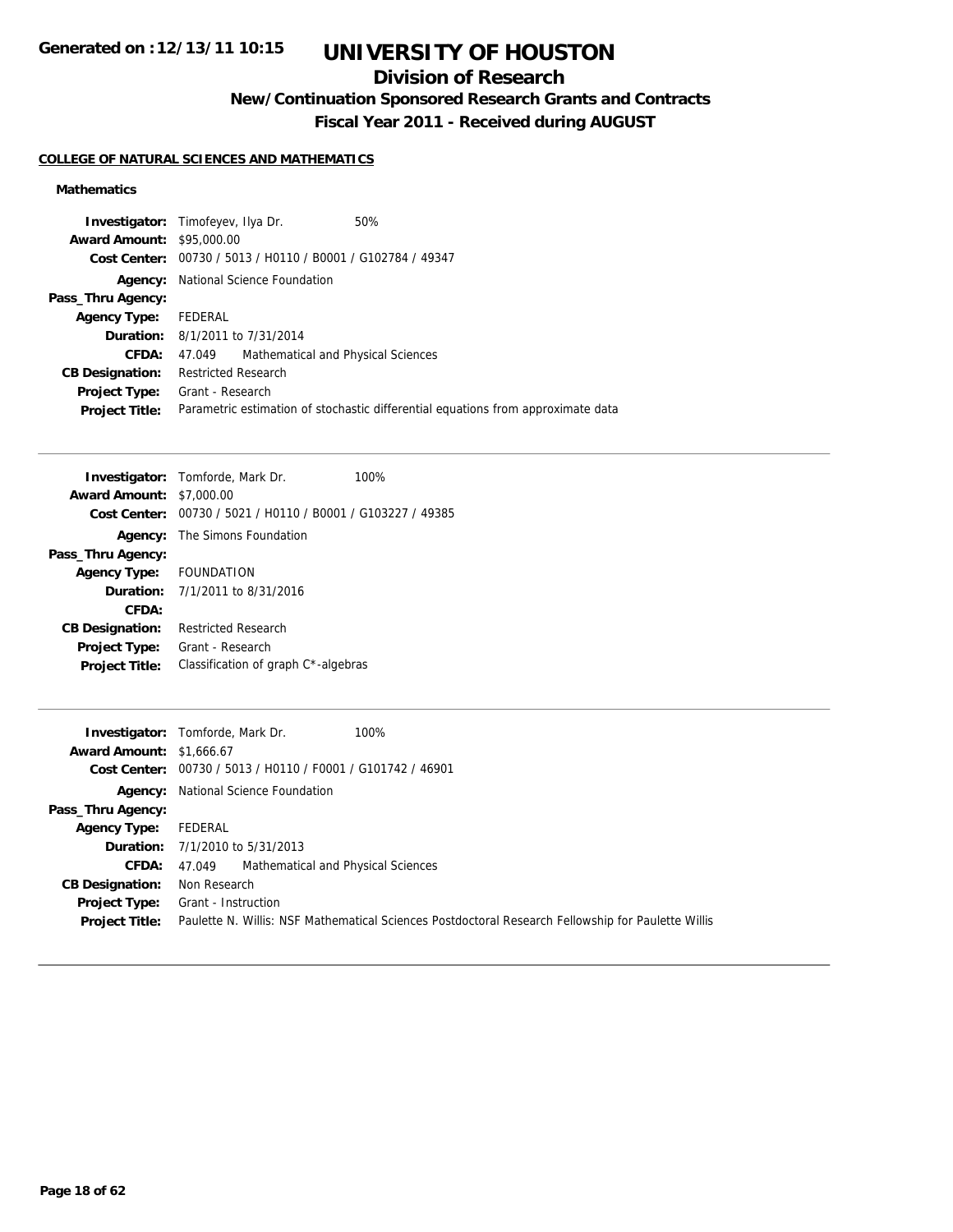## **Division of Research**

**New/Continuation Sponsored Research Grants and Contracts**

**Fiscal Year 2011 - Received during AUGUST**

### **COLLEGE OF NATURAL SCIENCES AND MATHEMATICS**

### **Mathematics**

| <b>Award Amount: \$95,000.00</b><br>Cost Center: 00730 / 5013 / H0110 / B0001 / G102784 / 49347<br>National Science Foundation<br>Agency:<br>Pass_Thru Agency:<br>FEDERAL<br><b>Agency Type:</b><br><b>Duration:</b> 8/1/2011 to 7/31/2014<br><b>CFDA:</b><br>Mathematical and Physical Sciences<br>47.049<br><b>Restricted Research</b><br><b>CB Designation:</b><br>Grant - Research<br><b>Project Type:</b><br>Parametric estimation of stochastic differential equations from approximate data<br><b>Project Title:</b> | <b>Investigator:</b> Timofeyev, Ilya Dr. | 50% |
|-----------------------------------------------------------------------------------------------------------------------------------------------------------------------------------------------------------------------------------------------------------------------------------------------------------------------------------------------------------------------------------------------------------------------------------------------------------------------------------------------------------------------------|------------------------------------------|-----|
|                                                                                                                                                                                                                                                                                                                                                                                                                                                                                                                             |                                          |     |
|                                                                                                                                                                                                                                                                                                                                                                                                                                                                                                                             |                                          |     |
|                                                                                                                                                                                                                                                                                                                                                                                                                                                                                                                             |                                          |     |
|                                                                                                                                                                                                                                                                                                                                                                                                                                                                                                                             |                                          |     |
|                                                                                                                                                                                                                                                                                                                                                                                                                                                                                                                             |                                          |     |
|                                                                                                                                                                                                                                                                                                                                                                                                                                                                                                                             |                                          |     |
|                                                                                                                                                                                                                                                                                                                                                                                                                                                                                                                             |                                          |     |
|                                                                                                                                                                                                                                                                                                                                                                                                                                                                                                                             |                                          |     |
|                                                                                                                                                                                                                                                                                                                                                                                                                                                                                                                             |                                          |     |
|                                                                                                                                                                                                                                                                                                                                                                                                                                                                                                                             |                                          |     |

|                                 | <b>Investigator:</b> Tomforde, Mark Dr.                     | 100% |
|---------------------------------|-------------------------------------------------------------|------|
| <b>Award Amount: \$7,000.00</b> |                                                             |      |
|                                 | Cost Center: 00730 / 5021 / H0110 / B0001 / G103227 / 49385 |      |
|                                 | <b>Agency:</b> The Simons Foundation                        |      |
| Pass_Thru Agency:               |                                                             |      |
| Agency Type: FOUNDATION         |                                                             |      |
|                                 | <b>Duration:</b> $7/1/2011$ to $8/31/2016$                  |      |
| CFDA:                           |                                                             |      |
| <b>CB Designation:</b>          | <b>Restricted Research</b>                                  |      |
| <b>Project Type:</b>            | Grant - Research                                            |      |
| <b>Project Title:</b>           | Classification of graph C <sup>*</sup> -algebras            |      |
|                                 |                                                             |      |

|                                 | 100%<br><b>Investigator:</b> Tomforde, Mark Dr.                                                    |
|---------------------------------|----------------------------------------------------------------------------------------------------|
| <b>Award Amount: \$1,666.67</b> |                                                                                                    |
|                                 | Cost Center: 00730 / 5013 / H0110 / F0001 / G101742 / 46901                                        |
|                                 | <b>Agency:</b> National Science Foundation                                                         |
| Pass_Thru Agency:               |                                                                                                    |
| <b>Agency Type:</b>             | FEDERAL                                                                                            |
|                                 | <b>Duration:</b> 7/1/2010 to 5/31/2013                                                             |
| <b>CFDA:</b>                    | Mathematical and Physical Sciences<br>47.049                                                       |
| <b>CB Designation:</b>          | Non Research                                                                                       |
| Project Type:                   | Grant - Instruction                                                                                |
| <b>Project Title:</b>           | Paulette N. Willis: NSF Mathematical Sciences Postdoctoral Research Fellowship for Paulette Willis |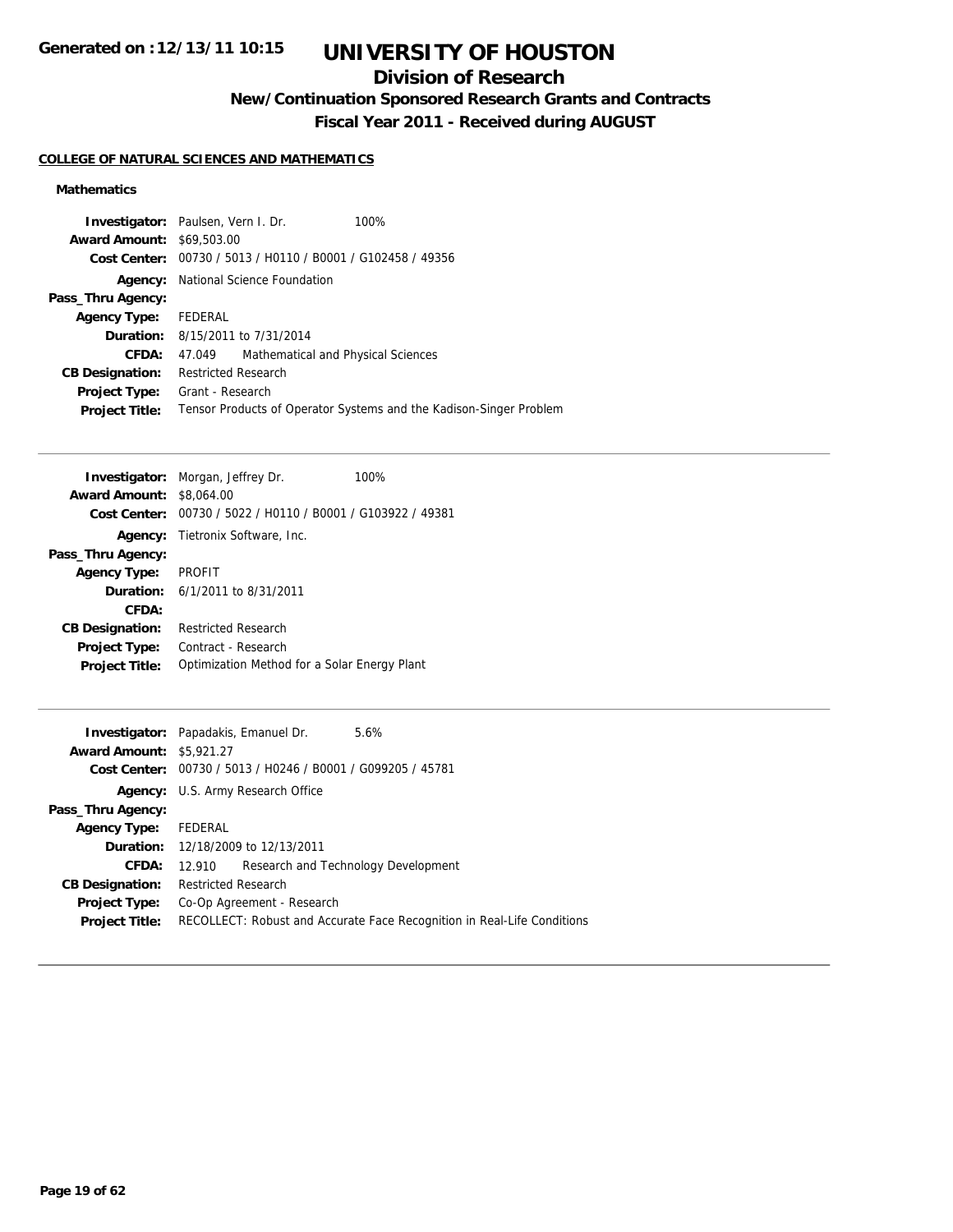## **Division of Research**

**New/Continuation Sponsored Research Grants and Contracts**

**Fiscal Year 2011 - Received during AUGUST**

### **COLLEGE OF NATURAL SCIENCES AND MATHEMATICS**

### **Mathematics**

|                                  | <b>Investigator:</b> Paulsen, Vern I. Dr.<br>100%                  |
|----------------------------------|--------------------------------------------------------------------|
| <b>Award Amount: \$69,503.00</b> |                                                                    |
|                                  | Cost Center: 00730 / 5013 / H0110 / B0001 / G102458 / 49356        |
|                                  | <b>Agency:</b> National Science Foundation                         |
| Pass_Thru Agency:                |                                                                    |
| <b>Agency Type:</b>              | FEDERAL                                                            |
|                                  | <b>Duration:</b> 8/15/2011 to 7/31/2014                            |
| CFDA:                            | Mathematical and Physical Sciences<br>47.049                       |
| <b>CB Designation:</b>           | Restricted Research                                                |
| <b>Project Type:</b>             | Grant - Research                                                   |
| <b>Project Title:</b>            | Tensor Products of Operator Systems and the Kadison-Singer Problem |

|                                 | <b>Investigator:</b> Morgan, Jeffrey Dr.                    | 100% |
|---------------------------------|-------------------------------------------------------------|------|
| <b>Award Amount: \$8,064.00</b> |                                                             |      |
|                                 | Cost Center: 00730 / 5022 / H0110 / B0001 / G103922 / 49381 |      |
|                                 | <b>Agency:</b> Tietronix Software, Inc.                     |      |
| Pass_Thru Agency:               |                                                             |      |
| <b>Agency Type:</b>             | <b>PROFIT</b>                                               |      |
|                                 | <b>Duration:</b> $6/1/2011$ to $8/31/2011$                  |      |
| CFDA:                           |                                                             |      |
| <b>CB Designation:</b>          | <b>Restricted Research</b>                                  |      |
| <b>Project Type:</b>            | Contract - Research                                         |      |
| <b>Project Title:</b>           | Optimization Method for a Solar Energy Plant                |      |
|                                 |                                                             |      |

| <b>Investigator:</b> Papadakis, Emanuel Dr. |                            |                                                             | 5.6%                                                                    |
|---------------------------------------------|----------------------------|-------------------------------------------------------------|-------------------------------------------------------------------------|
| <b>Award Amount: \$5,921.27</b>             |                            |                                                             |                                                                         |
|                                             |                            | Cost Center: 00730 / 5013 / H0246 / B0001 / G099205 / 45781 |                                                                         |
|                                             |                            | Agency: U.S. Army Research Office                           |                                                                         |
| Pass_Thru Agency:                           |                            |                                                             |                                                                         |
| Agency Type: FEDERAL                        |                            |                                                             |                                                                         |
|                                             |                            | <b>Duration:</b> 12/18/2009 to 12/13/2011                   |                                                                         |
| <b>CFDA:</b>                                | 12.910                     |                                                             | Research and Technology Development                                     |
| <b>CB Designation:</b>                      | <b>Restricted Research</b> |                                                             |                                                                         |
| <b>Project Type:</b>                        |                            | Co-Op Agreement - Research                                  |                                                                         |
| <b>Project Title:</b>                       |                            |                                                             | RECOLLECT: Robust and Accurate Face Recognition in Real-Life Conditions |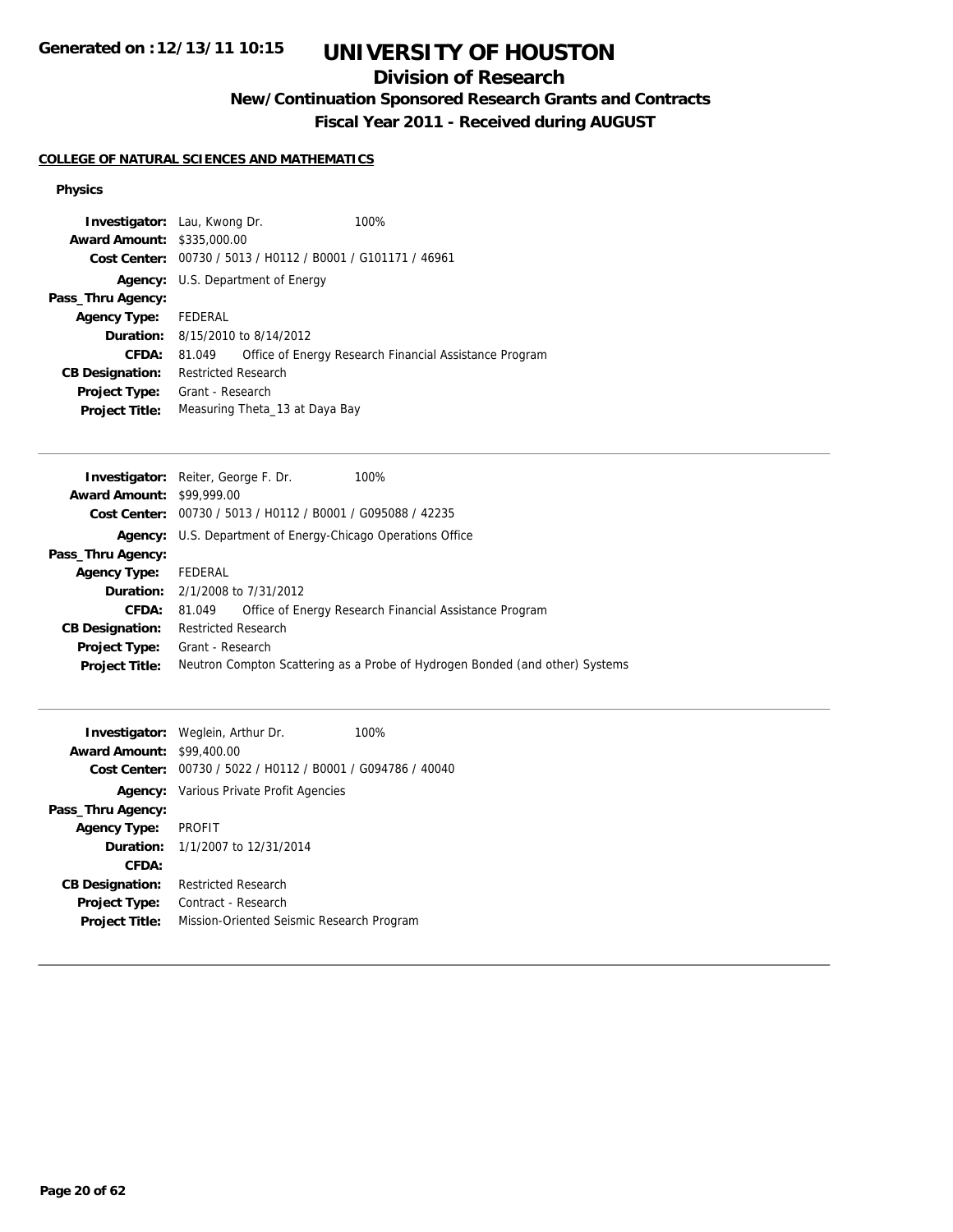**Generated on :12/13/11 10:15**

# **UNIVERSITY OF HOUSTON**

## **Division of Research**

**New/Continuation Sponsored Research Grants and Contracts**

**Fiscal Year 2011 - Received during AUGUST**

### **COLLEGE OF NATURAL SCIENCES AND MATHEMATICS**

### **Physics**

| <b>Investigator:</b> Lau, Kwong Dr. |                                                             |                                             | 100%                                                   |  |  |
|-------------------------------------|-------------------------------------------------------------|---------------------------------------------|--------------------------------------------------------|--|--|
| <b>Award Amount: \$335,000.00</b>   |                                                             |                                             |                                                        |  |  |
|                                     | Cost Center: 00730 / 5013 / H0112 / B0001 / G101171 / 46961 |                                             |                                                        |  |  |
|                                     |                                                             | <b>Agency:</b> U.S. Department of Energy    |                                                        |  |  |
| Pass_Thru Agency:                   |                                                             |                                             |                                                        |  |  |
| <b>Agency Type:</b>                 | FEDERAL                                                     |                                             |                                                        |  |  |
|                                     |                                                             | <b>Duration:</b> $8/15/2010$ to $8/14/2012$ |                                                        |  |  |
| <b>CFDA:</b>                        | 81.049                                                      |                                             | Office of Energy Research Financial Assistance Program |  |  |
| <b>CB Designation:</b>              | <b>Restricted Research</b>                                  |                                             |                                                        |  |  |
| <b>Project Type:</b>                | Grant - Research                                            |                                             |                                                        |  |  |
| <b>Project Title:</b>               |                                                             | Measuring Theta_13 at Daya Bay              |                                                        |  |  |

| <b>Award Amount: \$99,999.00</b><br><b>Cost Center:</b> $00730 / 5013 / 40112 / 80001 / 6095088 / 42235$<br>U.S. Department of Energy-Chicago Operations Office<br>Agency:<br>Pass_Thru Agency:<br>FEDERAL<br><b>Agency Type:</b> |
|-----------------------------------------------------------------------------------------------------------------------------------------------------------------------------------------------------------------------------------|
|                                                                                                                                                                                                                                   |
|                                                                                                                                                                                                                                   |
|                                                                                                                                                                                                                                   |
|                                                                                                                                                                                                                                   |
|                                                                                                                                                                                                                                   |
| <b>Duration:</b> 2/1/2008 to 7/31/2012                                                                                                                                                                                            |
| <b>CFDA:</b><br>Office of Energy Research Financial Assistance Program<br>81.049                                                                                                                                                  |
| <b>Restricted Research</b><br><b>CB Designation:</b>                                                                                                                                                                              |
| Grant - Research<br><b>Project Type:</b>                                                                                                                                                                                          |
| Neutron Compton Scattering as a Probe of Hydrogen Bonded (and other) Systems<br><b>Project Title:</b>                                                                                                                             |

|                                                | 100%                                                                                                                                                                                      |
|------------------------------------------------|-------------------------------------------------------------------------------------------------------------------------------------------------------------------------------------------|
|                                                |                                                                                                                                                                                           |
| 00730 / 5022 / H0112 / B0001 / G094786 / 40040 |                                                                                                                                                                                           |
|                                                |                                                                                                                                                                                           |
|                                                |                                                                                                                                                                                           |
| <b>PROFIT</b>                                  |                                                                                                                                                                                           |
|                                                |                                                                                                                                                                                           |
|                                                |                                                                                                                                                                                           |
| <b>Restricted Research</b>                     |                                                                                                                                                                                           |
| Contract - Research                            |                                                                                                                                                                                           |
| Mission-Oriented Seismic Research Program      |                                                                                                                                                                                           |
|                                                | <b>Investigator:</b> Weglein, Arthur Dr.<br><b>Award Amount: \$99,400.00</b><br>Cost Center:<br><b>Agency:</b> Various Private Profit Agencies<br><b>Duration:</b> 1/1/2007 to 12/31/2014 |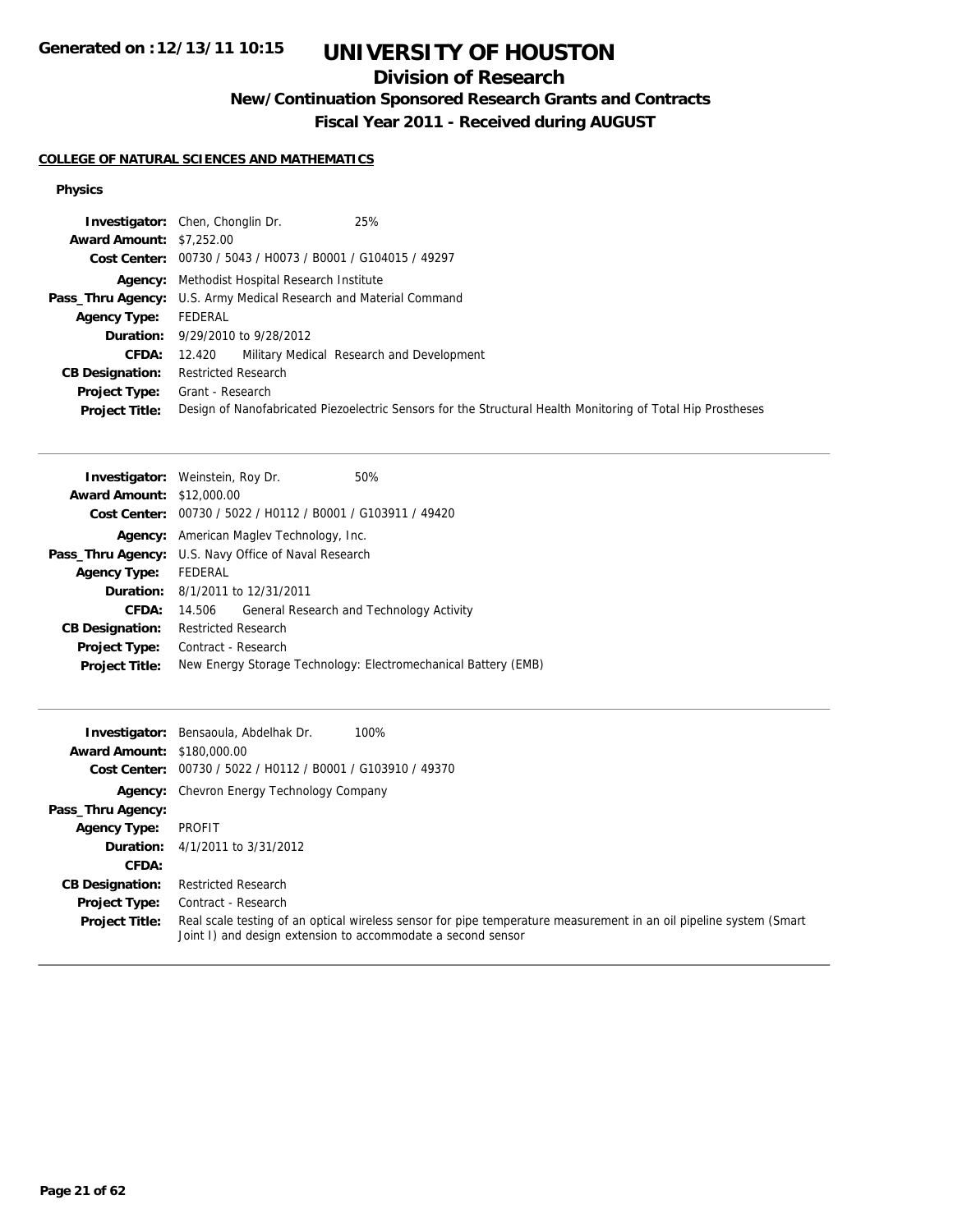## **Division of Research**

**New/Continuation Sponsored Research Grants and Contracts**

**Fiscal Year 2011 - Received during AUGUST**

### **COLLEGE OF NATURAL SCIENCES AND MATHEMATICS**

### **Physics**

|                                 | 25%<br><b>Investigator:</b> Chen, Chonglin Dr.                                                              |
|---------------------------------|-------------------------------------------------------------------------------------------------------------|
| <b>Award Amount: \$7,252.00</b> |                                                                                                             |
|                                 | Cost Center: 00730 / 5043 / H0073 / B0001 / G104015 / 49297                                                 |
|                                 | <b>Agency:</b> Methodist Hospital Research Institute                                                        |
|                                 | <b>Pass_Thru Agency:</b> U.S. Army Medical Research and Material Command                                    |
| <b>Agency Type:</b>             | FEDERAL                                                                                                     |
|                                 | <b>Duration:</b> 9/29/2010 to 9/28/2012                                                                     |
| <b>CFDA:</b>                    | 12.420 Military Medical Research and Development                                                            |
| <b>CB Designation:</b>          | <b>Restricted Research</b>                                                                                  |
| Project Type:                   | Grant - Research                                                                                            |
| <b>Project Title:</b>           | Design of Nanofabricated Piezoelectric Sensors for the Structural Health Monitoring of Total Hip Prostheses |

| <b>Investigator:</b> Weinstein, Roy Dr.                     |                     |                                                 | 50%                                                            |
|-------------------------------------------------------------|---------------------|-------------------------------------------------|----------------------------------------------------------------|
| <b>Award Amount: \$12,000.00</b>                            |                     |                                                 |                                                                |
|                                                             |                     |                                                 | Cost Center: 00730 / 5022 / H0112 / B0001 / G103911 / 49420    |
|                                                             |                     | <b>Agency:</b> American Magley Technology, Inc. |                                                                |
| <b>Pass_Thru Agency:</b> U.S. Navy Office of Naval Research |                     |                                                 |                                                                |
| <b>Agency Type:</b>                                         | FEDERAL             |                                                 |                                                                |
|                                                             |                     | <b>Duration:</b> 8/1/2011 to 12/31/2011         |                                                                |
| CFDA:                                                       | 14.506              |                                                 | General Research and Technology Activity                       |
| <b>CB Designation:</b>                                      | Restricted Research |                                                 |                                                                |
| <b>Project Type:</b>                                        | Contract - Research |                                                 |                                                                |
| <b>Project Title:</b>                                       |                     |                                                 | New Energy Storage Technology: Electromechanical Battery (EMB) |

| <b>Award Amount: \$180,000.00</b> | <b>Investigator:</b> Bensaoula, Abdelhak Dr.<br>100%<br>Cost Center: 00730 / 5022 / H0112 / B0001 / G103910 / 49370                                                                |
|-----------------------------------|------------------------------------------------------------------------------------------------------------------------------------------------------------------------------------|
|                                   | <b>Agency:</b> Chevron Energy Technology Company                                                                                                                                   |
| Pass_Thru Agency:                 |                                                                                                                                                                                    |
| <b>Agency Type:</b>               | PROFIT                                                                                                                                                                             |
|                                   | <b>Duration:</b> 4/1/2011 to 3/31/2012                                                                                                                                             |
| CFDA:                             |                                                                                                                                                                                    |
| <b>CB Designation:</b>            | <b>Restricted Research</b>                                                                                                                                                         |
| <b>Project Type:</b>              | Contract - Research                                                                                                                                                                |
| <b>Project Title:</b>             | Real scale testing of an optical wireless sensor for pipe temperature measurement in an oil pipeline system (Smart<br>Joint I) and design extension to accommodate a second sensor |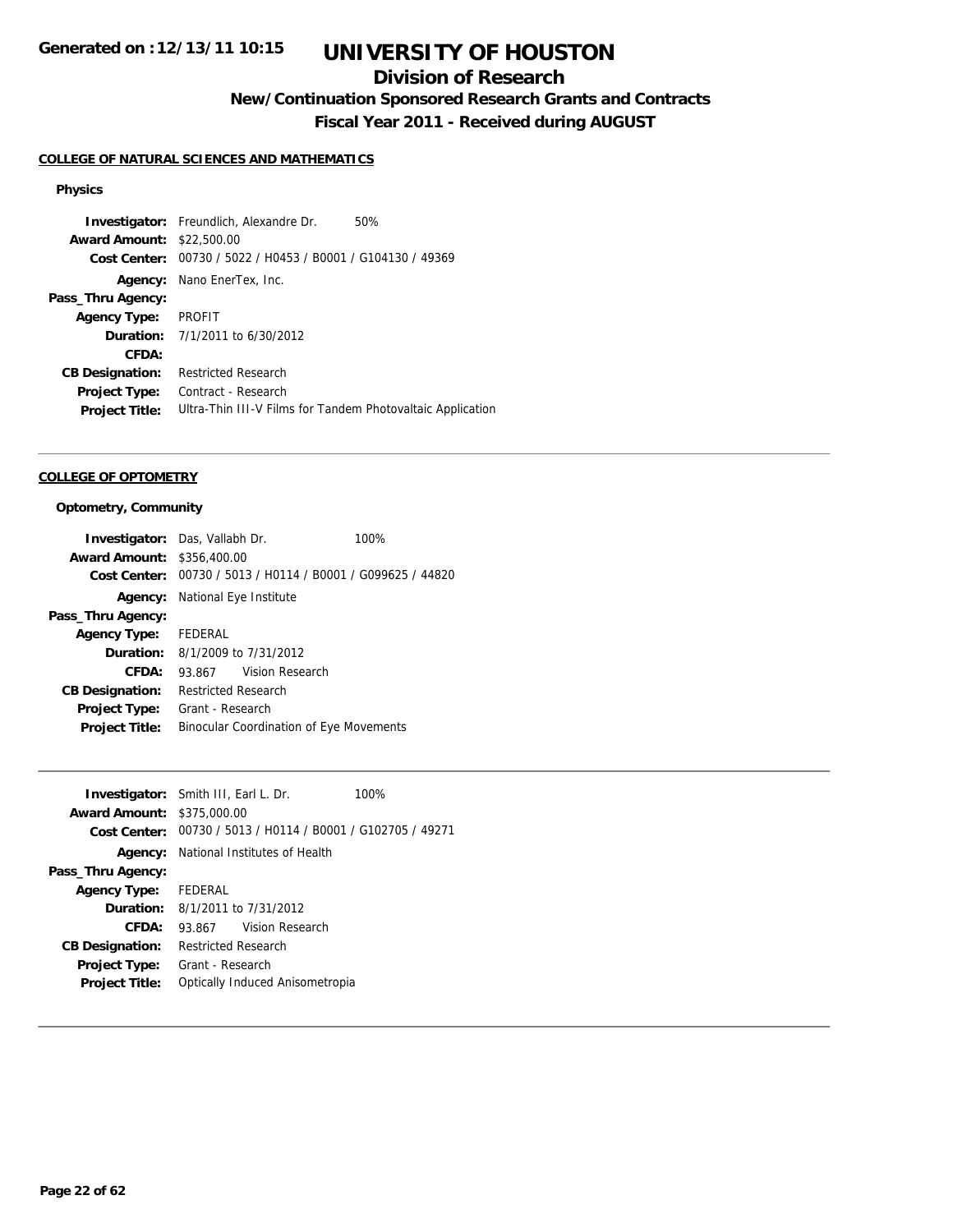## **Division of Research**

**New/Continuation Sponsored Research Grants and Contracts**

**Fiscal Year 2011 - Received during AUGUST**

### **COLLEGE OF NATURAL SCIENCES AND MATHEMATICS**

#### **Physics**

**Investigator:** Freundlich, Alexandre Dr. 50% **Award Amount:** \$22,500.00 **Cost Center:** 00730 / 5022 / H0453 / B0001 / G104130 / 49369 **Agency:** Nano EnerTex, Inc. **Pass\_Thru Agency: Agency Type:** PROFIT **Duration:** 7/1/2011 to 6/30/2012 **CFDA: CB Designation:** Restricted Research **Project Type:** Contract - Research **Project Title:** Ultra-Thin III-V Films for Tandem Photovaltaic Application

#### **COLLEGE OF OPTOMETRY**

#### **Optometry, Community**

| <b>Investigator:</b> Das, Vallabh Dr. |                                            |                                                | 100%                                                        |
|---------------------------------------|--------------------------------------------|------------------------------------------------|-------------------------------------------------------------|
| <b>Award Amount: \$356,400.00</b>     |                                            |                                                |                                                             |
|                                       |                                            |                                                | Cost Center: 00730 / 5013 / H0114 / B0001 / G099625 / 44820 |
|                                       | <b>Agency:</b> National Eye Institute      |                                                |                                                             |
| Pass_Thru Agency:                     |                                            |                                                |                                                             |
| Agency Type: FEDERAL                  |                                            |                                                |                                                             |
|                                       | <b>Duration:</b> $8/1/2009$ to $7/31/2012$ |                                                |                                                             |
| CFDA:                                 | 93.867 Vision Research                     |                                                |                                                             |
| <b>CB Designation:</b>                | <b>Restricted Research</b>                 |                                                |                                                             |
| <b>Project Type:</b>                  | Grant - Research                           |                                                |                                                             |
| <b>Project Title:</b>                 |                                            | <b>Binocular Coordination of Eye Movements</b> |                                                             |

|                                   | <b>Investigator:</b> Smith III, Earl L. Dr.                 | 100% |
|-----------------------------------|-------------------------------------------------------------|------|
| <b>Award Amount: \$375,000.00</b> |                                                             |      |
|                                   | Cost Center: 00730 / 5013 / H0114 / B0001 / G102705 / 49271 |      |
| Agency:                           | National Institutes of Health                               |      |
| Pass_Thru Agency:                 |                                                             |      |
| <b>Agency Type:</b>               | FEDERAL                                                     |      |
|                                   | <b>Duration:</b> 8/1/2011 to 7/31/2012                      |      |
| CFDA:                             | Vision Research<br>93.867                                   |      |
| <b>CB Designation:</b>            | Restricted Research                                         |      |
| <b>Project Type:</b>              | Grant - Research                                            |      |
| <b>Project Title:</b>             | Optically Induced Anisometropia                             |      |
|                                   |                                                             |      |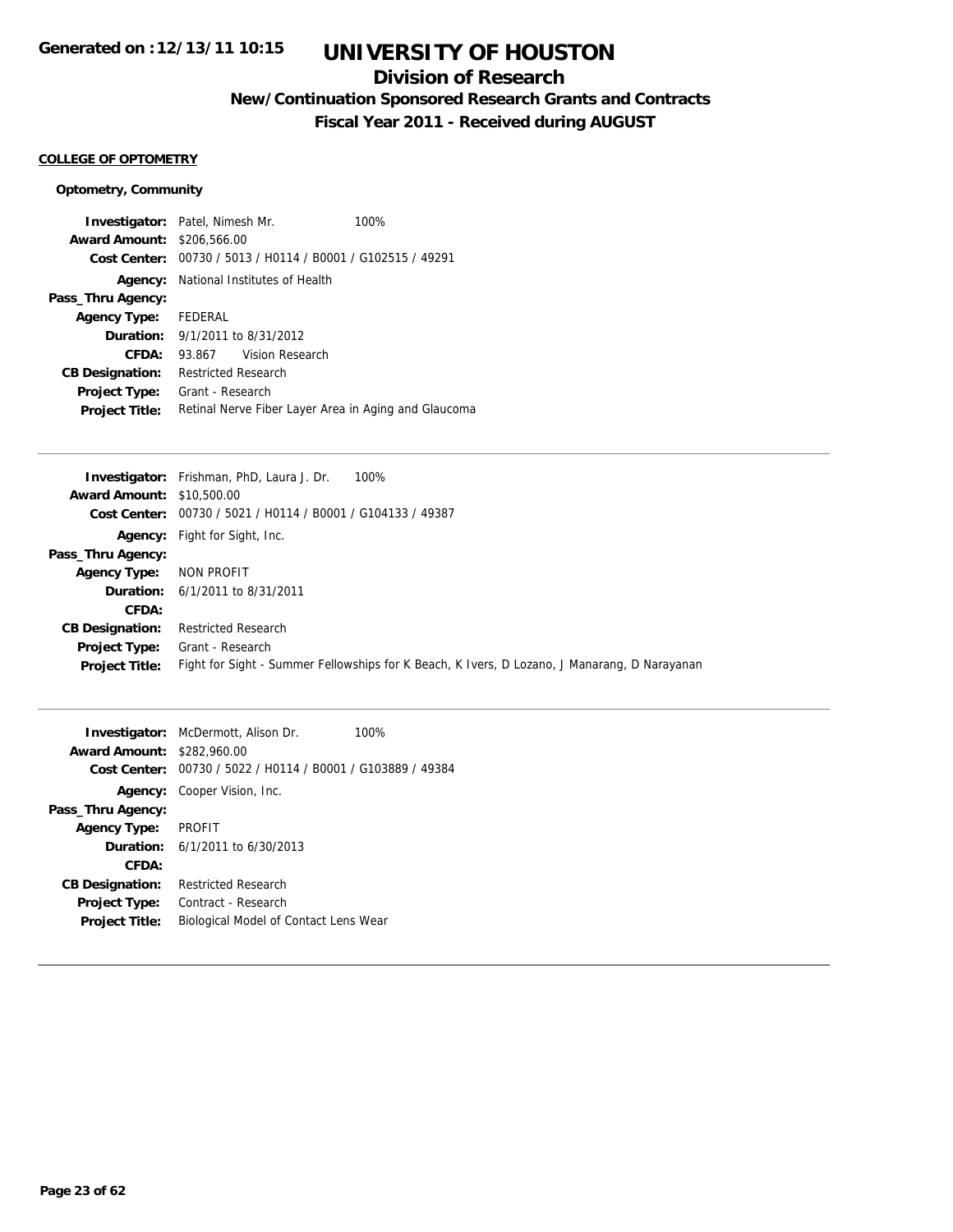## **Division of Research**

**New/Continuation Sponsored Research Grants and Contracts**

**Fiscal Year 2011 - Received during AUGUST**

#### **COLLEGE OF OPTOMETRY**

### **Optometry, Community**

|                        | <b>Investigator:</b> Patel, Nimesh Mr.                      | 100% |
|------------------------|-------------------------------------------------------------|------|
| <b>Award Amount:</b>   | \$206,566.00                                                |      |
|                        | Cost Center: 00730 / 5013 / H0114 / B0001 / G102515 / 49291 |      |
|                        | <b>Agency:</b> National Institutes of Health                |      |
| Pass_Thru Agency:      |                                                             |      |
| <b>Agency Type:</b>    | FEDERAL                                                     |      |
| Duration:              | 9/1/2011 to 8/31/2012                                       |      |
| CFDA:                  | 93.867 Vision Research                                      |      |
| <b>CB Designation:</b> | <b>Restricted Research</b>                                  |      |
| <b>Project Type:</b>   | Grant - Research                                            |      |
| <b>Project Title:</b>  | Retinal Nerve Fiber Layer Area in Aging and Glaucoma        |      |

| <b>Investigator:</b> Frishman, PhD, Laura J. Dr.<br>100%                                     |
|----------------------------------------------------------------------------------------------|
| <b>Award Amount: \$10,500.00</b>                                                             |
| Cost Center: 00730 / 5021 / H0114 / B0001 / G104133 / 49387                                  |
| <b>Agency:</b> Fight for Sight, Inc.                                                         |
|                                                                                              |
| NON PROFIT                                                                                   |
| <b>Duration:</b> 6/1/2011 to 8/31/2011                                                       |
|                                                                                              |
| <b>Restricted Research</b>                                                                   |
| Grant - Research                                                                             |
| Fight for Sight - Summer Fellowships for K Beach, K Ivers, D Lozano, J Manarang, D Narayanan |
|                                                                                              |

|                                   | <b>Investigator:</b> McDermott, Alison Dr.                  | 100% |
|-----------------------------------|-------------------------------------------------------------|------|
| <b>Award Amount: \$282,960.00</b> |                                                             |      |
|                                   | Cost Center: 00730 / 5022 / H0114 / B0001 / G103889 / 49384 |      |
|                                   | <b>Agency:</b> Cooper Vision, Inc.                          |      |
| Pass_Thru Agency:                 |                                                             |      |
| <b>Agency Type:</b>               | <b>PROFIT</b>                                               |      |
|                                   | <b>Duration:</b> $6/1/2011$ to $6/30/2013$                  |      |
| CFDA:                             |                                                             |      |
| <b>CB Designation:</b>            | <b>Restricted Research</b>                                  |      |
| <b>Project Type:</b>              | Contract - Research                                         |      |
| <b>Project Title:</b>             | Biological Model of Contact Lens Wear                       |      |
|                                   |                                                             |      |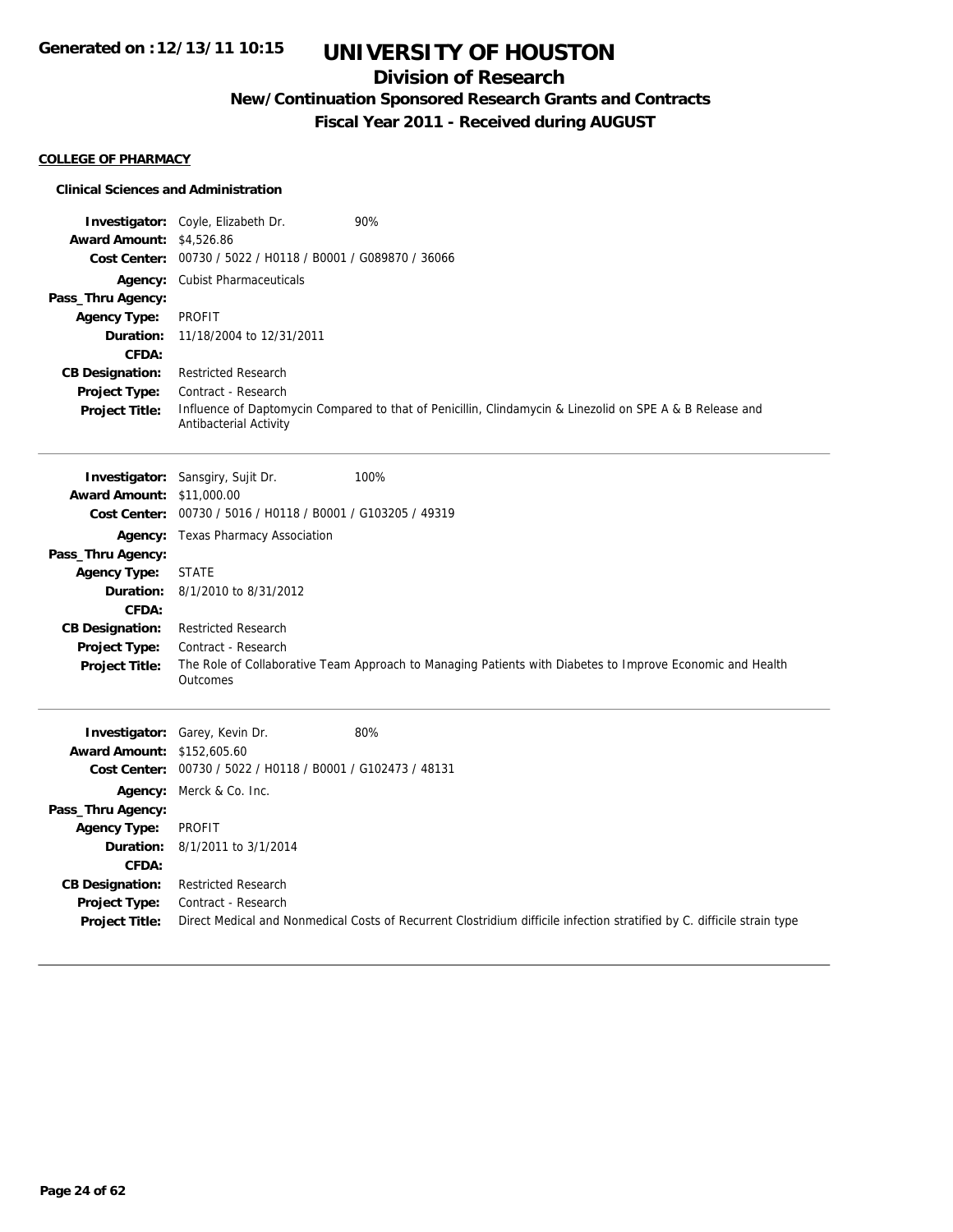## **Division of Research**

**New/Continuation Sponsored Research Grants and Contracts**

**Fiscal Year 2011 - Received during AUGUST**

### **COLLEGE OF PHARMACY**

#### **Clinical Sciences and Administration**

|                                               | Investigator: Coyle, Elizabeth Dr.                          | 90%                                                                                                                     |
|-----------------------------------------------|-------------------------------------------------------------|-------------------------------------------------------------------------------------------------------------------------|
| <b>Award Amount: \$4,526.86</b>               |                                                             |                                                                                                                         |
|                                               | Cost Center: 00730 / 5022 / H0118 / B0001 / G089870 / 36066 |                                                                                                                         |
|                                               | Agency: Cubist Pharmaceuticals                              |                                                                                                                         |
| Pass_Thru Agency:                             |                                                             |                                                                                                                         |
| <b>Agency Type:</b>                           | <b>PROFIT</b>                                               |                                                                                                                         |
| Duration:                                     | 11/18/2004 to 12/31/2011                                    |                                                                                                                         |
| CFDA:                                         |                                                             |                                                                                                                         |
| <b>CB Designation:</b>                        | <b>Restricted Research</b>                                  |                                                                                                                         |
| <b>Project Type:</b><br><b>Project Title:</b> | Contract - Research                                         | Influence of Daptomycin Compared to that of Penicillin, Clindamycin & Linezolid on SPE A & B Release and                |
|                                               | Antibacterial Activity                                      |                                                                                                                         |
|                                               |                                                             |                                                                                                                         |
|                                               |                                                             |                                                                                                                         |
|                                               | <b>Investigator:</b> Sansgiry, Sujit Dr.                    | 100%                                                                                                                    |
| <b>Award Amount: \$11,000.00</b>              |                                                             |                                                                                                                         |
|                                               | Cost Center: 00730 / 5016 / H0118 / B0001 / G103205 / 49319 |                                                                                                                         |
|                                               | Agency: Texas Pharmacy Association                          |                                                                                                                         |
| Pass_Thru Agency:                             |                                                             |                                                                                                                         |
| <b>Agency Type:</b>                           | <b>STATE</b>                                                |                                                                                                                         |
| Duration:                                     | 8/1/2010 to 8/31/2012                                       |                                                                                                                         |
| CFDA:                                         |                                                             |                                                                                                                         |
| <b>CB Designation:</b>                        | <b>Restricted Research</b>                                  |                                                                                                                         |
| <b>Project Type:</b>                          | Contract - Research                                         | The Role of Collaborative Team Approach to Managing Patients with Diabetes to Improve Economic and Health               |
| <b>Project Title:</b>                         | Outcomes                                                    |                                                                                                                         |
|                                               |                                                             |                                                                                                                         |
|                                               |                                                             |                                                                                                                         |
|                                               | Investigator: Garey, Kevin Dr.                              | 80%                                                                                                                     |
| <b>Award Amount: \$152,605.60</b>             |                                                             |                                                                                                                         |
|                                               | Cost Center: 00730 / 5022 / H0118 / B0001 / G102473 / 48131 |                                                                                                                         |
|                                               | Agency: Merck & Co. Inc.                                    |                                                                                                                         |
| Pass_Thru Agency:                             |                                                             |                                                                                                                         |
| <b>Agency Type:</b>                           | <b>PROFIT</b>                                               |                                                                                                                         |
| Duration:<br>CFDA:                            | 8/1/2011 to 3/1/2014                                        |                                                                                                                         |
|                                               | <b>Restricted Research</b>                                  |                                                                                                                         |
| <b>CB Designation:</b><br>Project Type:       | Contract - Research                                         |                                                                                                                         |
| <b>Project Title:</b>                         |                                                             | Direct Medical and Nonmedical Costs of Recurrent Clostridium difficile infection stratified by C. difficile strain type |
|                                               |                                                             |                                                                                                                         |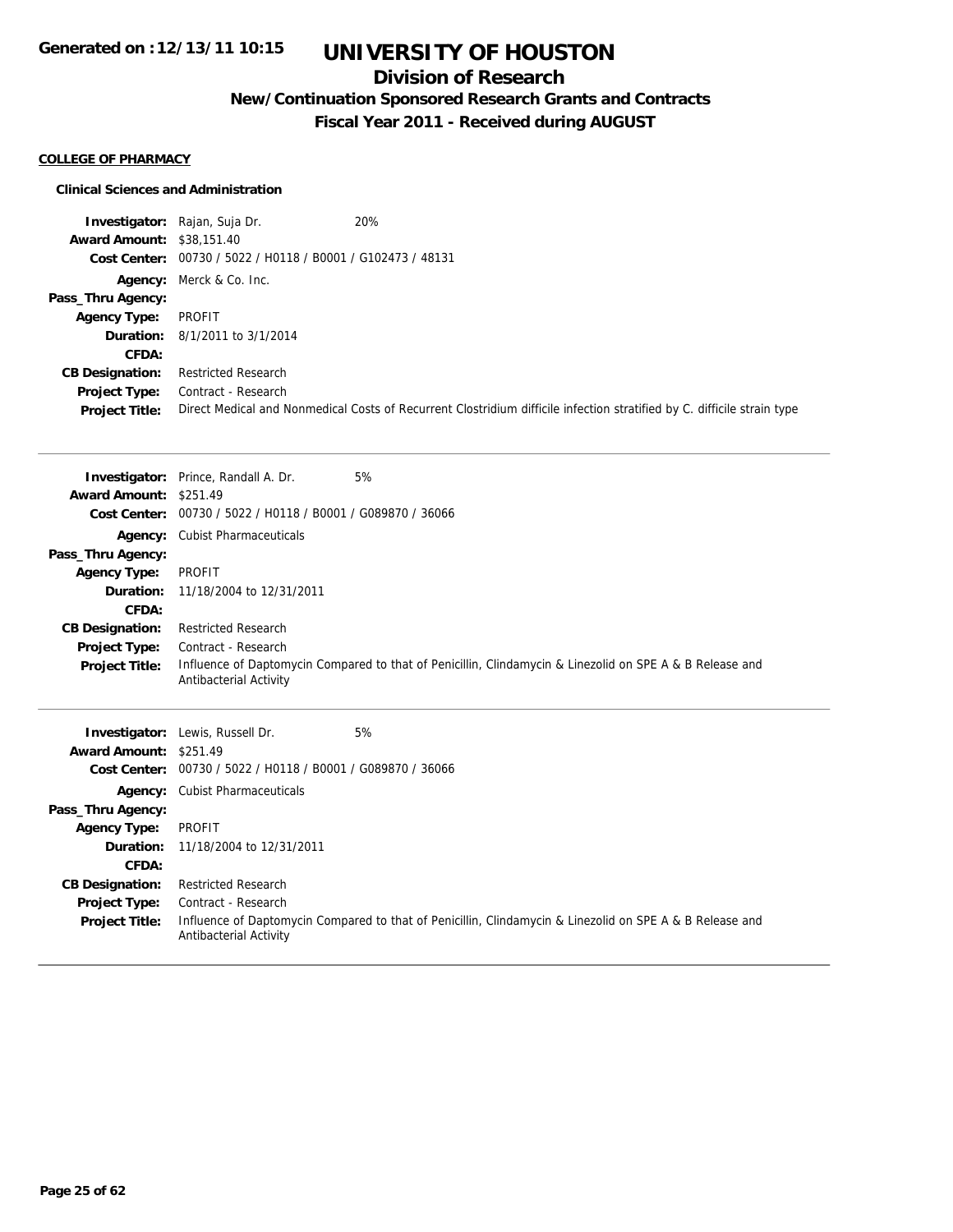## **Division of Research**

**New/Continuation Sponsored Research Grants and Contracts**

**Fiscal Year 2011 - Received during AUGUST**

### **COLLEGE OF PHARMACY**

### **Clinical Sciences and Administration**

|                                  | <b>Investigator:</b> Rajan, Suja Dr.                        | 20%                                                                                                                     |
|----------------------------------|-------------------------------------------------------------|-------------------------------------------------------------------------------------------------------------------------|
| <b>Award Amount: \$38,151.40</b> |                                                             |                                                                                                                         |
|                                  | Cost Center: 00730 / 5022 / H0118 / B0001 / G102473 / 48131 |                                                                                                                         |
|                                  | <b>Agency:</b> Merck & Co. Inc.                             |                                                                                                                         |
| Pass_Thru Agency:                |                                                             |                                                                                                                         |
| <b>Agency Type:</b>              | PROFIT                                                      |                                                                                                                         |
|                                  | <b>Duration:</b> 8/1/2011 to 3/1/2014                       |                                                                                                                         |
| <b>CFDA:</b>                     |                                                             |                                                                                                                         |
| <b>CB Designation:</b>           | <b>Restricted Research</b>                                  |                                                                                                                         |
| <b>Project Type:</b>             | Contract - Research                                         |                                                                                                                         |
| <b>Project Title:</b>            |                                                             | Direct Medical and Nonmedical Costs of Recurrent Clostridium difficile infection stratified by C. difficile strain type |

|                               | <b>Investigator:</b> Prince, Randall A. Dr.                 | 5%                                                                                                       |
|-------------------------------|-------------------------------------------------------------|----------------------------------------------------------------------------------------------------------|
| Award Amount: \$251.49        |                                                             |                                                                                                          |
|                               | Cost Center: 00730 / 5022 / H0118 / B0001 / G089870 / 36066 |                                                                                                          |
|                               | <b>Agency:</b> Cubist Pharmaceuticals                       |                                                                                                          |
| Pass_Thru Agency:             |                                                             |                                                                                                          |
| <b>Agency Type:</b>           | PROFIT                                                      |                                                                                                          |
|                               | <b>Duration:</b> 11/18/2004 to 12/31/2011                   |                                                                                                          |
| CFDA:                         |                                                             |                                                                                                          |
| <b>CB Designation:</b>        | <b>Restricted Research</b>                                  |                                                                                                          |
| Project Type:                 | Contract - Research                                         |                                                                                                          |
| <b>Project Title:</b>         | Antibacterial Activity                                      | Influence of Daptomycin Compared to that of Penicillin, Clindamycin & Linezolid on SPE A & B Release and |
|                               | <b>Investigator:</b> Lewis, Russell Dr.                     | 5%                                                                                                       |
| <b>Award Amount: \$251.49</b> |                                                             |                                                                                                          |
|                               | Cast Capter: 00730 / 5022 / 40118 / 80001 / C080870 / 36066 |                                                                                                          |

| <b>Cost Center:</b>    | 00730 / 5022 / H0118 / B0001 / G089870 / 36066                                                                                     |
|------------------------|------------------------------------------------------------------------------------------------------------------------------------|
|                        | <b>Agency:</b> Cubist Pharmaceuticals                                                                                              |
| Pass_Thru Agency:      |                                                                                                                                    |
| <b>Agency Type:</b>    | PROFIT                                                                                                                             |
|                        | <b>Duration:</b> 11/18/2004 to 12/31/2011                                                                                          |
| CFDA:                  |                                                                                                                                    |
| <b>CB Designation:</b> | Restricted Research                                                                                                                |
| <b>Project Type:</b>   | Contract - Research                                                                                                                |
| <b>Project Title:</b>  | Influence of Daptomycin Compared to that of Penicillin, Clindamycin & Linezolid on SPE A & B Release and<br>Antibacterial Activity |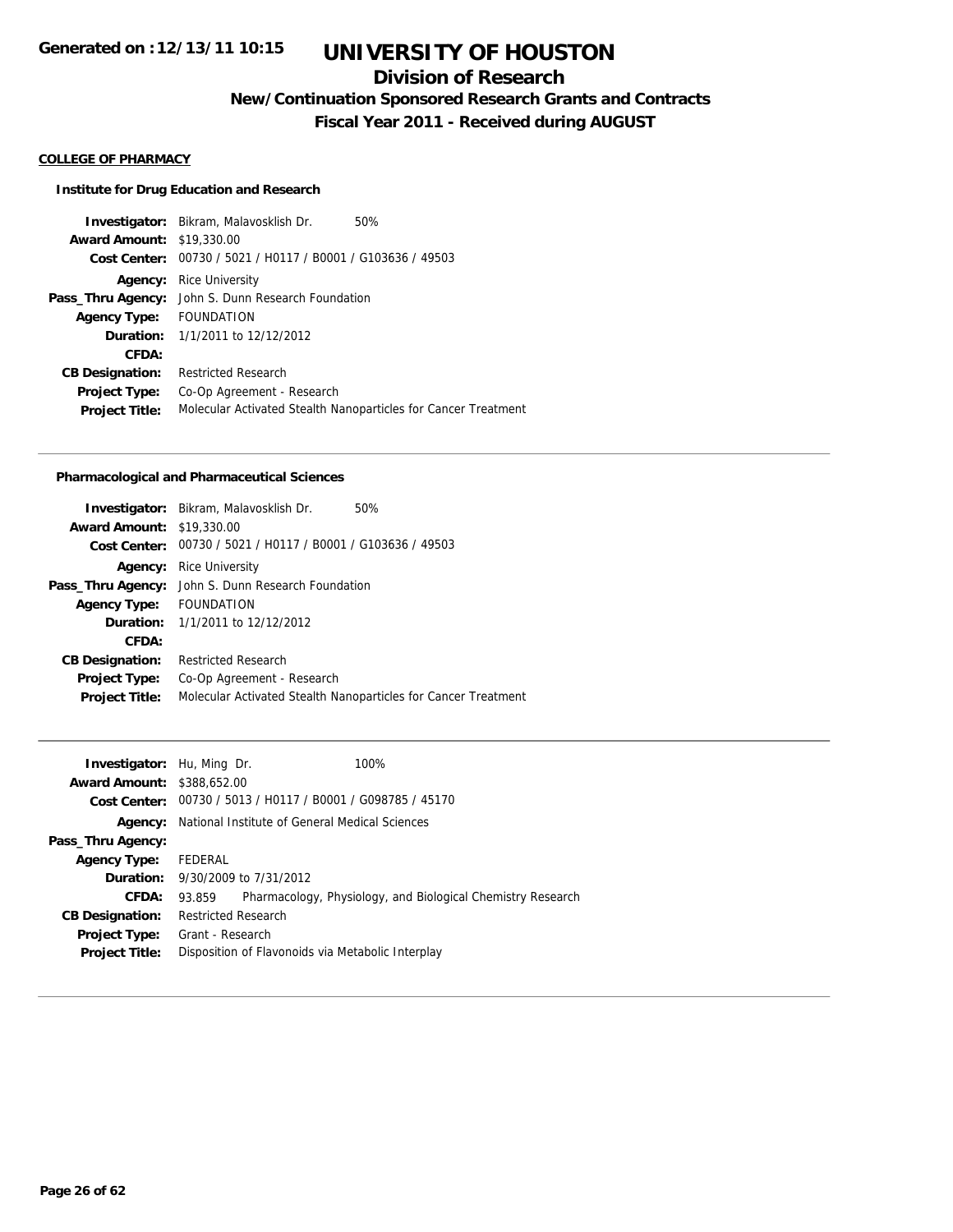## **Division of Research**

**New/Continuation Sponsored Research Grants and Contracts**

**Fiscal Year 2011 - Received during AUGUST**

### **COLLEGE OF PHARMACY**

#### **Institute for Drug Education and Research**

**Investigator:** Bikram, Malavosklish Dr. 50% **Award Amount:** \$19,330.00 **Cost Center:** 00730 / 5021 / H0117 / B0001 / G103636 / 49503 **Agency:** Rice University **Pass\_Thru Agency:** John S. Dunn Research Foundation **Agency Type:** FOUNDATION **Duration:** 1/1/2011 to 12/12/2012 **CFDA: CB Designation:** Restricted Research **Project Type:** Co-Op Agreement - Research **Project Title:** Molecular Activated Stealth Nanoparticles for Cancer Treatment

#### **Pharmacological and Pharmaceutical Sciences**

|                                  | <b>Investigator:</b> Bikram, Malavosklish Dr.                  | 50% |
|----------------------------------|----------------------------------------------------------------|-----|
| <b>Award Amount: \$19,330.00</b> |                                                                |     |
|                                  | Cost Center: 00730 / 5021 / H0117 / B0001 / G103636 / 49503    |     |
| Agency:                          | Rice University                                                |     |
|                                  | Pass_Thru Agency: John S. Dunn Research Foundation             |     |
| Agency Type: FOUNDATION          |                                                                |     |
|                                  | <b>Duration:</b> 1/1/2011 to 12/12/2012                        |     |
| CFDA:                            |                                                                |     |
| <b>CB Designation:</b>           | <b>Restricted Research</b>                                     |     |
| <b>Project Type:</b>             | Co-Op Agreement - Research                                     |     |
| <b>Project Title:</b>            | Molecular Activated Stealth Nanoparticles for Cancer Treatment |     |
|                                  |                                                                |     |

| <b>Investigator:</b> Hu, Ming Dr. |                                                               | 100%                                                        |  |
|-----------------------------------|---------------------------------------------------------------|-------------------------------------------------------------|--|
| <b>Award Amount: \$388,652.00</b> |                                                               |                                                             |  |
|                                   |                                                               | Cost Center: 00730 / 5013 / H0117 / B0001 / G098785 / 45170 |  |
|                                   | <b>Agency:</b> National Institute of General Medical Sciences |                                                             |  |
| Pass_Thru Agency:                 |                                                               |                                                             |  |
| <b>Agency Type:</b>               | FEDERAL                                                       |                                                             |  |
|                                   | <b>Duration:</b> 9/30/2009 to 7/31/2012                       |                                                             |  |
| CFDA:                             | 93.859                                                        | Pharmacology, Physiology, and Biological Chemistry Research |  |
| <b>CB Designation:</b>            | <b>Restricted Research</b>                                    |                                                             |  |
| <b>Project Type:</b>              | Grant - Research                                              |                                                             |  |
| <b>Project Title:</b>             | Disposition of Flavonoids via Metabolic Interplay             |                                                             |  |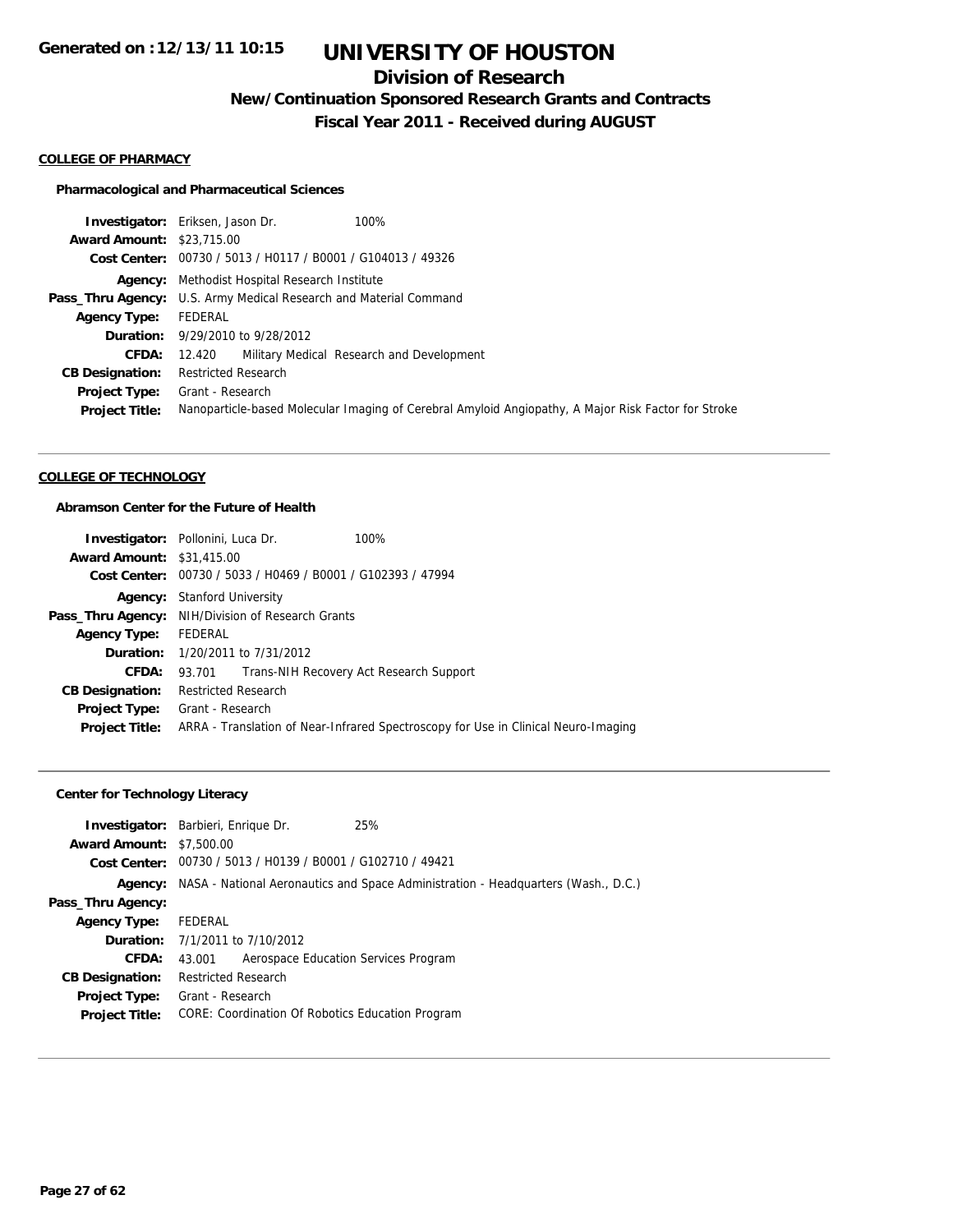## **Division of Research**

**New/Continuation Sponsored Research Grants and Contracts**

**Fiscal Year 2011 - Received during AUGUST**

#### **COLLEGE OF PHARMACY**

#### **Pharmacological and Pharmaceutical Sciences**

|                                  | 100%<br><b>Investigator:</b> Eriksen, Jason Dr.                                                     |
|----------------------------------|-----------------------------------------------------------------------------------------------------|
| <b>Award Amount: \$23,715.00</b> |                                                                                                     |
|                                  | Cost Center: 00730 / 5013 / H0117 / B0001 / G104013 / 49326                                         |
|                                  | <b>Agency:</b> Methodist Hospital Research Institute                                                |
|                                  | Pass_Thru Agency: U.S. Army Medical Research and Material Command                                   |
| <b>Agency Type:</b>              | FEDERAL                                                                                             |
|                                  | <b>Duration:</b> 9/29/2010 to 9/28/2012                                                             |
| CFDA:                            | 12.420 Military Medical Research and Development                                                    |
| <b>CB Designation:</b>           | <b>Restricted Research</b>                                                                          |
| Project Type:                    | Grant - Research                                                                                    |
| <b>Project Title:</b>            | Nanoparticle-based Molecular Imaging of Cerebral Amyloid Angiopathy, A Major Risk Factor for Stroke |

#### **COLLEGE OF TECHNOLOGY**

### **Abramson Center for the Future of Health**

|                                  | <b>Investigator:</b> Pollonini, Luca Dr.                                           | 100%                                    |  |
|----------------------------------|------------------------------------------------------------------------------------|-----------------------------------------|--|
| <b>Award Amount: \$31,415.00</b> |                                                                                    |                                         |  |
|                                  | Cost Center: 00730 / 5033 / H0469 / B0001 / G102393 / 47994                        |                                         |  |
|                                  | <b>Agency:</b> Stanford University                                                 |                                         |  |
|                                  | <b>Pass_Thru Agency:</b> NIH/Division of Research Grants                           |                                         |  |
| <b>Agency Type:</b>              | FEDERAL                                                                            |                                         |  |
|                                  | <b>Duration:</b> 1/20/2011 to 7/31/2012                                            |                                         |  |
| <b>CFDA:</b>                     | 93.701                                                                             | Trans-NIH Recovery Act Research Support |  |
| <b>CB Designation:</b>           | <b>Restricted Research</b>                                                         |                                         |  |
| <b>Project Type:</b>             | Grant - Research                                                                   |                                         |  |
| <b>Project Title:</b>            | ARRA - Translation of Near-Infrared Spectroscopy for Use in Clinical Neuro-Imaging |                                         |  |

### **Center for Technology Literacy**

| <b>Award Amount: \$7,500.00</b> | <b>Investigator:</b> Barbieri, Enrique Dr.                  | 25%                                                                                       |  |
|---------------------------------|-------------------------------------------------------------|-------------------------------------------------------------------------------------------|--|
|                                 | Cost Center: 00730 / 5013 / H0139 / B0001 / G102710 / 49421 |                                                                                           |  |
|                                 |                                                             | Agency: NASA - National Aeronautics and Space Administration - Headquarters (Wash., D.C.) |  |
| Pass_Thru Agency:               |                                                             |                                                                                           |  |
| <b>Agency Type:</b>             | FEDERAL                                                     |                                                                                           |  |
|                                 | <b>Duration:</b> 7/1/2011 to 7/10/2012                      |                                                                                           |  |
| <b>CFDA:</b>                    | Aerospace Education Services Program<br>43.001              |                                                                                           |  |
| <b>CB Designation:</b>          | <b>Restricted Research</b>                                  |                                                                                           |  |
| <b>Project Type:</b>            | Grant - Research                                            |                                                                                           |  |
| <b>Project Title:</b>           | CORE: Coordination Of Robotics Education Program            |                                                                                           |  |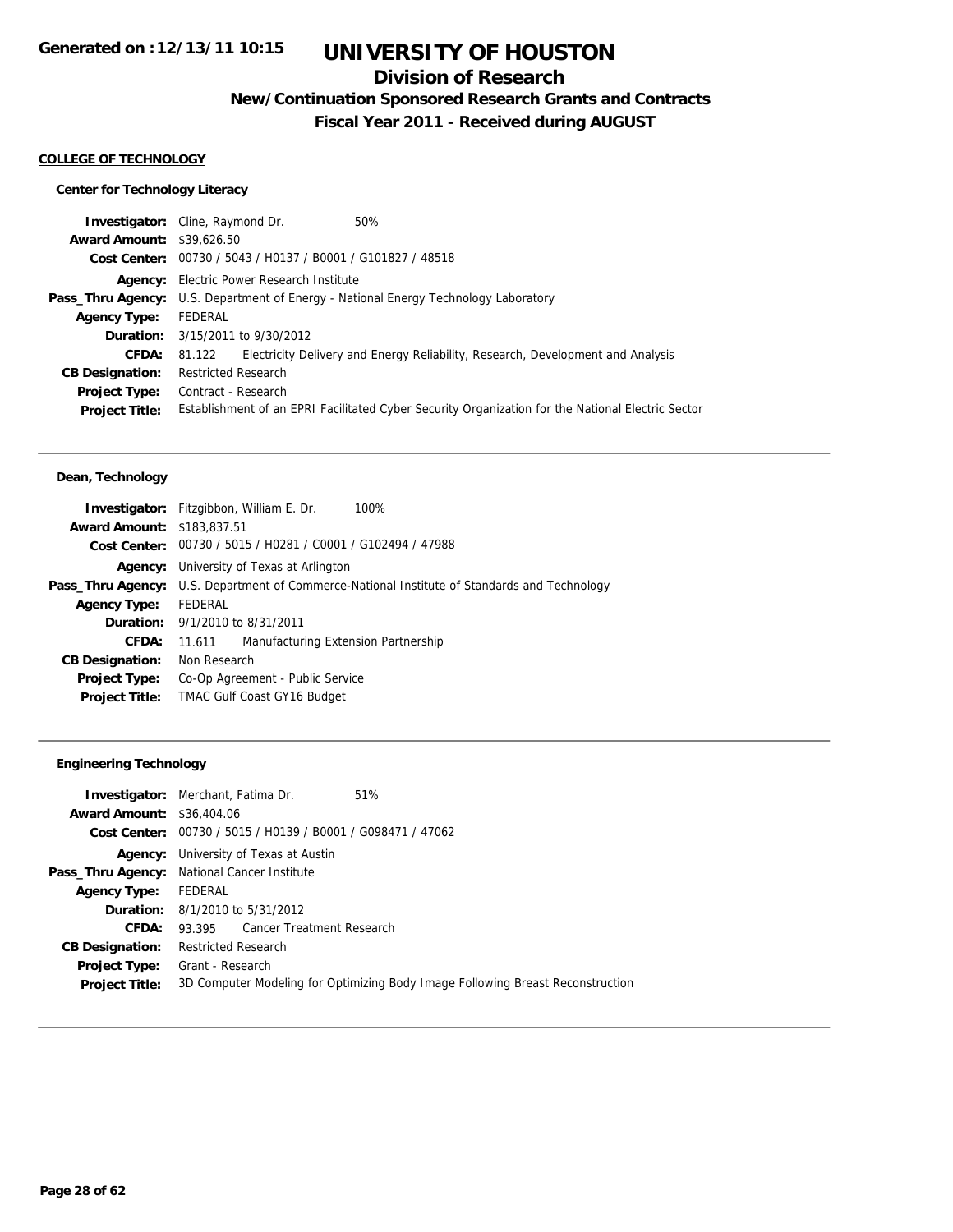## **Division of Research**

**New/Continuation Sponsored Research Grants and Contracts**

**Fiscal Year 2011 - Received during AUGUST**

#### **COLLEGE OF TECHNOLOGY**

### **Center for Technology Literacy**

| <b>Investigator:</b> Cline, Raymond Dr. |                            |                                                  | 50%                                                                                               |
|-----------------------------------------|----------------------------|--------------------------------------------------|---------------------------------------------------------------------------------------------------|
| <b>Award Amount: \$39,626.50</b>        |                            |                                                  |                                                                                                   |
|                                         |                            |                                                  | Cost Center: 00730 / 5043 / H0137 / B0001 / G101827 / 48518                                       |
|                                         |                            | <b>Agency:</b> Electric Power Research Institute |                                                                                                   |
|                                         |                            |                                                  | <b>Pass_Thru Agency:</b> U.S. Department of Energy - National Energy Technology Laboratory        |
| <b>Agency Type:</b>                     | FEDERAL                    |                                                  |                                                                                                   |
|                                         |                            | <b>Duration:</b> 3/15/2011 to 9/30/2012          |                                                                                                   |
| <b>CFDA:</b>                            | 81.122                     |                                                  | Electricity Delivery and Energy Reliability, Research, Development and Analysis                   |
| <b>CB Designation:</b>                  | <b>Restricted Research</b> |                                                  |                                                                                                   |
| <b>Project Type:</b>                    | Contract - Research        |                                                  |                                                                                                   |
| <b>Project Title:</b>                   |                            |                                                  | Establishment of an EPRI Facilitated Cyber Security Organization for the National Electric Sector |
|                                         |                            |                                                  |                                                                                                   |

### **Dean, Technology**

|                                   | 100%<br><b>Investigator:</b> Fitzgibbon, William E. Dr.                    |
|-----------------------------------|----------------------------------------------------------------------------|
| <b>Award Amount: \$183,837.51</b> |                                                                            |
|                                   | Cost Center: 00730 / 5015 / H0281 / C0001 / G102494 / 47988                |
| Agency:                           | University of Texas at Arlington                                           |
| Pass_Thru Agency:                 | U.S. Department of Commerce-National Institute of Standards and Technology |
| <b>Agency Type:</b>               | FEDERAL                                                                    |
|                                   | <b>Duration:</b> $9/1/2010$ to $8/31/2011$                                 |
| CFDA:                             | Manufacturing Extension Partnership<br>11.611                              |
| <b>CB Designation:</b>            | Non Research                                                               |
| <b>Project Type:</b>              | Co-Op Agreement - Public Service                                           |
| <b>Project Title:</b>             | <b>TMAC Gulf Coast GY16 Budget</b>                                         |
|                                   |                                                                            |

### **Engineering Technology**

|                                             | <b>Investigator:</b> Merchant, Fatima Dr.                   | 51%                                                                            |
|---------------------------------------------|-------------------------------------------------------------|--------------------------------------------------------------------------------|
| <b>Award Amount: \$36,404.06</b>            |                                                             |                                                                                |
|                                             | Cost Center: 00730 / 5015 / H0139 / B0001 / G098471 / 47062 |                                                                                |
| Agency:                                     | University of Texas at Austin                               |                                                                                |
| Pass_Thru Agency: National Cancer Institute |                                                             |                                                                                |
| <b>Agency Type:</b>                         | FEDERAL                                                     |                                                                                |
|                                             | <b>Duration:</b> 8/1/2010 to 5/31/2012                      |                                                                                |
| CFDA:                                       | 93.395 Cancer Treatment Research                            |                                                                                |
| <b>CB Designation:</b>                      | <b>Restricted Research</b>                                  |                                                                                |
| <b>Project Type:</b>                        | Grant - Research                                            |                                                                                |
| <b>Project Title:</b>                       |                                                             | 3D Computer Modeling for Optimizing Body Image Following Breast Reconstruction |
|                                             |                                                             |                                                                                |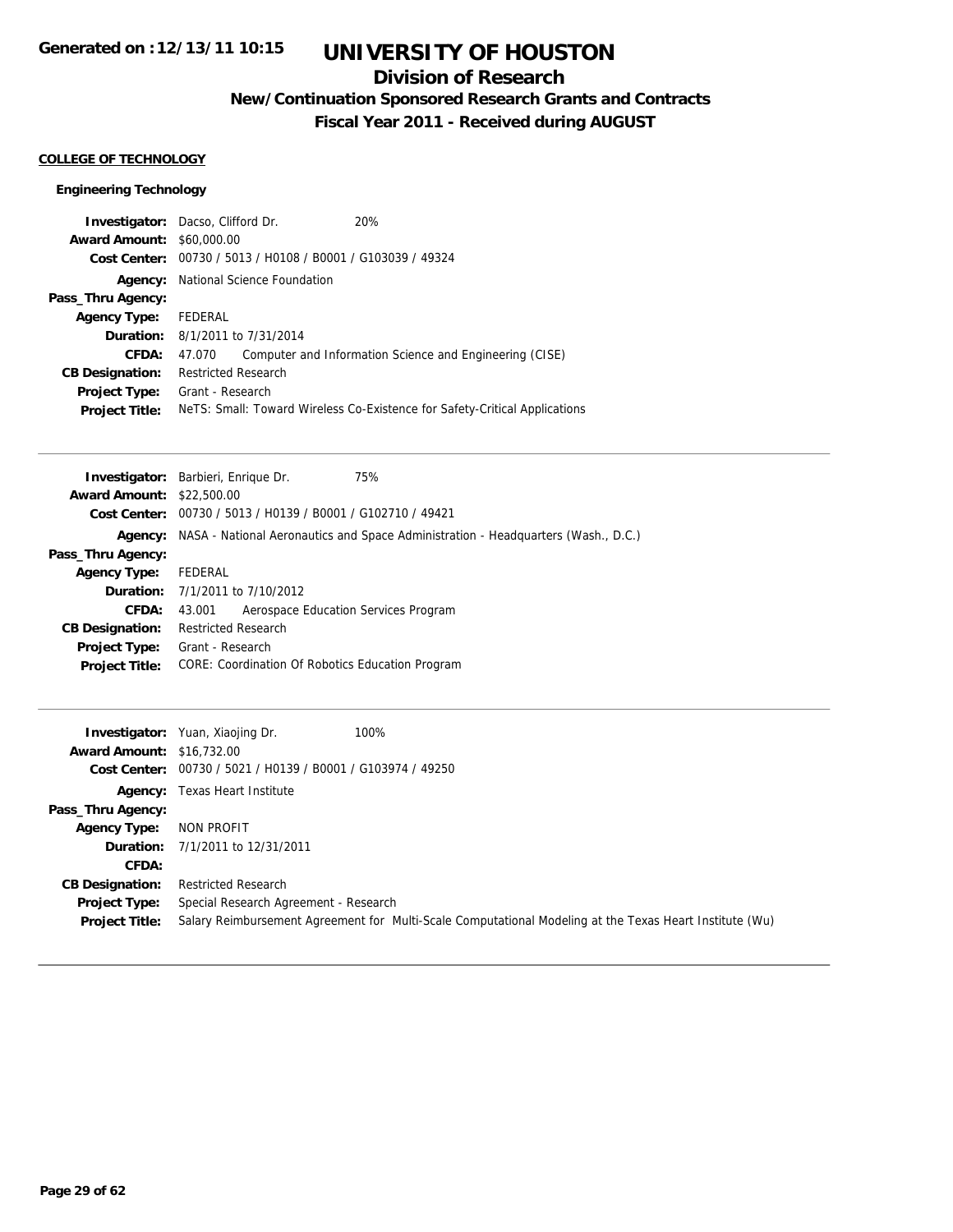## **Division of Research**

**New/Continuation Sponsored Research Grants and Contracts**

**Fiscal Year 2011 - Received during AUGUST**

### **COLLEGE OF TECHNOLOGY**

### **Engineering Technology**

| <b>Investigator:</b> Dacso, Clifford Dr. |                                        |                                                             | 20%                                                                        |
|------------------------------------------|----------------------------------------|-------------------------------------------------------------|----------------------------------------------------------------------------|
| <b>Award Amount: \$60,000.00</b>         |                                        |                                                             |                                                                            |
|                                          |                                        | Cost Center: 00730 / 5013 / H0108 / B0001 / G103039 / 49324 |                                                                            |
| Agency:                                  |                                        | National Science Foundation                                 |                                                                            |
| Pass_Thru Agency:                        |                                        |                                                             |                                                                            |
| <b>Agency Type:</b>                      | FEDERAL                                |                                                             |                                                                            |
|                                          | <b>Duration:</b> 8/1/2011 to 7/31/2014 |                                                             |                                                                            |
| CFDA:                                    | 47.070                                 |                                                             | Computer and Information Science and Engineering (CISE)                    |
| <b>CB Designation:</b>                   | <b>Restricted Research</b>             |                                                             |                                                                            |
| <b>Project Type:</b>                     | Grant - Research                       |                                                             |                                                                            |
| <b>Project Title:</b>                    |                                        |                                                             | Nets: Small: Toward Wireless Co-Existence for Safety-Critical Applications |
|                                          |                                        |                                                             |                                                                            |

|                                  | <b>Investigator:</b> Barbieri, Enrique Dr.                  | 75%                                                                                              |
|----------------------------------|-------------------------------------------------------------|--------------------------------------------------------------------------------------------------|
| <b>Award Amount: \$22,500.00</b> |                                                             |                                                                                                  |
|                                  | Cost Center: 00730 / 5013 / H0139 / B0001 / G102710 / 49421 |                                                                                                  |
|                                  |                                                             | <b>Agency:</b> NASA - National Aeronautics and Space Administration - Headquarters (Wash., D.C.) |
| Pass_Thru Agency:                |                                                             |                                                                                                  |
| <b>Agency Type:</b>              | FEDERAL                                                     |                                                                                                  |
|                                  | <b>Duration:</b> 7/1/2011 to 7/10/2012                      |                                                                                                  |
| CFDA:                            | Aerospace Education Services Program<br>43.001              |                                                                                                  |
| <b>CB Designation:</b>           | <b>Restricted Research</b>                                  |                                                                                                  |
| Project Type:                    | Grant - Research                                            |                                                                                                  |
| <b>Project Title:</b>            | CORE: Coordination Of Robotics Education Program            |                                                                                                  |
|                                  |                                                             |                                                                                                  |

| <b>Award Amount: \$16.732.00</b>       | <b>Investigator:</b> Yuan, Xiaojing Dr.                     | 100%                                                                                                    |
|----------------------------------------|-------------------------------------------------------------|---------------------------------------------------------------------------------------------------------|
|                                        | Cost Center: 00730 / 5021 / H0139 / B0001 / G103974 / 49250 |                                                                                                         |
|                                        | <b>Agency:</b> Texas Heart Institute                        |                                                                                                         |
| Pass_Thru Agency:                      |                                                             |                                                                                                         |
| <b>Agency Type:</b>                    | NON PROFIT                                                  |                                                                                                         |
|                                        | <b>Duration:</b> 7/1/2011 to 12/31/2011                     |                                                                                                         |
| CFDA:                                  |                                                             |                                                                                                         |
| <b>CB Designation:</b>                 | <b>Restricted Research</b>                                  |                                                                                                         |
| Project Type:<br><b>Project Title:</b> | Special Research Agreement - Research                       | Salary Reimbursement Agreement for Multi-Scale Computational Modeling at the Texas Heart Institute (Wu) |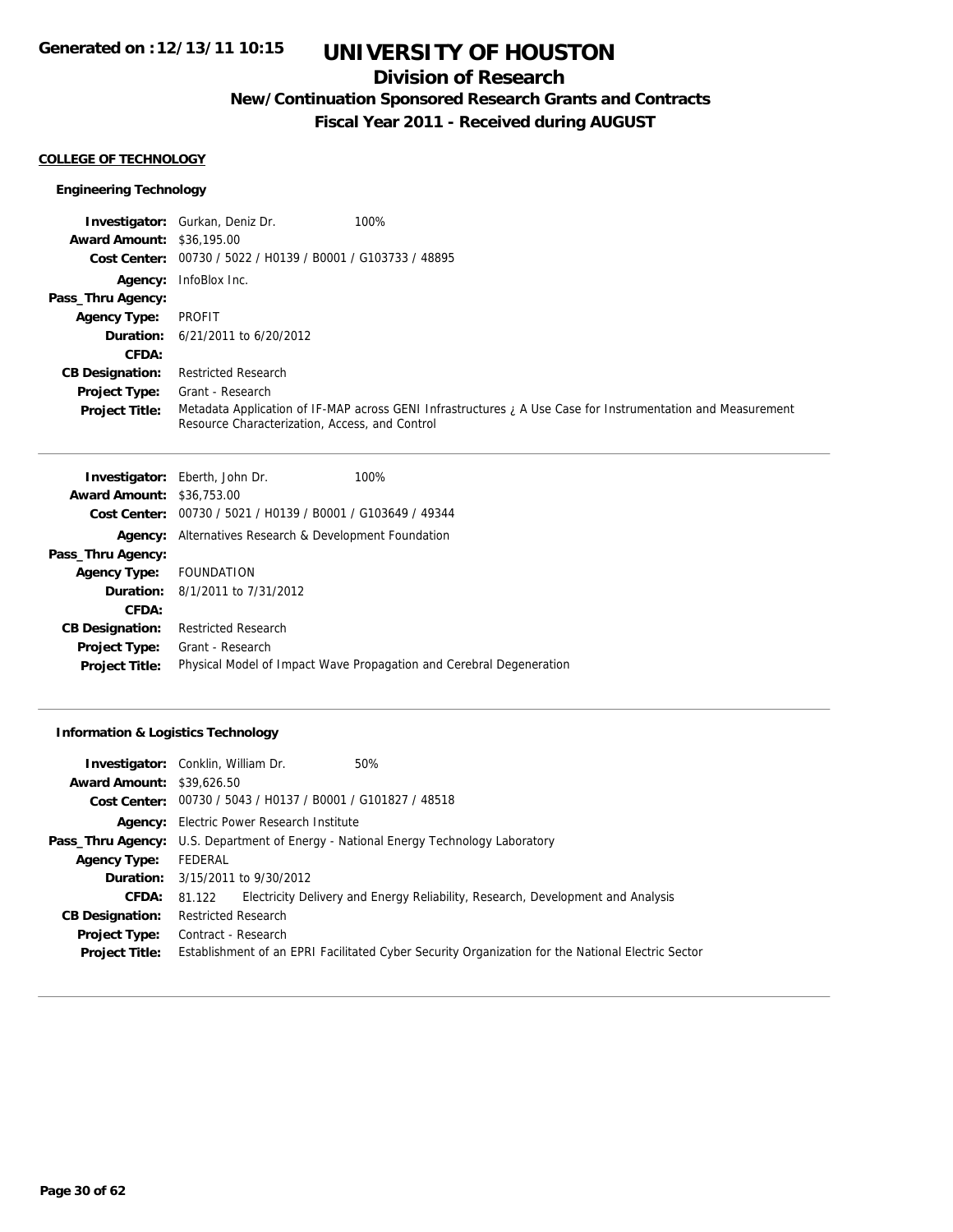## **Division of Research**

**New/Continuation Sponsored Research Grants and Contracts**

**Fiscal Year 2011 - Received during AUGUST**

#### **COLLEGE OF TECHNOLOGY**

### **Engineering Technology**

|                                  | <b>Investigator:</b> Gurkan, Deniz Dr.<br>100%                                                                                                                |
|----------------------------------|---------------------------------------------------------------------------------------------------------------------------------------------------------------|
| <b>Award Amount: \$36,195,00</b> |                                                                                                                                                               |
|                                  | Cost Center: 00730 / 5022 / H0139 / B0001 / G103733 / 48895                                                                                                   |
|                                  | Agency: InfoBlox Inc.                                                                                                                                         |
| Pass_Thru Agency:                |                                                                                                                                                               |
| <b>Agency Type:</b>              | PROFIT                                                                                                                                                        |
|                                  | <b>Duration:</b> $6/21/2011$ to $6/20/2012$                                                                                                                   |
| CFDA:                            |                                                                                                                                                               |
| <b>CB Designation:</b>           | <b>Restricted Research</b>                                                                                                                                    |
| <b>Project Type:</b>             | Grant - Research                                                                                                                                              |
| <b>Project Title:</b>            | Metadata Application of IF-MAP across GENI Infrastructures ; A Use Case for Instrumentation and Measurement<br>Resource Characterization, Access, and Control |

|                                  | <b>Investigator:</b> Eberth, John Dr.<br>100%                       |
|----------------------------------|---------------------------------------------------------------------|
| <b>Award Amount: \$36,753.00</b> |                                                                     |
|                                  | Cost Center: 00730 / 5021 / H0139 / B0001 / G103649 / 49344         |
| Agency:                          | Alternatives Research & Development Foundation                      |
| Pass_Thru Agency:                |                                                                     |
| Agency Type: FOUNDATION          |                                                                     |
|                                  | <b>Duration:</b> 8/1/2011 to 7/31/2012                              |
| CFDA:                            |                                                                     |
| <b>CB Designation:</b>           | <b>Restricted Research</b>                                          |
| <b>Project Type:</b>             | Grant - Research                                                    |
| <b>Project Title:</b>            | Physical Model of Impact Wave Propagation and Cerebral Degeneration |
|                                  |                                                                     |

### **Information & Logistics Technology**

| <b>Investigator:</b> Conklin, William Dr. |                            |                                                             | 50%                                                                                               |
|-------------------------------------------|----------------------------|-------------------------------------------------------------|---------------------------------------------------------------------------------------------------|
| <b>Award Amount: \$39,626.50</b>          |                            |                                                             |                                                                                                   |
|                                           |                            | Cost Center: 00730 / 5043 / H0137 / B0001 / G101827 / 48518 |                                                                                                   |
|                                           |                            | <b>Agency:</b> Electric Power Research Institute            |                                                                                                   |
|                                           |                            |                                                             | <b>Pass_Thru Agency:</b> U.S. Department of Energy - National Energy Technology Laboratory        |
| <b>Agency Type:</b>                       | FEDERAL                    |                                                             |                                                                                                   |
|                                           |                            | <b>Duration:</b> 3/15/2011 to 9/30/2012                     |                                                                                                   |
| <b>CFDA:</b>                              | 81.122                     |                                                             | Electricity Delivery and Energy Reliability, Research, Development and Analysis                   |
| <b>CB Designation:</b>                    | <b>Restricted Research</b> |                                                             |                                                                                                   |
| <b>Project Type:</b>                      | Contract - Research        |                                                             |                                                                                                   |
| <b>Project Title:</b>                     |                            |                                                             | Establishment of an EPRI Facilitated Cyber Security Organization for the National Electric Sector |
|                                           |                            |                                                             |                                                                                                   |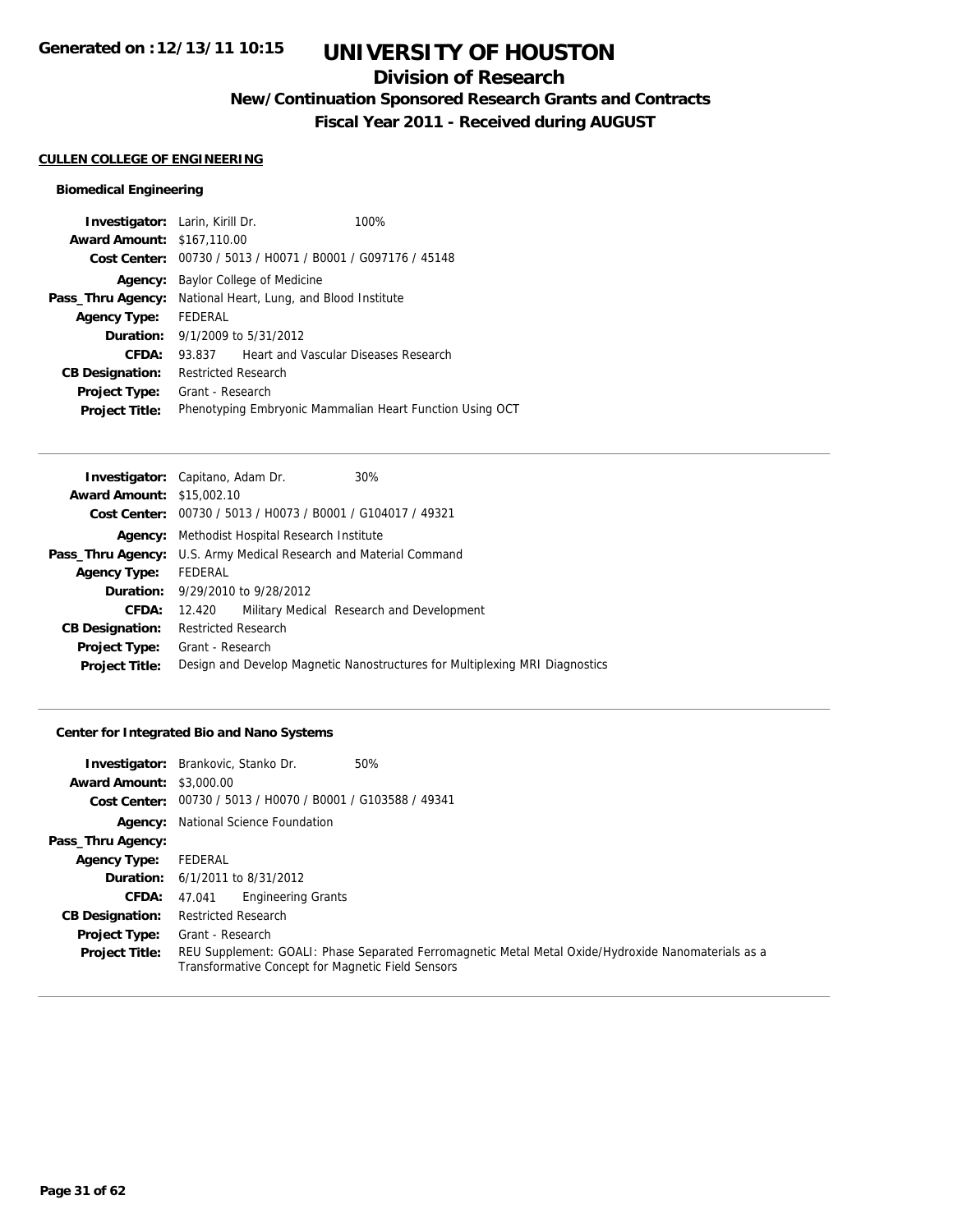## **Division of Research**

**New/Continuation Sponsored Research Grants and Contracts**

**Fiscal Year 2011 - Received during AUGUST**

#### **CULLEN COLLEGE OF ENGINEERING**

### **Biomedical Engineering**

| <b>Investigator:</b> Larin, Kirill Dr. |                                           |                                                | 100%                                                     |
|----------------------------------------|-------------------------------------------|------------------------------------------------|----------------------------------------------------------|
| <b>Award Amount: \$167,110.00</b>      |                                           |                                                |                                                          |
| Cost Center:                           |                                           | 00730 / 5013 / H0071 / B0001 / G097176 / 45148 |                                                          |
| Agency:                                |                                           | Baylor College of Medicine                     |                                                          |
| Pass_Thru Agency:                      | National Heart, Lung, and Blood Institute |                                                |                                                          |
| <b>Agency Type:</b>                    | FEDERAL                                   |                                                |                                                          |
| Duration:                              |                                           | 9/1/2009 to 5/31/2012                          |                                                          |
| CFDA:                                  | 93.837                                    | Heart and Vascular Diseases Research           |                                                          |
| <b>CB Designation:</b>                 | <b>Restricted Research</b>                |                                                |                                                          |
| <b>Project Type:</b>                   | Grant - Research                          |                                                |                                                          |
| <b>Project Title:</b>                  |                                           |                                                | Phenotyping Embryonic Mammalian Heart Function Using OCT |

| <b>Investigator:</b> Capitano, Adam Dr.                           |                            |                                                             | 30%                                                                         |
|-------------------------------------------------------------------|----------------------------|-------------------------------------------------------------|-----------------------------------------------------------------------------|
| <b>Award Amount: \$15,002.10</b>                                  |                            |                                                             |                                                                             |
|                                                                   |                            | Cost Center: 00730 / 5013 / H0073 / B0001 / G104017 / 49321 |                                                                             |
|                                                                   |                            | Agency: Methodist Hospital Research Institute               |                                                                             |
| Pass_Thru Agency: U.S. Army Medical Research and Material Command |                            |                                                             |                                                                             |
| <b>Agency Type:</b>                                               | <b>FEDERAL</b>             |                                                             |                                                                             |
|                                                                   |                            | <b>Duration:</b> 9/29/2010 to 9/28/2012                     |                                                                             |
| CFDA:                                                             | 12.420                     |                                                             | Military Medical Research and Development                                   |
| <b>CB Designation:</b>                                            | <b>Restricted Research</b> |                                                             |                                                                             |
| <b>Project Type:</b>                                              | Grant - Research           |                                                             |                                                                             |
| <b>Project Title:</b>                                             |                            |                                                             | Design and Develop Magnetic Nanostructures for Multiplexing MRI Diagnostics |
|                                                                   |                            |                                                             |                                                                             |

### **Center for Integrated Bio and Nano Systems**

|                                 | 50%<br><b>Investigator:</b> Brankovic, Stanko Dr.                                                                                                        |
|---------------------------------|----------------------------------------------------------------------------------------------------------------------------------------------------------|
| <b>Award Amount: \$3,000.00</b> |                                                                                                                                                          |
|                                 | Cost Center: 00730 / 5013 / H0070 / B0001 / G103588 / 49341                                                                                              |
|                                 | <b>Agency:</b> National Science Foundation                                                                                                               |
| Pass_Thru Agency:               |                                                                                                                                                          |
| <b>Agency Type:</b>             | FEDERAL                                                                                                                                                  |
|                                 | <b>Duration:</b> $6/1/2011$ to $8/31/2012$                                                                                                               |
| <b>CFDA:</b>                    | <b>Engineering Grants</b><br>47.041                                                                                                                      |
| <b>CB Designation:</b>          | <b>Restricted Research</b>                                                                                                                               |
| <b>Project Type:</b>            | Grant - Research                                                                                                                                         |
| <b>Project Title:</b>           | REU Supplement: GOALI: Phase Separated Ferromagnetic Metal Metal Oxide/Hydroxide Nanomaterials as a<br>Transformative Concept for Magnetic Field Sensors |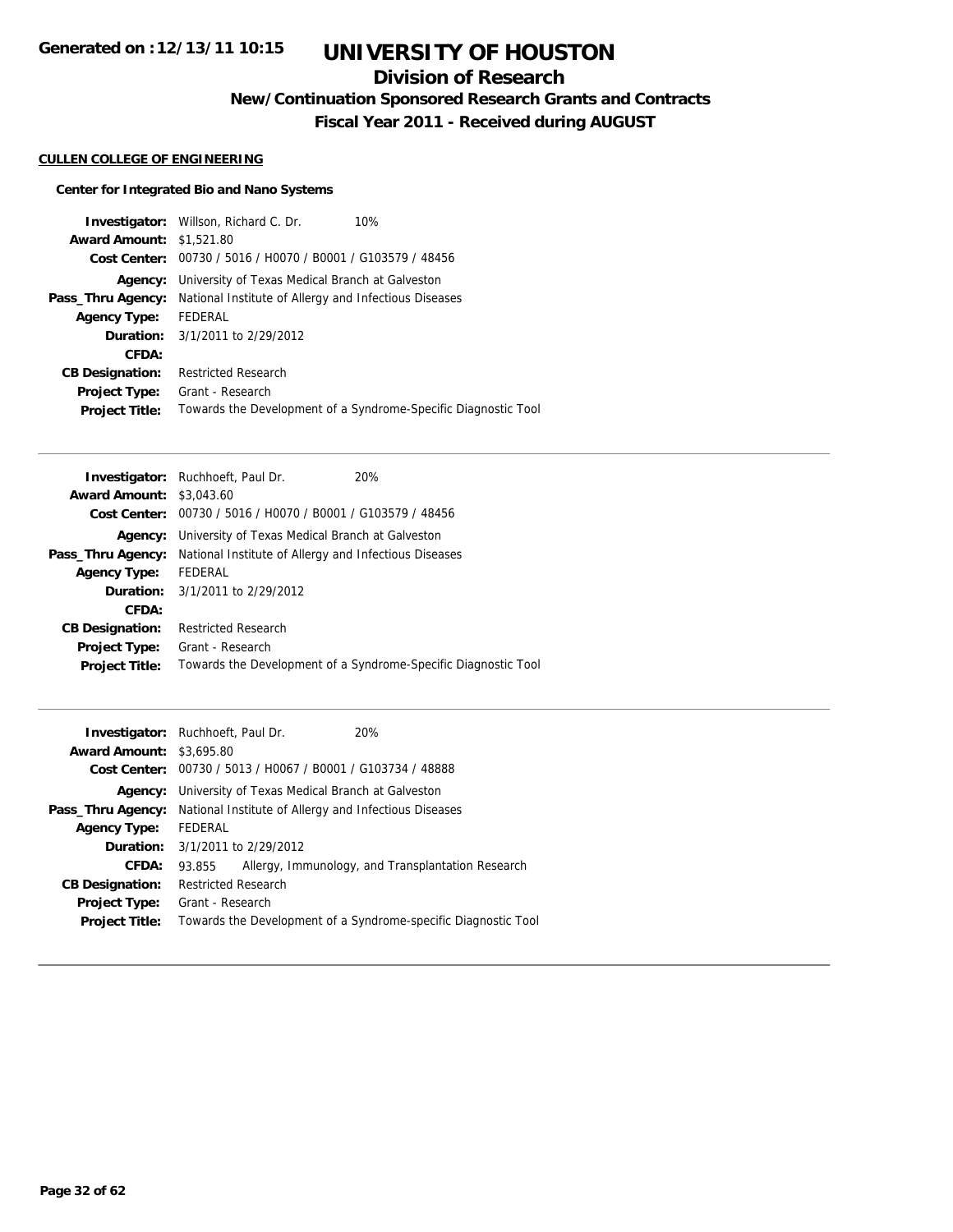## **Division of Research**

**New/Continuation Sponsored Research Grants and Contracts**

**Fiscal Year 2011 - Received during AUGUST**

### **CULLEN COLLEGE OF ENGINEERING**

### **Center for Integrated Bio and Nano Systems**

|                                 | <b>Investigator:</b> Willson, Richard C. Dr.<br>10%            |  |
|---------------------------------|----------------------------------------------------------------|--|
| <b>Award Amount: \$1,521.80</b> |                                                                |  |
| Cost Center:                    | 00730 / 5016 / H0070 / B0001 / G103579 / 48456                 |  |
| Agency:                         | University of Texas Medical Branch at Galveston                |  |
| Pass_Thru Agency:               | National Institute of Allergy and Infectious Diseases          |  |
| <b>Agency Type:</b>             | FEDERAL                                                        |  |
|                                 | <b>Duration:</b> 3/1/2011 to 2/29/2012                         |  |
| CFDA:                           |                                                                |  |
| <b>CB Designation:</b>          | <b>Restricted Research</b>                                     |  |
| <b>Project Type:</b>            | Grant - Research                                               |  |
| <b>Project Title:</b>           | Towards the Development of a Syndrome-Specific Diagnostic Tool |  |

| <b>Investigator:</b> Ruchhoeft, Paul Dr.                                   | 20%                                                            |
|----------------------------------------------------------------------------|----------------------------------------------------------------|
| <b>Award Amount: \$3,043.60</b>                                            |                                                                |
| Cost Center: 00730 / 5016 / H0070 / B0001 / G103579 / 48456                |                                                                |
| <b>Agency:</b> University of Texas Medical Branch at Galveston             |                                                                |
| National Institute of Allergy and Infectious Diseases<br>Pass_Thru Agency: |                                                                |
| FEDERAL                                                                    |                                                                |
| <b>Duration:</b> 3/1/2011 to 2/29/2012                                     |                                                                |
|                                                                            |                                                                |
| <b>Restricted Research</b>                                                 |                                                                |
| Grant - Research                                                           |                                                                |
|                                                                            | Towards the Development of a Syndrome-Specific Diagnostic Tool |
|                                                                            |                                                                |

| <b>Award Amount: \$3,695.80</b> | <b>Investigator:</b> Ruchhoeft, Paul Dr.              | 20%                                                            |  |
|---------------------------------|-------------------------------------------------------|----------------------------------------------------------------|--|
| Cost Center:                    | 00730 / 5013 / H0067 / B0001 / G103734 / 48888        |                                                                |  |
| Agency:                         | University of Texas Medical Branch at Galveston       |                                                                |  |
| Pass_Thru Agency:               | National Institute of Allergy and Infectious Diseases |                                                                |  |
| <b>Agency Type:</b>             | FEDERAL                                               |                                                                |  |
|                                 | <b>Duration:</b> $3/1/2011$ to $2/29/2012$            |                                                                |  |
| CFDA:                           | 93.855                                                | Allergy, Immunology, and Transplantation Research              |  |
| <b>CB Designation:</b>          | <b>Restricted Research</b>                            |                                                                |  |
| <b>Project Type:</b>            | Grant - Research                                      |                                                                |  |
| <b>Project Title:</b>           |                                                       | Towards the Development of a Syndrome-specific Diagnostic Tool |  |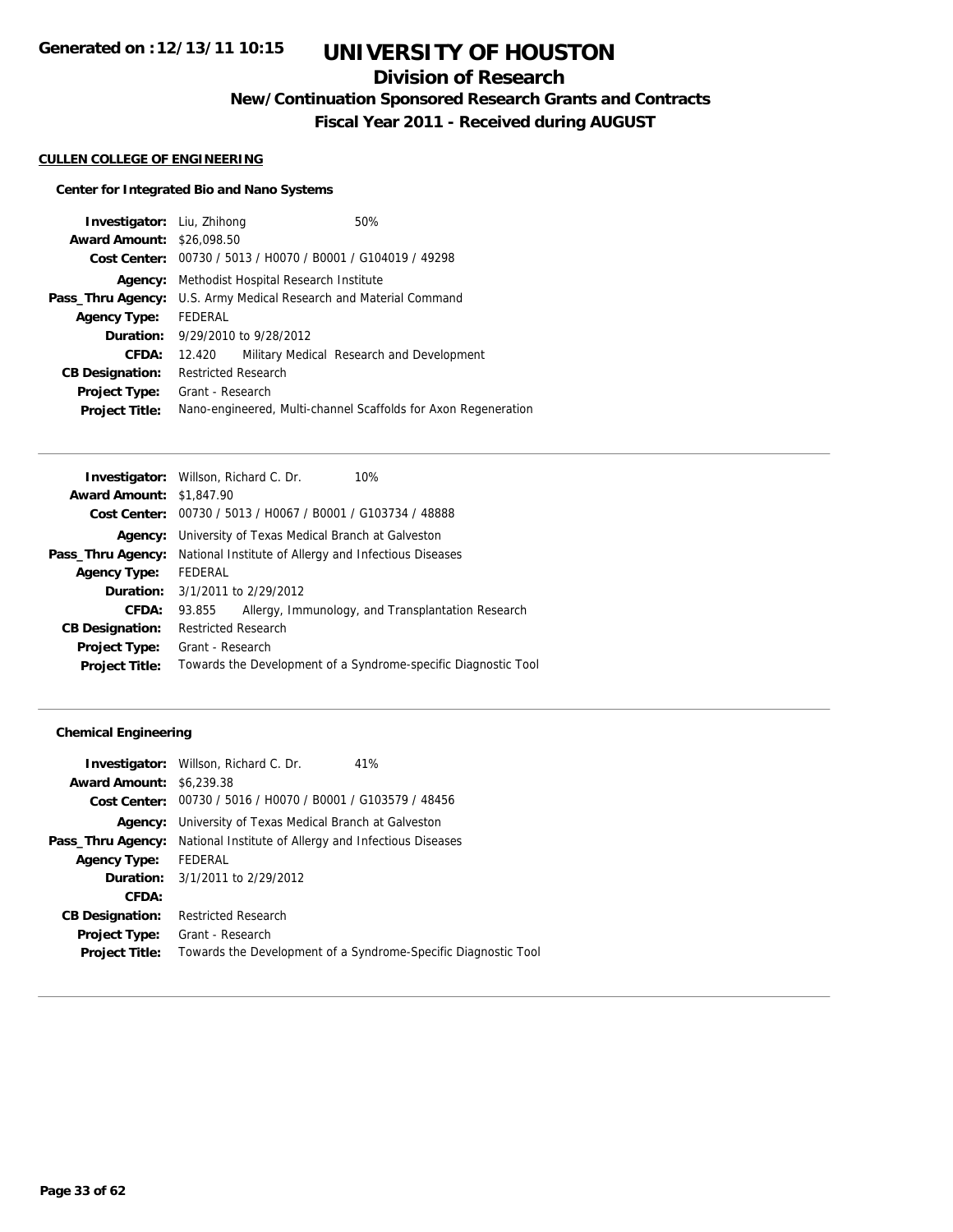## **Division of Research**

**New/Continuation Sponsored Research Grants and Contracts**

**Fiscal Year 2011 - Received during AUGUST**

#### **CULLEN COLLEGE OF ENGINEERING**

### **Center for Integrated Bio and Nano Systems**

| <b>Investigator:</b> Liu, Zhihong |                                                             |                                             | 50%                                                            |
|-----------------------------------|-------------------------------------------------------------|---------------------------------------------|----------------------------------------------------------------|
| <b>Award Amount: \$26,098.50</b>  |                                                             |                                             |                                                                |
|                                   | Cost Center: 00730 / 5013 / H0070 / B0001 / G104019 / 49298 |                                             |                                                                |
| Agency:                           | Methodist Hospital Research Institute                       |                                             |                                                                |
| Pass_Thru Agency:                 |                                                             |                                             | U.S. Army Medical Research and Material Command                |
| <b>Agency Type:</b>               | FEDERAL                                                     |                                             |                                                                |
|                                   |                                                             | <b>Duration:</b> $9/29/2010$ to $9/28/2012$ |                                                                |
| <b>CFDA:</b>                      | 12.420                                                      |                                             | Military Medical Research and Development                      |
| <b>CB Designation:</b>            | <b>Restricted Research</b>                                  |                                             |                                                                |
| <b>Project Type:</b>              | Grant - Research                                            |                                             |                                                                |
| <b>Project Title:</b>             |                                                             |                                             | Nano-engineered, Multi-channel Scaffolds for Axon Regeneration |

|                                 | <b>Investigator:</b> Willson, Richard C. Dr.<br>10%            |
|---------------------------------|----------------------------------------------------------------|
| <b>Award Amount: \$1,847.90</b> |                                                                |
|                                 | Cost Center: 00730 / 5013 / H0067 / B0001 / G103734 / 48888    |
|                                 | <b>Agency:</b> University of Texas Medical Branch at Galveston |
| Pass_Thru Agency:               | National Institute of Allergy and Infectious Diseases          |
| <b>Agency Type:</b>             | FEDERAL                                                        |
|                                 | <b>Duration:</b> $3/1/2011$ to $2/29/2012$                     |
| CFDA:                           | Allergy, Immunology, and Transplantation Research<br>93.855    |
| <b>CB Designation:</b>          | <b>Restricted Research</b>                                     |
| <b>Project Type:</b>            | Grant - Research                                               |
| <b>Project Title:</b>           | Towards the Development of a Syndrome-specific Diagnostic Tool |
|                                 |                                                                |

|                                 | <b>Investigator:</b> Willson, Richard C. Dr.                   | 41%                                                            |
|---------------------------------|----------------------------------------------------------------|----------------------------------------------------------------|
| <b>Award Amount: \$6,239.38</b> |                                                                |                                                                |
|                                 | Cost Center: 00730 / 5016 / H0070 / B0001 / G103579 / 48456    |                                                                |
|                                 | <b>Agency:</b> University of Texas Medical Branch at Galveston |                                                                |
| Pass_Thru Agency:               | National Institute of Allergy and Infectious Diseases          |                                                                |
| Agency Type:                    | FEDERAL                                                        |                                                                |
|                                 | <b>Duration:</b> 3/1/2011 to 2/29/2012                         |                                                                |
| CFDA:                           |                                                                |                                                                |
| <b>CB Designation:</b>          | <b>Restricted Research</b>                                     |                                                                |
| Project Type:                   | Grant - Research                                               |                                                                |
| <b>Project Title:</b>           |                                                                | Towards the Development of a Syndrome-Specific Diagnostic Tool |
|                                 |                                                                |                                                                |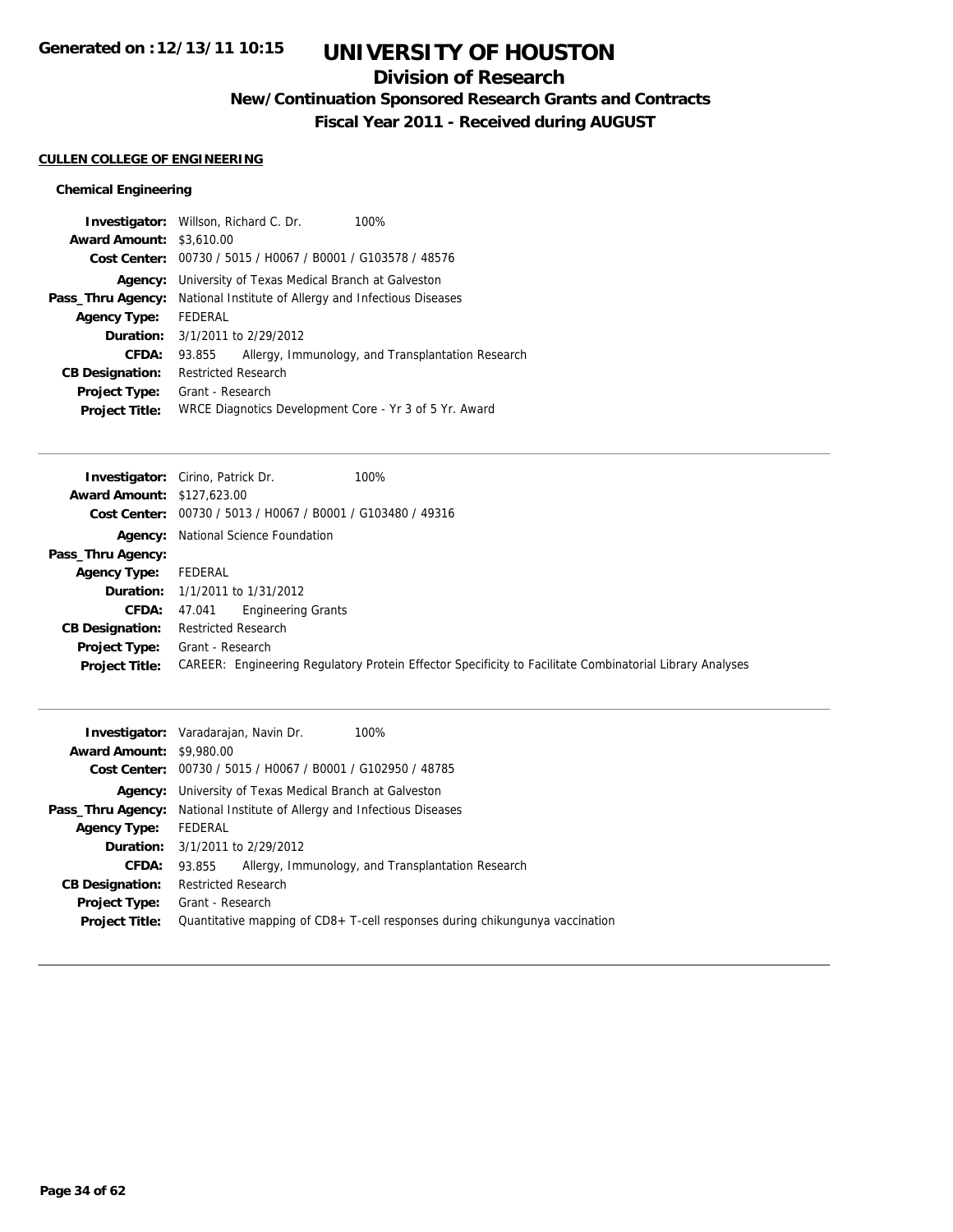## **Division of Research**

**New/Continuation Sponsored Research Grants and Contracts**

**Fiscal Year 2011 - Received during AUGUST**

### **CULLEN COLLEGE OF ENGINEERING**

|                                 | <b>Investigator:</b> Willson, Richard C. Dr.<br>100%        |  |  |
|---------------------------------|-------------------------------------------------------------|--|--|
| <b>Award Amount: \$3,610.00</b> |                                                             |  |  |
|                                 | Cost Center: 00730 / 5015 / H0067 / B0001 / G103578 / 48576 |  |  |
| Agency:                         | University of Texas Medical Branch at Galveston             |  |  |
| Pass_Thru Agency:               | National Institute of Allergy and Infectious Diseases       |  |  |
| <b>Agency Type:</b>             | FEDERAL                                                     |  |  |
|                                 | <b>Duration:</b> 3/1/2011 to 2/29/2012                      |  |  |
| CFDA:                           | Allergy, Immunology, and Transplantation Research<br>93.855 |  |  |
| <b>CB Designation:</b>          | <b>Restricted Research</b>                                  |  |  |
| <b>Project Type:</b>            | Grant - Research                                            |  |  |
| <b>Project Title:</b>           | WRCE Diagnotics Development Core - Yr 3 of 5 Yr. Award      |  |  |

|                                   | 100%<br><b>Investigator:</b> Cirino, Patrick Dr.                                                         |
|-----------------------------------|----------------------------------------------------------------------------------------------------------|
| <b>Award Amount: \$127,623.00</b> |                                                                                                          |
|                                   | Cost Center: 00730 / 5013 / H0067 / B0001 / G103480 / 49316                                              |
|                                   | <b>Agency:</b> National Science Foundation                                                               |
| Pass_Thru Agency:                 |                                                                                                          |
| <b>Agency Type:</b>               | FEDERAL                                                                                                  |
|                                   | <b>Duration:</b> 1/1/2011 to 1/31/2012                                                                   |
| <b>CFDA:</b>                      | <b>Engineering Grants</b><br>47.041                                                                      |
| <b>CB Designation:</b>            | <b>Restricted Research</b>                                                                               |
| Project Type:                     | Grant - Research                                                                                         |
| <b>Project Title:</b>             | CAREER: Engineering Regulatory Protein Effector Specificity to Facilitate Combinatorial Library Analyses |
|                                   |                                                                                                          |

|                                 | 100%<br><b>Investigator:</b> Varadarajan, Navin Dr.                            |
|---------------------------------|--------------------------------------------------------------------------------|
| <b>Award Amount: \$9,980.00</b> |                                                                                |
|                                 | Cost Center: 00730 / 5015 / H0067 / B0001 / G102950 / 48785                    |
| Agency:                         | University of Texas Medical Branch at Galveston                                |
|                                 | <b>Pass_Thru Agency:</b> National Institute of Allergy and Infectious Diseases |
| <b>Agency Type:</b>             | FEDERAL                                                                        |
| Duration:                       | 3/1/2011 to 2/29/2012                                                          |
| <b>CFDA:</b>                    | Allergy, Immunology, and Transplantation Research<br>93.855                    |
| <b>CB Designation:</b>          | <b>Restricted Research</b>                                                     |
| Project Type:                   | Grant - Research                                                               |
| <b>Project Title:</b>           | Quantitative mapping of CD8+ T-cell responses during chikungunya vaccination   |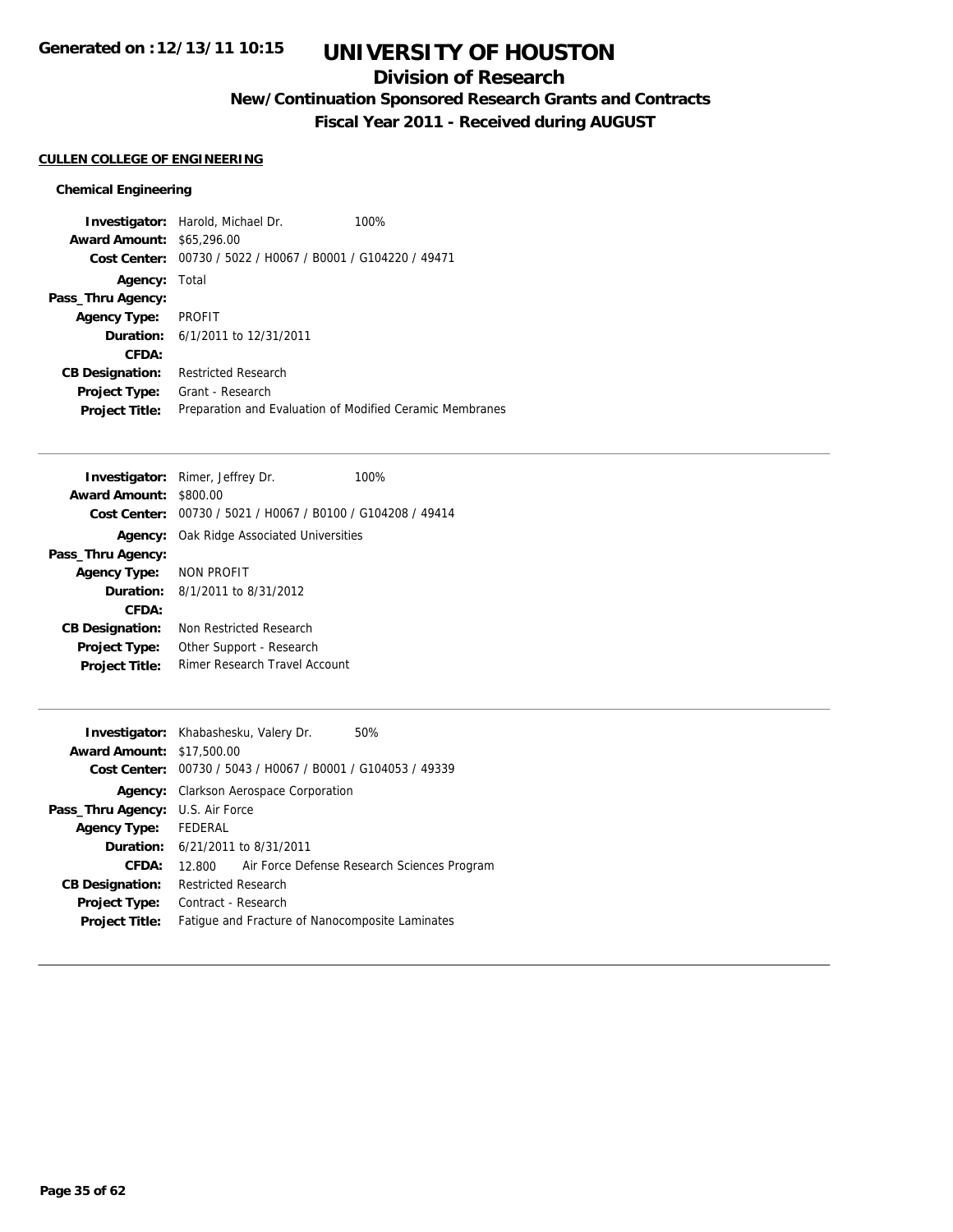## **Division of Research**

**New/Continuation Sponsored Research Grants and Contracts**

**Fiscal Year 2011 - Received during AUGUST**

### **CULLEN COLLEGE OF ENGINEERING**

| <b>Award Amount:</b>   | <b>Investigator:</b> Harold, Michael Dr.<br>\$65,296.00  | 100% |
|------------------------|----------------------------------------------------------|------|
| Cost Center:           | 00730 / 5022 / H0067 / B0001 / G104220 / 49471           |      |
| Agency:                | Total                                                    |      |
| Pass_Thru Agency:      |                                                          |      |
| <b>Agency Type:</b>    | <b>PROFIT</b>                                            |      |
|                        | <b>Duration:</b> 6/1/2011 to 12/31/2011                  |      |
| CFDA:                  |                                                          |      |
| <b>CB Designation:</b> | <b>Restricted Research</b>                               |      |
| <b>Project Type:</b>   | Grant - Research                                         |      |
| <b>Project Title:</b>  | Preparation and Evaluation of Modified Ceramic Membranes |      |

| <b>Award Amount:</b><br>\$800.00<br>Cost Center: 00730 / 5021 / H0067 / B0100 / G104208 / 49414 |  |
|-------------------------------------------------------------------------------------------------|--|
|                                                                                                 |  |
|                                                                                                 |  |
| <b>Agency:</b> Oak Ridge Associated Universities                                                |  |
| Pass_Thru Agency:                                                                               |  |
| NON PROFIT<br><b>Agency Type:</b>                                                               |  |
| <b>Duration:</b> 8/1/2011 to 8/31/2012                                                          |  |
| CFDA:                                                                                           |  |
| Non Restricted Research<br><b>CB Designation:</b>                                               |  |
| Other Support - Research<br><b>Project Type:</b>                                                |  |
| Rimer Research Travel Account<br><b>Project Title:</b>                                          |  |

|                                         | <b>Investigator:</b> Khabashesku, Valery Dr.<br>50%         |
|-----------------------------------------|-------------------------------------------------------------|
| <b>Award Amount: \$17,500.00</b>        |                                                             |
|                                         | Cost Center: 00730 / 5043 / H0067 / B0001 / G104053 / 49339 |
|                                         | Agency: Clarkson Aerospace Corporation                      |
| <b>Pass_Thru Agency:</b> U.S. Air Force |                                                             |
| Agency Type: FEDERAL                    |                                                             |
|                                         | <b>Duration:</b> 6/21/2011 to 8/31/2011                     |
| CFDA:                                   | 12.800 Air Force Defense Research Sciences Program          |
| <b>CB Designation:</b>                  | <b>Restricted Research</b>                                  |
| Project Type:                           | Contract - Research                                         |
| <b>Project Title:</b>                   | Fatique and Fracture of Nanocomposite Laminates             |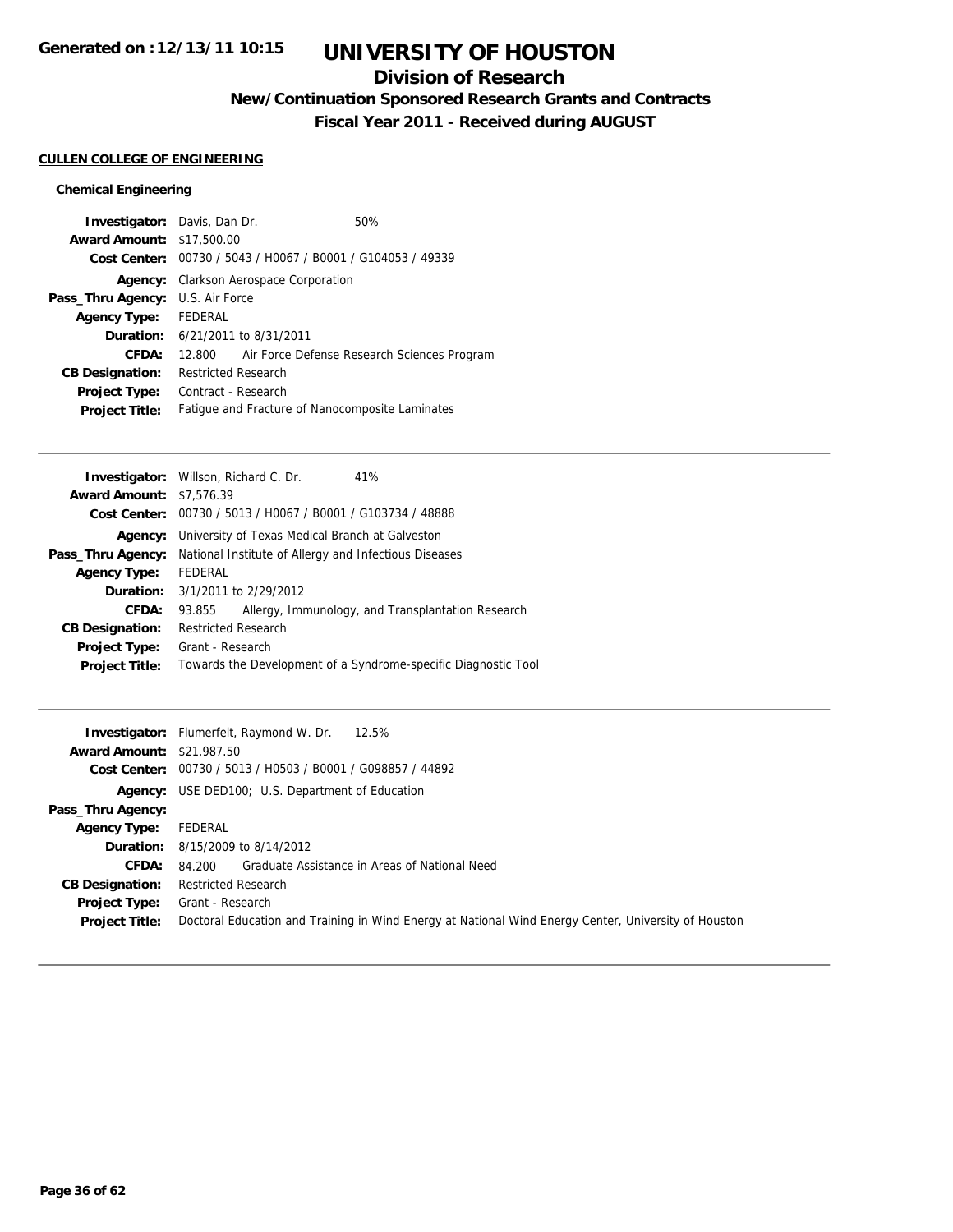## **Division of Research**

**New/Continuation Sponsored Research Grants and Contracts**

**Fiscal Year 2011 - Received during AUGUST**

### **CULLEN COLLEGE OF ENGINEERING**

| <b>Investigator:</b> Davis, Dan Dr.     |                            |                                               | 50%                                                         |
|-----------------------------------------|----------------------------|-----------------------------------------------|-------------------------------------------------------------|
| <b>Award Amount: \$17,500.00</b>        |                            |                                               |                                                             |
|                                         |                            |                                               | Cost Center: 00730 / 5043 / H0067 / B0001 / G104053 / 49339 |
|                                         |                            | <b>Agency:</b> Clarkson Aerospace Corporation |                                                             |
| <b>Pass_Thru Agency:</b> U.S. Air Force |                            |                                               |                                                             |
| Agency Type: FEDERAL                    |                            |                                               |                                                             |
| <b>Duration:</b> 6/21/2011 to 8/31/2011 |                            |                                               |                                                             |
| CFDA:                                   |                            |                                               | 12.800 Air Force Defense Research Sciences Program          |
| <b>CB Designation:</b>                  | <b>Restricted Research</b> |                                               |                                                             |
| Project Type:                           | Contract - Research        |                                               |                                                             |
| <b>Project Title:</b>                   |                            |                                               | Fatigue and Fracture of Nanocomposite Laminates             |

|                                 | <b>Investigator:</b> Willson, Richard C. Dr.                | 41%                                                            |
|---------------------------------|-------------------------------------------------------------|----------------------------------------------------------------|
| <b>Award Amount: \$7,576.39</b> |                                                             |                                                                |
|                                 | Cost Center: 00730 / 5013 / H0067 / B0001 / G103734 / 48888 |                                                                |
| Agency:                         | University of Texas Medical Branch at Galveston             |                                                                |
| Pass_Thru Agency:               | National Institute of Allergy and Infectious Diseases       |                                                                |
| <b>Agency Type:</b>             | FEDERAL                                                     |                                                                |
|                                 | <b>Duration:</b> 3/1/2011 to 2/29/2012                      |                                                                |
| CFDA:                           | 93.855                                                      | Allergy, Immunology, and Transplantation Research              |
| <b>CB Designation:</b>          | <b>Restricted Research</b>                                  |                                                                |
| Project Type:                   | Grant - Research                                            |                                                                |
| <b>Project Title:</b>           |                                                             | Towards the Development of a Syndrome-specific Diagnostic Tool |
|                                 |                                                             |                                                                |

| <b>Award Amount: \$21,987.50</b> | <b>Investigator:</b> Flumerfelt, Raymond W. Dr. 12.5%<br>Cost Center: 00730 / 5013 / H0503 / B0001 / G098857 / 44892 |
|----------------------------------|----------------------------------------------------------------------------------------------------------------------|
|                                  | <b>Agency:</b> USE DED100; U.S. Department of Education                                                              |
| Pass_Thru Agency:                |                                                                                                                      |
| <b>Agency Type:</b>              | FEDERAL                                                                                                              |
|                                  | <b>Duration:</b> 8/15/2009 to 8/14/2012                                                                              |
| <b>CFDA:</b>                     | 84.200 Graduate Assistance in Areas of National Need                                                                 |
| <b>CB Designation:</b>           | <b>Restricted Research</b>                                                                                           |
| Project Type:                    | Grant - Research                                                                                                     |
| <b>Project Title:</b>            | Doctoral Education and Training in Wind Energy at National Wind Energy Center, University of Houston                 |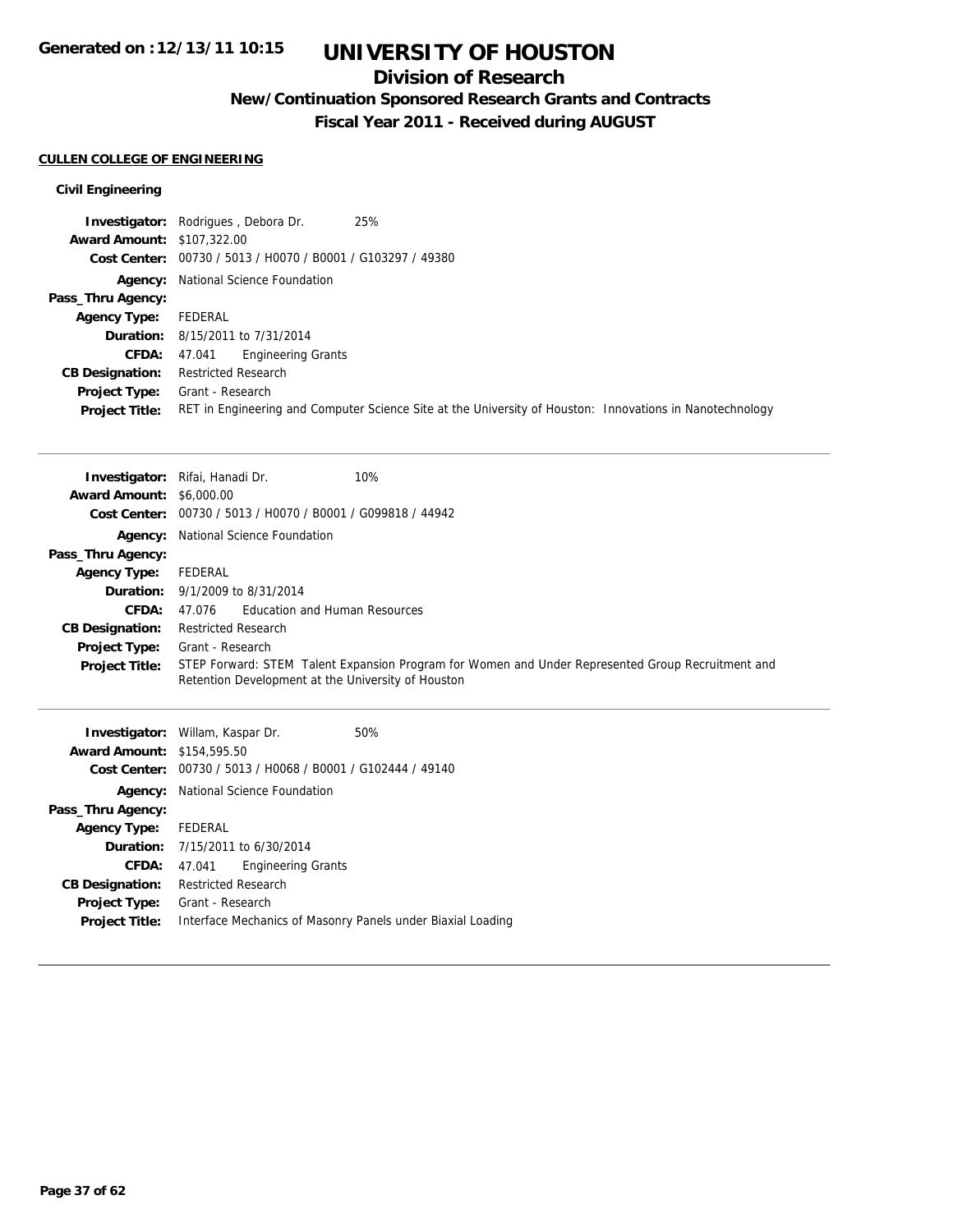## **Division of Research**

**New/Continuation Sponsored Research Grants and Contracts**

**Fiscal Year 2011 - Received during AUGUST**

### **CULLEN COLLEGE OF ENGINEERING**

### **Civil Engineering**

|                                   | 25%<br><b>Investigator:</b> Rodrigues, Debora Dr.                                                        |
|-----------------------------------|----------------------------------------------------------------------------------------------------------|
| <b>Award Amount: \$107,322.00</b> |                                                                                                          |
|                                   | Cost Center: 00730 / 5013 / H0070 / B0001 / G103297 / 49380                                              |
|                                   | <b>Agency:</b> National Science Foundation                                                               |
| Pass_Thru Agency:                 |                                                                                                          |
| <b>Agency Type:</b>               | FEDERAL                                                                                                  |
|                                   | <b>Duration:</b> 8/15/2011 to 7/31/2014                                                                  |
| <b>CFDA:</b>                      | Engineering Grants<br>47.041                                                                             |
| <b>CB Designation:</b>            | <b>Restricted Research</b>                                                                               |
| <b>Project Type:</b>              | Grant - Research                                                                                         |
| <b>Project Title:</b>             | RET in Engineering and Computer Science Site at the University of Houston: Innovations in Nanotechnology |

|                                 | 10%<br><b>Investigator:</b> Rifai, Hanadi Dr.                                                                                                           |
|---------------------------------|---------------------------------------------------------------------------------------------------------------------------------------------------------|
| <b>Award Amount: \$6,000.00</b> |                                                                                                                                                         |
|                                 | Cost Center: 00730 / 5013 / H0070 / B0001 / G099818 / 44942                                                                                             |
|                                 | <b>Agency:</b> National Science Foundation                                                                                                              |
| Pass_Thru Agency:               |                                                                                                                                                         |
| <b>Agency Type:</b>             | FEDERAL                                                                                                                                                 |
|                                 | <b>Duration:</b> 9/1/2009 to 8/31/2014                                                                                                                  |
| <b>CFDA:</b>                    | 47.076 Education and Human Resources                                                                                                                    |
| <b>CB Designation:</b>          | <b>Restricted Research</b>                                                                                                                              |
| Project Type:                   | Grant - Research                                                                                                                                        |
| <b>Project Title:</b>           | STEP Forward: STEM Talent Expansion Program for Women and Under Represented Group Recruitment and<br>Retention Development at the University of Houston |

|                                   | 50%                                                                                                                                                                                                                                                                                                                                    |
|-----------------------------------|----------------------------------------------------------------------------------------------------------------------------------------------------------------------------------------------------------------------------------------------------------------------------------------------------------------------------------------|
| <b>Award Amount: \$154,595.50</b> |                                                                                                                                                                                                                                                                                                                                        |
|                                   |                                                                                                                                                                                                                                                                                                                                        |
|                                   |                                                                                                                                                                                                                                                                                                                                        |
|                                   |                                                                                                                                                                                                                                                                                                                                        |
| Agency Type: FEDERAL              |                                                                                                                                                                                                                                                                                                                                        |
|                                   |                                                                                                                                                                                                                                                                                                                                        |
| 47.041                            |                                                                                                                                                                                                                                                                                                                                        |
|                                   |                                                                                                                                                                                                                                                                                                                                        |
|                                   |                                                                                                                                                                                                                                                                                                                                        |
|                                   |                                                                                                                                                                                                                                                                                                                                        |
|                                   | <b>Investigator:</b> Willam, Kaspar Dr.<br>Cost Center: 00730 / 5013 / H0068 / B0001 / G102444 / 49140<br>Agency: National Science Foundation<br><b>Duration:</b> 7/15/2011 to 6/30/2014<br><b>Engineering Grants</b><br><b>Restricted Research</b><br>Grant - Research<br>Interface Mechanics of Masonry Panels under Biaxial Loading |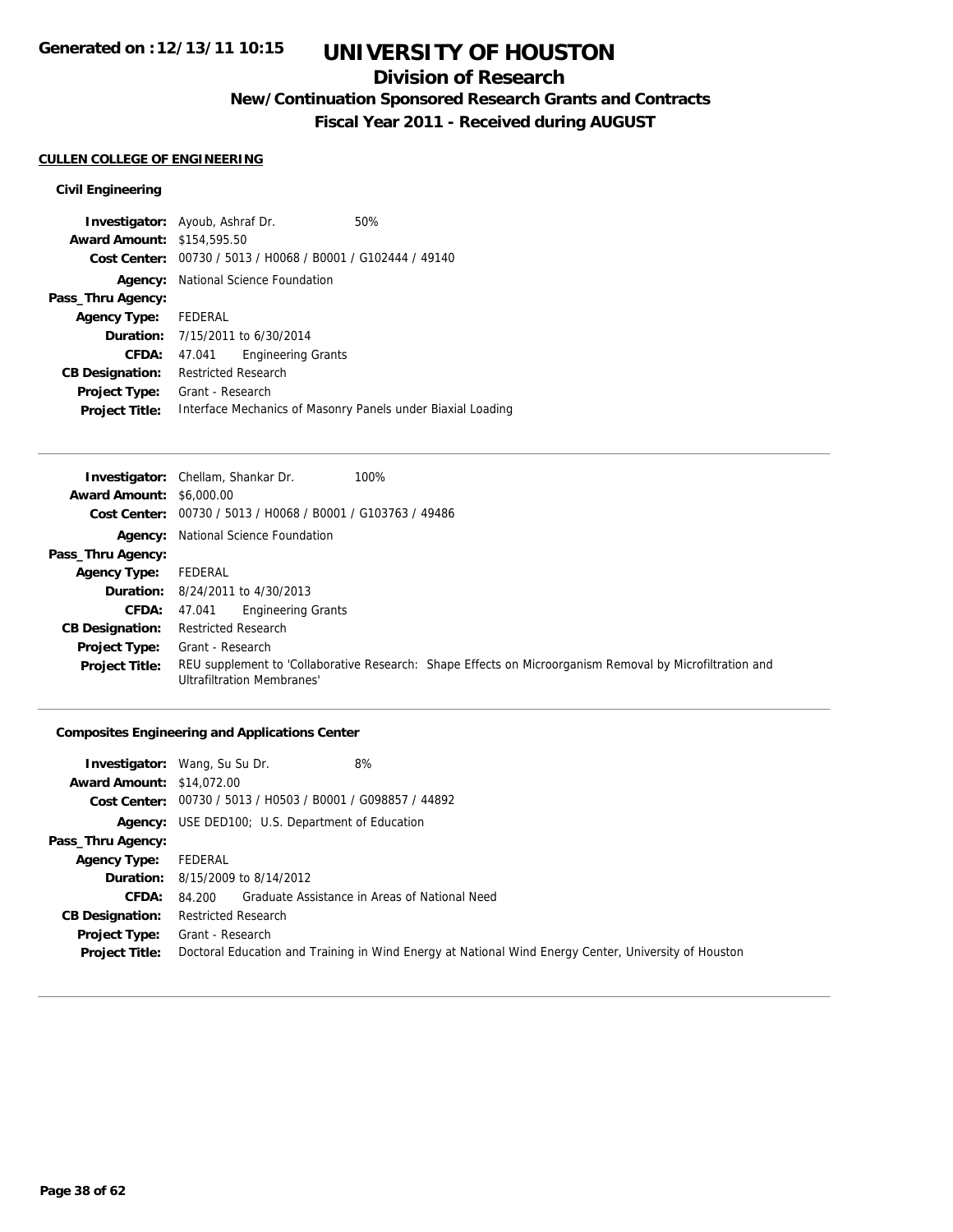## **Division of Research**

**New/Continuation Sponsored Research Grants and Contracts**

**Fiscal Year 2011 - Received during AUGUST**

### **CULLEN COLLEGE OF ENGINEERING**

### **Civil Engineering**

|                                   | <b>Investigator:</b> Ayoub, Ashraf Dr.                      | 50%                                                         |
|-----------------------------------|-------------------------------------------------------------|-------------------------------------------------------------|
| <b>Award Amount: \$154,595.50</b> |                                                             |                                                             |
|                                   | Cost Center: 00730 / 5013 / H0068 / B0001 / G102444 / 49140 |                                                             |
|                                   | <b>Agency:</b> National Science Foundation                  |                                                             |
| Pass_Thru Agency:                 |                                                             |                                                             |
| Agency Type: FEDERAL              |                                                             |                                                             |
|                                   | <b>Duration:</b> 7/15/2011 to 6/30/2014                     |                                                             |
| CFDA:                             | <b>Engineering Grants</b><br>47.041                         |                                                             |
| <b>CB Designation:</b>            | <b>Restricted Research</b>                                  |                                                             |
| Project Type:                     | Grant - Research                                            |                                                             |
| <b>Project Title:</b>             |                                                             | Interface Mechanics of Masonry Panels under Biaxial Loading |

|                                 | 100%<br><b>Investigator:</b> Chellam, Shankar Dr.                                                                                             |
|---------------------------------|-----------------------------------------------------------------------------------------------------------------------------------------------|
| <b>Award Amount: \$6,000.00</b> |                                                                                                                                               |
|                                 | Cost Center: $00730 / 5013 / 40068 / 80001 / 6103763 / 49486$                                                                                 |
|                                 | <b>Agency:</b> National Science Foundation                                                                                                    |
| Pass_Thru Agency:               |                                                                                                                                               |
| <b>Agency Type:</b>             | FEDERAL                                                                                                                                       |
|                                 | <b>Duration:</b> 8/24/2011 to 4/30/2013                                                                                                       |
| <b>CFDA:</b>                    | <b>Engineering Grants</b><br>47.041                                                                                                           |
| <b>CB Designation:</b>          | <b>Restricted Research</b>                                                                                                                    |
| <b>Project Type:</b>            | Grant - Research                                                                                                                              |
| <b>Project Title:</b>           | REU supplement to 'Collaborative Research: Shape Effects on Microorganism Removal by Microfiltration and<br><b>Ultrafiltration Membranes'</b> |

### **Composites Engineering and Applications Center**

|                                  | 8%<br><b>Investigator:</b> Wang, Su Su Dr.                                                           |
|----------------------------------|------------------------------------------------------------------------------------------------------|
| <b>Award Amount: \$14,072.00</b> |                                                                                                      |
|                                  | Cost Center: 00730 / 5013 / H0503 / B0001 / G098857 / 44892                                          |
|                                  | <b>Agency:</b> USE DED100; U.S. Department of Education                                              |
| Pass_Thru Agency:                |                                                                                                      |
| <b>Agency Type:</b>              | FEDERAL                                                                                              |
|                                  | <b>Duration:</b> 8/15/2009 to 8/14/2012                                                              |
| <b>CFDA:</b>                     | 84.200 Graduate Assistance in Areas of National Need                                                 |
| <b>CB Designation:</b>           | <b>Restricted Research</b>                                                                           |
| Project Type:                    | Grant - Research                                                                                     |
| <b>Project Title:</b>            | Doctoral Education and Training in Wind Energy at National Wind Energy Center, University of Houston |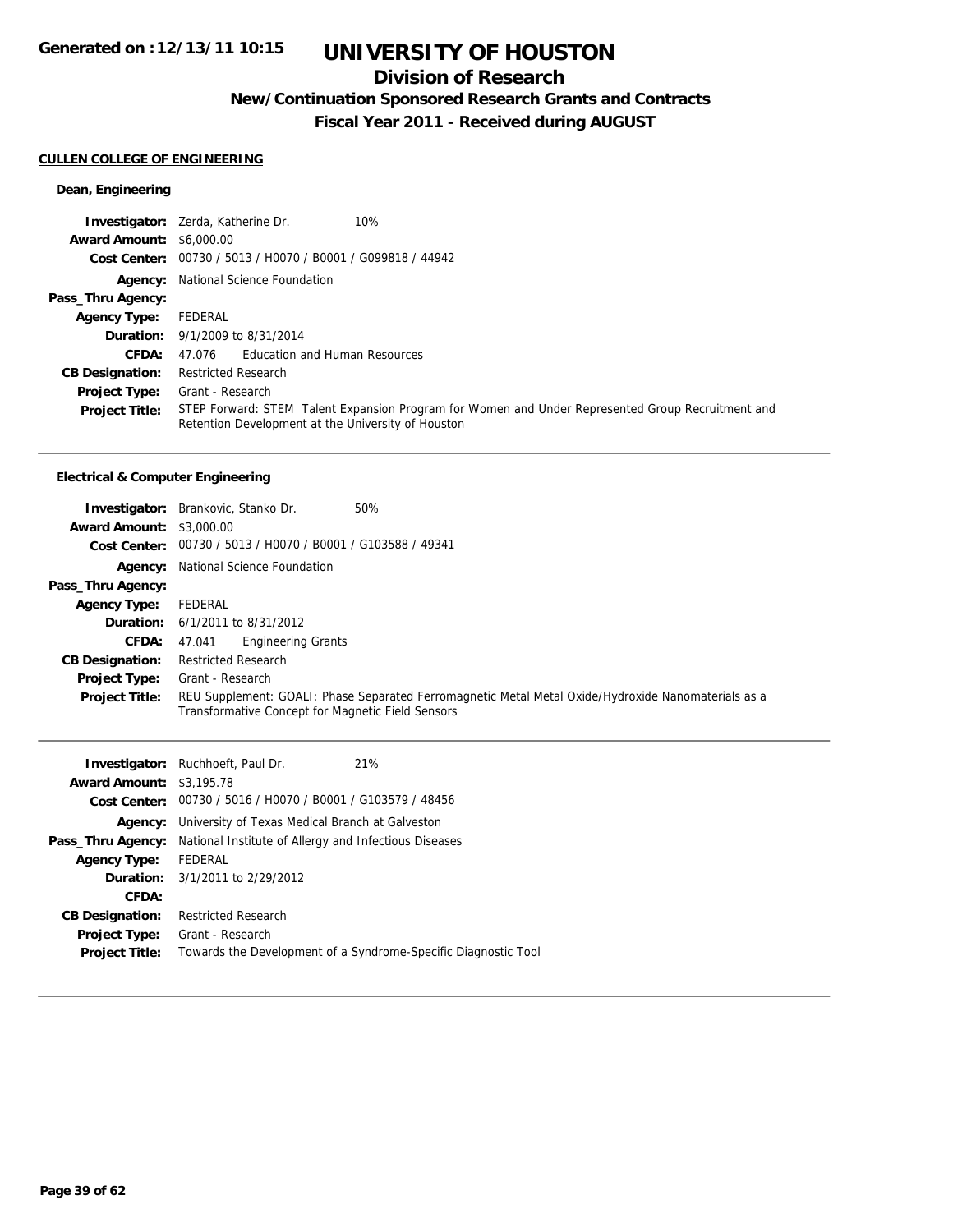## **Division of Research**

**New/Continuation Sponsored Research Grants and Contracts**

**Fiscal Year 2011 - Received during AUGUST**

### **CULLEN COLLEGE OF ENGINEERING**

### **Dean, Engineering**

|                                 | 10%<br><b>Investigator:</b> Zerda, Katherine Dr.                                                                                                        |
|---------------------------------|---------------------------------------------------------------------------------------------------------------------------------------------------------|
| <b>Award Amount: \$6,000.00</b> |                                                                                                                                                         |
|                                 | Cost Center: 00730 / 5013 / H0070 / B0001 / G099818 / 44942                                                                                             |
|                                 | <b>Agency:</b> National Science Foundation                                                                                                              |
| Pass_Thru Agency:               |                                                                                                                                                         |
| <b>Agency Type:</b>             | FEDERAL                                                                                                                                                 |
|                                 | <b>Duration:</b> 9/1/2009 to 8/31/2014                                                                                                                  |
| CFDA:                           | 47.076 Education and Human Resources                                                                                                                    |
| <b>CB Designation:</b>          | <b>Restricted Research</b>                                                                                                                              |
| <b>Project Type:</b>            | Grant - Research                                                                                                                                        |
| <b>Project Title:</b>           | STEP Forward: STEM Talent Expansion Program for Women and Under Represented Group Recruitment and<br>Retention Development at the University of Houston |

|                                 | 50%<br><b>Investigator:</b> Brankovic, Stanko Dr.                                                                                                        |
|---------------------------------|----------------------------------------------------------------------------------------------------------------------------------------------------------|
| <b>Award Amount: \$3,000.00</b> |                                                                                                                                                          |
|                                 | Cost Center: 00730 / 5013 / H0070 / B0001 / G103588 / 49341                                                                                              |
|                                 | Agency: National Science Foundation                                                                                                                      |
| Pass_Thru Agency:               |                                                                                                                                                          |
| <b>Agency Type:</b>             | FEDERAL                                                                                                                                                  |
|                                 | <b>Duration:</b> 6/1/2011 to 8/31/2012                                                                                                                   |
| <b>CFDA:</b>                    | <b>Engineering Grants</b><br>47.041                                                                                                                      |
| <b>CB Designation:</b>          | <b>Restricted Research</b>                                                                                                                               |
| <b>Project Type:</b>            | Grant - Research                                                                                                                                         |
| <b>Project Title:</b>           | REU Supplement: GOALI: Phase Separated Ferromagnetic Metal Metal Oxide/Hydroxide Nanomaterials as a<br>Transformative Concept for Magnetic Field Sensors |

|                                 | <b>Investigator:</b> Ruchhoeft, Paul Dr.                    | 21%                                                            |
|---------------------------------|-------------------------------------------------------------|----------------------------------------------------------------|
| <b>Award Amount: \$3,195.78</b> |                                                             |                                                                |
|                                 | Cost Center: 00730 / 5016 / H0070 / B0001 / G103579 / 48456 |                                                                |
| Agency:                         | University of Texas Medical Branch at Galveston             |                                                                |
| Pass_Thru Agency:               | National Institute of Allergy and Infectious Diseases       |                                                                |
| <b>Agency Type:</b>             | FEDERAL                                                     |                                                                |
|                                 | <b>Duration:</b> 3/1/2011 to 2/29/2012                      |                                                                |
| CFDA:                           |                                                             |                                                                |
| <b>CB Designation:</b>          | <b>Restricted Research</b>                                  |                                                                |
| Project Type:                   | Grant - Research                                            |                                                                |
| <b>Project Title:</b>           |                                                             | Towards the Development of a Syndrome-Specific Diagnostic Tool |
|                                 |                                                             |                                                                |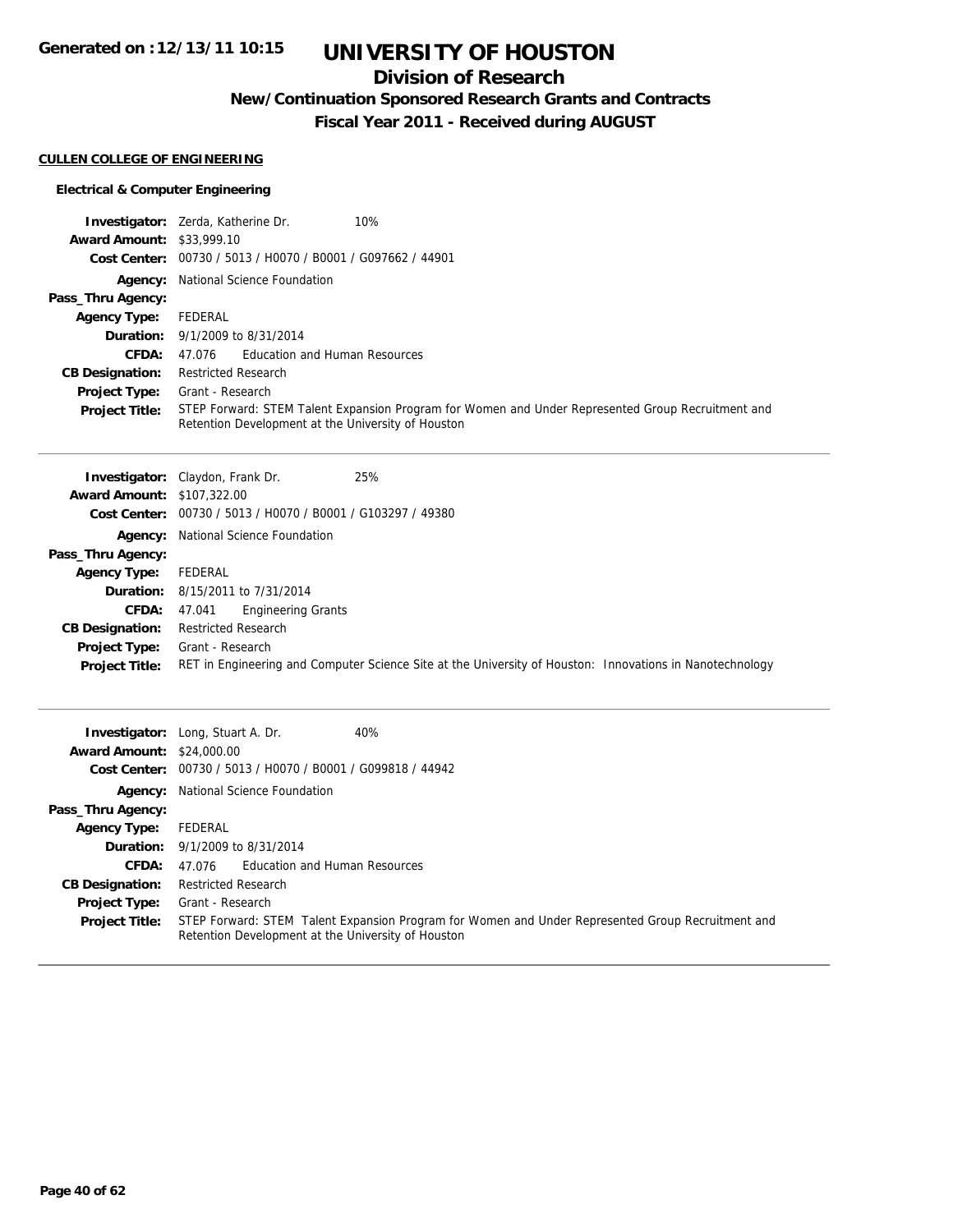## **Division of Research**

**New/Continuation Sponsored Research Grants and Contracts**

**Fiscal Year 2011 - Received during AUGUST**

### **CULLEN COLLEGE OF ENGINEERING**

|                                  | 10%<br><b>Investigator:</b> Zerda, Katherine Dr.                                                                                                        |
|----------------------------------|---------------------------------------------------------------------------------------------------------------------------------------------------------|
| <b>Award Amount: \$33,999.10</b> |                                                                                                                                                         |
|                                  | Cost Center: 00730 / 5013 / H0070 / B0001 / G097662 / 44901                                                                                             |
|                                  | <b>Agency:</b> National Science Foundation                                                                                                              |
| Pass_Thru Agency:                |                                                                                                                                                         |
| <b>Agency Type:</b>              | FEDERAL                                                                                                                                                 |
|                                  | <b>Duration:</b> 9/1/2009 to 8/31/2014                                                                                                                  |
| CFDA:                            | 47.076 Education and Human Resources                                                                                                                    |
| <b>CB Designation:</b>           | <b>Restricted Research</b>                                                                                                                              |
| <b>Project Type:</b>             | Grant - Research                                                                                                                                        |
| <b>Project Title:</b>            | STEP Forward: STEM Talent Expansion Program for Women and Under Represented Group Recruitment and<br>Retention Development at the University of Houston |

|                                   | 25%<br><b>Investigator:</b> Claydon, Frank Dr.                                                           |
|-----------------------------------|----------------------------------------------------------------------------------------------------------|
| <b>Award Amount: \$107,322.00</b> |                                                                                                          |
|                                   | Cost Center: 00730 / 5013 / H0070 / B0001 / G103297 / 49380                                              |
|                                   | <b>Agency:</b> National Science Foundation                                                               |
| Pass_Thru Agency:                 |                                                                                                          |
| <b>Agency Type:</b>               | FEDERAL                                                                                                  |
|                                   | <b>Duration:</b> 8/15/2011 to 7/31/2014                                                                  |
| CFDA:                             | <b>Engineering Grants</b><br>47.041                                                                      |
| <b>CB Designation:</b>            | <b>Restricted Research</b>                                                                               |
| <b>Project Type:</b>              | Grant - Research                                                                                         |
| <b>Project Title:</b>             | RET in Engineering and Computer Science Site at the University of Houston: Innovations in Nanotechnology |
|                                   |                                                                                                          |

| <b>Award Amount: \$24,000.00</b> | 40%<br><b>Investigator:</b> Long, Stuart A. Dr.                                                                                                         |  |
|----------------------------------|---------------------------------------------------------------------------------------------------------------------------------------------------------|--|
|                                  | Cost Center: 00730 / 5013 / H0070 / B0001 / G099818 / 44942                                                                                             |  |
|                                  | <b>Agency:</b> National Science Foundation                                                                                                              |  |
| Pass_Thru Agency:                |                                                                                                                                                         |  |
| <b>Agency Type:</b>              | FEDERAL                                                                                                                                                 |  |
|                                  | <b>Duration:</b> $9/1/2009$ to $8/31/2014$                                                                                                              |  |
| CFDA:                            | 47.076 Education and Human Resources                                                                                                                    |  |
| <b>CB Designation:</b>           | <b>Restricted Research</b>                                                                                                                              |  |
| <b>Project Type:</b>             | Grant - Research                                                                                                                                        |  |
| <b>Project Title:</b>            | STEP Forward: STEM Talent Expansion Program for Women and Under Represented Group Recruitment and<br>Retention Development at the University of Houston |  |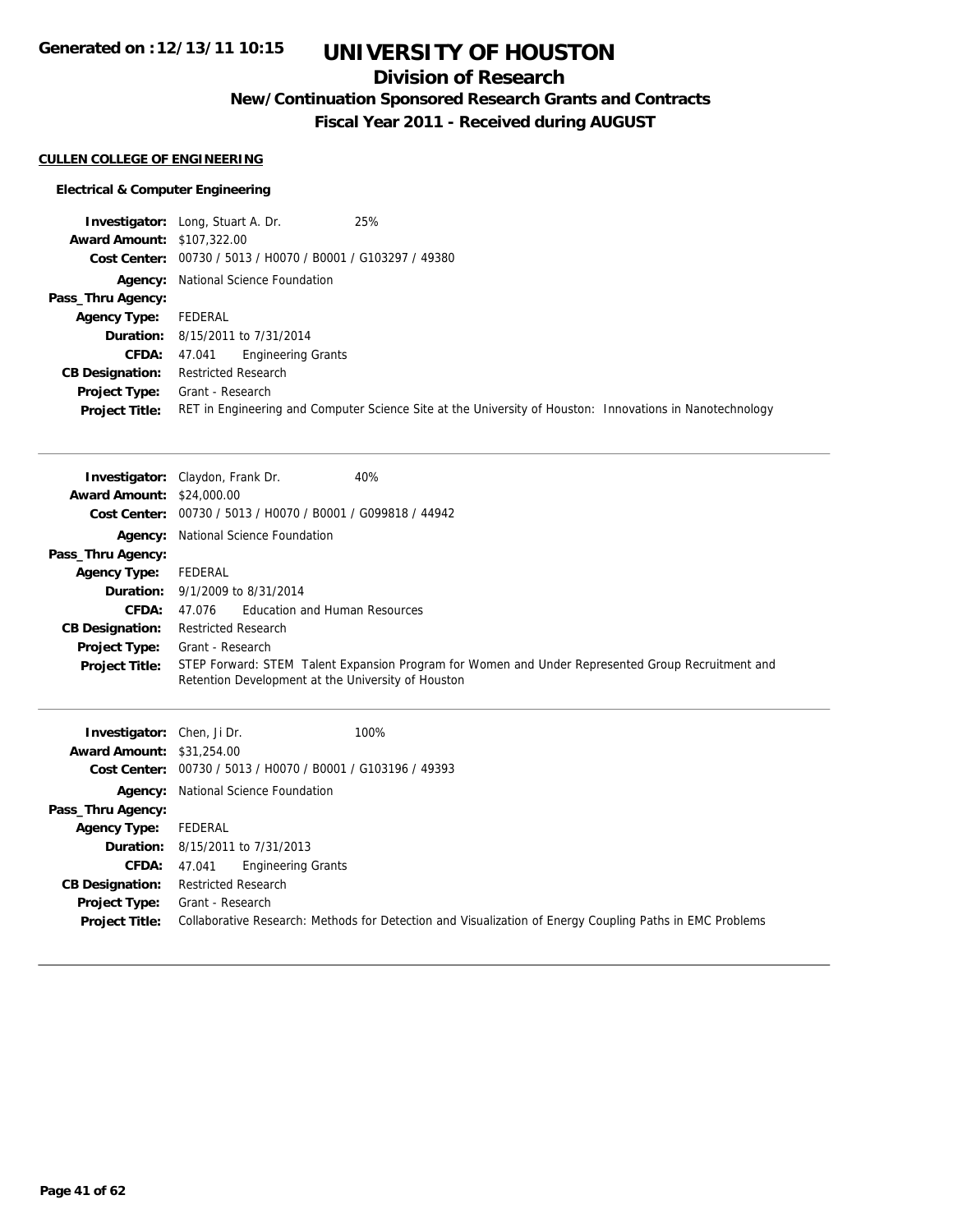## **Division of Research**

**New/Continuation Sponsored Research Grants and Contracts**

**Fiscal Year 2011 - Received during AUGUST**

### **CULLEN COLLEGE OF ENGINEERING**

|                                   | 25%<br><b>Investigator:</b> Long, Stuart A. Dr.                                                          |
|-----------------------------------|----------------------------------------------------------------------------------------------------------|
| <b>Award Amount: \$107,322.00</b> |                                                                                                          |
|                                   | Cost Center: 00730 / 5013 / H0070 / B0001 / G103297 / 49380                                              |
|                                   | <b>Agency:</b> National Science Foundation                                                               |
| Pass_Thru Agency:                 |                                                                                                          |
| <b>Agency Type:</b>               | FEDERAL                                                                                                  |
|                                   | <b>Duration:</b> 8/15/2011 to 7/31/2014                                                                  |
| <b>CFDA:</b>                      | Engineering Grants<br>47.041                                                                             |
| <b>CB Designation:</b>            | <b>Restricted Research</b>                                                                               |
| <b>Project Type:</b>              | Grant - Research                                                                                         |
| <b>Project Title:</b>             | RET in Engineering and Computer Science Site at the University of Houston: Innovations in Nanotechnology |

|                                   | 40%<br><b>Investigator:</b> Claydon, Frank Dr.                                                    |  |  |
|-----------------------------------|---------------------------------------------------------------------------------------------------|--|--|
| <b>Award Amount: \$24,000.00</b>  |                                                                                                   |  |  |
|                                   | Cost Center: 00730 / 5013 / H0070 / B0001 / G099818 / 44942                                       |  |  |
| Agency:                           | National Science Foundation                                                                       |  |  |
| Pass_Thru Agency:                 |                                                                                                   |  |  |
| <b>Agency Type:</b>               | FEDERAL                                                                                           |  |  |
| Duration:                         | 9/1/2009 to 8/31/2014                                                                             |  |  |
| CFDA:                             | <b>Education and Human Resources</b><br>47.076                                                    |  |  |
| <b>CB Designation:</b>            | <b>Restricted Research</b>                                                                        |  |  |
| <b>Project Type:</b>              | Grant - Research                                                                                  |  |  |
| <b>Project Title:</b>             | STEP Forward: STEM Talent Expansion Program for Women and Under Represented Group Recruitment and |  |  |
|                                   | Retention Development at the University of Houston                                                |  |  |
|                                   |                                                                                                   |  |  |
|                                   |                                                                                                   |  |  |
|                                   |                                                                                                   |  |  |
| <b>Investigator:</b> Chen, Ji Dr. | 100%                                                                                              |  |  |
| <b>Award Amount: \$31,254.00</b>  |                                                                                                   |  |  |
|                                   | Cost Center: 00730 / 5013 / H0070 / B0001 / G103196 / 49393                                       |  |  |
|                                   | Agency: National Science Foundation                                                               |  |  |
| Pass_Thru Agency:                 |                                                                                                   |  |  |
| <b>Agency Type:</b>               | <b>FEDERAL</b>                                                                                    |  |  |
| Duration:                         | 8/15/2011 to 7/31/2013                                                                            |  |  |
| CFDA:                             | <b>Engineering Grants</b><br>47.041                                                               |  |  |
| <b>CB Designation:</b>            | <b>Restricted Research</b>                                                                        |  |  |
| <b>Project Type:</b>              | Grant - Research                                                                                  |  |  |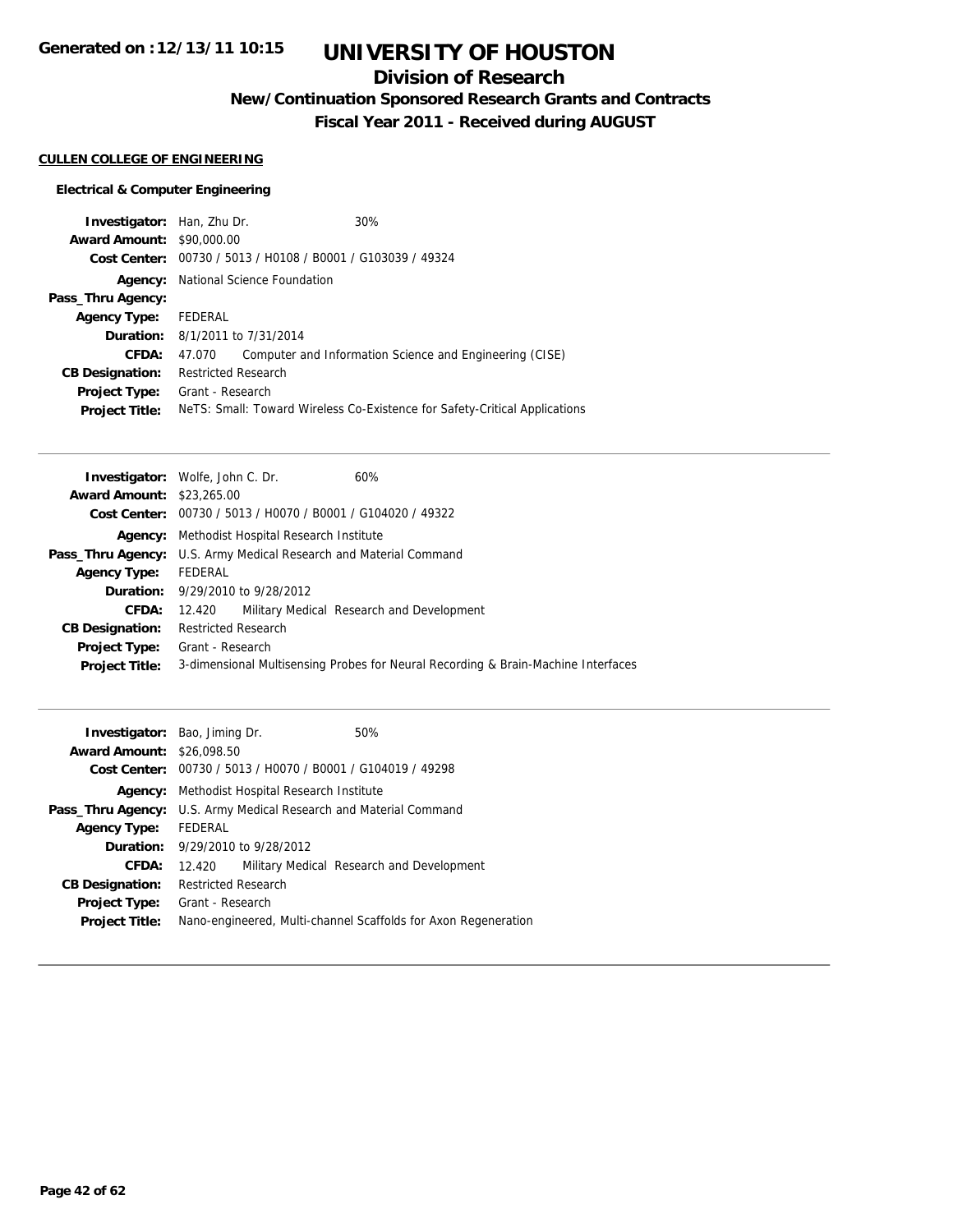## **Division of Research**

**New/Continuation Sponsored Research Grants and Contracts**

**Fiscal Year 2011 - Received during AUGUST**

### **CULLEN COLLEGE OF ENGINEERING**

| <b>Investigator:</b> Han, Zhu Dr. |                                                             | 30%                                                                        |
|-----------------------------------|-------------------------------------------------------------|----------------------------------------------------------------------------|
| <b>Award Amount: \$90,000.00</b>  |                                                             |                                                                            |
|                                   | Cost Center: 00730 / 5013 / H0108 / B0001 / G103039 / 49324 |                                                                            |
|                                   | <b>Agency:</b> National Science Foundation                  |                                                                            |
| Pass_Thru Agency:                 |                                                             |                                                                            |
| <b>Agency Type:</b>               | FEDERAL                                                     |                                                                            |
|                                   | <b>Duration:</b> 8/1/2011 to 7/31/2014                      |                                                                            |
| CFDA:                             | 47.070                                                      | Computer and Information Science and Engineering (CISE)                    |
| <b>CB Designation:</b>            | <b>Restricted Research</b>                                  |                                                                            |
| Project Type:                     | Grant - Research                                            |                                                                            |
| <b>Project Title:</b>             |                                                             | Nets: Small: Toward Wireless Co-Existence for Safety-Critical Applications |

|                                  | <b>Investigator:</b> Wolfe, John C. Dr.                           | 60%                                                                               |
|----------------------------------|-------------------------------------------------------------------|-----------------------------------------------------------------------------------|
| <b>Award Amount: \$23,265.00</b> |                                                                   |                                                                                   |
|                                  | Cost Center: $00730 / 5013 / 40070 / 80001 / 6104020 / 49322$     |                                                                                   |
|                                  | <b>Agency:</b> Methodist Hospital Research Institute              |                                                                                   |
|                                  | Pass_Thru Agency: U.S. Army Medical Research and Material Command |                                                                                   |
| <b>Agency Type:</b>              | FEDERAL                                                           |                                                                                   |
|                                  | <b>Duration:</b> 9/29/2010 to 9/28/2012                           |                                                                                   |
| CFDA:                            | 12.420                                                            | Military Medical Research and Development                                         |
| <b>CB Designation:</b>           | <b>Restricted Research</b>                                        |                                                                                   |
| Project Type:                    | Grant - Research                                                  |                                                                                   |
| <b>Project Title:</b>            |                                                                   | 3-dimensional Multisensing Probes for Neural Recording & Brain-Machine Interfaces |
|                                  |                                                                   |                                                                                   |

|                                  | <b>Investigator:</b> Bao, Jiming Dr.                        | 50%                                                            |
|----------------------------------|-------------------------------------------------------------|----------------------------------------------------------------|
| <b>Award Amount: \$26,098.50</b> |                                                             |                                                                |
|                                  | Cost Center: 00730 / 5013 / H0070 / B0001 / G104019 / 49298 |                                                                |
| Agency:                          | Methodist Hospital Research Institute                       |                                                                |
| Pass_Thru Agency:                | U.S. Army Medical Research and Material Command             |                                                                |
| <b>Agency Type:</b>              | FEDERAL                                                     |                                                                |
|                                  | <b>Duration:</b> 9/29/2010 to 9/28/2012                     |                                                                |
| <b>CFDA:</b>                     | 12.420                                                      | Military Medical Research and Development                      |
| <b>CB Designation:</b>           | <b>Restricted Research</b>                                  |                                                                |
| Project Type:                    | Grant - Research                                            |                                                                |
| <b>Project Title:</b>            |                                                             | Nano-engineered, Multi-channel Scaffolds for Axon Regeneration |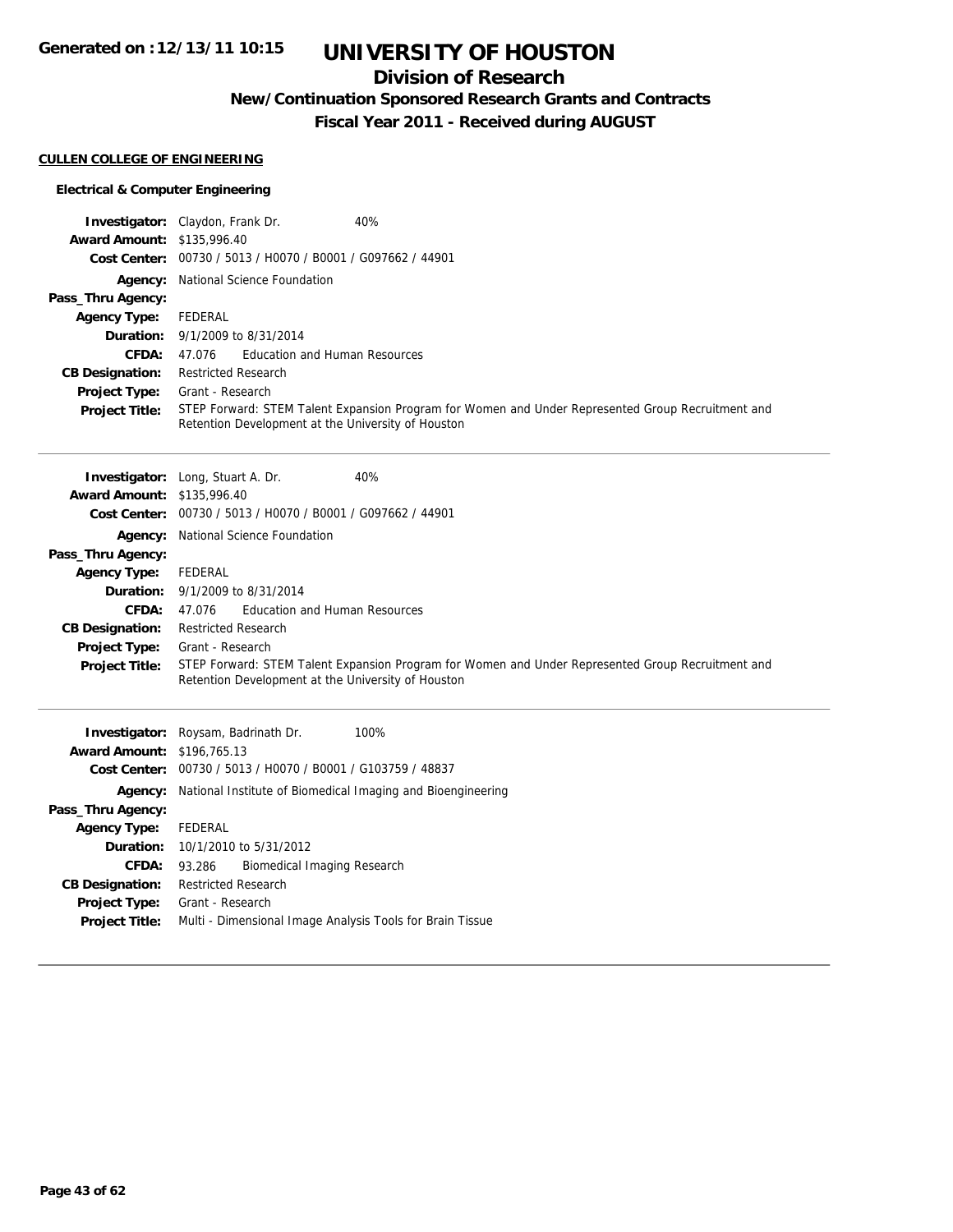## **Division of Research**

**New/Continuation Sponsored Research Grants and Contracts**

**Fiscal Year 2011 - Received during AUGUST**

#### **CULLEN COLLEGE OF ENGINEERING**

### **Electrical & Computer Engineering**

|                                   | 40%<br>Investigator: Claydon, Frank Dr.                                                                                                                 |  |  |
|-----------------------------------|---------------------------------------------------------------------------------------------------------------------------------------------------------|--|--|
| Award Amount: \$135,996.40        |                                                                                                                                                         |  |  |
|                                   | Cost Center: 00730 / 5013 / H0070 / B0001 / G097662 / 44901                                                                                             |  |  |
| Agency:                           | National Science Foundation                                                                                                                             |  |  |
| Pass_Thru Agency:                 |                                                                                                                                                         |  |  |
| <b>Agency Type:</b>               | <b>FEDERAL</b>                                                                                                                                          |  |  |
| Duration:                         | 9/1/2009 to 8/31/2014                                                                                                                                   |  |  |
| CFDA:                             | 47.076<br><b>Education and Human Resources</b>                                                                                                          |  |  |
| <b>CB Designation:</b>            | <b>Restricted Research</b>                                                                                                                              |  |  |
| Project Type:                     | Grant - Research                                                                                                                                        |  |  |
| <b>Project Title:</b>             | STEP Forward: STEM Talent Expansion Program for Women and Under Represented Group Recruitment and<br>Retention Development at the University of Houston |  |  |
|                                   |                                                                                                                                                         |  |  |
|                                   |                                                                                                                                                         |  |  |
|                                   | 40%<br><b>Investigator:</b> Long, Stuart A. Dr.                                                                                                         |  |  |
| <b>Award Amount: \$135,996.40</b> |                                                                                                                                                         |  |  |
|                                   | Cost Center: 00730 / 5013 / H0070 / B0001 / G097662 / 44901                                                                                             |  |  |
| Agency:                           | National Science Foundation                                                                                                                             |  |  |
| Pass_Thru Agency:                 |                                                                                                                                                         |  |  |
| <b>Agency Type:</b>               | <b>FEDERAL</b>                                                                                                                                          |  |  |
| Duration:                         | 9/1/2009 to 8/31/2014                                                                                                                                   |  |  |
| <b>CFDA:</b>                      | <b>Education and Human Resources</b><br>47.076                                                                                                          |  |  |
| <b>CB Designation:</b>            | <b>Restricted Research</b>                                                                                                                              |  |  |
| <b>Project Type:</b>              | Grant - Research                                                                                                                                        |  |  |
| <b>Project Title:</b>             | STEP Forward: STEM Talent Expansion Program for Women and Under Represented Group Recruitment and<br>Retention Development at the University of Houston |  |  |
|                                   |                                                                                                                                                         |  |  |
|                                   | Investigator: Roysam, Badrinath Dr.<br>100%                                                                                                             |  |  |
| <b>Award Amount: \$196,765.13</b> |                                                                                                                                                         |  |  |
|                                   | Cost Center: 00730 / 5013 / H0070 / B0001 / G103759 / 48837                                                                                             |  |  |
| Agency:                           | National Institute of Biomedical Imaging and Bioengineering                                                                                             |  |  |
| Pass_Thru Agency:                 |                                                                                                                                                         |  |  |
| <b>Agency Type:</b>               | FEDERAL                                                                                                                                                 |  |  |
| Duration:                         | 10/1/2010 to 5/31/2012                                                                                                                                  |  |  |
| <b>CFDA:</b>                      | 93.286<br><b>Biomedical Imaging Research</b>                                                                                                            |  |  |
| <b>CB Designation:</b>            | <b>Restricted Research</b>                                                                                                                              |  |  |
| <b>Project Type:</b>              | Grant - Research                                                                                                                                        |  |  |

**Project Title:** Multi - Dimensional Image Analysis Tools for Brain Tissue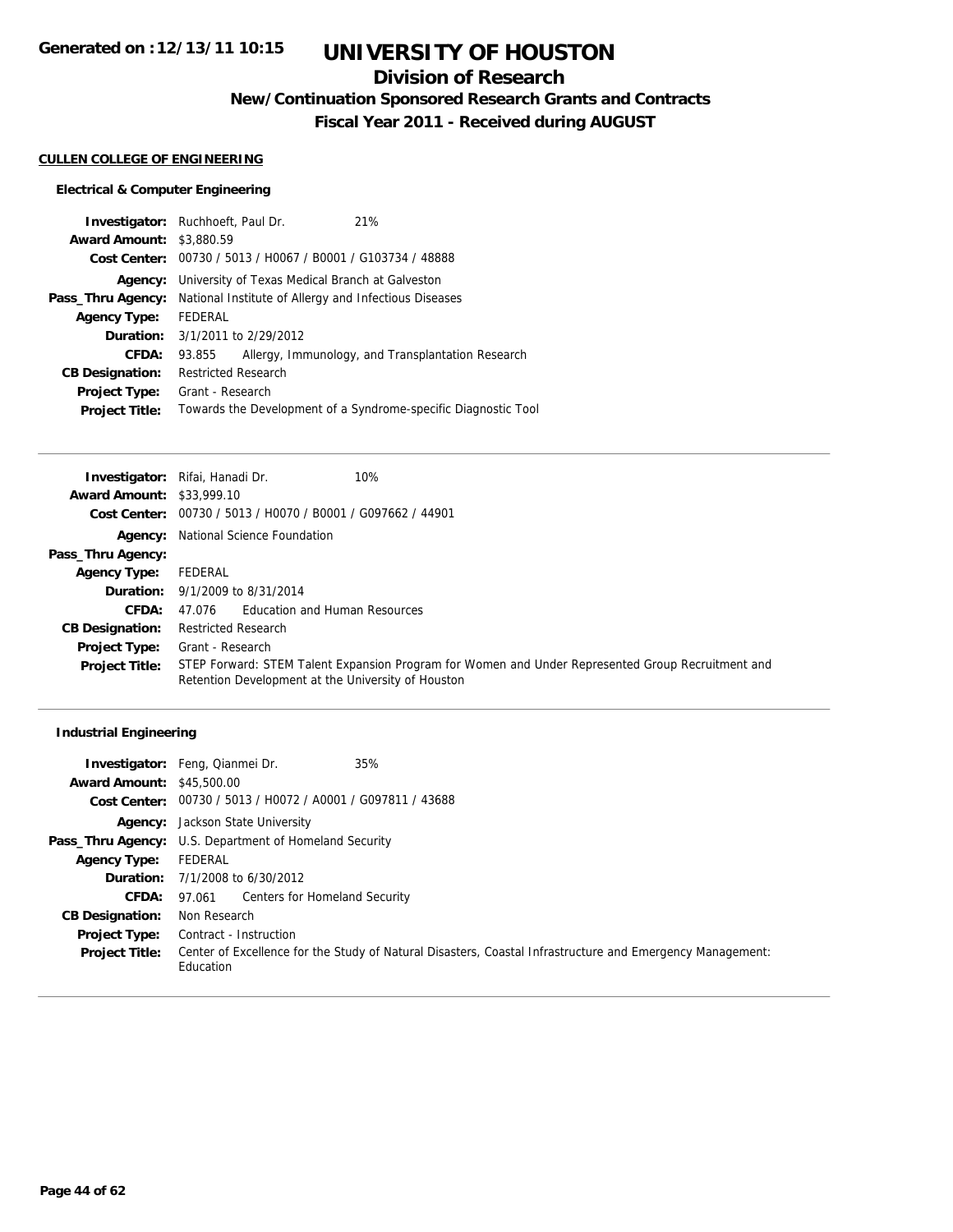## **Division of Research**

**New/Continuation Sponsored Research Grants and Contracts**

**Fiscal Year 2011 - Received during AUGUST**

#### **CULLEN COLLEGE OF ENGINEERING**

### **Electrical & Computer Engineering**

| <b>Award Amount: \$3,880.59</b> | <b>Investigator:</b> Ruchhoeft, Paul Dr.                    | 21%                                                            |
|---------------------------------|-------------------------------------------------------------|----------------------------------------------------------------|
|                                 |                                                             |                                                                |
|                                 | Cost Center: 00730 / 5013 / H0067 / B0001 / G103734 / 48888 |                                                                |
| Agency:                         | University of Texas Medical Branch at Galveston             |                                                                |
| Pass_Thru Agency:               | National Institute of Allergy and Infectious Diseases       |                                                                |
| <b>Agency Type:</b>             | FEDERAL                                                     |                                                                |
|                                 | <b>Duration:</b> 3/1/2011 to 2/29/2012                      |                                                                |
| CFDA:                           | 93.855                                                      | Allergy, Immunology, and Transplantation Research              |
| <b>CB Designation:</b>          | <b>Restricted Research</b>                                  |                                                                |
| Project Type:                   | Grant - Research                                            |                                                                |
| <b>Project Title:</b>           |                                                             | Towards the Development of a Syndrome-specific Diagnostic Tool |

|                                  | 10%<br>Investigator: Rifai, Hanadi Dr.                                                                                                                  |  |
|----------------------------------|---------------------------------------------------------------------------------------------------------------------------------------------------------|--|
| <b>Award Amount: \$33,999.10</b> |                                                                                                                                                         |  |
|                                  | Cost Center: 00730 / 5013 / H0070 / B0001 / G097662 / 44901                                                                                             |  |
|                                  | <b>Agency:</b> National Science Foundation                                                                                                              |  |
| Pass_Thru Agency:                |                                                                                                                                                         |  |
| <b>Agency Type:</b>              | FEDERAL                                                                                                                                                 |  |
|                                  | <b>Duration:</b> 9/1/2009 to 8/31/2014                                                                                                                  |  |
| <b>CFDA:</b>                     | <b>Education and Human Resources</b><br>47.076                                                                                                          |  |
| <b>CB Designation:</b>           | <b>Restricted Research</b>                                                                                                                              |  |
| <b>Project Type:</b>             | Grant - Research                                                                                                                                        |  |
| <b>Project Title:</b>            | STEP Forward: STEM Talent Expansion Program for Women and Under Represented Group Recruitment and<br>Retention Development at the University of Houston |  |

### **Industrial Engineering**

|                                  | 35%<br><b>Investigator:</b> Feng, Qianmei Dr.                                                                          |  |  |
|----------------------------------|------------------------------------------------------------------------------------------------------------------------|--|--|
| <b>Award Amount: \$45,500.00</b> |                                                                                                                        |  |  |
|                                  | Cost Center: 00730 / 5013 / H0072 / A0001 / G097811 / 43688                                                            |  |  |
|                                  | <b>Agency:</b> Jackson State University                                                                                |  |  |
|                                  | <b>Pass_Thru Agency:</b> U.S. Department of Homeland Security                                                          |  |  |
| <b>Agency Type:</b>              | FEDERAL                                                                                                                |  |  |
|                                  | <b>Duration:</b> $7/1/2008$ to $6/30/2012$                                                                             |  |  |
| <b>CFDA:</b>                     | 97.061 Centers for Homeland Security                                                                                   |  |  |
| <b>CB Designation:</b>           | Non Research                                                                                                           |  |  |
| <b>Project Type:</b>             | Contract - Instruction                                                                                                 |  |  |
| <b>Project Title:</b>            | Center of Excellence for the Study of Natural Disasters, Coastal Infrastructure and Emergency Management:<br>Education |  |  |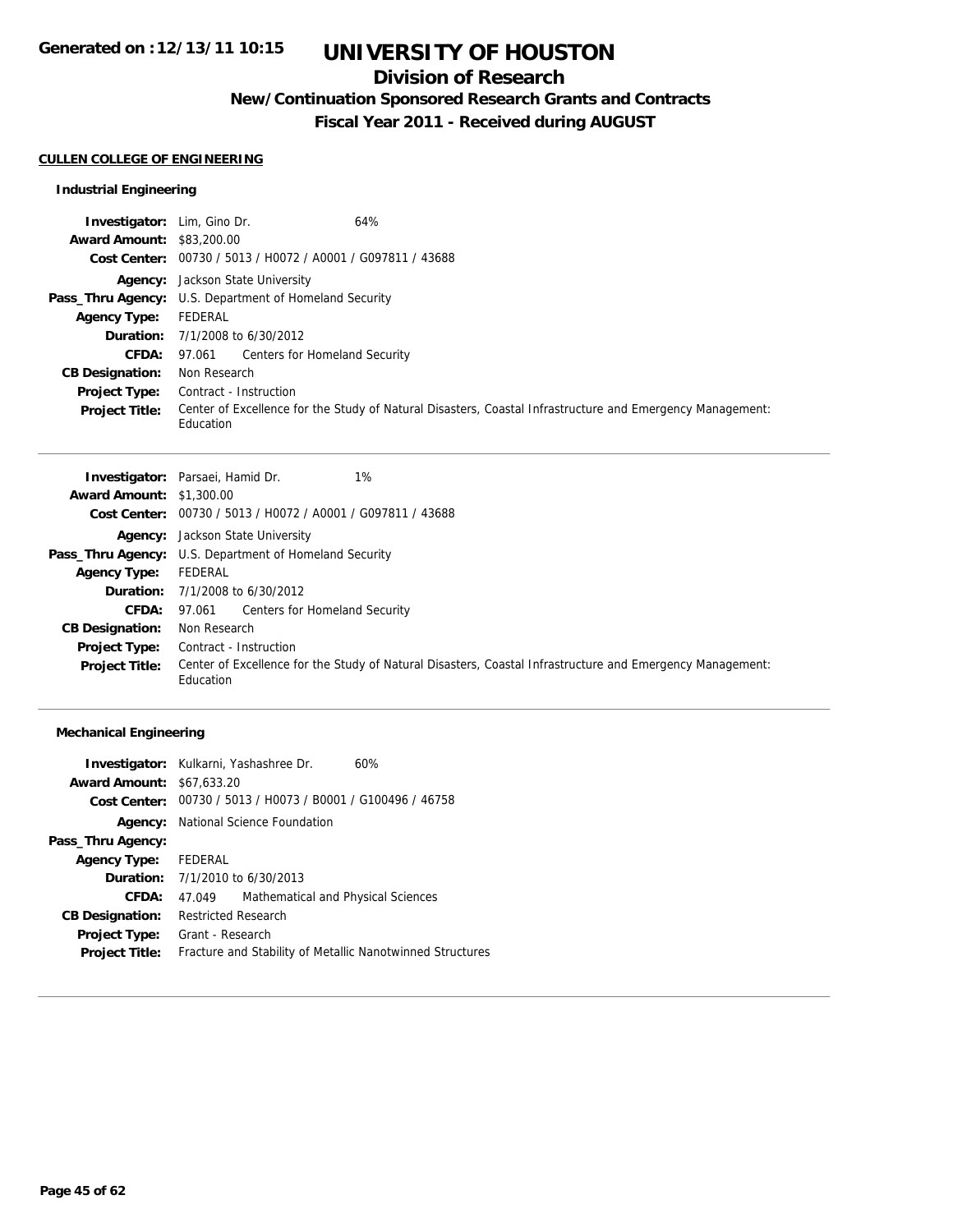## **Division of Research**

**New/Continuation Sponsored Research Grants and Contracts**

**Fiscal Year 2011 - Received during AUGUST**

### **CULLEN COLLEGE OF ENGINEERING**

### **Industrial Engineering**

| <b>Investigator:</b> Lim, Gino Dr. | 64%                                                                                                                    |  |  |
|------------------------------------|------------------------------------------------------------------------------------------------------------------------|--|--|
| <b>Award Amount: \$83,200.00</b>   |                                                                                                                        |  |  |
|                                    | Cost Center: 00730 / 5013 / H0072 / A0001 / G097811 / 43688                                                            |  |  |
|                                    | <b>Agency:</b> Jackson State University                                                                                |  |  |
|                                    | <b>Pass_Thru Agency:</b> U.S. Department of Homeland Security                                                          |  |  |
| <b>Agency Type:</b>                | FEDERAL                                                                                                                |  |  |
|                                    | <b>Duration:</b> $7/1/2008$ to $6/30/2012$                                                                             |  |  |
| <b>CFDA:</b>                       | 97.061 Centers for Homeland Security                                                                                   |  |  |
| <b>CB Designation:</b>             | Non Research                                                                                                           |  |  |
| <b>Project Type:</b>               | Contract - Instruction                                                                                                 |  |  |
| <b>Project Title:</b>              | Center of Excellence for the Study of Natural Disasters, Coastal Infrastructure and Emergency Management:<br>Education |  |  |

|                                 | 1%<br><b>Investigator:</b> Parsaei, Hamid Dr.                                                                          |  |  |
|---------------------------------|------------------------------------------------------------------------------------------------------------------------|--|--|
| <b>Award Amount: \$1,300.00</b> |                                                                                                                        |  |  |
|                                 | Cost Center: 00730 / 5013 / H0072 / A0001 / G097811 / 43688                                                            |  |  |
|                                 | <b>Agency:</b> Jackson State University                                                                                |  |  |
|                                 | Pass_Thru Agency: U.S. Department of Homeland Security                                                                 |  |  |
| <b>Agency Type:</b>             | FEDERAL                                                                                                                |  |  |
|                                 | <b>Duration:</b> $7/1/2008$ to $6/30/2012$                                                                             |  |  |
|                                 | <b>CFDA:</b> 97.061 Centers for Homeland Security                                                                      |  |  |
| <b>CB Designation:</b>          | Non Research                                                                                                           |  |  |
| <b>Project Type:</b>            | Contract - Instruction                                                                                                 |  |  |
| <b>Project Title:</b>           | Center of Excellence for the Study of Natural Disasters, Coastal Infrastructure and Emergency Management:<br>Education |  |  |

| Investigator: Kulkarni, Yashashree Dr.<br>60%               |  |  |
|-------------------------------------------------------------|--|--|
| <b>Award Amount: \$67,633.20</b>                            |  |  |
| Cost Center: 00730 / 5013 / H0073 / B0001 / G100496 / 46758 |  |  |
| Agency: National Science Foundation                         |  |  |
|                                                             |  |  |
| <b>Agency Type:</b> FEDERAL                                 |  |  |
| <b>Duration:</b> $7/1/2010$ to $6/30/2013$                  |  |  |
| Mathematical and Physical Sciences<br>47.049                |  |  |
| <b>Restricted Research</b>                                  |  |  |
| Grant - Research                                            |  |  |
| Fracture and Stability of Metallic Nanotwinned Structures   |  |  |
|                                                             |  |  |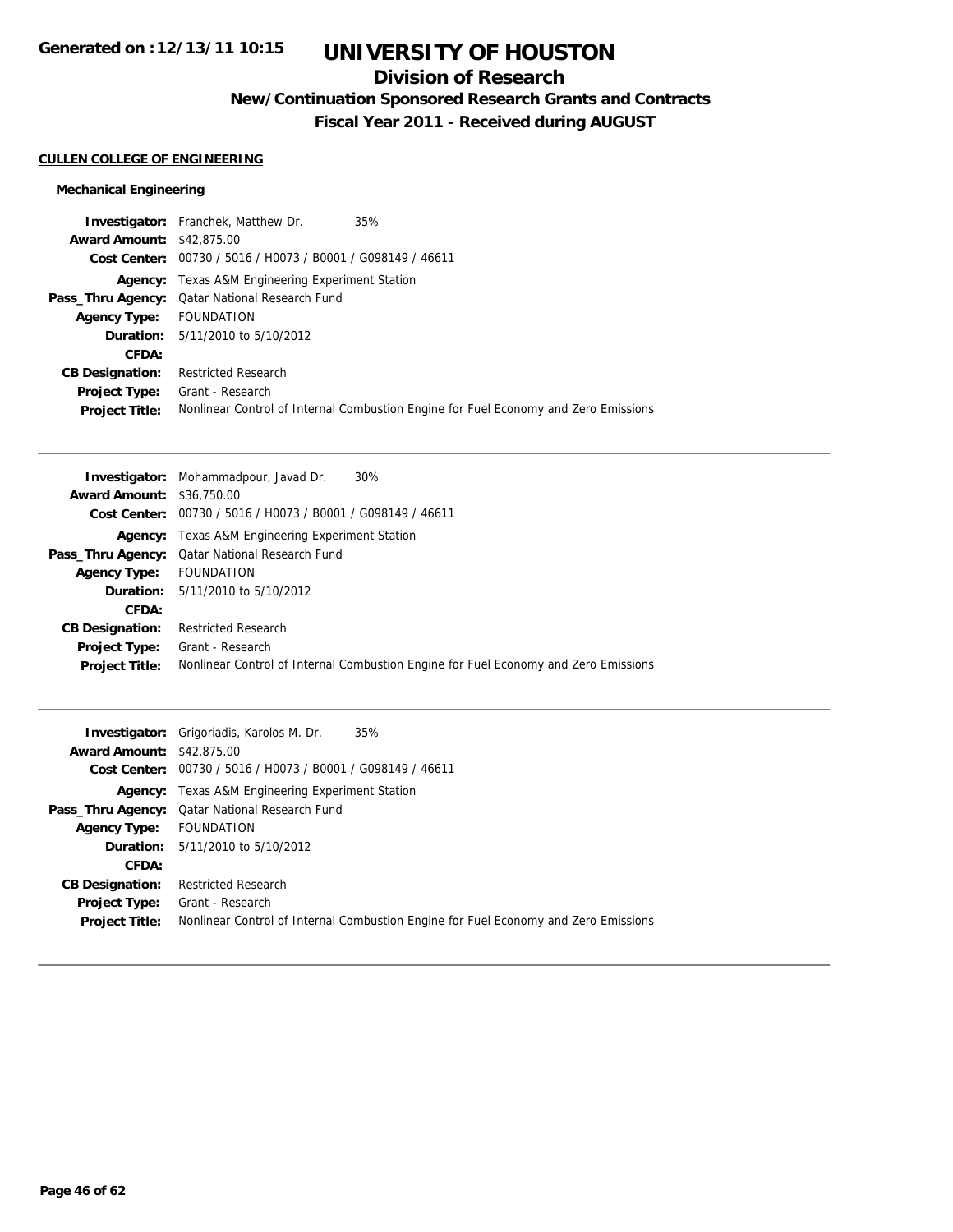## **Division of Research**

**New/Continuation Sponsored Research Grants and Contracts**

**Fiscal Year 2011 - Received during AUGUST**

### **CULLEN COLLEGE OF ENGINEERING**

| <b>Investigator:</b> Franchek, Matthew Dr.                  |                                                                                     |
|-------------------------------------------------------------|-------------------------------------------------------------------------------------|
| <b>Award Amount: \$42,875,00</b>                            |                                                                                     |
| Cost Center: 00730 / 5016 / H0073 / B0001 / G098149 / 46611 |                                                                                     |
| Agency: Texas A&M Engineering Experiment Station            |                                                                                     |
| Pass_Thru Agency: Qatar National Research Fund              |                                                                                     |
| Agency Type: FOUNDATION                                     |                                                                                     |
| <b>Duration:</b> 5/11/2010 to 5/10/2012                     |                                                                                     |
|                                                             |                                                                                     |
| <b>Restricted Research</b>                                  |                                                                                     |
| Grant - Research                                            |                                                                                     |
|                                                             | Nonlinear Control of Internal Combustion Engine for Fuel Economy and Zero Emissions |
|                                                             | 35%                                                                                 |

|                                  | <b>Investigator:</b> Mohammadpour, Javad Dr.<br>30%                                 |
|----------------------------------|-------------------------------------------------------------------------------------|
| <b>Award Amount: \$36,750.00</b> |                                                                                     |
|                                  | Cost Center: 00730 / 5016 / H0073 / B0001 / G098149 / 46611                         |
|                                  | <b>Agency:</b> Texas A&M Engineering Experiment Station                             |
|                                  | Pass_Thru Agency: Qatar National Research Fund                                      |
| <b>Agency Type:</b>              | <b>FOUNDATION</b>                                                                   |
|                                  | <b>Duration:</b> $5/11/2010$ to $5/10/2012$                                         |
| CFDA:                            |                                                                                     |
| <b>CB Designation:</b>           | <b>Restricted Research</b>                                                          |
| <b>Project Type:</b>             | Grant - Research                                                                    |
| <b>Project Title:</b>            | Nonlinear Control of Internal Combustion Engine for Fuel Economy and Zero Emissions |

|                                  | <b>Investigator:</b> Grigoriadis, Karolos M. Dr.<br>35%                             |
|----------------------------------|-------------------------------------------------------------------------------------|
| <b>Award Amount: \$42,875.00</b> |                                                                                     |
|                                  | Cost Center: 00730 / 5016 / H0073 / B0001 / G098149 / 46611                         |
|                                  | <b>Agency:</b> Texas A&M Engineering Experiment Station                             |
|                                  | <b>Pass_Thru Agency:</b> Qatar National Research Fund                               |
| <b>Agency Type:</b> FOUNDATION   |                                                                                     |
|                                  | <b>Duration:</b> 5/11/2010 to 5/10/2012                                             |
| CFDA:                            |                                                                                     |
| <b>CB Designation:</b>           | <b>Restricted Research</b>                                                          |
| Project Type:                    | Grant - Research                                                                    |
| <b>Project Title:</b>            | Nonlinear Control of Internal Combustion Engine for Fuel Economy and Zero Emissions |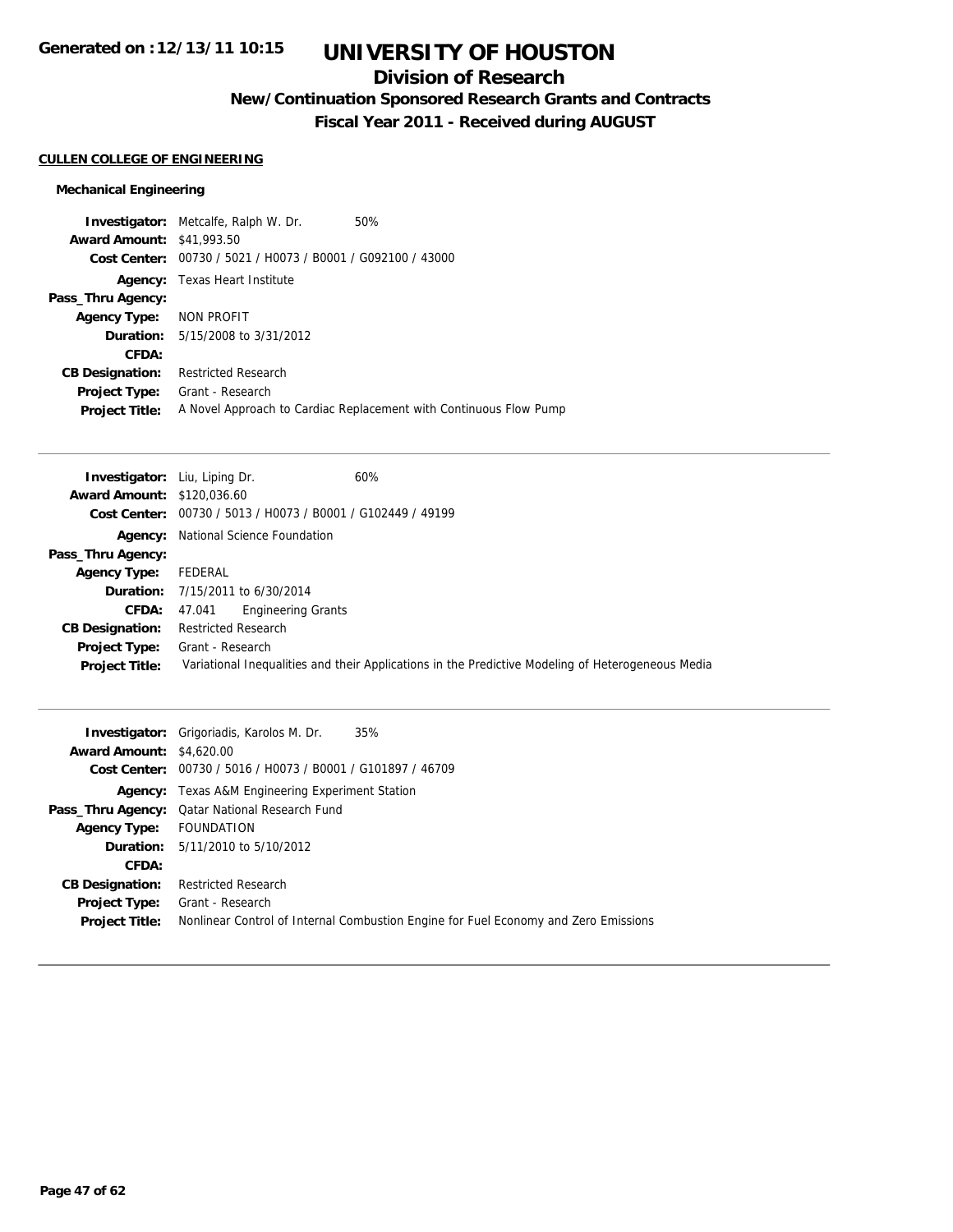## **Division of Research**

**New/Continuation Sponsored Research Grants and Contracts**

**Fiscal Year 2011 - Received during AUGUST**

### **CULLEN COLLEGE OF ENGINEERING**

|                                  | <b>Investigator:</b> Metcalfe, Ralph W. Dr.    | 50%                                                               |
|----------------------------------|------------------------------------------------|-------------------------------------------------------------------|
| <b>Award Amount: \$41,993.50</b> |                                                |                                                                   |
| Cost Center:                     | 00730 / 5021 / H0073 / B0001 / G092100 / 43000 |                                                                   |
|                                  | <b>Agency:</b> Texas Heart Institute           |                                                                   |
| Pass_Thru Agency:                |                                                |                                                                   |
| Agency Type: NON PROFIT          |                                                |                                                                   |
|                                  | <b>Duration:</b> 5/15/2008 to 3/31/2012        |                                                                   |
| CFDA:                            |                                                |                                                                   |
| <b>CB Designation:</b>           | <b>Restricted Research</b>                     |                                                                   |
| <b>Project Type:</b>             | Grant - Research                               |                                                                   |
| <b>Project Title:</b>            |                                                | A Novel Approach to Cardiac Replacement with Continuous Flow Pump |

|                                   | 60%<br><b>Investigator:</b> Liu, Liping Dr.                                                       |  |  |
|-----------------------------------|---------------------------------------------------------------------------------------------------|--|--|
| <b>Award Amount: \$120,036.60</b> |                                                                                                   |  |  |
|                                   | Cost Center: 00730 / 5013 / H0073 / B0001 / G102449 / 49199                                       |  |  |
|                                   | <b>Agency:</b> National Science Foundation                                                        |  |  |
| Pass_Thru Agency:                 |                                                                                                   |  |  |
| <b>Agency Type:</b>               | FEDERAL                                                                                           |  |  |
|                                   | <b>Duration:</b> 7/15/2011 to 6/30/2014                                                           |  |  |
| CFDA:                             | Engineering Grants<br>47.041                                                                      |  |  |
| <b>CB Designation:</b>            | <b>Restricted Research</b>                                                                        |  |  |
| <b>Project Type:</b>              | Grant - Research                                                                                  |  |  |
| <b>Project Title:</b>             | Variational Inequalities and their Applications in the Predictive Modeling of Heterogeneous Media |  |  |

| <b>Award Amount: \$4,620.00</b> | 35%<br><b>Investigator:</b> Grigoriadis, Karolos M. Dr.                                                               |
|---------------------------------|-----------------------------------------------------------------------------------------------------------------------|
|                                 | Cost Center: 00730 / 5016 / H0073 / B0001 / G101897 / 46709                                                           |
|                                 | <b>Agency:</b> Texas A&M Engineering Experiment Station                                                               |
|                                 | Pass_Thru Agency: Qatar National Research Fund                                                                        |
| <b>Agency Type:</b>             | FOUNDATION                                                                                                            |
|                                 | <b>Duration:</b> $5/11/2010$ to $5/10/2012$                                                                           |
| CFDA:                           |                                                                                                                       |
| <b>CB Designation:</b>          | <b>Restricted Research</b>                                                                                            |
| <b>Project Title:</b>           | Project Type: Grant - Research<br>Nonlinear Control of Internal Combustion Engine for Fuel Economy and Zero Emissions |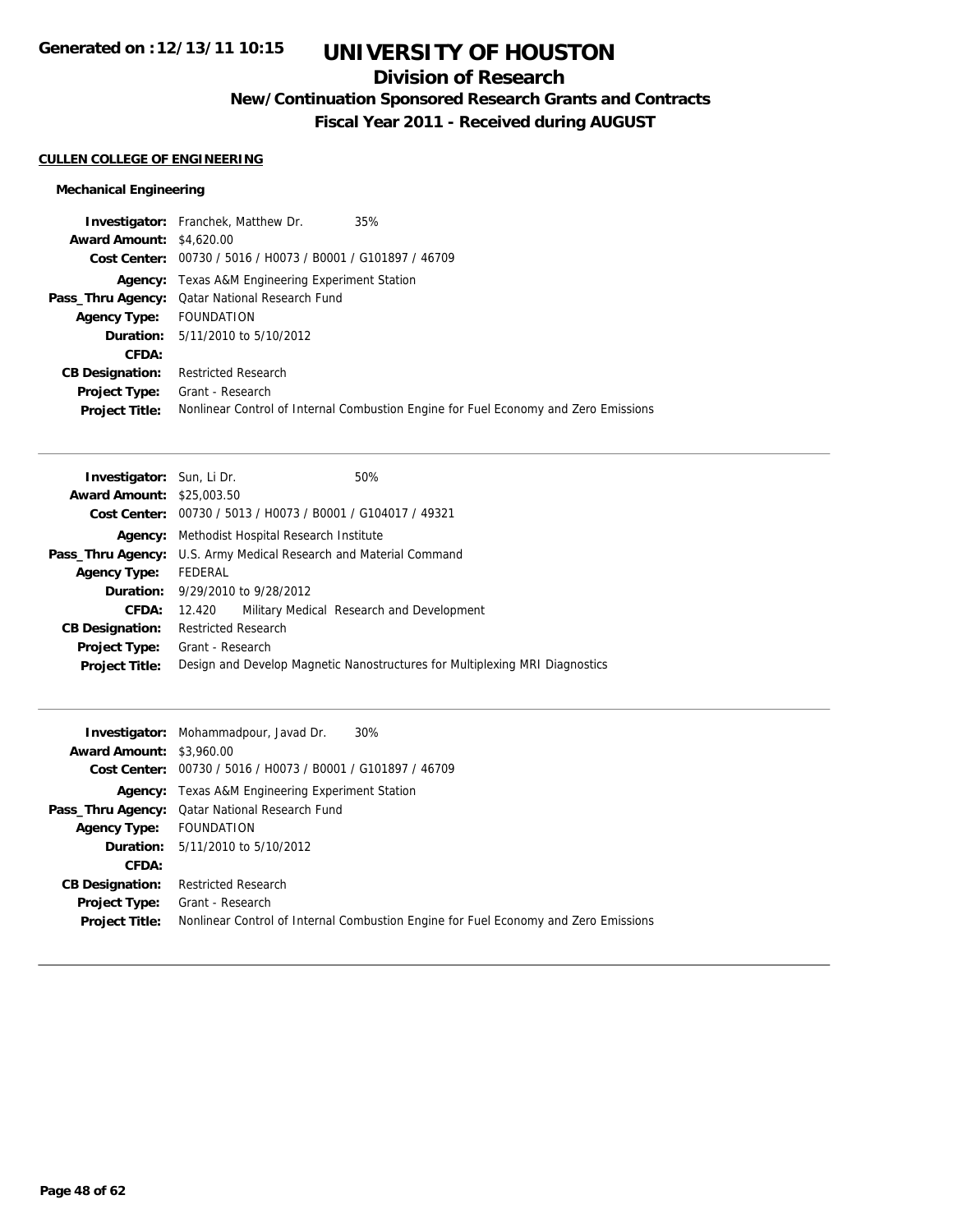## **Division of Research**

**New/Continuation Sponsored Research Grants and Contracts**

**Fiscal Year 2011 - Received during AUGUST**

### **CULLEN COLLEGE OF ENGINEERING**

|                                 | <b>Investigator:</b> Franchek, Matthew Dr.                  | 35%                                                                                 |
|---------------------------------|-------------------------------------------------------------|-------------------------------------------------------------------------------------|
| <b>Award Amount: \$4,620.00</b> |                                                             |                                                                                     |
|                                 | Cost Center: 00730 / 5016 / H0073 / B0001 / G101897 / 46709 |                                                                                     |
|                                 | Agency: Texas A&M Engineering Experiment Station            |                                                                                     |
|                                 | Pass_Thru Agency: Qatar National Research Fund              |                                                                                     |
| Agency Type: FOUNDATION         |                                                             |                                                                                     |
|                                 | <b>Duration:</b> 5/11/2010 to 5/10/2012                     |                                                                                     |
| <b>CFDA:</b>                    |                                                             |                                                                                     |
| <b>CB Designation:</b>          | <b>Restricted Research</b>                                  |                                                                                     |
| Project Type:                   | Grant - Research                                            |                                                                                     |
| <b>Project Title:</b>           |                                                             | Nonlinear Control of Internal Combustion Engine for Fuel Economy and Zero Emissions |

| <b>Investigator:</b> Sun, Li Dr.                                         |  | 50%                                                                         |
|--------------------------------------------------------------------------|--|-----------------------------------------------------------------------------|
| <b>Award Amount: \$25,003.50</b>                                         |  |                                                                             |
| Cost Center: 00730 / 5013 / H0073 / B0001 / G104017 / 49321              |  |                                                                             |
| <b>Agency:</b> Methodist Hospital Research Institute                     |  |                                                                             |
| <b>Pass_Thru Agency:</b> U.S. Army Medical Research and Material Command |  |                                                                             |
| FEDERAL                                                                  |  |                                                                             |
| <b>Duration:</b> 9/29/2010 to 9/28/2012                                  |  |                                                                             |
| 12.420                                                                   |  | Military Medical Research and Development                                   |
| <b>Restricted Research</b>                                               |  |                                                                             |
| Grant - Research                                                         |  |                                                                             |
|                                                                          |  | Design and Develop Magnetic Nanostructures for Multiplexing MRI Diagnostics |
|                                                                          |  |                                                                             |

|                                 | 30%<br><b>Investigator:</b> Mohammadpour, Javad Dr.                                                     |
|---------------------------------|---------------------------------------------------------------------------------------------------------|
| <b>Award Amount: \$3,960.00</b> |                                                                                                         |
|                                 | Cost Center: 00730 / 5016 / H0073 / B0001 / G101897 / 46709                                             |
|                                 | <b>Agency:</b> Texas A&M Engineering Experiment Station                                                 |
|                                 | Pass_Thru Agency: Qatar National Research Fund                                                          |
| <b>Agency Type:</b>             | FOUNDATION                                                                                              |
|                                 | <b>Duration:</b> $5/11/2010$ to $5/10/2012$                                                             |
| CFDA:                           |                                                                                                         |
| <b>CB Designation:</b>          | <b>Restricted Research</b>                                                                              |
| <b>Project Type:</b>            | Grant - Research<br>Nonlinear Control of Internal Combustion Engine for Fuel Economy and Zero Emissions |
| <b>Project Title:</b>           |                                                                                                         |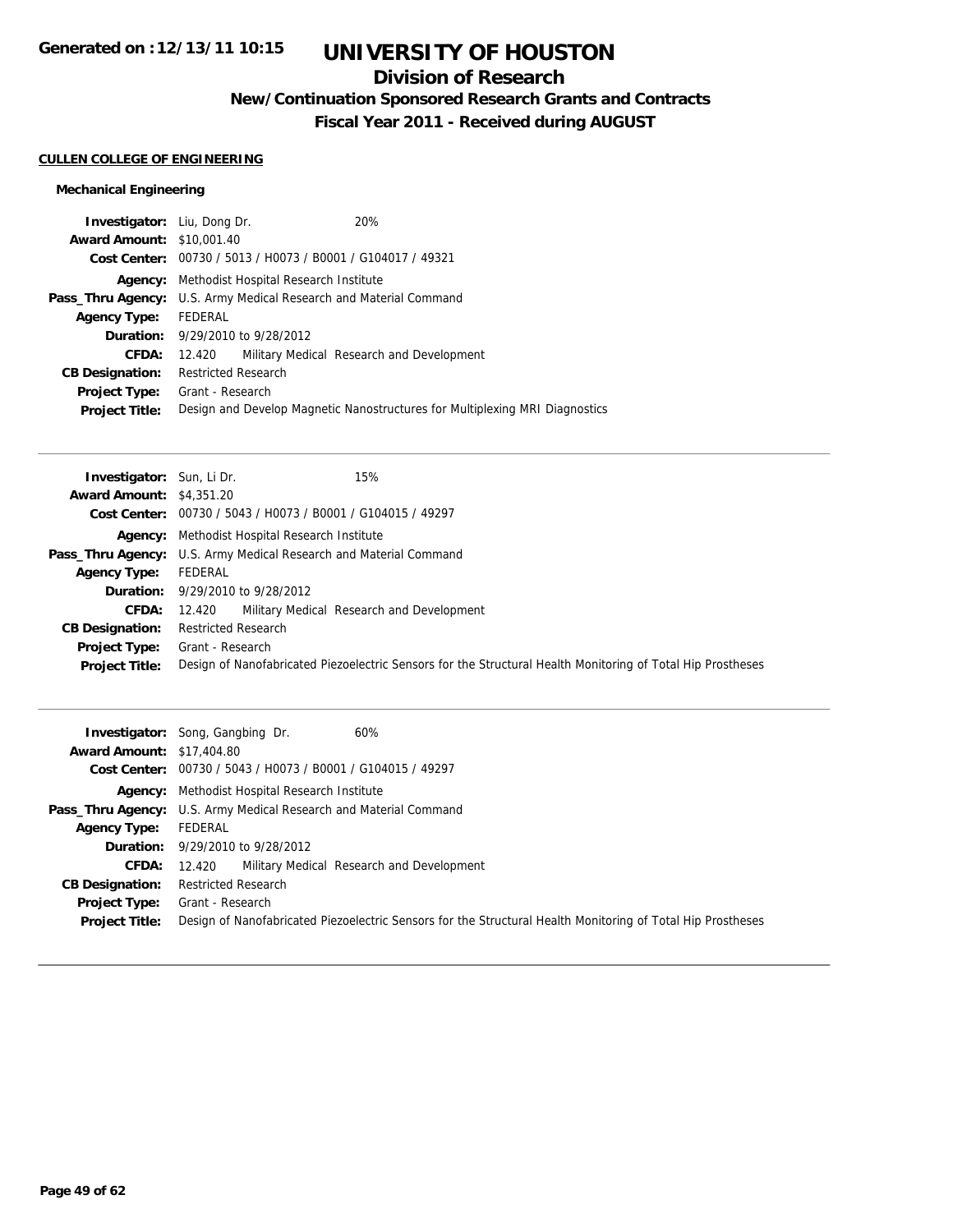## **Division of Research**

**New/Continuation Sponsored Research Grants and Contracts**

**Fiscal Year 2011 - Received during AUGUST**

### **CULLEN COLLEGE OF ENGINEERING**

| <b>Investigator:</b> Liu, Dong Dr.                                       |                            |                                                             | 20%                                                                         |
|--------------------------------------------------------------------------|----------------------------|-------------------------------------------------------------|-----------------------------------------------------------------------------|
| <b>Award Amount: \$10,001.40</b>                                         |                            |                                                             |                                                                             |
|                                                                          |                            | Cost Center: 00730 / 5013 / H0073 / B0001 / G104017 / 49321 |                                                                             |
|                                                                          |                            | <b>Agency:</b> Methodist Hospital Research Institute        |                                                                             |
| <b>Pass_Thru Agency:</b> U.S. Army Medical Research and Material Command |                            |                                                             |                                                                             |
| <b>Agency Type:</b>                                                      | FEDERAL                    |                                                             |                                                                             |
|                                                                          |                            | <b>Duration:</b> $9/29/2010$ to $9/28/2012$                 |                                                                             |
| CFDA:                                                                    | 12.420                     |                                                             | Military Medical Research and Development                                   |
| <b>CB Designation:</b>                                                   | <b>Restricted Research</b> |                                                             |                                                                             |
| <b>Project Type:</b> Grant - Research                                    |                            |                                                             |                                                                             |
| <b>Project Title:</b>                                                    |                            |                                                             | Design and Develop Magnetic Nanostructures for Multiplexing MRI Diagnostics |
|                                                                          |                            |                                                             |                                                                             |

| 15%<br><b>Investigator:</b> Sun, Li Dr.                                                                     |
|-------------------------------------------------------------------------------------------------------------|
| <b>Award Amount: \$4,351.20</b>                                                                             |
| Cost Center: 00730 / 5043 / H0073 / B0001 / G104015 / 49297                                                 |
| <b>Agency:</b> Methodist Hospital Research Institute                                                        |
| Pass_Thru Agency: U.S. Army Medical Research and Material Command                                           |
| FEDERAL                                                                                                     |
| <b>Duration:</b> 9/29/2010 to 9/28/2012                                                                     |
| Military Medical Research and Development<br>12.420                                                         |
| <b>Restricted Research</b>                                                                                  |
| Grant - Research                                                                                            |
| Design of Nanofabricated Piezoelectric Sensors for the Structural Health Monitoring of Total Hip Prostheses |
|                                                                                                             |

| <b>Award Amount: \$17,404.80</b>       | <b>Investigator:</b> Song, Gangbing Dr.<br>60%                                                                                  |
|----------------------------------------|---------------------------------------------------------------------------------------------------------------------------------|
|                                        | Cost Center: 00730 / 5043 / H0073 / B0001 / G104015 / 49297                                                                     |
|                                        | <b>Agency:</b> Methodist Hospital Research Institute                                                                            |
|                                        | <b>Pass_Thru Agency:</b> U.S. Army Medical Research and Material Command                                                        |
| <b>Agency Type:</b>                    | FEDERAL                                                                                                                         |
|                                        | <b>Duration:</b> 9/29/2010 to 9/28/2012                                                                                         |
| CFDA:                                  | Military Medical Research and Development<br>12.420                                                                             |
| <b>CB Designation:</b>                 | <b>Restricted Research</b>                                                                                                      |
| Project Type:<br><b>Project Title:</b> | Grant - Research<br>Design of Nanofabricated Piezoelectric Sensors for the Structural Health Monitoring of Total Hip Prostheses |
|                                        |                                                                                                                                 |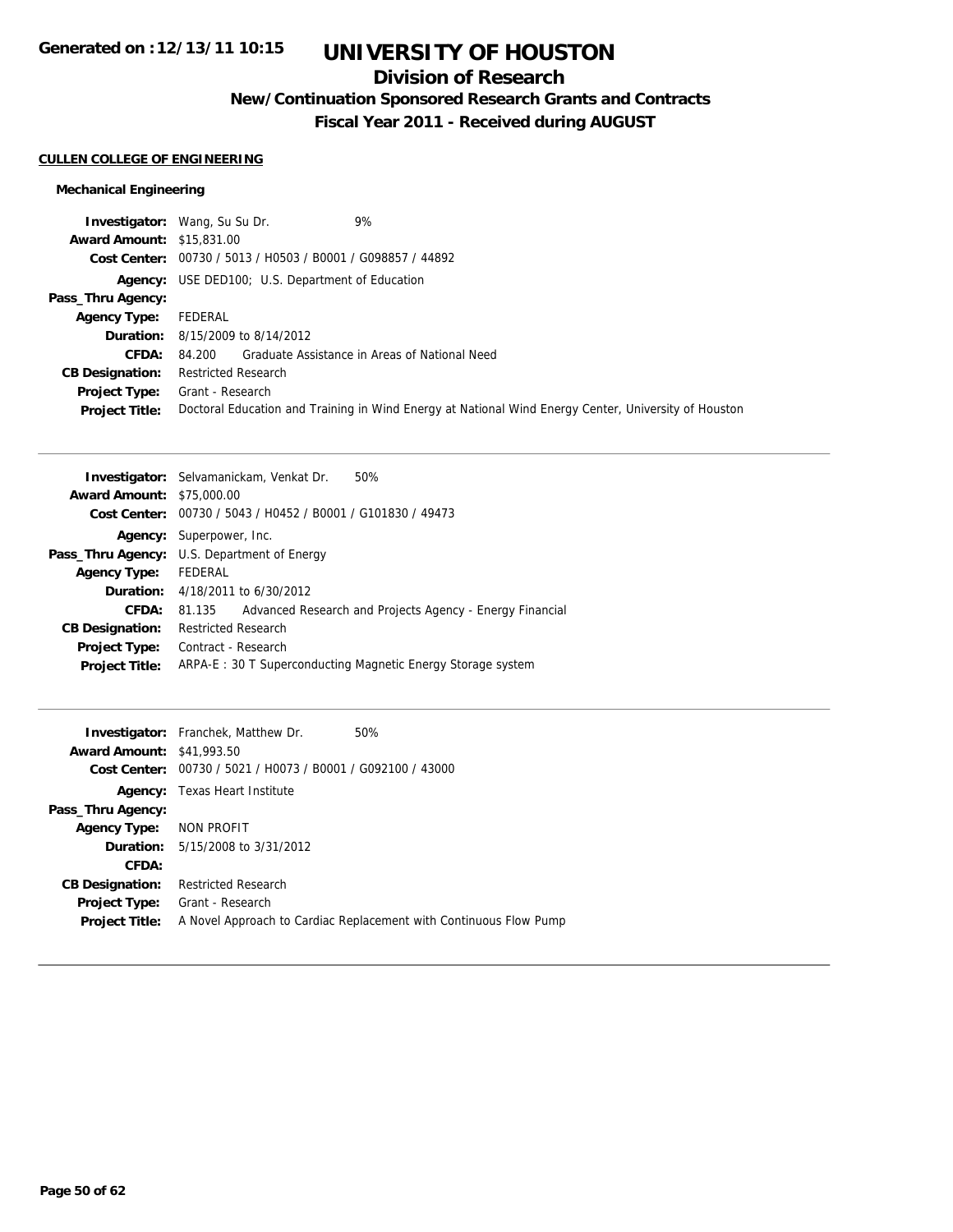## **Division of Research**

**New/Continuation Sponsored Research Grants and Contracts**

**Fiscal Year 2011 - Received during AUGUST**

### **CULLEN COLLEGE OF ENGINEERING**

|                                  | 9%<br><b>Investigator:</b> Wang, Su Su Dr.                                                           |
|----------------------------------|------------------------------------------------------------------------------------------------------|
| <b>Award Amount: \$15,831,00</b> |                                                                                                      |
|                                  | Cost Center: 00730 / 5013 / H0503 / B0001 / G098857 / 44892                                          |
|                                  | <b>Agency:</b> USE DED100; U.S. Department of Education                                              |
| Pass_Thru Agency:                |                                                                                                      |
| <b>Agency Type:</b>              | FEDERAL                                                                                              |
|                                  | <b>Duration:</b> 8/15/2009 to 8/14/2012                                                              |
| <b>CFDA:</b>                     | 84.200 Graduate Assistance in Areas of National Need                                                 |
| <b>CB Designation:</b>           | <b>Restricted Research</b>                                                                           |
| Project Type:                    | Grant - Research                                                                                     |
| <b>Project Title:</b>            | Doctoral Education and Training in Wind Energy at National Wind Energy Center, University of Houston |

|                                  | <b>Investigator:</b> Selvamanickam, Venkat Dr.<br>50%              |
|----------------------------------|--------------------------------------------------------------------|
| <b>Award Amount: \$75,000.00</b> |                                                                    |
|                                  | Cost Center: 00730 / 5043 / H0452 / B0001 / G101830 / 49473        |
|                                  | <b>Agency:</b> Superpower, Inc.                                    |
|                                  | <b>Pass_Thru Agency:</b> U.S. Department of Energy                 |
| <b>Agency Type:</b>              | FEDERAL                                                            |
|                                  | <b>Duration:</b> 4/18/2011 to 6/30/2012                            |
| CFDA:                            | Advanced Research and Projects Agency - Energy Financial<br>81.135 |
| <b>CB Designation:</b>           | <b>Restricted Research</b>                                         |
| <b>Project Type:</b>             | Contract - Research                                                |
| <b>Project Title:</b>            | ARPA-E: 30 T Superconducting Magnetic Energy Storage system        |

| <b>Award Amount: \$41,993.50</b><br>Cost Center: | <b>Investigator:</b> Franchek, Matthew Dr.<br>00730 / 5021 / H0073 / B0001 / G092100 / 43000 | 50%                                                               |
|--------------------------------------------------|----------------------------------------------------------------------------------------------|-------------------------------------------------------------------|
|                                                  | <b>Agency:</b> Texas Heart Institute                                                         |                                                                   |
| Pass_Thru Agency:                                |                                                                                              |                                                                   |
| Agency Type:                                     | NON PROFIT                                                                                   |                                                                   |
|                                                  | <b>Duration:</b> $5/15/2008$ to $3/31/2012$                                                  |                                                                   |
| CFDA:                                            |                                                                                              |                                                                   |
| <b>CB Designation:</b>                           | <b>Restricted Research</b>                                                                   |                                                                   |
| <b>Project Type:</b>                             | Grant - Research                                                                             |                                                                   |
| <b>Project Title:</b>                            |                                                                                              | A Novel Approach to Cardiac Replacement with Continuous Flow Pump |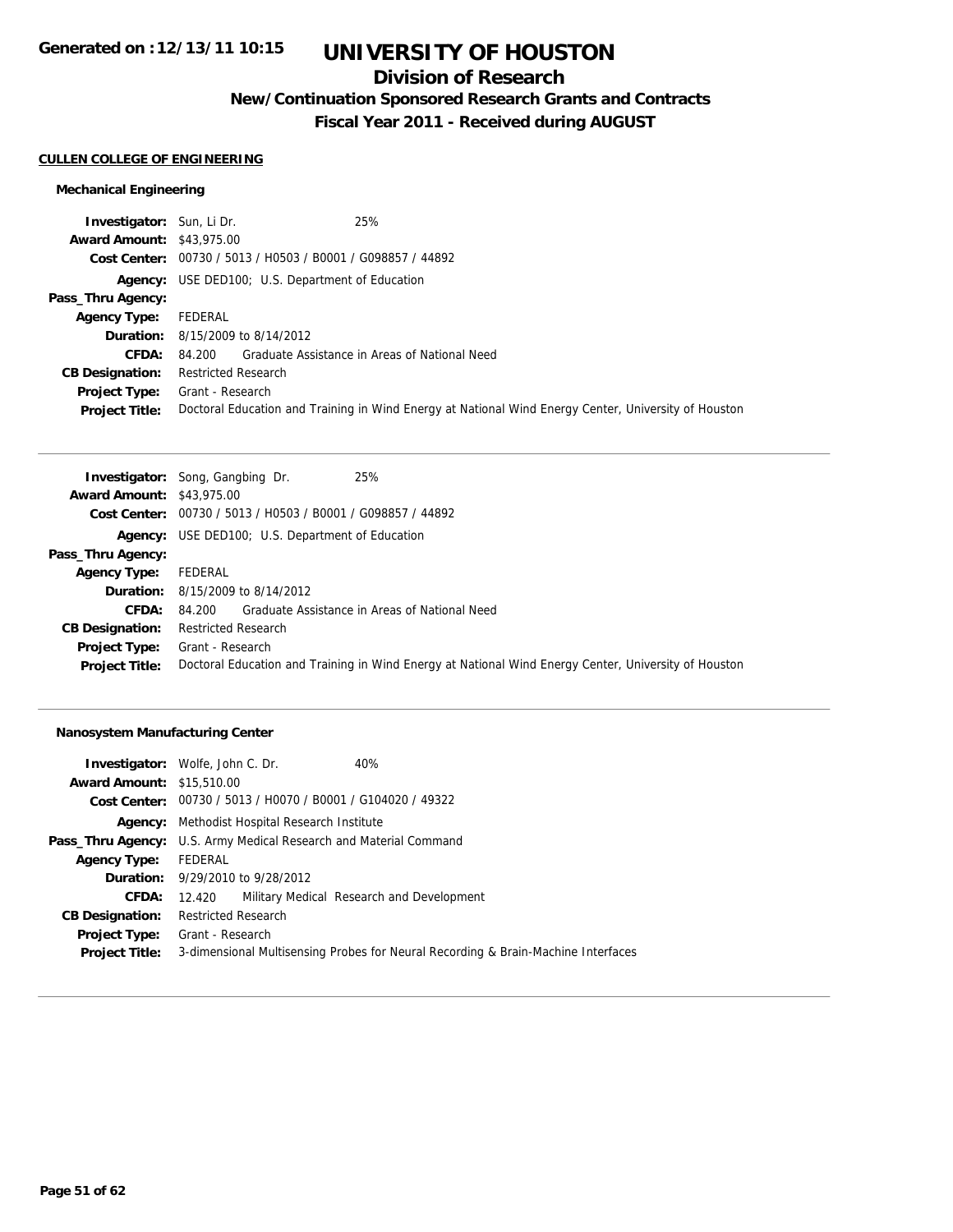## **Division of Research**

**New/Continuation Sponsored Research Grants and Contracts**

**Fiscal Year 2011 - Received during AUGUST**

#### **CULLEN COLLEGE OF ENGINEERING**

### **Mechanical Engineering**

| <b>Investigator:</b> Sun, Li Dr. | 25%                                                                                                  |
|----------------------------------|------------------------------------------------------------------------------------------------------|
| <b>Award Amount: \$43,975.00</b> |                                                                                                      |
|                                  | Cost Center: 00730 / 5013 / H0503 / B0001 / G098857 / 44892                                          |
|                                  | <b>Agency:</b> USE DED100; U.S. Department of Education                                              |
| Pass_Thru Agency:                |                                                                                                      |
| <b>Agency Type:</b>              | FEDERAL                                                                                              |
|                                  | <b>Duration:</b> 8/15/2009 to 8/14/2012                                                              |
| <b>CFDA:</b>                     | 84.200 Graduate Assistance in Areas of National Need                                                 |
| <b>CB Designation:</b>           | <b>Restricted Research</b>                                                                           |
| <b>Project Type:</b>             | Grant - Research                                                                                     |
| <b>Project Title:</b>            | Doctoral Education and Training in Wind Energy at National Wind Energy Center, University of Houston |

|                                  | 25%<br><b>Investigator:</b> Song, Gangbing Dr.                                                       |
|----------------------------------|------------------------------------------------------------------------------------------------------|
| <b>Award Amount: \$43,975.00</b> |                                                                                                      |
|                                  | Cost Center: 00730 / 5013 / H0503 / B0001 / G098857 / 44892                                          |
|                                  | <b>Agency:</b> USE DED100; U.S. Department of Education                                              |
| Pass_Thru Agency:                |                                                                                                      |
| <b>Agency Type:</b>              | FEDERAL                                                                                              |
|                                  | <b>Duration:</b> 8/15/2009 to 8/14/2012                                                              |
| <b>CFDA:</b>                     | Graduate Assistance in Areas of National Need<br>84.200                                              |
| <b>CB Designation:</b>           | <b>Restricted Research</b>                                                                           |
| <b>Project Type:</b>             | Grant - Research                                                                                     |
| <b>Project Title:</b>            | Doctoral Education and Training in Wind Energy at National Wind Energy Center, University of Houston |

### **Nanosystem Manufacturing Center**

|                                  | <b>Investigator:</b> Wolfe, John C. Dr.                                  | 40%                                                                               |
|----------------------------------|--------------------------------------------------------------------------|-----------------------------------------------------------------------------------|
| <b>Award Amount: \$15,510.00</b> |                                                                          |                                                                                   |
|                                  | Cost Center: 00730 / 5013 / H0070 / B0001 / G104020 / 49322              |                                                                                   |
|                                  | <b>Agency:</b> Methodist Hospital Research Institute                     |                                                                                   |
|                                  | <b>Pass_Thru Agency:</b> U.S. Army Medical Research and Material Command |                                                                                   |
| <b>Agency Type:</b>              | FEDERAL                                                                  |                                                                                   |
|                                  | <b>Duration:</b> $9/29/2010$ to $9/28/2012$                              |                                                                                   |
| CFDA:                            | 12.420                                                                   | Military Medical Research and Development                                         |
| <b>CB Designation:</b>           | <b>Restricted Research</b>                                               |                                                                                   |
| <b>Project Type:</b>             | Grant - Research                                                         |                                                                                   |
| <b>Project Title:</b>            |                                                                          | 3-dimensional Multisensing Probes for Neural Recording & Brain-Machine Interfaces |
|                                  |                                                                          |                                                                                   |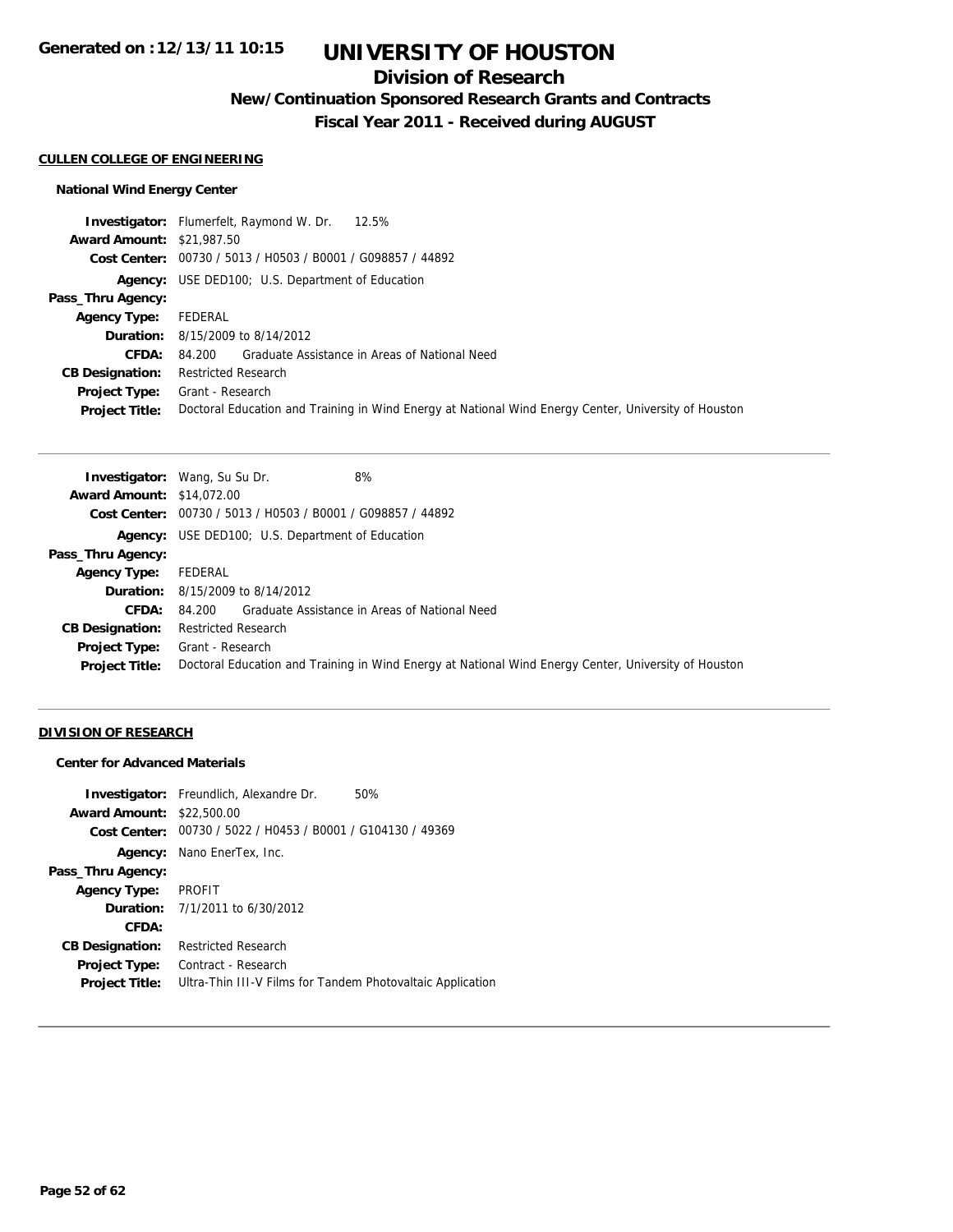## **Division of Research**

**New/Continuation Sponsored Research Grants and Contracts**

**Fiscal Year 2011 - Received during AUGUST**

#### **CULLEN COLLEGE OF ENGINEERING**

### **National Wind Energy Center**

|                                  | 12.5%<br><b>Investigator:</b> Flumerfelt, Raymond W. Dr.                                             |
|----------------------------------|------------------------------------------------------------------------------------------------------|
| <b>Award Amount: \$21,987.50</b> |                                                                                                      |
|                                  | Cost Center: 00730 / 5013 / H0503 / B0001 / G098857 / 44892                                          |
|                                  | <b>Agency:</b> USE DED100; U.S. Department of Education                                              |
| Pass_Thru Agency:                |                                                                                                      |
| <b>Agency Type:</b>              | FEDERAL                                                                                              |
|                                  | <b>Duration:</b> 8/15/2009 to 8/14/2012                                                              |
| <b>CFDA:</b>                     | 84.200 Graduate Assistance in Areas of National Need                                                 |
| <b>CB Designation:</b>           | <b>Restricted Research</b>                                                                           |
| <b>Project Type:</b>             | Grant - Research                                                                                     |
| <b>Project Title:</b>            | Doctoral Education and Training in Wind Energy at National Wind Energy Center, University of Houston |

| 8%<br><b>Investigator:</b> Wang, Su Su Dr.                                                           |
|------------------------------------------------------------------------------------------------------|
| <b>Award Amount: \$14,072.00</b>                                                                     |
| Cost Center: 00730 / 5013 / H0503 / B0001 / G098857 / 44892                                          |
| <b>Agency:</b> USE DED100; U.S. Department of Education                                              |
|                                                                                                      |
| FEDERAL                                                                                              |
| <b>Duration:</b> 8/15/2009 to 8/14/2012                                                              |
| 84.200 Graduate Assistance in Areas of National Need                                                 |
| <b>Restricted Research</b>                                                                           |
| Grant - Research                                                                                     |
| Doctoral Education and Training in Wind Energy at National Wind Energy Center, University of Houston |
|                                                                                                      |

### **DIVISION OF RESEARCH**

### **Center for Advanced Materials**

|                        | <b>Investigator:</b> Freundlich, Alexandre Dr.<br>50%       |
|------------------------|-------------------------------------------------------------|
| <b>Award Amount:</b>   | \$22,500.00                                                 |
|                        | Cost Center: 00730 / 5022 / H0453 / B0001 / G104130 / 49369 |
| Agency:                | Nano EnerTex, Inc.                                          |
| Pass_Thru Agency:      |                                                             |
| Agency Type:           | <b>PROFIT</b>                                               |
|                        | <b>Duration:</b> $7/1/2011$ to $6/30/2012$                  |
| CFDA:                  |                                                             |
| <b>CB Designation:</b> | <b>Restricted Research</b>                                  |
| Project Type:          | Contract - Research                                         |
| <b>Project Title:</b>  | Ultra-Thin III-V Films for Tandem Photovaltaic Application  |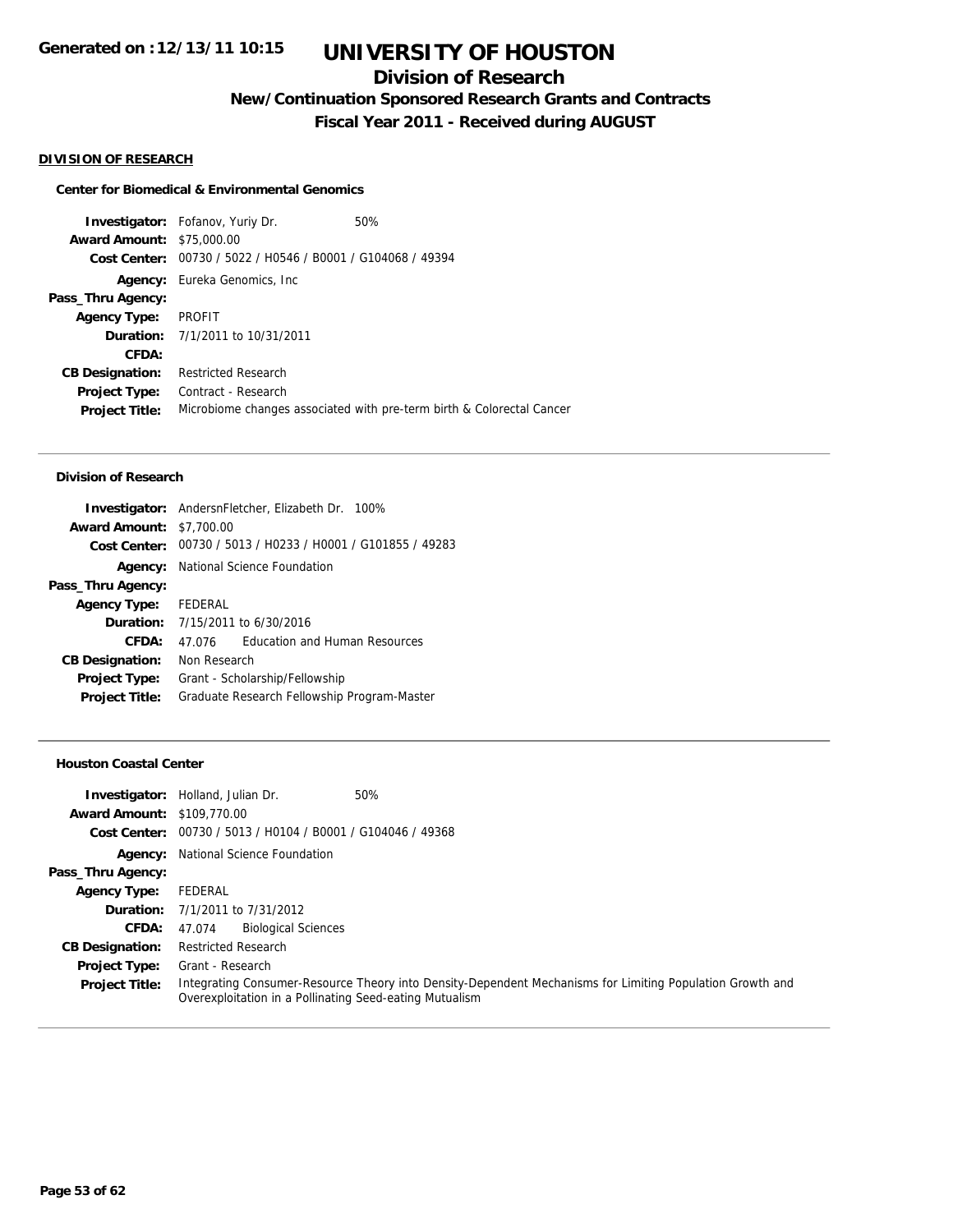## **Division of Research**

**New/Continuation Sponsored Research Grants and Contracts**

**Fiscal Year 2011 - Received during AUGUST**

#### **DIVISION OF RESEARCH**

#### **Center for Biomedical & Environmental Genomics**

**Investigator:** Fofanov, Yuriy Dr. 60% **Award Amount:** \$75,000.00 **Cost Center:** 00730 / 5022 / H0546 / B0001 / G104068 / 49394 **Agency:** Eureka Genomics, Inc **Pass\_Thru Agency: Agency Type:** PROFIT **Duration:** 7/1/2011 to 10/31/2011 **CFDA: CB Designation:** Restricted Research **Project Type:** Contract - Research **Project Title:** Microbiome changes associated with pre-term birth & Colorectal Cancer

#### **Division of Research**

| Investigator: AndersnFletcher, Elizabeth Dr. 100%           |  |  |  |
|-------------------------------------------------------------|--|--|--|
| <b>Award Amount: \$7,700.00</b>                             |  |  |  |
| Cost Center: 00730 / 5013 / H0233 / H0001 / G101855 / 49283 |  |  |  |
| National Science Foundation                                 |  |  |  |
|                                                             |  |  |  |
| Agency Type: FEDERAL                                        |  |  |  |
| <b>Duration:</b> 7/15/2011 to 6/30/2016                     |  |  |  |
| <b>Education and Human Resources</b><br>47 076              |  |  |  |
| Non Research                                                |  |  |  |
| Grant - Scholarship/Fellowship                              |  |  |  |
| Graduate Research Fellowship Program-Master                 |  |  |  |
|                                                             |  |  |  |

#### **Houston Coastal Center**

|                                   | 50%<br><b>Investigator:</b> Holland, Julian Dr.                                                                                                                      |
|-----------------------------------|----------------------------------------------------------------------------------------------------------------------------------------------------------------------|
| <b>Award Amount: \$109,770.00</b> |                                                                                                                                                                      |
|                                   | Cost Center: 00730 / 5013 / H0104 / B0001 / G104046 / 49368                                                                                                          |
|                                   | <b>Agency:</b> National Science Foundation                                                                                                                           |
| Pass_Thru Agency:                 |                                                                                                                                                                      |
| <b>Agency Type:</b>               | FEDERAL                                                                                                                                                              |
|                                   | <b>Duration:</b> 7/1/2011 to 7/31/2012                                                                                                                               |
| <b>CFDA:</b>                      | <b>Biological Sciences</b><br>47.074                                                                                                                                 |
| <b>CB Designation:</b>            | <b>Restricted Research</b>                                                                                                                                           |
| <b>Project Type:</b>              | Grant - Research                                                                                                                                                     |
| <b>Project Title:</b>             | Integrating Consumer-Resource Theory into Density-Dependent Mechanisms for Limiting Population Growth and<br>Overexploitation in a Pollinating Seed-eating Mutualism |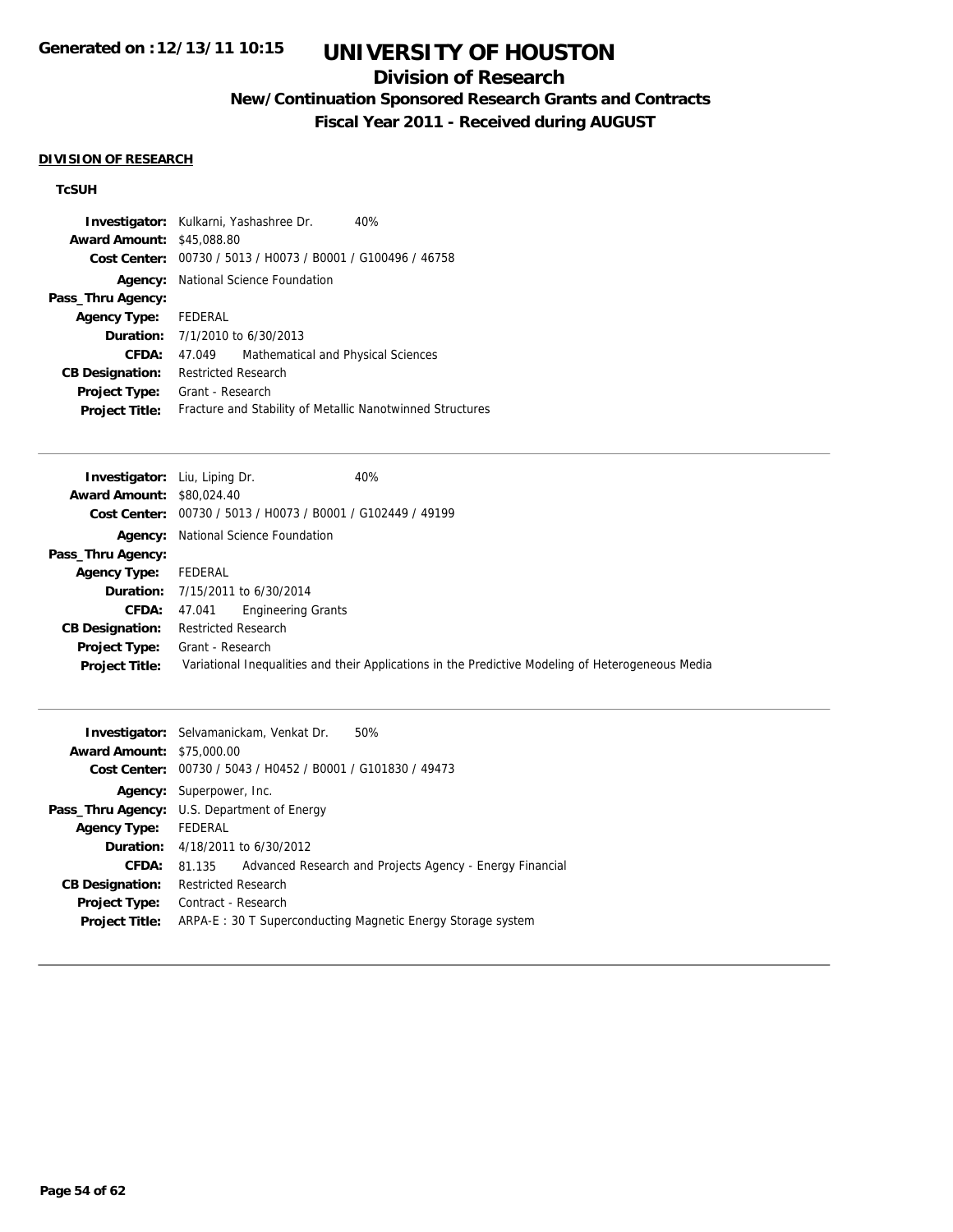## **Division of Research**

**New/Continuation Sponsored Research Grants and Contracts**

**Fiscal Year 2011 - Received during AUGUST**

#### **DIVISION OF RESEARCH**

### **TcSUH**

| <b>Award Amount: \$45,088.80</b> | <b>Investigator:</b> Kulkarni, Yashashree Dr.<br>40%<br>Cost Center: 00730 / 5013 / H0073 / B0001 / G100496 / 46758 |  |  |
|----------------------------------|---------------------------------------------------------------------------------------------------------------------|--|--|
|                                  | <b>Agency:</b> National Science Foundation                                                                          |  |  |
| Pass_Thru Agency:                |                                                                                                                     |  |  |
| <b>Agency Type:</b>              | FEDERAL                                                                                                             |  |  |
|                                  | <b>Duration:</b> $7/1/2010$ to $6/30/2013$                                                                          |  |  |
| CFDA:                            | Mathematical and Physical Sciences<br>47.049                                                                        |  |  |
| <b>CB Designation:</b>           | <b>Restricted Research</b>                                                                                          |  |  |
| <b>Project Type:</b>             | Grant - Research                                                                                                    |  |  |
| <b>Project Title:</b>            | Fracture and Stability of Metallic Nanotwinned Structures                                                           |  |  |

| 40%<br><b>Investigator:</b> Liu, Liping Dr.                                                       |
|---------------------------------------------------------------------------------------------------|
| <b>Award Amount: \$80,024.40</b>                                                                  |
| Cost Center: 00730 / 5013 / H0073 / B0001 / G102449 / 49199                                       |
| <b>Agency:</b> National Science Foundation                                                        |
|                                                                                                   |
| FEDERAL                                                                                           |
| <b>Duration:</b> 7/15/2011 to 6/30/2014                                                           |
| Engineering Grants<br>47.041                                                                      |
| <b>Restricted Research</b>                                                                        |
| Grant - Research                                                                                  |
| Variational Inequalities and their Applications in the Predictive Modeling of Heterogeneous Media |
|                                                                                                   |

|                                  | <b>Investigator:</b> Selvamanickam, Venkat Dr.<br>50%              |  |  |  |
|----------------------------------|--------------------------------------------------------------------|--|--|--|
| <b>Award Amount: \$75,000.00</b> |                                                                    |  |  |  |
|                                  | Cost Center: 00730 / 5043 / H0452 / B0001 / G101830 / 49473        |  |  |  |
|                                  | <b>Agency:</b> Superpower, Inc.                                    |  |  |  |
|                                  | <b>Pass_Thru Agency:</b> U.S. Department of Energy                 |  |  |  |
| <b>Agency Type:</b>              | FEDERAL                                                            |  |  |  |
|                                  | <b>Duration:</b> 4/18/2011 to 6/30/2012                            |  |  |  |
| CFDA:                            | Advanced Research and Projects Agency - Energy Financial<br>81.135 |  |  |  |
| <b>CB Designation:</b>           | <b>Restricted Research</b>                                         |  |  |  |
| <b>Project Type:</b>             | Contract - Research                                                |  |  |  |
| <b>Project Title:</b>            | ARPA-E : 30 T Superconducting Magnetic Energy Storage system       |  |  |  |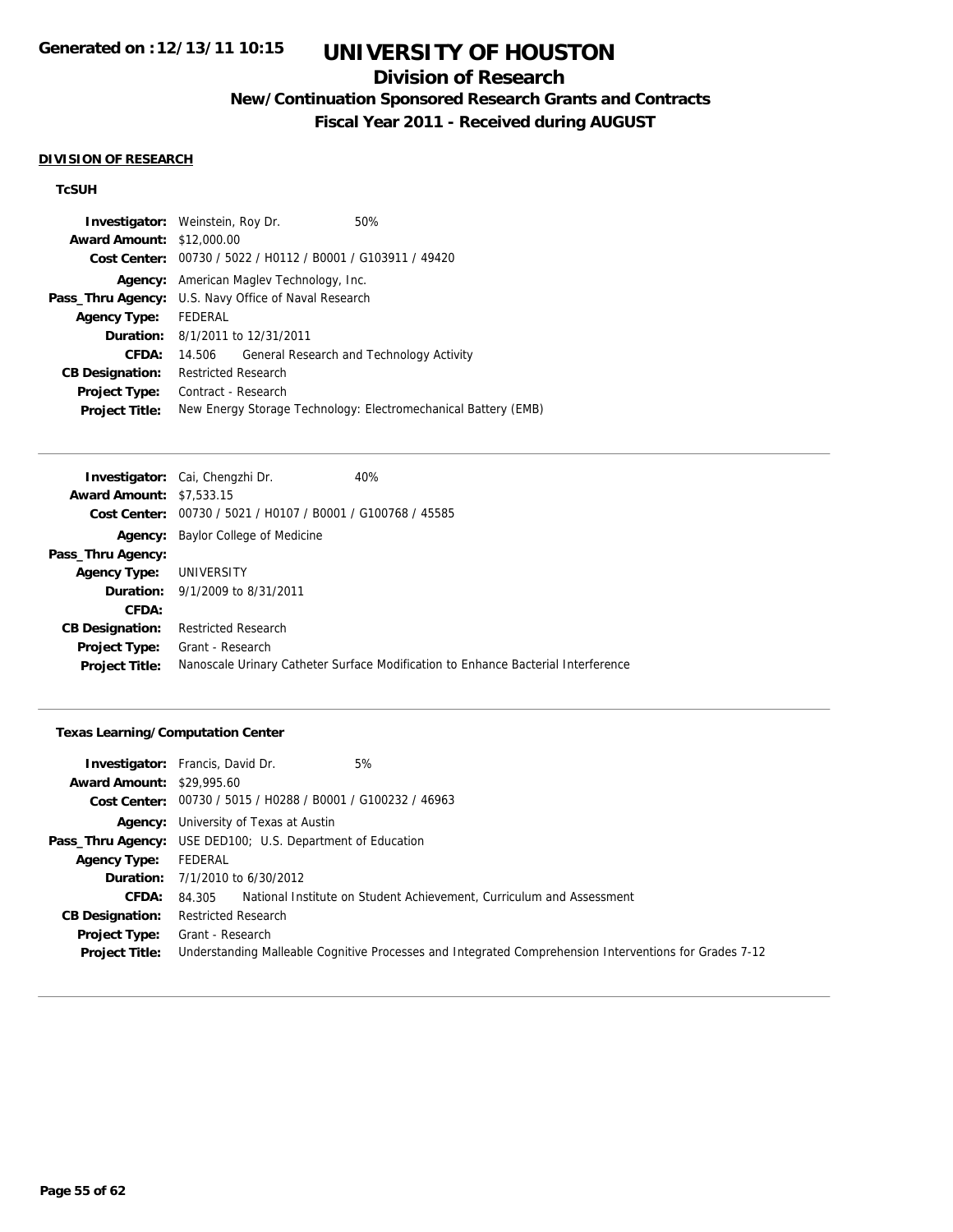## **Division of Research**

**New/Continuation Sponsored Research Grants and Contracts**

**Fiscal Year 2011 - Received during AUGUST**

#### **DIVISION OF RESEARCH**

### **TcSUH**

| <b>Investigator:</b> Weinstein, Roy Dr.<br><b>Award Amount: \$12,000.00</b> |                                                             |  | 50%<br>Cost Center: 00730 / 5022 / H0112 / B0001 / G103911 / 49420 |  |
|-----------------------------------------------------------------------------|-------------------------------------------------------------|--|--------------------------------------------------------------------|--|
|                                                                             | <b>Agency:</b> American Magley Technology, Inc.             |  |                                                                    |  |
|                                                                             | <b>Pass_Thru Agency:</b> U.S. Navy Office of Naval Research |  |                                                                    |  |
| <b>Agency Type:</b>                                                         | FEDERAL                                                     |  |                                                                    |  |
|                                                                             | <b>Duration:</b> 8/1/2011 to 12/31/2011                     |  |                                                                    |  |
| CFDA:                                                                       | 14.506                                                      |  | General Research and Technology Activity                           |  |
| <b>CB Designation:</b>                                                      | Restricted Research                                         |  |                                                                    |  |
| <b>Project Type:</b>                                                        | Contract - Research                                         |  |                                                                    |  |
| <b>Project Title:</b>                                                       |                                                             |  | New Energy Storage Technology: Electromechanical Battery (EMB)     |  |

|                                 | <b>Investigator:</b> Cai, Chengzhi Dr.                      | 40%                                                                               |
|---------------------------------|-------------------------------------------------------------|-----------------------------------------------------------------------------------|
| <b>Award Amount: \$7,533.15</b> |                                                             |                                                                                   |
|                                 | Cost Center: 00730 / 5021 / H0107 / B0001 / G100768 / 45585 |                                                                                   |
|                                 | <b>Agency:</b> Baylor College of Medicine                   |                                                                                   |
| Pass_Thru Agency:               |                                                             |                                                                                   |
| <b>Agency Type:</b>             | UNIVERSITY                                                  |                                                                                   |
|                                 | <b>Duration:</b> 9/1/2009 to 8/31/2011                      |                                                                                   |
| CFDA:                           |                                                             |                                                                                   |
| <b>CB Designation:</b>          | <b>Restricted Research</b>                                  |                                                                                   |
| <b>Project Type:</b>            | Grant - Research                                            |                                                                                   |
| <b>Project Title:</b>           |                                                             | Nanoscale Urinary Catheter Surface Modification to Enhance Bacterial Interference |
|                                 |                                                             |                                                                                   |

### **Texas Learning/Computation Center**

|                                  | 5%<br><b>Investigator:</b> Francis, David Dr.                                                          |
|----------------------------------|--------------------------------------------------------------------------------------------------------|
| <b>Award Amount: \$29,995.60</b> |                                                                                                        |
|                                  | Cost Center: 00730 / 5015 / H0288 / B0001 / G100232 / 46963                                            |
|                                  | <b>Agency:</b> University of Texas at Austin                                                           |
|                                  | <b>Pass_Thru Agency:</b> USE DED100; U.S. Department of Education                                      |
| <b>Agency Type:</b>              | FEDERAL                                                                                                |
|                                  | <b>Duration:</b> $7/1/2010$ to $6/30/2012$                                                             |
| <b>CFDA:</b>                     | National Institute on Student Achievement, Curriculum and Assessment<br>84.305                         |
| <b>CB Designation:</b>           | <b>Restricted Research</b>                                                                             |
| <b>Project Type:</b>             | Grant - Research                                                                                       |
| <b>Project Title:</b>            | Understanding Malleable Cognitive Processes and Integrated Comprehension Interventions for Grades 7-12 |
|                                  |                                                                                                        |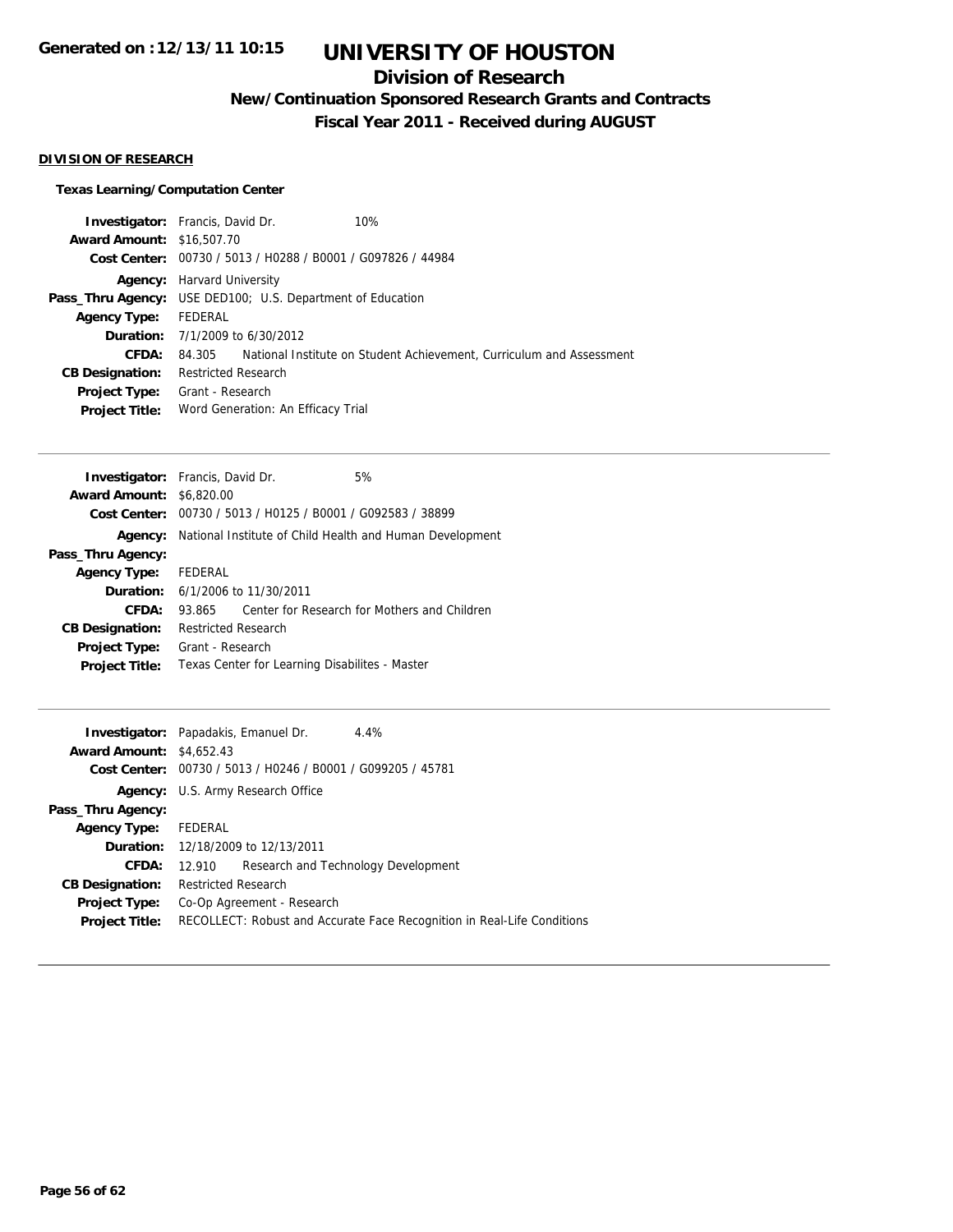## **Division of Research**

**New/Continuation Sponsored Research Grants and Contracts**

**Fiscal Year 2011 - Received during AUGUST**

### **DIVISION OF RESEARCH**

### **Texas Learning/Computation Center**

|                                  | <b>Investigator:</b> Francis, David Dr.                     | 10%                                                                  |  |
|----------------------------------|-------------------------------------------------------------|----------------------------------------------------------------------|--|
| <b>Award Amount: \$16,507.70</b> |                                                             |                                                                      |  |
|                                  | Cost Center: 00730 / 5013 / H0288 / B0001 / G097826 / 44984 |                                                                      |  |
|                                  | <b>Agency:</b> Harvard University                           |                                                                      |  |
| Pass_Thru Agency:                | USE DED100; U.S. Department of Education                    |                                                                      |  |
| <b>Agency Type:</b>              | FEDERAL                                                     |                                                                      |  |
|                                  | <b>Duration:</b> $7/1/2009$ to $6/30/2012$                  |                                                                      |  |
| CFDA:                            | 84.305                                                      | National Institute on Student Achievement, Curriculum and Assessment |  |
| <b>CB Designation:</b>           | <b>Restricted Research</b>                                  |                                                                      |  |
| <b>Project Type:</b>             | Grant - Research                                            |                                                                      |  |
| <b>Project Title:</b>            | Word Generation: An Efficacy Trial                          |                                                                      |  |

| <b>Investigator:</b> Francis, David Dr. |                                                             |  | 5%                                           |
|-----------------------------------------|-------------------------------------------------------------|--|----------------------------------------------|
| <b>Award Amount: \$6,820.00</b>         |                                                             |  |                                              |
|                                         | Cost Center: 00730 / 5013 / H0125 / B0001 / G092583 / 38899 |  |                                              |
| Agency:                                 | National Institute of Child Health and Human Development    |  |                                              |
| Pass_Thru Agency:                       |                                                             |  |                                              |
| <b>Agency Type:</b>                     | FEDERAL                                                     |  |                                              |
|                                         | <b>Duration:</b> $6/1/2006$ to $11/30/2011$                 |  |                                              |
| CFDA:                                   | 93.865                                                      |  | Center for Research for Mothers and Children |
| <b>CB Designation:</b>                  | <b>Restricted Research</b>                                  |  |                                              |
| <b>Project Type:</b>                    | Grant - Research                                            |  |                                              |
| <b>Project Title:</b>                   | Texas Center for Learning Disabilites - Master              |  |                                              |
|                                         |                                                             |  |                                              |

| <b>Investigator:</b> Papadakis, Emanuel Dr.<br><b>Award Amount: \$4,652.43</b> |                                                                                                       |  | 4.4%                                |  |
|--------------------------------------------------------------------------------|-------------------------------------------------------------------------------------------------------|--|-------------------------------------|--|
|                                                                                | Cost Center: 00730 / 5013 / H0246 / B0001 / G099205 / 45781                                           |  |                                     |  |
|                                                                                | <b>Agency:</b> U.S. Army Research Office                                                              |  |                                     |  |
| Pass_Thru Agency:                                                              |                                                                                                       |  |                                     |  |
| <b>Agency Type:</b>                                                            | FEDERAL                                                                                               |  |                                     |  |
|                                                                                | <b>Duration:</b> 12/18/2009 to 12/13/2011                                                             |  |                                     |  |
| <b>CFDA:</b>                                                                   | 12.910                                                                                                |  | Research and Technology Development |  |
| <b>CB Designation:</b>                                                         | <b>Restricted Research</b>                                                                            |  |                                     |  |
| <b>Project Type:</b><br><b>Project Title:</b>                                  | Co-Op Agreement - Research<br>RECOLLECT: Robust and Accurate Face Recognition in Real-Life Conditions |  |                                     |  |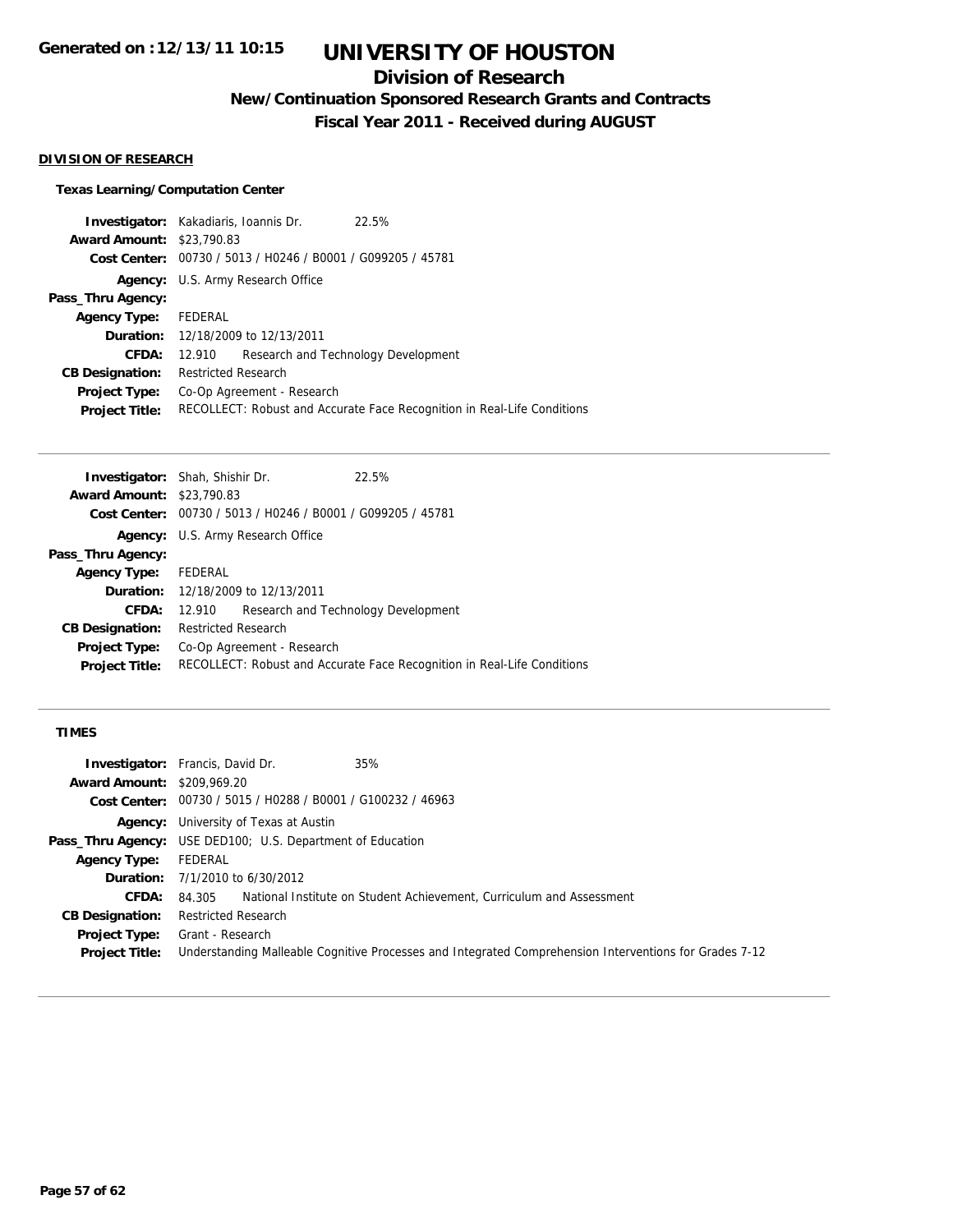## **Division of Research**

**New/Continuation Sponsored Research Grants and Contracts**

**Fiscal Year 2011 - Received during AUGUST**

#### **DIVISION OF RESEARCH**

### **Texas Learning/Computation Center**

|                      | 22.5%                                                                                                                                                                                                                                                                                                          |
|----------------------|----------------------------------------------------------------------------------------------------------------------------------------------------------------------------------------------------------------------------------------------------------------------------------------------------------------|
|                      |                                                                                                                                                                                                                                                                                                                |
|                      |                                                                                                                                                                                                                                                                                                                |
|                      |                                                                                                                                                                                                                                                                                                                |
|                      |                                                                                                                                                                                                                                                                                                                |
|                      |                                                                                                                                                                                                                                                                                                                |
|                      |                                                                                                                                                                                                                                                                                                                |
|                      | Research and Technology Development                                                                                                                                                                                                                                                                            |
|                      |                                                                                                                                                                                                                                                                                                                |
|                      |                                                                                                                                                                                                                                                                                                                |
|                      | RECOLLECT: Robust and Accurate Face Recognition in Real-Life Conditions                                                                                                                                                                                                                                        |
| Agency Type: FEDERAL | <b>Investigator:</b> Kakadiaris, Ioannis Dr.<br><b>Award Amount: \$23,790.83</b><br>Cost Center: 00730 / 5013 / H0246 / B0001 / G099205 / 45781<br><b>Agency:</b> U.S. Army Research Office<br><b>Duration:</b> 12/18/2009 to 12/13/2011<br>12.910<br><b>Restricted Research</b><br>Co-Op Agreement - Research |

| <b>Investigator:</b> Shah, Shishir Dr. |                            |                                                             | 22.5%                                                                   |
|----------------------------------------|----------------------------|-------------------------------------------------------------|-------------------------------------------------------------------------|
| <b>Award Amount: \$23,790.83</b>       |                            |                                                             |                                                                         |
|                                        |                            | Cost Center: 00730 / 5013 / H0246 / B0001 / G099205 / 45781 |                                                                         |
|                                        |                            | <b>Agency:</b> U.S. Army Research Office                    |                                                                         |
| Pass_Thru Agency:                      |                            |                                                             |                                                                         |
| <b>Agency Type:</b>                    | FEDERAL                    |                                                             |                                                                         |
|                                        |                            | <b>Duration:</b> 12/18/2009 to 12/13/2011                   |                                                                         |
| CFDA:                                  | 12.910                     |                                                             | Research and Technology Development                                     |
| <b>CB Designation:</b>                 | <b>Restricted Research</b> |                                                             |                                                                         |
| <b>Project Type:</b>                   |                            | Co-Op Agreement - Research                                  |                                                                         |
| <b>Project Title:</b>                  |                            |                                                             | RECOLLECT: Robust and Accurate Face Recognition in Real-Life Conditions |
|                                        |                            |                                                             |                                                                         |

### **TIMES**

|                                   | <b>Investigator:</b> Francis, David Dr.<br>35%                                                         |
|-----------------------------------|--------------------------------------------------------------------------------------------------------|
| <b>Award Amount: \$209,969.20</b> |                                                                                                        |
|                                   | Cost Center: 00730 / 5015 / H0288 / B0001 / G100232 / 46963                                            |
|                                   | <b>Agency:</b> University of Texas at Austin                                                           |
|                                   | <b>Pass_Thru Agency:</b> USE DED100; U.S. Department of Education                                      |
| <b>Agency Type:</b>               | FEDERAL                                                                                                |
|                                   | <b>Duration:</b> $7/1/2010$ to $6/30/2012$                                                             |
| <b>CFDA:</b>                      | 84.305 National Institute on Student Achievement, Curriculum and Assessment                            |
| <b>CB Designation:</b>            | <b>Restricted Research</b>                                                                             |
| <b>Project Type:</b>              | Grant - Research                                                                                       |
| <b>Project Title:</b>             | Understanding Malleable Cognitive Processes and Integrated Comprehension Interventions for Grades 7-12 |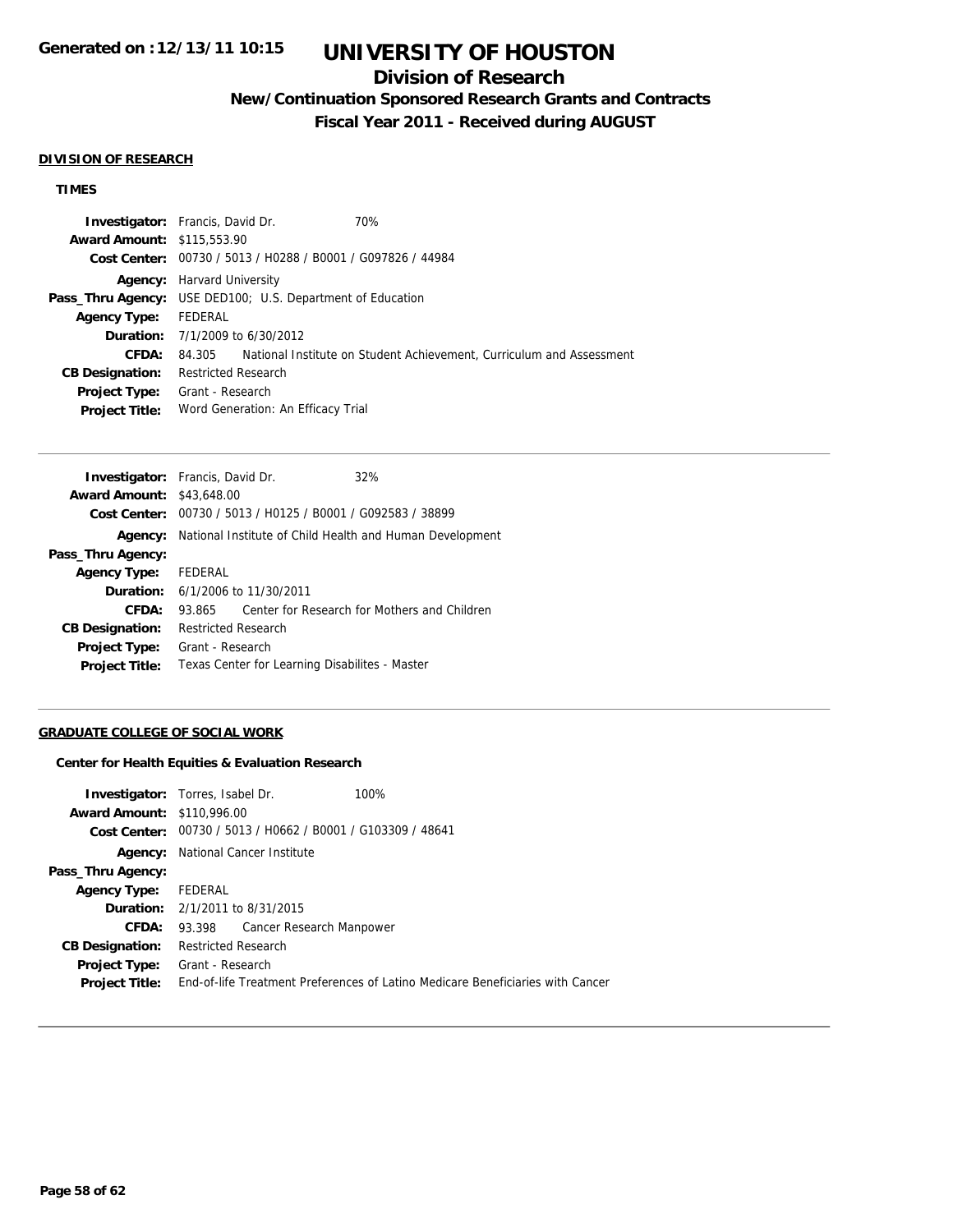## **Division of Research**

**New/Continuation Sponsored Research Grants and Contracts**

**Fiscal Year 2011 - Received during AUGUST**

#### **DIVISION OF RESEARCH**

### **TIMES**

|                                   | <b>Investigator:</b> Francis, David Dr.                           | 70%                                                                  |
|-----------------------------------|-------------------------------------------------------------------|----------------------------------------------------------------------|
| <b>Award Amount: \$115,553.90</b> |                                                                   |                                                                      |
|                                   | Cost Center: 00730 / 5013 / H0288 / B0001 / G097826 / 44984       |                                                                      |
|                                   | <b>Agency:</b> Harvard University                                 |                                                                      |
|                                   | <b>Pass_Thru Agency:</b> USE DED100; U.S. Department of Education |                                                                      |
| <b>Agency Type:</b>               | FEDERAL                                                           |                                                                      |
|                                   | <b>Duration:</b> 7/1/2009 to 6/30/2012                            |                                                                      |
| CFDA:                             | 84.305                                                            | National Institute on Student Achievement, Curriculum and Assessment |
| <b>CB Designation:</b>            | <b>Restricted Research</b>                                        |                                                                      |
| Project Type:                     | Grant - Research                                                  |                                                                      |
| <b>Project Title:</b>             | Word Generation: An Efficacy Trial                                |                                                                      |

| <b>Investigator:</b> Francis, David Dr. |                     |                                             | 32%                                                         |  |
|-----------------------------------------|---------------------|---------------------------------------------|-------------------------------------------------------------|--|
| <b>Award Amount: \$43,648.00</b>        |                     |                                             |                                                             |  |
|                                         |                     |                                             | Cost Center: 00730 / 5013 / H0125 / B0001 / G092583 / 38899 |  |
| Agency:                                 |                     |                                             | National Institute of Child Health and Human Development    |  |
| Pass_Thru Agency:                       |                     |                                             |                                                             |  |
| <b>Agency Type:</b>                     | FEDERAL             |                                             |                                                             |  |
|                                         |                     | <b>Duration:</b> $6/1/2006$ to $11/30/2011$ |                                                             |  |
| CFDA:                                   | 93.865              |                                             | Center for Research for Mothers and Children                |  |
| <b>CB Designation:</b>                  | Restricted Research |                                             |                                                             |  |
| <b>Project Type:</b>                    | Grant - Research    |                                             |                                                             |  |
| <b>Project Title:</b>                   |                     |                                             | Texas Center for Learning Disabilites - Master              |  |
|                                         |                     |                                             |                                                             |  |

### **GRADUATE COLLEGE OF SOCIAL WORK**

#### **Center for Health Equities & Evaluation Research**

| <b>Investigator:</b> Torres, Isabel Dr. |                            |                                                             | 100%                                                                           |
|-----------------------------------------|----------------------------|-------------------------------------------------------------|--------------------------------------------------------------------------------|
| <b>Award Amount: \$110,996.00</b>       |                            |                                                             |                                                                                |
|                                         |                            | Cost Center: 00730 / 5013 / H0662 / B0001 / G103309 / 48641 |                                                                                |
| Agency:                                 |                            | National Cancer Institute                                   |                                                                                |
| Pass_Thru Agency:                       |                            |                                                             |                                                                                |
| Agency Type:                            | FEDERAL                    |                                                             |                                                                                |
| <b>Duration:</b> 2/1/2011 to 8/31/2015  |                            |                                                             |                                                                                |
| <b>CFDA:</b>                            |                            | 93.398 Cancer Research Manpower                             |                                                                                |
| <b>CB Designation:</b>                  | <b>Restricted Research</b> |                                                             |                                                                                |
| <b>Project Type:</b>                    | Grant - Research           |                                                             |                                                                                |
| <b>Project Title:</b>                   |                            |                                                             | End-of-life Treatment Preferences of Latino Medicare Beneficiaries with Cancer |
|                                         |                            |                                                             |                                                                                |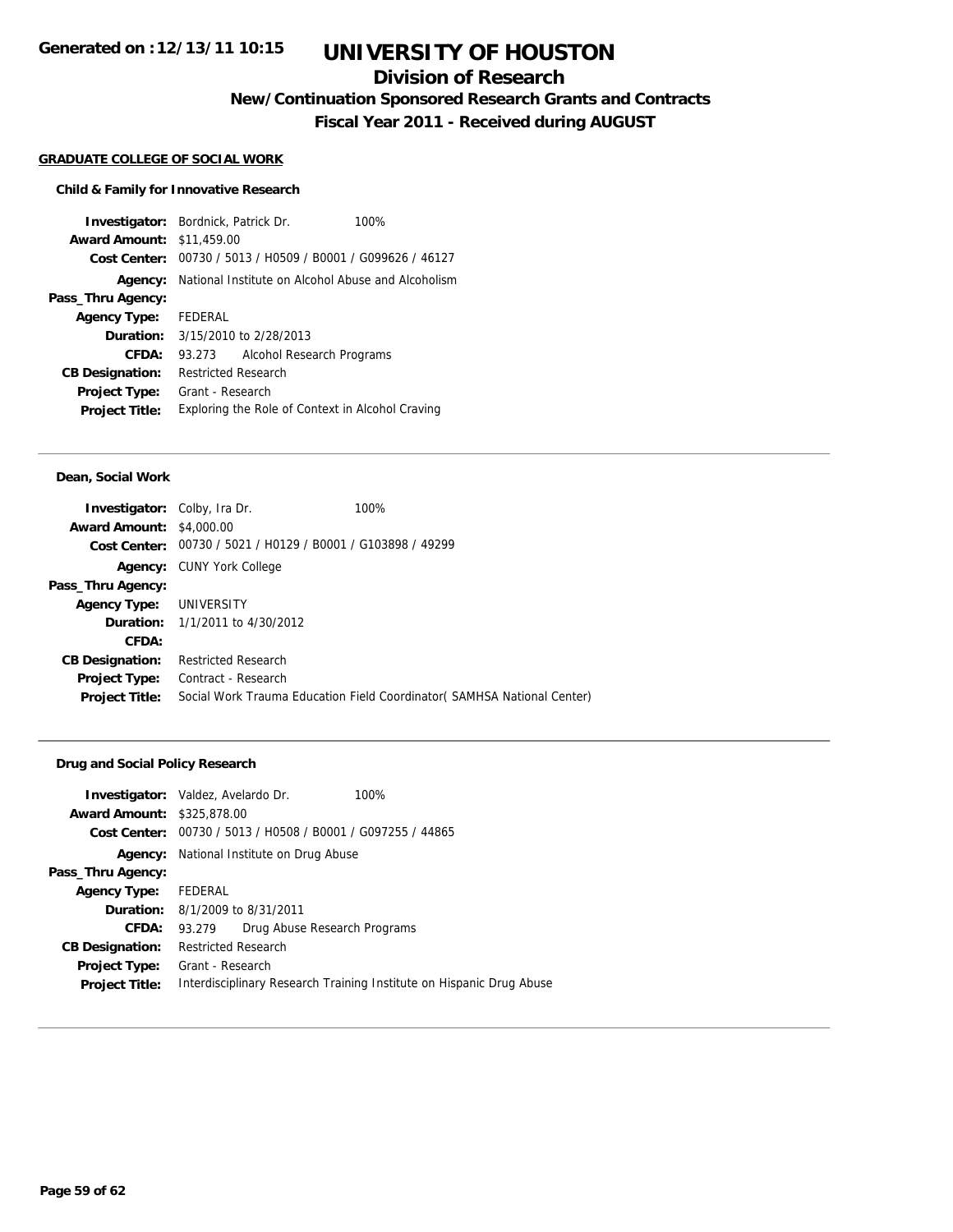## **Division of Research**

**New/Continuation Sponsored Research Grants and Contracts**

**Fiscal Year 2011 - Received during AUGUST**

#### **GRADUATE COLLEGE OF SOCIAL WORK**

### **Child & Family for Innovative Research**

| <b>Investigator:</b> Bordnick, Patrick Dr. |                            |                                                             | 100% |
|--------------------------------------------|----------------------------|-------------------------------------------------------------|------|
| <b>Award Amount: \$11,459.00</b>           |                            |                                                             |      |
|                                            |                            | Cost Center: 00730 / 5013 / H0509 / B0001 / G099626 / 46127 |      |
|                                            |                            | Agency: National Institute on Alcohol Abuse and Alcoholism  |      |
| Pass_Thru Agency:                          |                            |                                                             |      |
| Agency Type: FEDERAL                       |                            |                                                             |      |
|                                            |                            | <b>Duration:</b> 3/15/2010 to 2/28/2013                     |      |
| CFDA:                                      | 93.273                     | Alcohol Research Programs                                   |      |
| <b>CB Designation:</b>                     | <b>Restricted Research</b> |                                                             |      |
| <b>Project Type:</b>                       | Grant - Research           |                                                             |      |
| <b>Project Title:</b>                      |                            | Exploring the Role of Context in Alcohol Craving            |      |

#### **Dean, Social Work**

| <b>Investigator:</b> Colby, Ira Dr. |                                                | 100%                                                                    |
|-------------------------------------|------------------------------------------------|-------------------------------------------------------------------------|
| <b>Award Amount: \$4,000.00</b>     |                                                |                                                                         |
| <b>Cost Center:</b>                 | 00730 / 5021 / H0129 / B0001 / G103898 / 49299 |                                                                         |
|                                     | <b>Agency: CUNY York College</b>               |                                                                         |
| Pass_Thru Agency:                   |                                                |                                                                         |
| Agency Type: UNIVERSITY             |                                                |                                                                         |
|                                     | <b>Duration:</b> 1/1/2011 to 4/30/2012         |                                                                         |
| CFDA:                               |                                                |                                                                         |
| <b>CB Designation:</b>              | <b>Restricted Research</b>                     |                                                                         |
| <b>Project Type:</b>                | Contract - Research                            |                                                                         |
| <b>Project Title:</b>               |                                                | Social Work Trauma Education Field Coordinator (SAMHSA National Center) |
|                                     |                                                |                                                                         |

### **Drug and Social Policy Research**

|                                   | <b>Investigator:</b> Valdez, Avelardo Dr. |                              | 100%                                                                 |
|-----------------------------------|-------------------------------------------|------------------------------|----------------------------------------------------------------------|
| <b>Award Amount: \$325,878.00</b> |                                           |                              |                                                                      |
|                                   |                                           |                              | Cost Center: 00730 / 5013 / H0508 / B0001 / G097255 / 44865          |
| Agency:                           | National Institute on Drug Abuse          |                              |                                                                      |
| Pass_Thru Agency:                 |                                           |                              |                                                                      |
| <b>Agency Type:</b>               | FEDERAL                                   |                              |                                                                      |
|                                   | <b>Duration:</b> 8/1/2009 to 8/31/2011    |                              |                                                                      |
| CFDA:                             | 93.279                                    | Drug Abuse Research Programs |                                                                      |
| <b>CB Designation:</b>            | <b>Restricted Research</b>                |                              |                                                                      |
| <b>Project Type:</b>              | Grant - Research                          |                              |                                                                      |
| <b>Project Title:</b>             |                                           |                              | Interdisciplinary Research Training Institute on Hispanic Drug Abuse |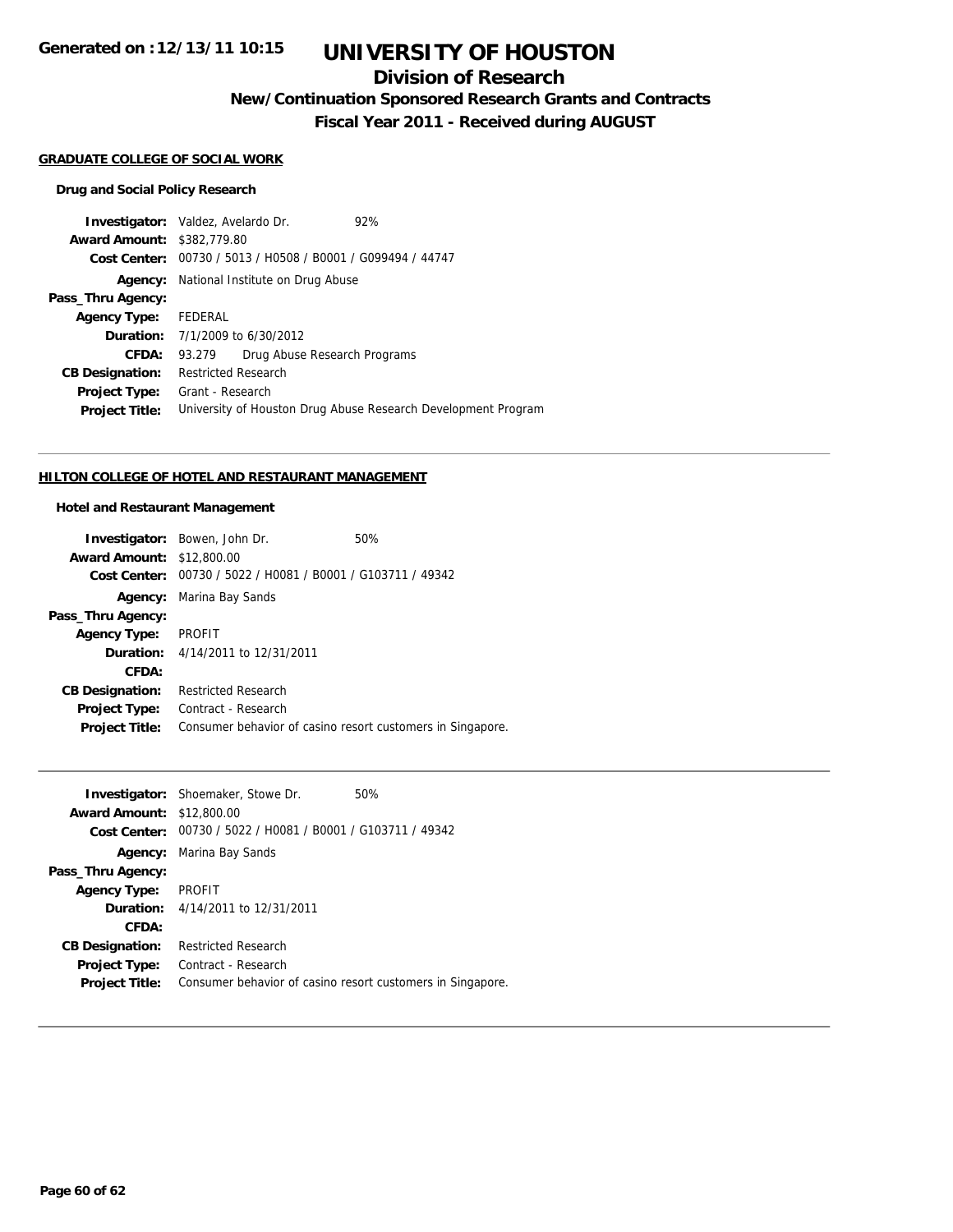**Generated on :12/13/11 10:15**

# **UNIVERSITY OF HOUSTON**

## **Division of Research**

**New/Continuation Sponsored Research Grants and Contracts**

**Fiscal Year 2011 - Received during AUGUST**

#### **GRADUATE COLLEGE OF SOCIAL WORK**

### **Drug and Social Policy Research**

| <b>Investigator:</b> Valdez, Avelardo Dr.  |                            |                                                             | 92%                                                           |
|--------------------------------------------|----------------------------|-------------------------------------------------------------|---------------------------------------------------------------|
| <b>Award Amount: \$382,779.80</b>          |                            |                                                             |                                                               |
|                                            |                            | Cost Center: 00730 / 5013 / H0508 / B0001 / G099494 / 44747 |                                                               |
|                                            |                            | <b>Agency:</b> National Institute on Drug Abuse             |                                                               |
| Pass_Thru Agency:                          |                            |                                                             |                                                               |
| Agency Type: FEDERAL                       |                            |                                                             |                                                               |
| <b>Duration:</b> $7/1/2009$ to $6/30/2012$ |                            |                                                             |                                                               |
| <b>CFDA:</b>                               | 93.279                     | Drug Abuse Research Programs                                |                                                               |
| <b>CB Designation:</b>                     | <b>Restricted Research</b> |                                                             |                                                               |
| Project Type:                              | Grant - Research           |                                                             |                                                               |
| <b>Project Title:</b>                      |                            |                                                             | University of Houston Drug Abuse Research Development Program |

### **HILTON COLLEGE OF HOTEL AND RESTAURANT MANAGEMENT**

### **Hotel and Restaurant Management**

|                                  | <b>Investigator:</b> Bowen, John Dr.                       | 50% |
|----------------------------------|------------------------------------------------------------|-----|
| <b>Award Amount: \$12,800.00</b> |                                                            |     |
| Cost Center:                     | 00730 / 5022 / H0081 / B0001 / G103711 / 49342             |     |
|                                  | <b>Agency:</b> Marina Bay Sands                            |     |
| Pass_Thru Agency:                |                                                            |     |
| Agency Type: PROFIT              |                                                            |     |
|                                  | <b>Duration:</b> 4/14/2011 to 12/31/2011                   |     |
| CFDA:                            |                                                            |     |
| <b>CB Designation:</b>           | <b>Restricted Research</b>                                 |     |
| Project Type:                    | Contract - Research                                        |     |
| <b>Project Title:</b>            | Consumer behavior of casino resort customers in Singapore. |     |

|                                  | <b>Investigator:</b> Shoemaker, Stowe Dr.                   | 50% |
|----------------------------------|-------------------------------------------------------------|-----|
| <b>Award Amount: \$12,800.00</b> |                                                             |     |
|                                  | Cost Center: 00730 / 5022 / H0081 / B0001 / G103711 / 49342 |     |
|                                  | <b>Agency:</b> Marina Bay Sands                             |     |
| Pass_Thru Agency:                |                                                             |     |
| <b>Agency Type:</b>              | PROFIT                                                      |     |
|                                  | <b>Duration:</b> 4/14/2011 to 12/31/2011                    |     |
| CFDA:                            |                                                             |     |
| <b>CB Designation:</b>           | <b>Restricted Research</b>                                  |     |
| Project Type:                    | Contract - Research                                         |     |
| <b>Project Title:</b>            | Consumer behavior of casino resort customers in Singapore.  |     |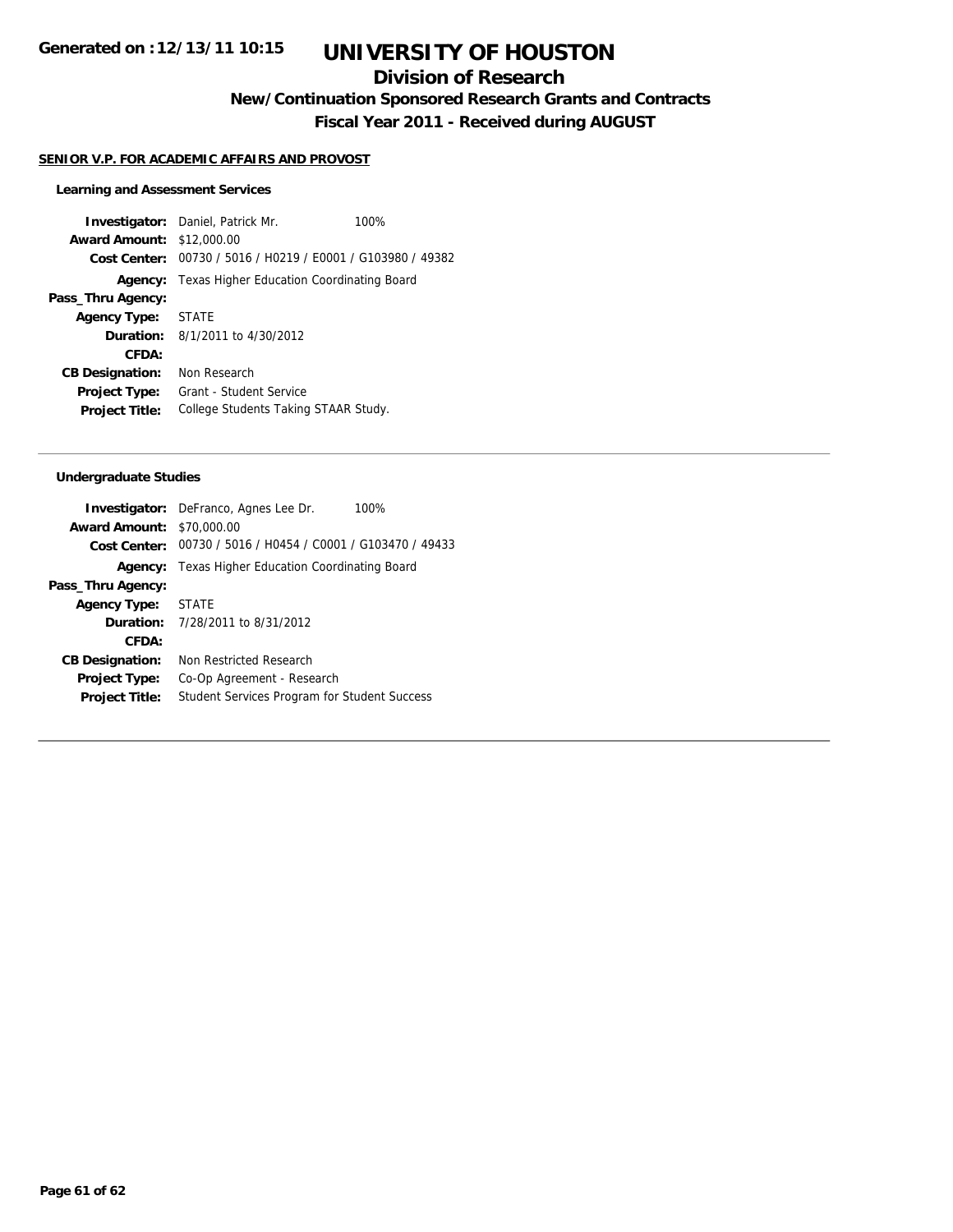## **Division of Research**

**New/Continuation Sponsored Research Grants and Contracts**

**Fiscal Year 2011 - Received during AUGUST**

#### **SENIOR V.P. FOR ACADEMIC AFFAIRS AND PROVOST**

#### **Learning and Assessment Services**

**Investigator:** Daniel, Patrick Mr. 100% **Award Amount:** \$12,000.00 **Cost Center:** 00730 / 5016 / H0219 / E0001 / G103980 / 49382 **Agency:** Texas Higher Education Coordinating Board **Pass\_Thru Agency: Agency Type:** STATE **Duration:** 8/1/2011 to 4/30/2012 **CFDA: CB Designation:** Non Research **Project Type:** Grant - Student Service **Project Title:** College Students Taking STAAR Study.

#### **Undergraduate Studies**

|                                  | 100%<br><b>Investigator:</b> DeFranco, Agnes Lee Dr.        |
|----------------------------------|-------------------------------------------------------------|
| <b>Award Amount: \$70,000.00</b> |                                                             |
|                                  | Cost Center: 00730 / 5016 / H0454 / C0001 / G103470 / 49433 |
| Agency:                          | Texas Higher Education Coordinating Board                   |
| Pass_Thru Agency:                |                                                             |
| Agency Type: STATE               |                                                             |
|                                  | <b>Duration:</b> 7/28/2011 to 8/31/2012                     |
| CFDA:                            |                                                             |
| <b>CB Designation:</b>           | Non Restricted Research                                     |
| <b>Project Type:</b>             | Co-Op Agreement - Research                                  |
| <b>Project Title:</b>            | <b>Student Services Program for Student Success</b>         |
|                                  |                                                             |